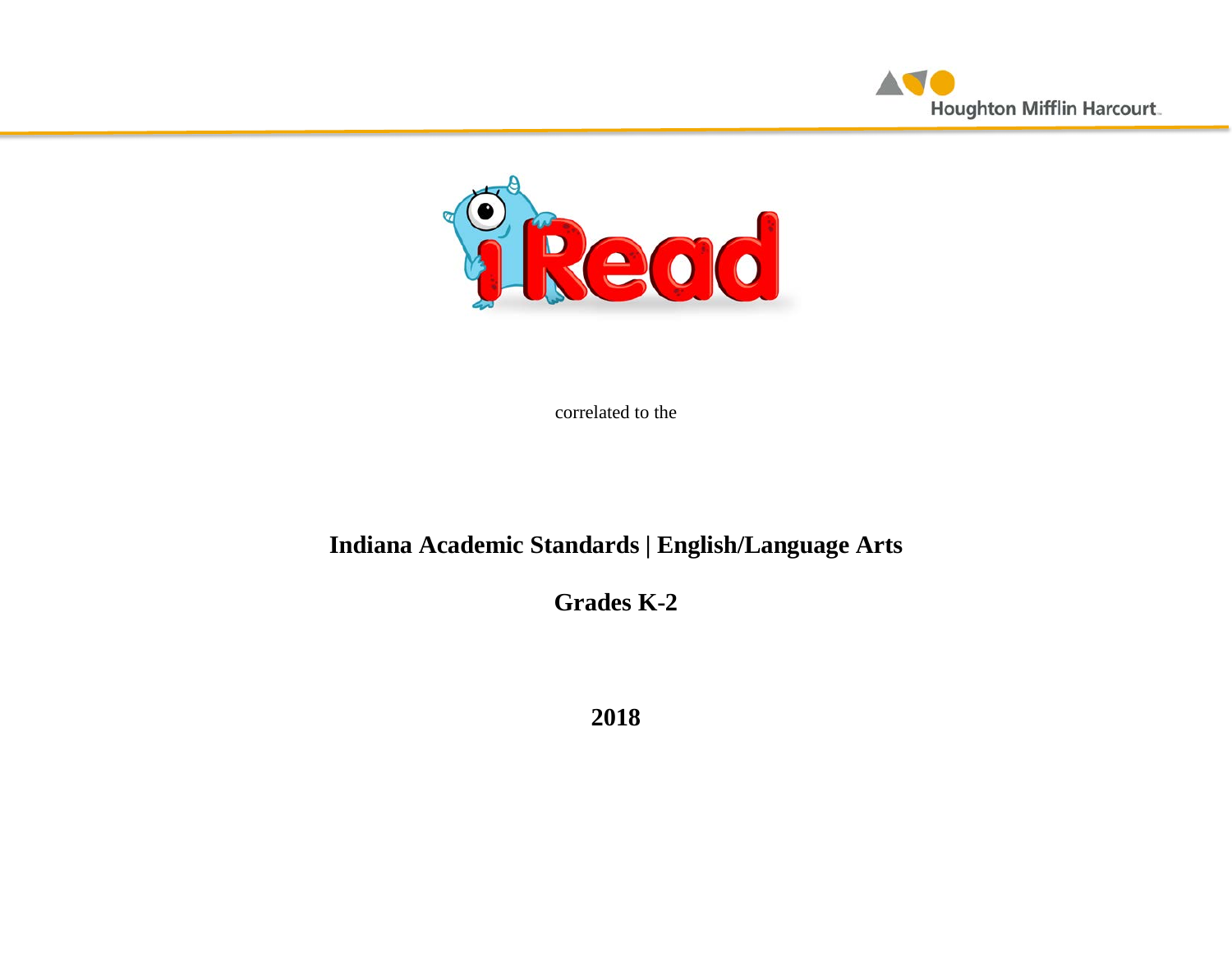



correlated to the

# **Indiana Academic Standards | English/Language Arts**

**Grades K-2**

**2018**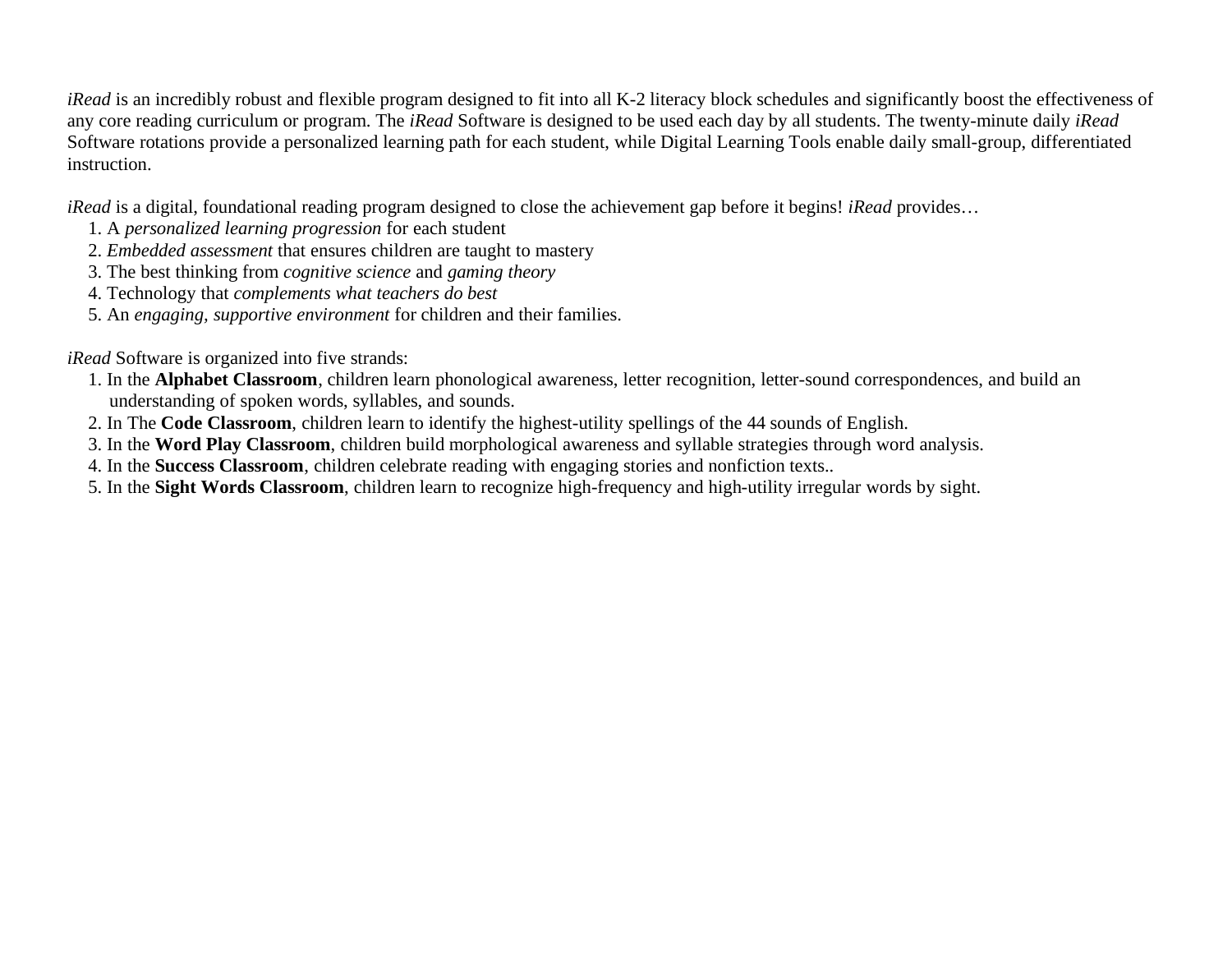*iRead* is an incredibly robust and flexible program designed to fit into all K-2 literacy block schedules and significantly boost the effectiveness of any core reading curriculum or program. The *iRead* Software is designed to be used each day by all students. The twenty-minute daily *iRead* Software rotations provide a personalized learning path for each student, while Digital Learning Tools enable daily small-group, differentiated instruction.

*iRead* is a digital, foundational reading program designed to close the achievement gap before it begins! *iRead* provides…

- 1. A *personalized learning progression* for each student
- 2. *Embedded assessment* that ensures children are taught to mastery
- 3. The best thinking from *cognitive science* and *gaming theory*
- 4. Technology that *complements what teachers do best*
- 5. An *engaging, supportive environment* for children and their families.

*iRead* Software is organized into five strands:

- 1. In the **Alphabet Classroom**, children learn phonological awareness, letter recognition, letter-sound correspondences, and build an understanding of spoken words, syllables, and sounds.
- 2. In The **Code Classroom**, children learn to identify the highest-utility spellings of the 44 sounds of English.
- 3. In the **Word Play Classroom**, children build morphological awareness and syllable strategies through word analysis.
- 4. In the **Success Classroom**, children celebrate reading with engaging stories and nonfiction texts..
- 5. In the **Sight Words Classroom**, children learn to recognize high-frequency and high-utility irregular words by sight.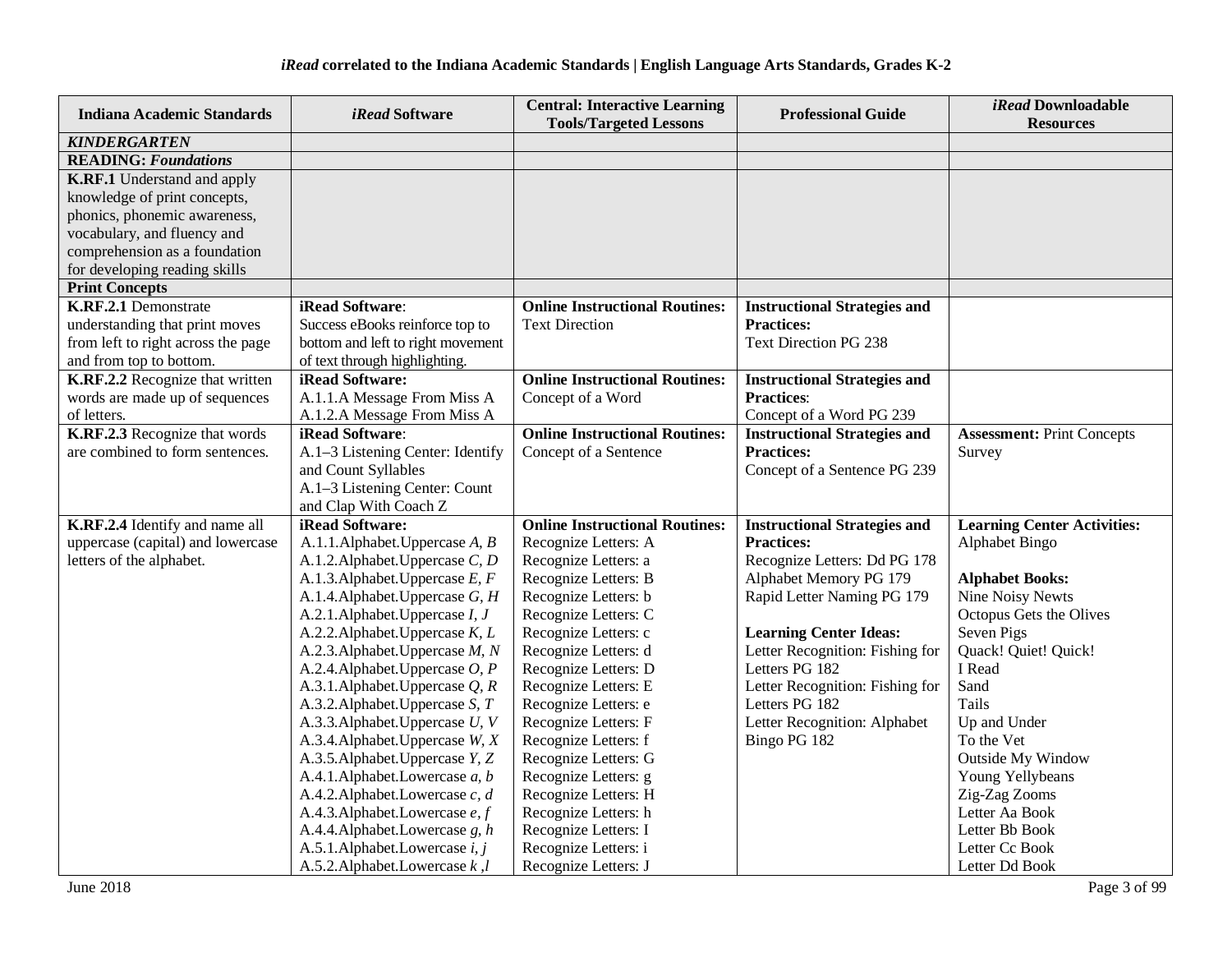| <b>Indiana Academic Standards</b>  | <i>iRead</i> Software             | <b>Central: Interactive Learning</b><br><b>Tools/Targeted Lessons</b> | <b>Professional Guide</b>           | iRead Downloadable<br><b>Resources</b> |
|------------------------------------|-----------------------------------|-----------------------------------------------------------------------|-------------------------------------|----------------------------------------|
| <b>KINDERGARTEN</b>                |                                   |                                                                       |                                     |                                        |
| <b>READING: Foundations</b>        |                                   |                                                                       |                                     |                                        |
| <b>K.RF.1</b> Understand and apply |                                   |                                                                       |                                     |                                        |
| knowledge of print concepts,       |                                   |                                                                       |                                     |                                        |
| phonics, phonemic awareness,       |                                   |                                                                       |                                     |                                        |
| vocabulary, and fluency and        |                                   |                                                                       |                                     |                                        |
| comprehension as a foundation      |                                   |                                                                       |                                     |                                        |
| for developing reading skills      |                                   |                                                                       |                                     |                                        |
| <b>Print Concepts</b>              |                                   |                                                                       |                                     |                                        |
| K.RF.2.1 Demonstrate               | iRead Software:                   | <b>Online Instructional Routines:</b>                                 | <b>Instructional Strategies and</b> |                                        |
| understanding that print moves     | Success eBooks reinforce top to   | <b>Text Direction</b>                                                 | <b>Practices:</b>                   |                                        |
| from left to right across the page | bottom and left to right movement |                                                                       | <b>Text Direction PG 238</b>        |                                        |
| and from top to bottom.            | of text through highlighting.     |                                                                       |                                     |                                        |
| K.RF.2.2 Recognize that written    | iRead Software:                   | <b>Online Instructional Routines:</b>                                 | <b>Instructional Strategies and</b> |                                        |
| words are made up of sequences     | A.1.1.A Message From Miss A       | Concept of a Word                                                     | <b>Practices:</b>                   |                                        |
| of letters.                        | A.1.2.A Message From Miss A       |                                                                       | Concept of a Word PG 239            |                                        |
| K.RF.2.3 Recognize that words      | iRead Software:                   | <b>Online Instructional Routines:</b>                                 | <b>Instructional Strategies and</b> | <b>Assessment: Print Concepts</b>      |
| are combined to form sentences.    | A.1-3 Listening Center: Identify  | Concept of a Sentence                                                 | <b>Practices:</b>                   | Survey                                 |
|                                    | and Count Syllables               |                                                                       | Concept of a Sentence PG 239        |                                        |
|                                    | A.1-3 Listening Center: Count     |                                                                       |                                     |                                        |
|                                    | and Clap With Coach Z             |                                                                       |                                     |                                        |
| K.RF.2.4 Identify and name all     | iRead Software:                   | <b>Online Instructional Routines:</b>                                 | <b>Instructional Strategies and</b> | <b>Learning Center Activities:</b>     |
| uppercase (capital) and lowercase  | A.1.1.Alphabet.Uppercase A, B     | Recognize Letters: A                                                  | <b>Practices:</b>                   | Alphabet Bingo                         |
| letters of the alphabet.           | A.1.2. Alphabet. Uppercase C, D   | Recognize Letters: a                                                  | Recognize Letters: Dd PG 178        |                                        |
|                                    | A.1.3. Alphabet. Uppercase E, F   | Recognize Letters: B                                                  | Alphabet Memory PG 179              | <b>Alphabet Books:</b>                 |
|                                    | A.1.4. Alphabet. Uppercase G, H   | Recognize Letters: b                                                  | Rapid Letter Naming PG 179          | <b>Nine Noisy Newts</b>                |
|                                    | A.2.1. Alphabet. Uppercase I, J   | Recognize Letters: C                                                  |                                     | Octopus Gets the Olives                |
|                                    | A.2.2. Alphabet. Uppercase $K, L$ | Recognize Letters: c                                                  | <b>Learning Center Ideas:</b>       | Seven Pigs                             |
|                                    | A.2.3. Alphabet. Uppercase M, N   | Recognize Letters: d                                                  | Letter Recognition: Fishing for     | Quack! Quiet! Quick!                   |
|                                    | A.2.4. Alphabet. Uppercase $O, P$ | Recognize Letters: D                                                  | Letters PG 182                      | I Read                                 |
|                                    | A.3.1.Alphabet.Uppercase $Q$ , R  | Recognize Letters: E                                                  | Letter Recognition: Fishing for     | Sand                                   |
|                                    | A.3.2. Alphabet. Uppercase S, T   | Recognize Letters: e                                                  | Letters PG 182                      | Tails                                  |
|                                    | A.3.3. Alphabet. Uppercase U, V   | Recognize Letters: F                                                  | Letter Recognition: Alphabet        | Up and Under                           |
|                                    | A.3.4. Alphabet. Uppercase W, X   | Recognize Letters: f                                                  | Bingo PG 182                        | To the Vet                             |
|                                    | A.3.5. Alphabet. Uppercase Y, Z   | Recognize Letters: G                                                  |                                     | <b>Outside My Window</b>               |
|                                    | A.4.1.Alphabet.Lowercase a, b     | Recognize Letters: g                                                  |                                     | Young Yellybeans                       |
|                                    | A.4.2. Alphabet. Lowercase c, d   | Recognize Letters: H                                                  |                                     | Zig-Zag Zooms                          |
|                                    | A.4.3. Alphabet. Lowercase e, f   | Recognize Letters: h                                                  |                                     | Letter Aa Book                         |
|                                    | A.4.4. Alphabet. Lowercase g, h   | Recognize Letters: I                                                  |                                     | Letter Bb Book                         |
|                                    | A.5.1.Alphabet.Lowercase i, j     | Recognize Letters: i                                                  |                                     | Letter Cc Book                         |
|                                    | A.5.2. Alphabet. Lowercase $k, l$ | Recognize Letters: J                                                  |                                     | Letter Dd Book                         |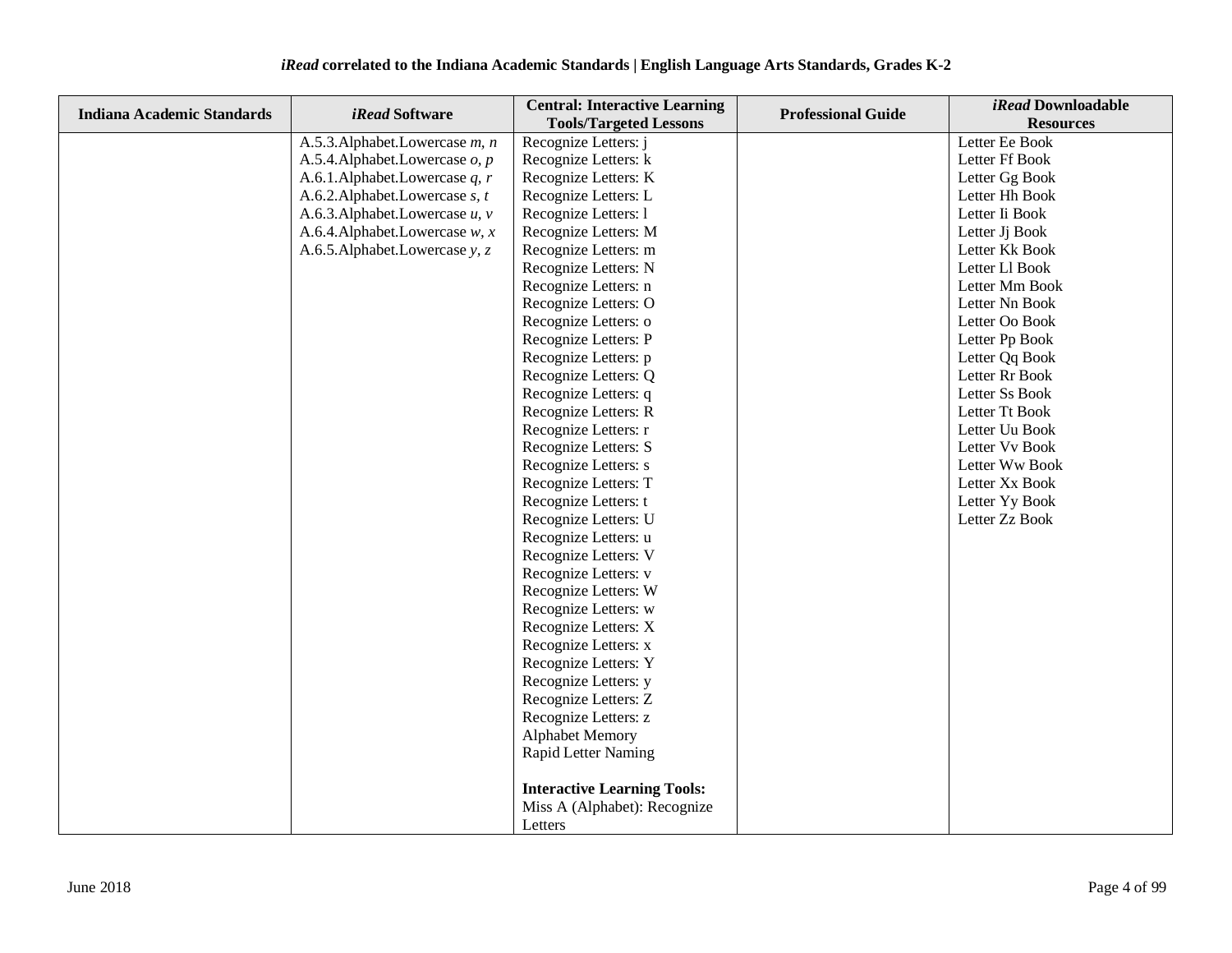| <b>Indiana Academic Standards</b> | iRead Software                       | <b>Central: Interactive Learning</b> | <b>Professional Guide</b> | <i>iRead</i> Downloadable |
|-----------------------------------|--------------------------------------|--------------------------------------|---------------------------|---------------------------|
|                                   |                                      | <b>Tools/Targeted Lessons</b>        |                           | <b>Resources</b>          |
|                                   | A.5.3. Alphabet. Lowercase m, n      | Recognize Letters: j                 |                           | Letter Ee Book            |
|                                   | A.5.4. Alphabet. Lowercase o, p      | Recognize Letters: k                 |                           | Letter Ff Book            |
|                                   | A.6.1.Alphabet.Lowercase q, r        | Recognize Letters: K                 |                           | Letter Gg Book            |
|                                   | A.6.2.Alphabet.Lowercase $s, t$      | Recognize Letters: L                 |                           | Letter Hh Book            |
|                                   | A.6.3.Alphabet.Lowercase $u$ , $v$   | Recognize Letters: 1                 |                           | Letter Ii Book            |
|                                   | A.6.4. Alphabet. Lowercase $w$ , $x$ | Recognize Letters: M                 |                           | Letter Jj Book            |
|                                   | A.6.5. Alphabet. Lowercase y, z      | Recognize Letters: m                 |                           | Letter Kk Book            |
|                                   |                                      | Recognize Letters: N                 |                           | Letter Ll Book            |
|                                   |                                      | Recognize Letters: n                 |                           | Letter Mm Book            |
|                                   |                                      | Recognize Letters: O                 |                           | Letter Nn Book            |
|                                   |                                      | Recognize Letters: o                 |                           | Letter Oo Book            |
|                                   |                                      | Recognize Letters: P                 |                           | Letter Pp Book            |
|                                   |                                      | Recognize Letters: p                 |                           | Letter Qq Book            |
|                                   |                                      | Recognize Letters: Q                 |                           | Letter Rr Book            |
|                                   |                                      | Recognize Letters: q                 |                           | Letter Ss Book            |
|                                   |                                      | Recognize Letters: R                 |                           | Letter Tt Book            |
|                                   |                                      | Recognize Letters: r                 |                           | Letter Uu Book            |
|                                   |                                      | Recognize Letters: S                 |                           | Letter Vv Book            |
|                                   |                                      | Recognize Letters: s                 |                           | Letter Ww Book            |
|                                   |                                      | Recognize Letters: T                 |                           | Letter Xx Book            |
|                                   |                                      | Recognize Letters: t                 |                           | Letter Yy Book            |
|                                   |                                      | Recognize Letters: U                 |                           | Letter Zz Book            |
|                                   |                                      | Recognize Letters: u                 |                           |                           |
|                                   |                                      | Recognize Letters: V                 |                           |                           |
|                                   |                                      | Recognize Letters: v                 |                           |                           |
|                                   |                                      | Recognize Letters: W                 |                           |                           |
|                                   |                                      | Recognize Letters: w                 |                           |                           |
|                                   |                                      | Recognize Letters: X                 |                           |                           |
|                                   |                                      | Recognize Letters: x                 |                           |                           |
|                                   |                                      | Recognize Letters: Y                 |                           |                           |
|                                   |                                      | Recognize Letters: y                 |                           |                           |
|                                   |                                      | Recognize Letters: Z                 |                           |                           |
|                                   |                                      | Recognize Letters: z                 |                           |                           |
|                                   |                                      | <b>Alphabet Memory</b>               |                           |                           |
|                                   |                                      | Rapid Letter Naming                  |                           |                           |
|                                   |                                      |                                      |                           |                           |
|                                   |                                      | <b>Interactive Learning Tools:</b>   |                           |                           |
|                                   |                                      | Miss A (Alphabet): Recognize         |                           |                           |
|                                   |                                      | Letters                              |                           |                           |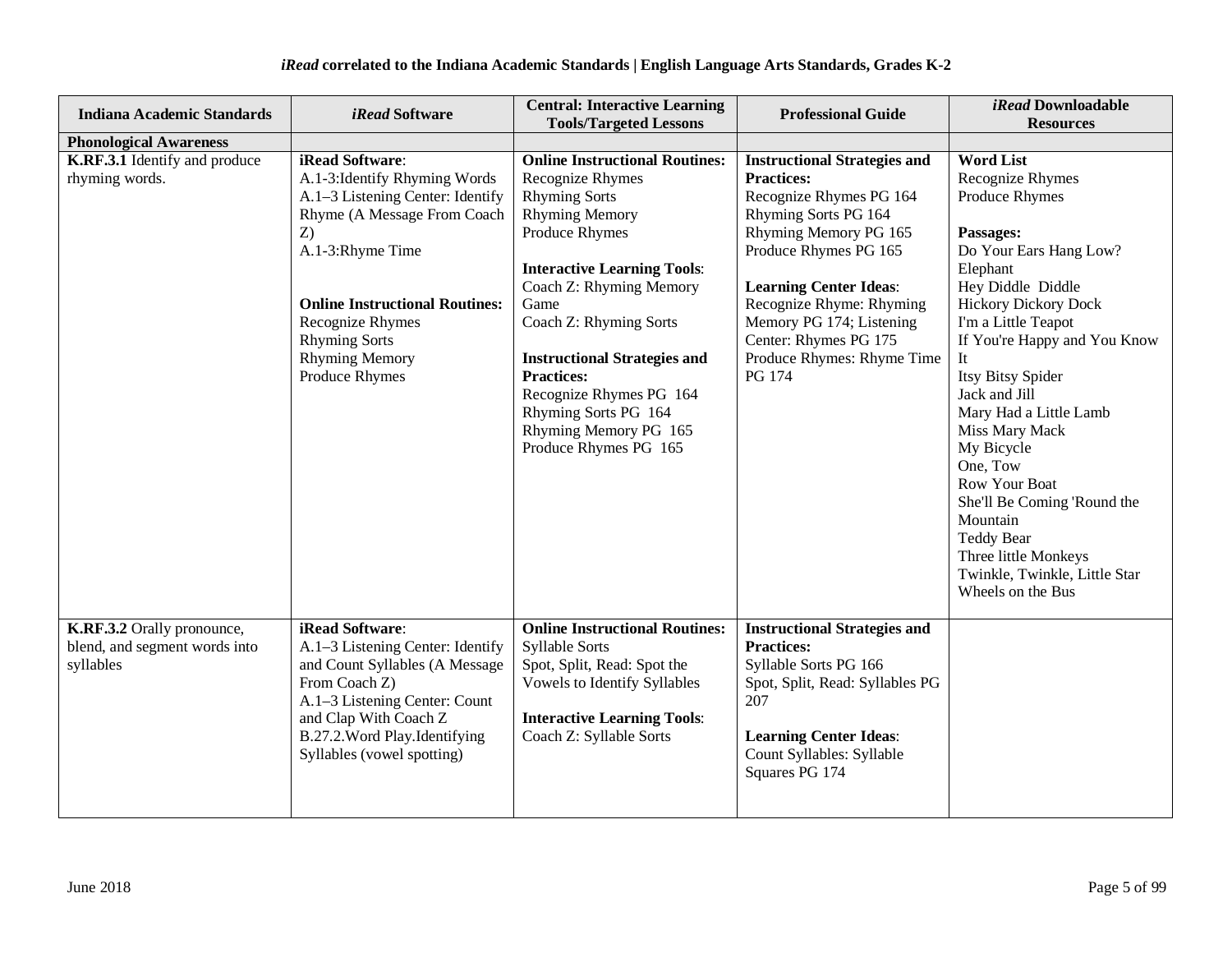| <b>Indiana Academic Standards</b>                                        | <i>iRead</i> Software                                                                                                                                                                                                                                                         | <b>Central: Interactive Learning</b><br><b>Tools/Targeted Lessons</b>                                                                                                                                                                                                                                                                                                                            | <b>Professional Guide</b>                                                                                                                                                                                                                                                                                               | iRead Downloadable<br><b>Resources</b>                                                                                                                                                                                                                                                                                                                                                                                                                                                                              |
|--------------------------------------------------------------------------|-------------------------------------------------------------------------------------------------------------------------------------------------------------------------------------------------------------------------------------------------------------------------------|--------------------------------------------------------------------------------------------------------------------------------------------------------------------------------------------------------------------------------------------------------------------------------------------------------------------------------------------------------------------------------------------------|-------------------------------------------------------------------------------------------------------------------------------------------------------------------------------------------------------------------------------------------------------------------------------------------------------------------------|---------------------------------------------------------------------------------------------------------------------------------------------------------------------------------------------------------------------------------------------------------------------------------------------------------------------------------------------------------------------------------------------------------------------------------------------------------------------------------------------------------------------|
| <b>Phonological Awareness</b>                                            |                                                                                                                                                                                                                                                                               |                                                                                                                                                                                                                                                                                                                                                                                                  |                                                                                                                                                                                                                                                                                                                         |                                                                                                                                                                                                                                                                                                                                                                                                                                                                                                                     |
| K.RF.3.1 Identify and produce<br>rhyming words.                          | iRead Software:<br>A.1-3: Identify Rhyming Words<br>A.1-3 Listening Center: Identify<br>Rhyme (A Message From Coach<br>Z)<br>A.1-3:Rhyme Time<br><b>Online Instructional Routines:</b><br>Recognize Rhymes<br><b>Rhyming Sorts</b><br><b>Rhyming Memory</b><br>Produce Rhymes | <b>Online Instructional Routines:</b><br>Recognize Rhymes<br><b>Rhyming Sorts</b><br><b>Rhyming Memory</b><br>Produce Rhymes<br><b>Interactive Learning Tools:</b><br>Coach Z: Rhyming Memory<br>Game<br>Coach Z: Rhyming Sorts<br><b>Instructional Strategies and</b><br><b>Practices:</b><br>Recognize Rhymes PG 164<br>Rhyming Sorts PG 164<br>Rhyming Memory PG 165<br>Produce Rhymes PG 165 | <b>Instructional Strategies and</b><br><b>Practices:</b><br>Recognize Rhymes PG 164<br>Rhyming Sorts PG 164<br>Rhyming Memory PG 165<br>Produce Rhymes PG 165<br><b>Learning Center Ideas:</b><br>Recognize Rhyme: Rhyming<br>Memory PG 174; Listening<br>Center: Rhymes PG 175<br>Produce Rhymes: Rhyme Time<br>PG 174 | <b>Word List</b><br>Recognize Rhymes<br><b>Produce Rhymes</b><br>Passages:<br>Do Your Ears Hang Low?<br>Elephant<br>Hey Diddle Diddle<br><b>Hickory Dickory Dock</b><br>I'm a Little Teapot<br>If You're Happy and You Know<br>It<br>Itsy Bitsy Spider<br>Jack and Jill<br>Mary Had a Little Lamb<br>Miss Mary Mack<br>My Bicycle<br>One, Tow<br><b>Row Your Boat</b><br>She'll Be Coming 'Round the<br>Mountain<br><b>Teddy Bear</b><br>Three little Monkeys<br>Twinkle, Twinkle, Little Star<br>Wheels on the Bus |
| K.RF.3.2 Orally pronounce,<br>blend, and segment words into<br>syllables | iRead Software:<br>A.1-3 Listening Center: Identify<br>and Count Syllables (A Message<br>From Coach Z)<br>A.1-3 Listening Center: Count<br>and Clap With Coach Z<br>B.27.2. Word Play. Identifying<br>Syllables (vowel spotting)                                              | <b>Online Instructional Routines:</b><br><b>Syllable Sorts</b><br>Spot, Split, Read: Spot the<br>Vowels to Identify Syllables<br><b>Interactive Learning Tools:</b><br>Coach Z: Syllable Sorts                                                                                                                                                                                                   | <b>Instructional Strategies and</b><br><b>Practices:</b><br>Syllable Sorts PG 166<br>Spot, Split, Read: Syllables PG<br>207<br><b>Learning Center Ideas:</b><br>Count Syllables: Syllable<br>Squares PG 174                                                                                                             |                                                                                                                                                                                                                                                                                                                                                                                                                                                                                                                     |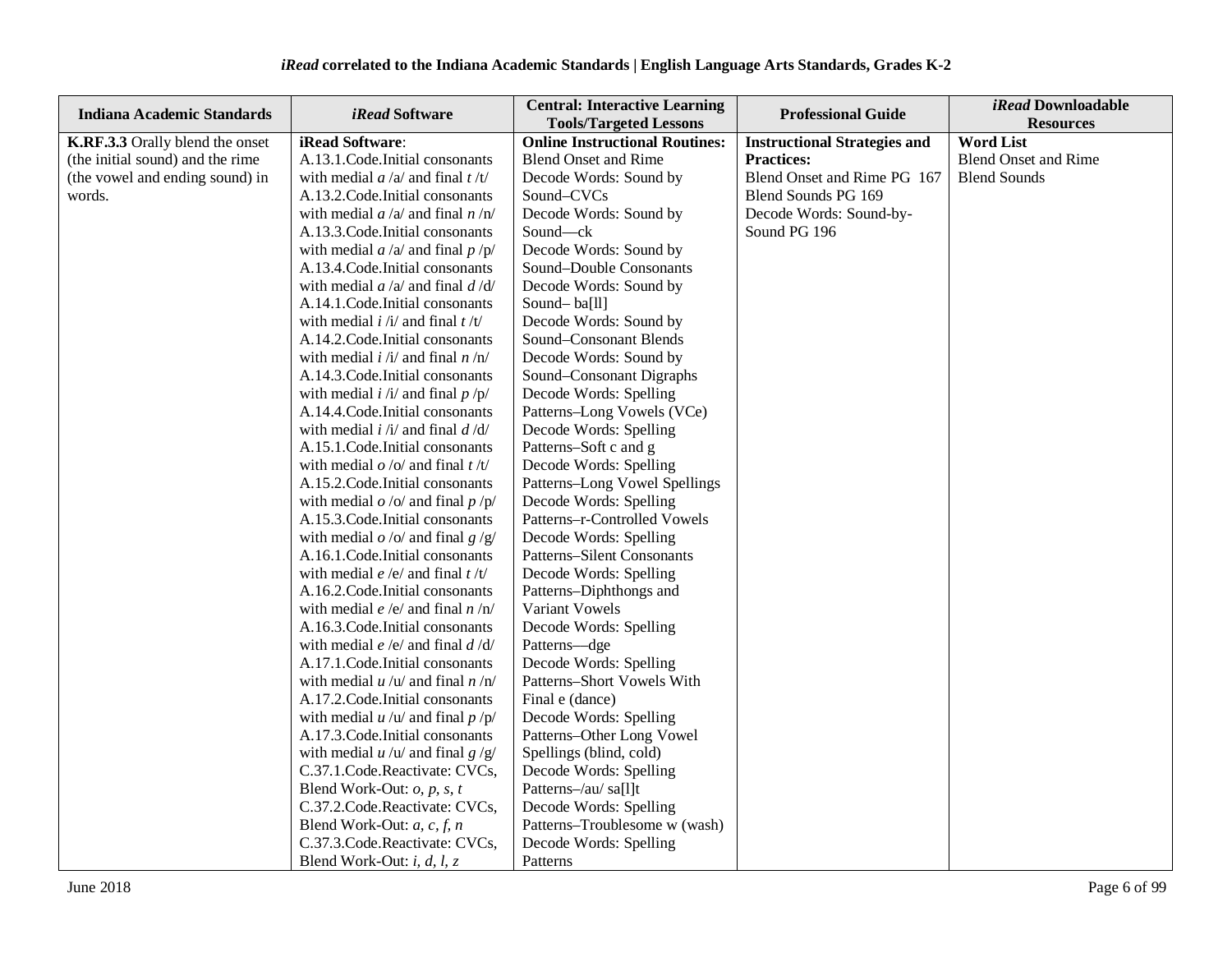| Indiana Academic Standards       | iRead Software                                            | <b>Central: Interactive Learning</b><br><b>Tools/Targeted Lessons</b> | <b>Professional Guide</b>           | iRead Downloadable<br><b>Resources</b> |
|----------------------------------|-----------------------------------------------------------|-----------------------------------------------------------------------|-------------------------------------|----------------------------------------|
| K.RF.3.3 Orally blend the onset  | iRead Software:                                           | <b>Online Instructional Routines:</b>                                 | <b>Instructional Strategies and</b> | <b>Word List</b>                       |
| (the initial sound) and the rime | A.13.1.Code.Initial consonants                            | <b>Blend Onset and Rime</b>                                           | <b>Practices:</b>                   | <b>Blend Onset and Rime</b>            |
| (the vowel and ending sound) in  | with medial $a/a$ and final $t/t$                         | Decode Words: Sound by                                                | Blend Onset and Rime PG 167         | <b>Blend Sounds</b>                    |
| words.                           | A.13.2. Code. Initial consonants                          | Sound-CVCs                                                            | Blend Sounds PG 169                 |                                        |
|                                  | with medial $a/a$ and final $n/n$                         | Decode Words: Sound by                                                | Decode Words: Sound-by-             |                                        |
|                                  | A.13.3. Code. Initial consonants                          | Sound-ck                                                              | Sound PG 196                        |                                        |
|                                  | with medial $a/a$ and final $p/p$                         | Decode Words: Sound by                                                |                                     |                                        |
|                                  | A.13.4. Code. Initial consonants                          | Sound-Double Consonants                                               |                                     |                                        |
|                                  | with medial $a/a$ and final $d/d$                         | Decode Words: Sound by                                                |                                     |                                        |
|                                  | A.14.1. Code. Initial consonants                          | Sound-ba[ll]                                                          |                                     |                                        |
|                                  | with medial $i / i /$ and final $t / t /$                 | Decode Words: Sound by                                                |                                     |                                        |
|                                  | A.14.2. Code. Initial consonants                          | Sound-Consonant Blends                                                |                                     |                                        |
|                                  | with medial $i / i /$ and final $n / n /$                 | Decode Words: Sound by                                                |                                     |                                        |
|                                  | A.14.3. Code. Initial consonants                          | Sound-Consonant Digraphs                                              |                                     |                                        |
|                                  | with medial $i / i /$ and final $p / p /$                 | Decode Words: Spelling                                                |                                     |                                        |
|                                  | A.14.4. Code. Initial consonants                          | Patterns-Long Vowels (VCe)                                            |                                     |                                        |
|                                  | with medial $i / i /$ and final $d / d /$                 | Decode Words: Spelling                                                |                                     |                                        |
|                                  | A.15.1. Code. Initial consonants                          | Patterns-Soft c and g                                                 |                                     |                                        |
|                                  | with medial $o / o /$ and final $t / t /$                 | Decode Words: Spelling                                                |                                     |                                        |
|                                  | A.15.2. Code. Initial consonants                          | Patterns-Long Vowel Spellings                                         |                                     |                                        |
|                                  | with medial $o$ /o/ and final $p$ /p/                     | Decode Words: Spelling                                                |                                     |                                        |
|                                  | A.15.3. Code. Initial consonants                          | Patterns-r-Controlled Vowels                                          |                                     |                                        |
|                                  | with medial $o$ /o/ and final $g$ /g/                     | Decode Words: Spelling                                                |                                     |                                        |
|                                  | A.16.1.Code.Initial consonants                            | <b>Patterns-Silent Consonants</b>                                     |                                     |                                        |
|                                  | with medial <i>e</i> /e/ and final $t/t/$                 | Decode Words: Spelling                                                |                                     |                                        |
|                                  | A.16.2. Code. Initial consonants                          | Patterns-Diphthongs and                                               |                                     |                                        |
|                                  | with medial $e/e/$ and final $n/n/$                       | Variant Vowels                                                        |                                     |                                        |
|                                  | A.16.3. Code. Initial consonants                          | Decode Words: Spelling                                                |                                     |                                        |
|                                  | with medial $e/e/$ and final $d/d/$                       | Patterns-dge                                                          |                                     |                                        |
|                                  | A.17.1. Code. Initial consonants                          | Decode Words: Spelling                                                |                                     |                                        |
|                                  | with medial $u / u /$ and final $n / n/$                  | Patterns-Short Vowels With                                            |                                     |                                        |
|                                  | A.17.2. Code. Initial consonants                          | Final e (dance)                                                       |                                     |                                        |
|                                  | with medial $u / u /$ and final $p / p /$                 | Decode Words: Spelling                                                |                                     |                                        |
|                                  | A.17.3. Code. Initial consonants                          | Patterns-Other Long Vowel                                             |                                     |                                        |
|                                  | with medial $u / u /$ and final $g / g /$                 | Spellings (blind, cold)                                               |                                     |                                        |
|                                  | C.37.1.Code.Reactivate: CVCs,                             | Decode Words: Spelling                                                |                                     |                                        |
|                                  | Blend Work-Out: $o$ , $p$ , $s$ , $t$                     | Patterns-/au/ sa[l]t                                                  |                                     |                                        |
|                                  | C.37.2.Code.Reactivate: CVCs,                             | Decode Words: Spelling                                                |                                     |                                        |
|                                  | Blend Work-Out: $a, c, f, n$                              | Patterns-Troublesome w (wash)                                         |                                     |                                        |
|                                  | C.37.3.Code.Reactivate: CVCs,                             | Decode Words: Spelling                                                |                                     |                                        |
|                                  | Blend Work-Out: <i>i</i> , <i>d</i> , <i>l</i> , <i>z</i> | Patterns                                                              |                                     |                                        |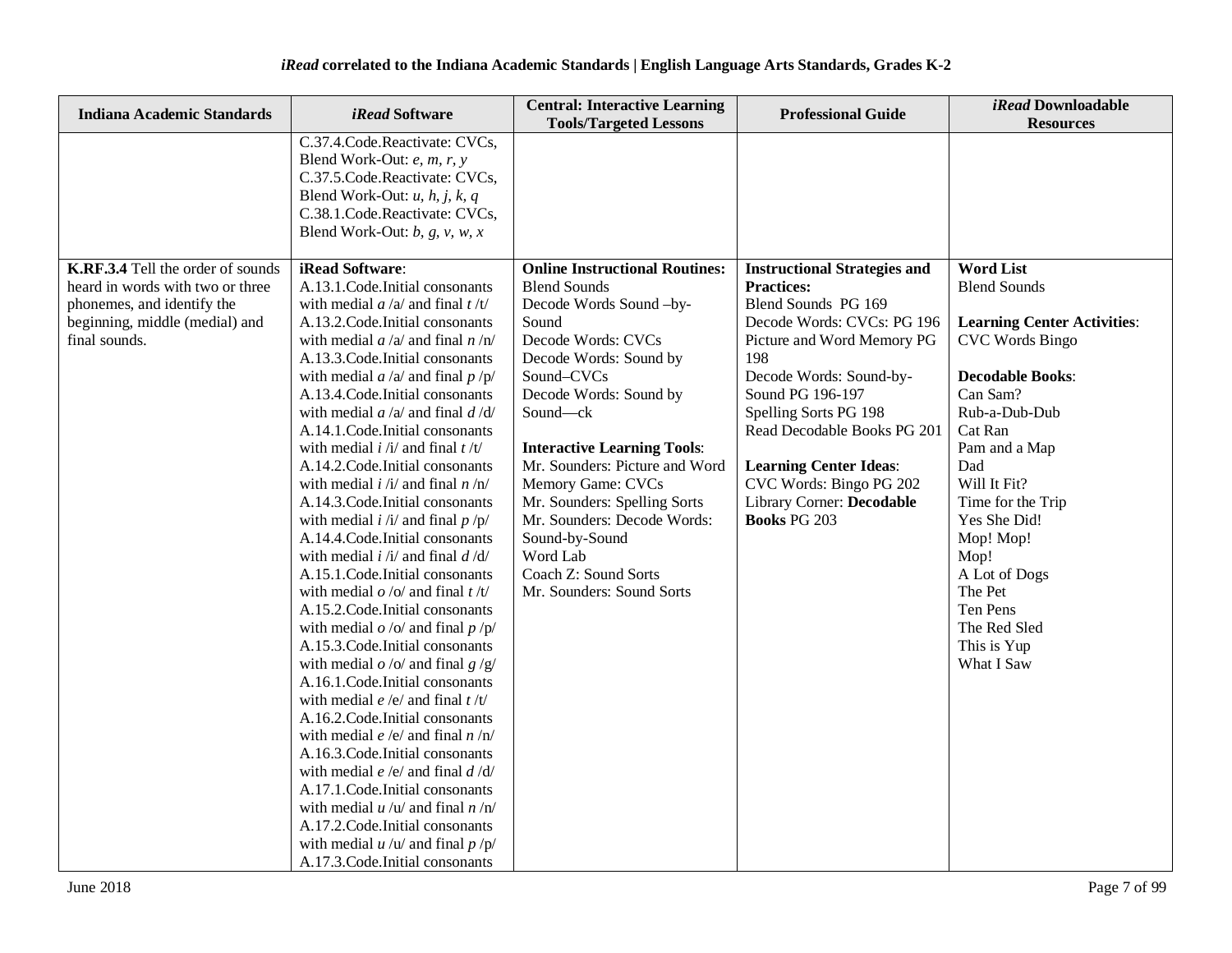| Indiana Academic Standards                                                    | iRead Software                                                                                                                                                                                                                                                                                                                                                                                                                                                                                                                                                                                                                                                                                                                                                                                                                                                                                                                                                                                                                                                                                                                                                                                                                                                        | <b>Central: Interactive Learning</b><br><b>Tools/Targeted Lessons</b>                                                                                                                                                                                                                                                                                                              | <b>Professional Guide</b>                                                                                                                                                                                                                                                                                     | iRead Downloadable<br><b>Resources</b>                                                                                                                                                                                                                                                                                 |
|-------------------------------------------------------------------------------|-----------------------------------------------------------------------------------------------------------------------------------------------------------------------------------------------------------------------------------------------------------------------------------------------------------------------------------------------------------------------------------------------------------------------------------------------------------------------------------------------------------------------------------------------------------------------------------------------------------------------------------------------------------------------------------------------------------------------------------------------------------------------------------------------------------------------------------------------------------------------------------------------------------------------------------------------------------------------------------------------------------------------------------------------------------------------------------------------------------------------------------------------------------------------------------------------------------------------------------------------------------------------|------------------------------------------------------------------------------------------------------------------------------------------------------------------------------------------------------------------------------------------------------------------------------------------------------------------------------------------------------------------------------------|---------------------------------------------------------------------------------------------------------------------------------------------------------------------------------------------------------------------------------------------------------------------------------------------------------------|------------------------------------------------------------------------------------------------------------------------------------------------------------------------------------------------------------------------------------------------------------------------------------------------------------------------|
| K.RF.3.4 Tell the order of sounds<br>heard in words with two or three         | C.37.4.Code.Reactivate: CVCs,<br>Blend Work-Out: $e$ , $m$ , $r$ , $y$<br>C.37.5.Code.Reactivate: CVCs,<br>Blend Work-Out: $u$ , $h$ , $j$ , $k$ , $q$<br>C.38.1.Code.Reactivate: CVCs,<br>Blend Work-Out: $b$ , $g$ , $v$ , $w$ , $x$<br><b>iRead Software:</b><br>A.13.1.Code.Initial consonants                                                                                                                                                                                                                                                                                                                                                                                                                                                                                                                                                                                                                                                                                                                                                                                                                                                                                                                                                                    | <b>Online Instructional Routines:</b><br><b>Blend Sounds</b>                                                                                                                                                                                                                                                                                                                       | <b>Instructional Strategies and</b><br><b>Practices:</b>                                                                                                                                                                                                                                                      | <b>Word List</b><br><b>Blend Sounds</b>                                                                                                                                                                                                                                                                                |
| phonemes, and identify the<br>beginning, middle (medial) and<br>final sounds. | with medial $a/a$ and final $t/t$<br>A.13.2. Code. Initial consonants<br>with medial $a/a$ and final $n/n$<br>A.13.3. Code. Initial consonants<br>with medial $a/a$ and final $p/p$<br>A.13.4. Code. Initial consonants<br>with medial $a/a$ and final $d/d$<br>A.14.1.Code.Initial consonants<br>with medial $i / i /$ and final $t / t /$<br>A.14.2. Code. Initial consonants<br>with medial $i / i /$ and final $n / n /$<br>A.14.3. Code. Initial consonants<br>with medial $i / i /$ and final $p / p /$<br>A.14.4.Code.Initial consonants<br>with medial $i / i /$ and final $d / d /$<br>A.15.1.Code.Initial consonants<br>with medial $o$ /o/ and final $t/t$ /<br>A.15.2. Code. Initial consonants<br>with medial $o$ /o/ and final $p$ /p/<br>A.15.3. Code. Initial consonants<br>with medial $o$ /o/ and final $g$ /g/<br>A.16.1.Code.Initial consonants<br>with medial $e/e/$ and final $t/t/$<br>A.16.2. Code. Initial consonants<br>with medial $e/e/$ and final $n/n/$<br>A.16.3. Code. Initial consonants<br>with medial $e/e/$ and final $d/d/$<br>A.17.1. Code. Initial consonants<br>with medial $u / u /$ and final $n / n'$<br>A.17.2. Code. Initial consonants<br>with medial $u / u /$ and final $p / p /$<br>A.17.3. Code. Initial consonants | Decode Words Sound-by-<br>Sound<br>Decode Words: CVCs<br>Decode Words: Sound by<br>Sound-CVCs<br>Decode Words: Sound by<br>Sound-ck<br><b>Interactive Learning Tools:</b><br>Mr. Sounders: Picture and Word<br>Memory Game: CVCs<br>Mr. Sounders: Spelling Sorts<br>Mr. Sounders: Decode Words:<br>Sound-by-Sound<br>Word Lab<br>Coach Z: Sound Sorts<br>Mr. Sounders: Sound Sorts | Blend Sounds PG 169<br>Decode Words: CVCs: PG 196<br>Picture and Word Memory PG<br>198<br>Decode Words: Sound-by-<br>Sound PG 196-197<br>Spelling Sorts PG 198<br>Read Decodable Books PG 201<br><b>Learning Center Ideas:</b><br>CVC Words: Bingo PG 202<br>Library Corner: Decodable<br><b>Books PG 203</b> | <b>Learning Center Activities:</b><br><b>CVC Words Bingo</b><br><b>Decodable Books:</b><br>Can Sam?<br>Rub-a-Dub-Dub<br>Cat Ran<br>Pam and a Map<br>Dad<br>Will It Fit?<br>Time for the Trip<br>Yes She Did!<br>Mop! Mop!<br>Mop!<br>A Lot of Dogs<br>The Pet<br>Ten Pens<br>The Red Sled<br>This is Yup<br>What I Saw |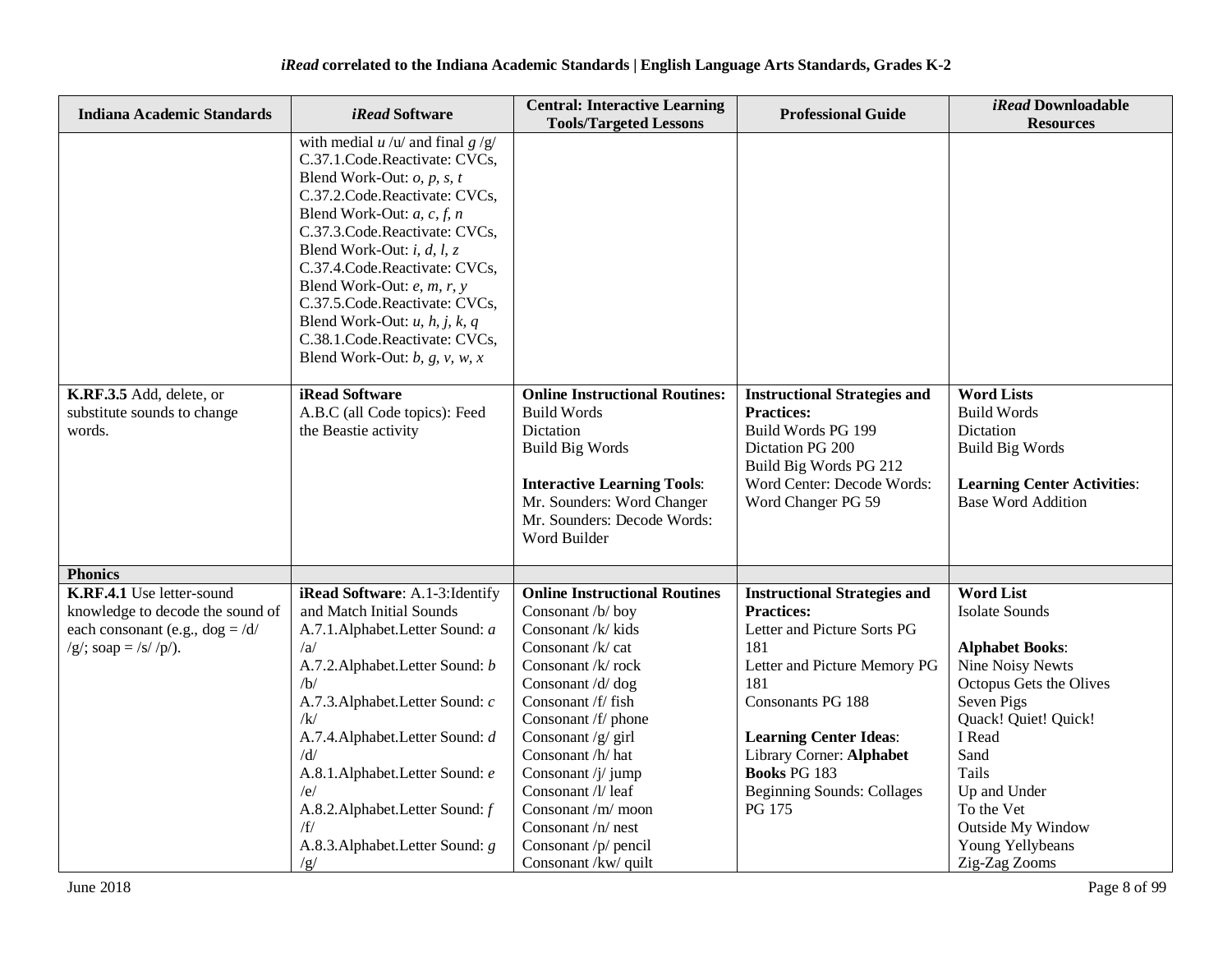| <b>Indiana Academic Standards</b>                                                                                            | <i>iRead</i> Software                                                                                                                                                                                                                                                                                                                                                                                                                                                              | <b>Central: Interactive Learning</b><br><b>Tools/Targeted Lessons</b>                                                                                                                                                                                                                                                                                                           | <b>Professional Guide</b>                                                                                                                                                                                                                                                                     | iRead Downloadable<br><b>Resources</b>                                                                                                                                                                                                                                             |
|------------------------------------------------------------------------------------------------------------------------------|------------------------------------------------------------------------------------------------------------------------------------------------------------------------------------------------------------------------------------------------------------------------------------------------------------------------------------------------------------------------------------------------------------------------------------------------------------------------------------|---------------------------------------------------------------------------------------------------------------------------------------------------------------------------------------------------------------------------------------------------------------------------------------------------------------------------------------------------------------------------------|-----------------------------------------------------------------------------------------------------------------------------------------------------------------------------------------------------------------------------------------------------------------------------------------------|------------------------------------------------------------------------------------------------------------------------------------------------------------------------------------------------------------------------------------------------------------------------------------|
|                                                                                                                              | with medial $u / u /$ and final $g / g /$<br>C.37.1.Code.Reactivate: CVCs,<br>Blend Work-Out: $o$ , $p$ , $s$ , $t$<br>C.37.2.Code.Reactivate: CVCs,<br>Blend Work-Out: $a, c, f, n$<br>C.37.3.Code.Reactivate: CVCs,<br>Blend Work-Out: i, d, l, z<br>C.37.4.Code.Reactivate: CVCs,<br>Blend Work-Out: e, m, r, y<br>C.37.5.Code.Reactivate: CVCs,<br>Blend Work-Out: $u$ , $h$ , $j$ , $k$ , $q$<br>C.38.1.Code.Reactivate: CVCs,<br>Blend Work-Out: $b$ , $g$ , $v$ , $w$ , $x$ |                                                                                                                                                                                                                                                                                                                                                                                 |                                                                                                                                                                                                                                                                                               |                                                                                                                                                                                                                                                                                    |
| K.RF.3.5 Add, delete, or<br>substitute sounds to change<br>words.                                                            | <b>iRead Software</b><br>A.B.C (all Code topics): Feed<br>the Beastie activity                                                                                                                                                                                                                                                                                                                                                                                                     | <b>Online Instructional Routines:</b><br><b>Build Words</b><br>Dictation<br><b>Build Big Words</b><br><b>Interactive Learning Tools:</b><br>Mr. Sounders: Word Changer<br>Mr. Sounders: Decode Words:<br>Word Builder                                                                                                                                                           | <b>Instructional Strategies and</b><br><b>Practices:</b><br>Build Words PG 199<br>Dictation PG 200<br>Build Big Words PG 212<br>Word Center: Decode Words:<br>Word Changer PG 59                                                                                                              | <b>Word Lists</b><br><b>Build Words</b><br>Dictation<br><b>Build Big Words</b><br><b>Learning Center Activities:</b><br><b>Base Word Addition</b>                                                                                                                                  |
| <b>Phonics</b>                                                                                                               |                                                                                                                                                                                                                                                                                                                                                                                                                                                                                    |                                                                                                                                                                                                                                                                                                                                                                                 |                                                                                                                                                                                                                                                                                               |                                                                                                                                                                                                                                                                                    |
| K.RF.4.1 Use letter-sound<br>knowledge to decode the sound of<br>each consonant (e.g., $dog = /d/$<br>$/g$ ; soap = /s//p/). | iRead Software: A.1-3: Identify<br>and Match Initial Sounds<br>A.7.1. Alphabet. Letter Sound: a<br>/a<br>A.7.2. Alphabet. Letter Sound: b<br>/b/<br>A.7.3. Alphabet. Letter Sound: c<br>/k/<br>A.7.4. Alphabet. Letter Sound: d<br>/d/<br>A.8.1.Alphabet.Letter Sound: e<br>/e/<br>A.8.2. Alphabet. Letter Sound: f<br>/f/<br>A.8.3. Alphabet. Letter Sound: g<br>/g/                                                                                                              | <b>Online Instructional Routines</b><br>Consonant /b/ boy<br>Consonant /k/ kids<br>Consonant /k/ cat<br>Consonant /k/ rock<br>Consonant /d/ dog<br>Consonant /f/ fish<br>Consonant /f/ phone<br>Consonant /g/ girl<br>Consonant /h/ hat<br>Consonant /j/ jump<br>Consonant /l/ leaf<br>Consonant /m/ moon<br>Consonant /n/ nest<br>Consonant /p/ pencil<br>Consonant /kw/ quilt | <b>Instructional Strategies and</b><br><b>Practices:</b><br>Letter and Picture Sorts PG<br>181<br>Letter and Picture Memory PG<br>181<br>Consonants PG 188<br><b>Learning Center Ideas:</b><br>Library Corner: Alphabet<br><b>Books PG 183</b><br><b>Beginning Sounds: Collages</b><br>PG 175 | <b>Word List</b><br><b>Isolate Sounds</b><br><b>Alphabet Books:</b><br><b>Nine Noisy Newts</b><br>Octopus Gets the Olives<br>Seven Pigs<br>Quack! Quiet! Quick!<br>I Read<br>Sand<br>Tails<br>Up and Under<br>To the Vet<br>Outside My Window<br>Young Yellybeans<br>Zig-Zag Zooms |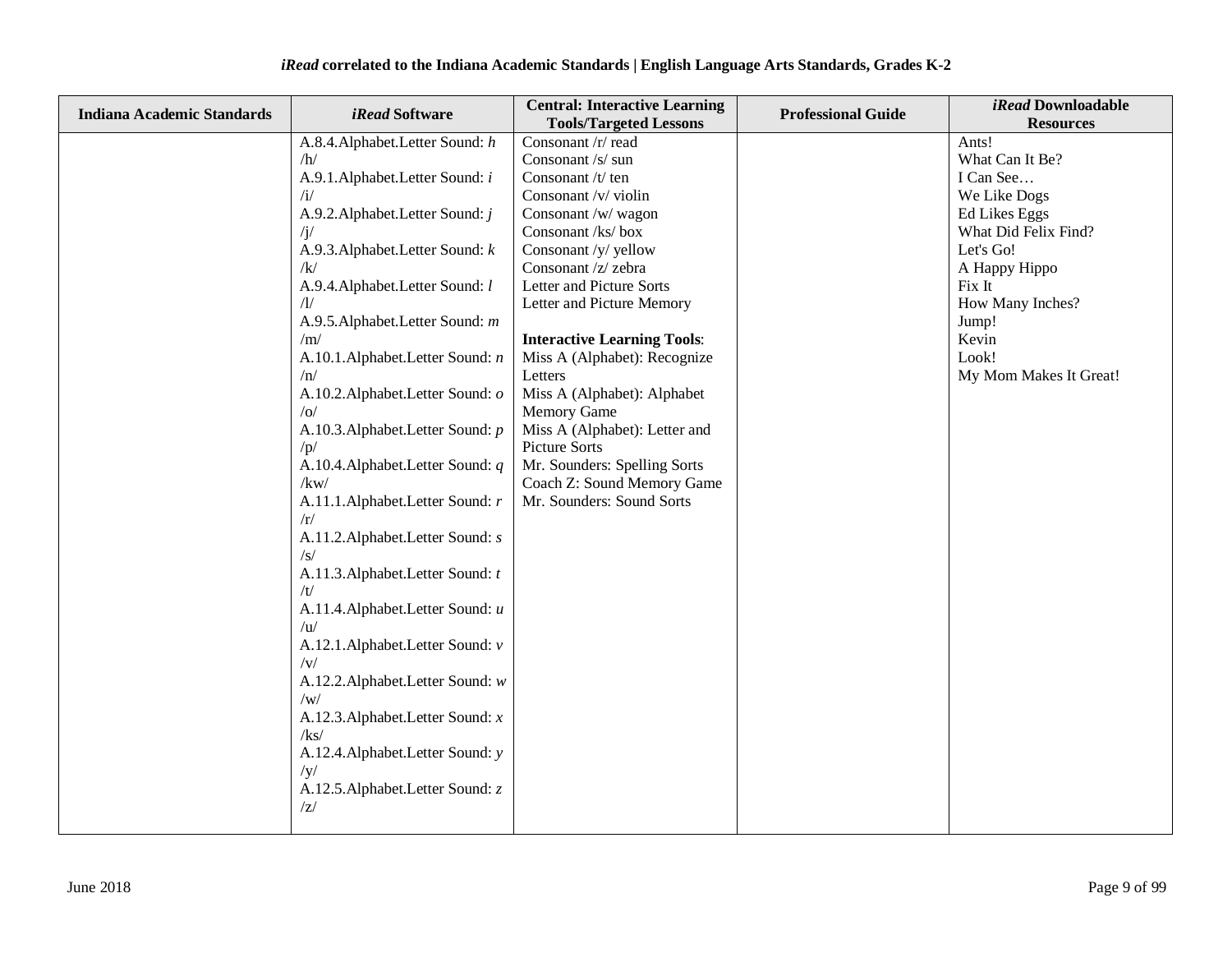| <b>Indiana Academic Standards</b> | <i>iRead</i> Software               | <b>Central: Interactive Learning</b> | <b>Professional Guide</b> | iRead Downloadable     |
|-----------------------------------|-------------------------------------|--------------------------------------|---------------------------|------------------------|
|                                   |                                     | <b>Tools/Targeted Lessons</b>        |                           | <b>Resources</b>       |
|                                   | A.8.4. Alphabet. Letter Sound: h    | Consonant /r/ read                   |                           | Ants!                  |
|                                   | /h/                                 | Consonant /s/ sun                    |                           | What Can It Be?        |
|                                   | A.9.1. Alphabet. Letter Sound: i    | Consonant /t/ ten                    |                           | I Can See              |
|                                   | /i/                                 | Consonant /v/ violin                 |                           | We Like Dogs           |
|                                   | A.9.2. Alphabet. Letter Sound: j    | Consonant /w/ wagon                  |                           | <b>Ed Likes Eggs</b>   |
|                                   | $\sqrt{j}$                          | Consonant /ks/ box                   |                           | What Did Felix Find?   |
|                                   | A.9.3. Alphabet. Letter Sound: k    | Consonant /y/ yellow                 |                           | Let's Go!              |
|                                   | /k/                                 | Consonant /z/ zebra                  |                           | A Happy Hippo          |
|                                   | A.9.4. Alphabet. Letter Sound: l    | Letter and Picture Sorts             |                           | Fix It                 |
|                                   | $\Lambda$ /                         | Letter and Picture Memory            |                           | How Many Inches?       |
|                                   | A.9.5. Alphabet. Letter Sound: m    |                                      |                           | Jump!                  |
|                                   | /m/                                 | <b>Interactive Learning Tools:</b>   |                           | Kevin                  |
|                                   | A.10.1. Alphabet. Letter Sound: n   | Miss A (Alphabet): Recognize         |                           | Look!                  |
|                                   | /n/                                 | Letters                              |                           | My Mom Makes It Great! |
|                                   | A.10.2. Alphabet. Letter Sound: o   | Miss A (Alphabet): Alphabet          |                           |                        |
|                                   | o                                   | <b>Memory Game</b>                   |                           |                        |
|                                   | A.10.3. Alphabet. Letter Sound: p   | Miss A (Alphabet): Letter and        |                           |                        |
|                                   | /p/                                 | Picture Sorts                        |                           |                        |
|                                   | A.10.4. Alphabet. Letter Sound: q   | Mr. Sounders: Spelling Sorts         |                           |                        |
|                                   | /kw/                                | Coach Z: Sound Memory Game           |                           |                        |
|                                   | A.11.1.Alphabet.Letter Sound: r     | Mr. Sounders: Sound Sorts            |                           |                        |
|                                   | /r/                                 |                                      |                           |                        |
|                                   | A.11.2. Alphabet. Letter Sound: s   |                                      |                           |                        |
|                                   | /s/                                 |                                      |                           |                        |
|                                   | A.11.3. Alphabet. Letter Sound: t   |                                      |                           |                        |
|                                   | /t/                                 |                                      |                           |                        |
|                                   | A.11.4. Alphabet. Letter Sound: u   |                                      |                           |                        |
|                                   | $\sqrt{u}$                          |                                      |                           |                        |
|                                   | A.12.1.Alphabet.Letter Sound: v     |                                      |                           |                        |
|                                   | $/\mathrm{v}/$                      |                                      |                           |                        |
|                                   | A.12.2. Alphabet. Letter Sound: w   |                                      |                           |                        |
|                                   | /w/                                 |                                      |                           |                        |
|                                   | A.12.3. Alphabet. Letter Sound: $x$ |                                      |                           |                        |
|                                   | /kg/                                |                                      |                           |                        |
|                                   | A.12.4. Alphabet. Letter Sound: y   |                                      |                           |                        |
|                                   | /y/                                 |                                      |                           |                        |
|                                   | A.12.5. Alphabet. Letter Sound: z   |                                      |                           |                        |
|                                   | z                                   |                                      |                           |                        |
|                                   |                                     |                                      |                           |                        |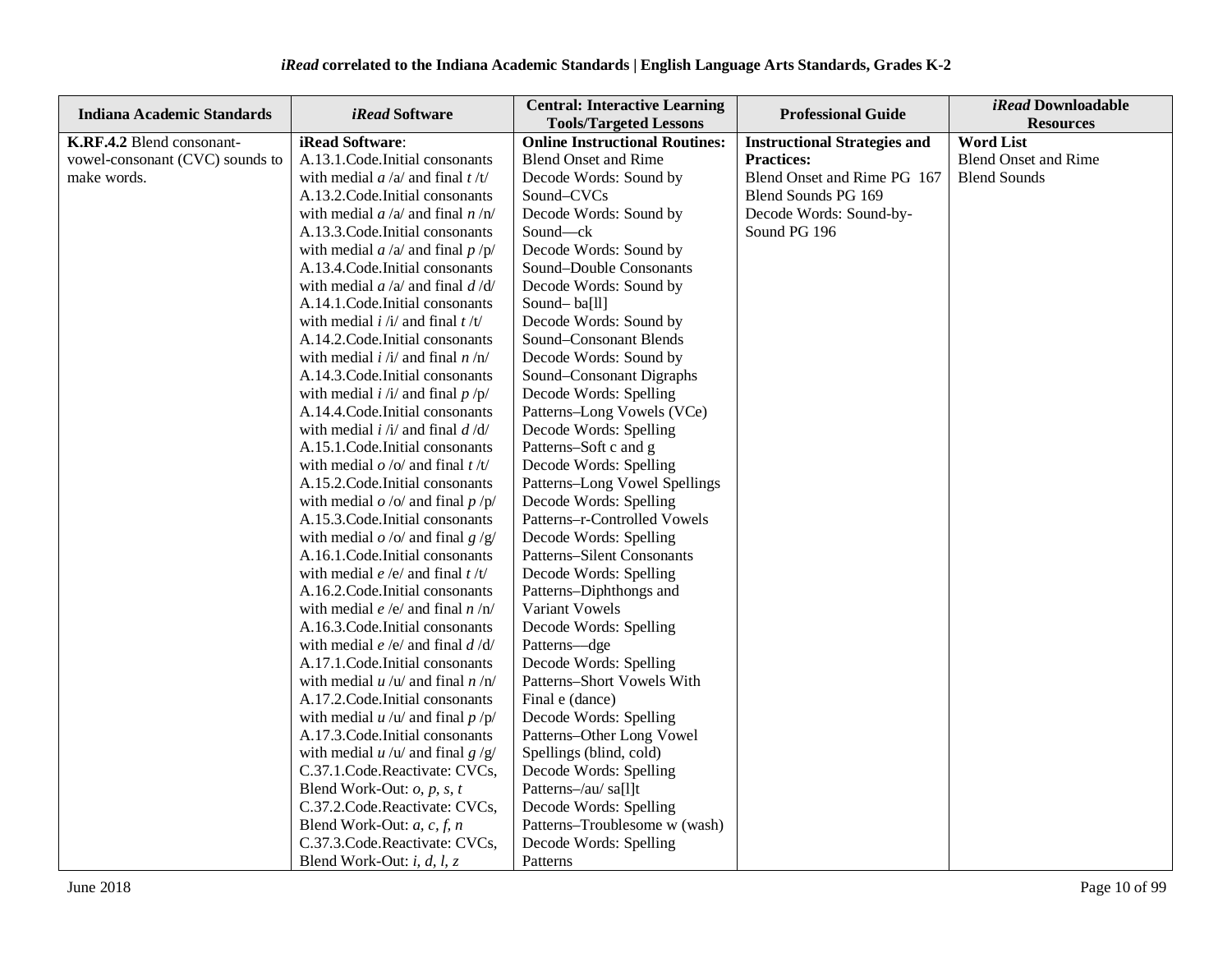| <b>Indiana Academic Standards</b> | <i>iRead</i> Software                           | <b>Central: Interactive Learning</b><br><b>Tools/Targeted Lessons</b> | <b>Professional Guide</b>           | <i>iRead</i> Downloadable<br><b>Resources</b> |
|-----------------------------------|-------------------------------------------------|-----------------------------------------------------------------------|-------------------------------------|-----------------------------------------------|
| K.RF.4.2 Blend consonant-         | iRead Software:                                 | <b>Online Instructional Routines:</b>                                 | <b>Instructional Strategies and</b> | <b>Word List</b>                              |
| vowel-consonant (CVC) sounds to   | A.13.1.Code.Initial consonants                  | <b>Blend Onset and Rime</b>                                           | <b>Practices:</b>                   | <b>Blend Onset and Rime</b>                   |
| make words.                       | with medial $a/a$ and final $t/t$               | Decode Words: Sound by                                                | Blend Onset and Rime PG 167         | <b>Blend Sounds</b>                           |
|                                   | A.13.2. Code. Initial consonants                | Sound-CVCs                                                            | Blend Sounds PG 169                 |                                               |
|                                   | with medial $a/a$ and final $n/n$               | Decode Words: Sound by                                                | Decode Words: Sound-by-             |                                               |
|                                   | A.13.3. Code. Initial consonants                | Sound-ck                                                              | Sound PG 196                        |                                               |
|                                   | with medial $a/a$ and final $p/p$               | Decode Words: Sound by                                                |                                     |                                               |
|                                   | A.13.4. Code. Initial consonants                | Sound-Double Consonants                                               |                                     |                                               |
|                                   | with medial $a/a$ and final $d/d$               | Decode Words: Sound by                                                |                                     |                                               |
|                                   | A.14.1.Code.Initial consonants                  | Sound-ba[ll]                                                          |                                     |                                               |
|                                   | with medial $i / i /$ and final $t / t /$       | Decode Words: Sound by                                                |                                     |                                               |
|                                   | A.14.2. Code. Initial consonants                | Sound-Consonant Blends                                                |                                     |                                               |
|                                   | with medial $i / i /$ and final $n / n /$       | Decode Words: Sound by                                                |                                     |                                               |
|                                   | A.14.3. Code. Initial consonants                | Sound-Consonant Digraphs                                              |                                     |                                               |
|                                   | with medial $i / i /$ and final $p / p /$       | Decode Words: Spelling                                                |                                     |                                               |
|                                   | A.14.4. Code. Initial consonants                | Patterns-Long Vowels (VCe)                                            |                                     |                                               |
|                                   | with medial $i / i /$ and final $d / d /$       | Decode Words: Spelling                                                |                                     |                                               |
|                                   | A.15.1. Code. Initial consonants                | Patterns-Soft c and g                                                 |                                     |                                               |
|                                   | with medial $o$ /o/ and final $t/t$ /           | Decode Words: Spelling                                                |                                     |                                               |
|                                   | A.15.2. Code. Initial consonants                | Patterns-Long Vowel Spellings                                         |                                     |                                               |
|                                   | with medial $o$ /o/ and final $p$ /p/           | Decode Words: Spelling                                                |                                     |                                               |
|                                   | A.15.3. Code. Initial consonants                | Patterns-r-Controlled Vowels                                          |                                     |                                               |
|                                   | with medial $o$ /o/ and final $g$ /g/           | Decode Words: Spelling                                                |                                     |                                               |
|                                   | A.16.1. Code. Initial consonants                | Patterns-Silent Consonants                                            |                                     |                                               |
|                                   | with medial $e/e/$ and final $t/t/$             | Decode Words: Spelling                                                |                                     |                                               |
|                                   | A.16.2. Code. Initial consonants                | Patterns-Diphthongs and                                               |                                     |                                               |
|                                   | with medial <i>e</i> /e/ and final <i>n</i> /n/ | Variant Vowels                                                        |                                     |                                               |
|                                   | A.16.3. Code. Initial consonants                | Decode Words: Spelling                                                |                                     |                                               |
|                                   | with medial $e/e/$ and final $d/d/$             | Patterns-dge                                                          |                                     |                                               |
|                                   | A.17.1. Code. Initial consonants                | Decode Words: Spelling                                                |                                     |                                               |
|                                   | with medial $u / u /$ and final $n / n/$        | Patterns-Short Vowels With                                            |                                     |                                               |
|                                   | A.17.2. Code. Initial consonants                | Final e (dance)                                                       |                                     |                                               |
|                                   | with medial $u / u /$ and final $p / p /$       | Decode Words: Spelling                                                |                                     |                                               |
|                                   | A.17.3. Code. Initial consonants                | Patterns-Other Long Vowel                                             |                                     |                                               |
|                                   | with medial $u / u /$ and final $g / g /$       | Spellings (blind, cold)                                               |                                     |                                               |
|                                   | C.37.1.Code.Reactivate: CVCs,                   | Decode Words: Spelling                                                |                                     |                                               |
|                                   | Blend Work-Out: $o$ , $p$ , $s$ , $t$           | Patterns-/au/ sa[l]t                                                  |                                     |                                               |
|                                   | C.37.2.Code.Reactivate: CVCs,                   | Decode Words: Spelling                                                |                                     |                                               |
|                                   | Blend Work-Out: $a, c, f, n$                    | Patterns-Troublesome w (wash)                                         |                                     |                                               |
|                                   | C.37.3.Code.Reactivate: CVCs,                   | Decode Words: Spelling                                                |                                     |                                               |
|                                   | Blend Work-Out: $i, d, l, z$                    | Patterns                                                              |                                     |                                               |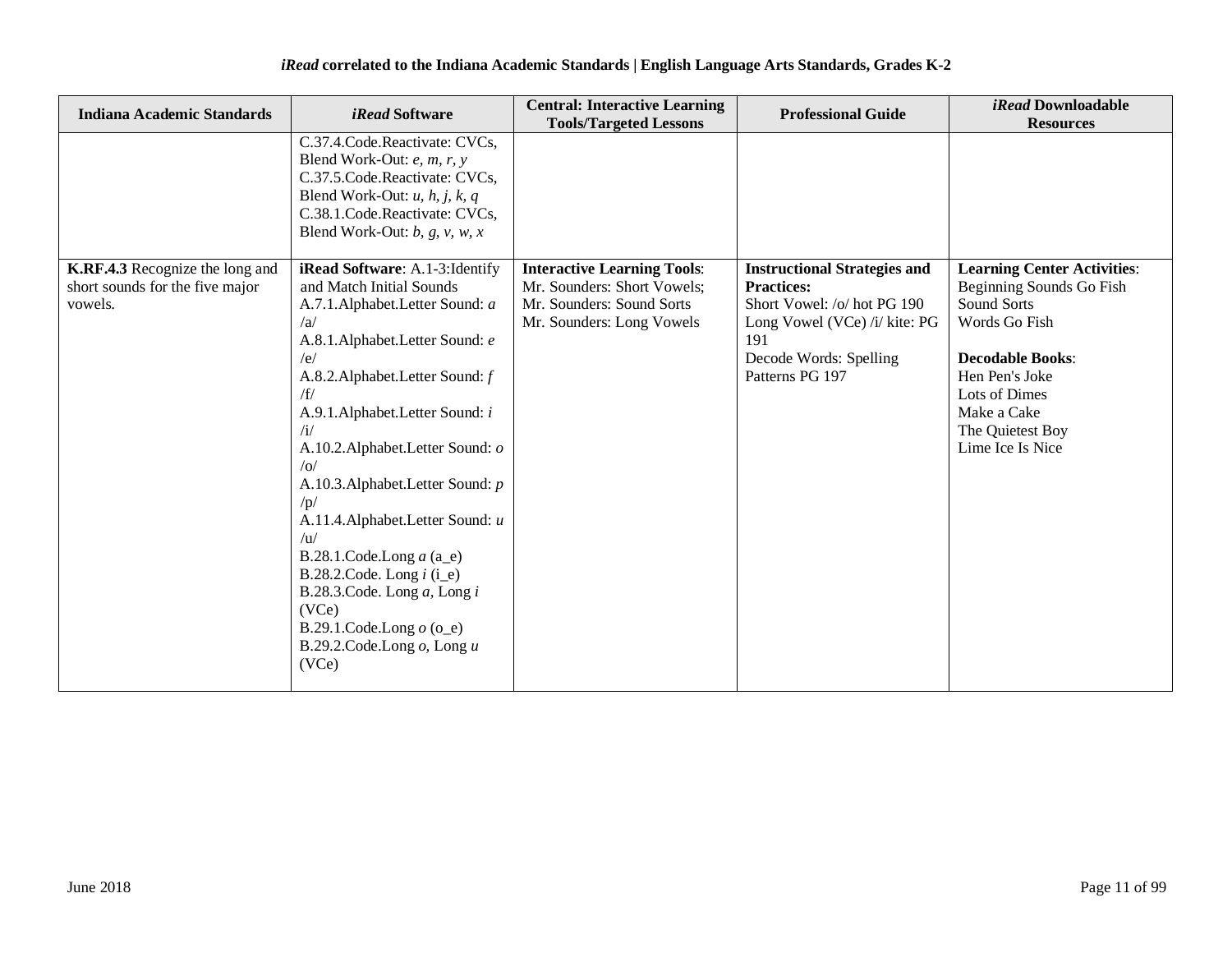| <b>Indiana Academic Standards</b>                                             | <i>iRead</i> Software                                                                                                                                                                                                                                                                                                                                                                                                                                                                                                                                    | <b>Central: Interactive Learning</b><br><b>Tools/Targeted Lessons</b>                                                       | <b>Professional Guide</b>                                                                                                                                                    | <i>iRead</i> Downloadable<br><b>Resources</b>                                                                                                                                                                       |
|-------------------------------------------------------------------------------|----------------------------------------------------------------------------------------------------------------------------------------------------------------------------------------------------------------------------------------------------------------------------------------------------------------------------------------------------------------------------------------------------------------------------------------------------------------------------------------------------------------------------------------------------------|-----------------------------------------------------------------------------------------------------------------------------|------------------------------------------------------------------------------------------------------------------------------------------------------------------------------|---------------------------------------------------------------------------------------------------------------------------------------------------------------------------------------------------------------------|
|                                                                               | C.37.4.Code.Reactivate: CVCs,<br>Blend Work-Out: e, m, r, y<br>C.37.5.Code.Reactivate: CVCs,<br>Blend Work-Out: $u$ , $h$ , $j$ , $k$ , $q$<br>C.38.1.Code.Reactivate: CVCs,<br>Blend Work-Out: $b$ , $g$ , $v$ , $w$ , $x$                                                                                                                                                                                                                                                                                                                              |                                                                                                                             |                                                                                                                                                                              |                                                                                                                                                                                                                     |
| K.RF.4.3 Recognize the long and<br>short sounds for the five major<br>vowels. | iRead Software: A.1-3: Identify<br>and Match Initial Sounds<br>A.7.1.Alphabet.Letter Sound: a<br>/a<br>A.8.1.Alphabet.Letter Sound: e<br>/e/<br>A.8.2. Alphabet. Letter Sound: f<br>/f/<br>A.9.1.Alphabet.Letter Sound: i<br>/i/<br>A.10.2. Alphabet. Letter Sound: o<br>/0/<br>A.10.3. Alphabet. Letter Sound: p<br>/p/<br>A.11.4. Alphabet. Letter Sound: u<br>/u/<br>B.28.1.Code.Long $a$ (a_e)<br>B.28.2.Code. Long $i$ (i_e)<br>B.28.3.Code. Long $a$ , Long $i$<br>(VCe)<br>B.29.1.Code.Long $o$ (o_e)<br>B.29.2.Code.Long $o$ , Long $u$<br>(VCe) | <b>Interactive Learning Tools:</b><br>Mr. Sounders: Short Vowels;<br>Mr. Sounders: Sound Sorts<br>Mr. Sounders: Long Vowels | <b>Instructional Strategies and</b><br><b>Practices:</b><br>Short Vowel: /o/ hot PG 190<br>Long Vowel (VCe) /i/ kite: PG<br>191<br>Decode Words: Spelling<br>Patterns PG 197 | <b>Learning Center Activities:</b><br>Beginning Sounds Go Fish<br>Sound Sorts<br>Words Go Fish<br><b>Decodable Books:</b><br>Hen Pen's Joke<br>Lots of Dimes<br>Make a Cake<br>The Quietest Boy<br>Lime Ice Is Nice |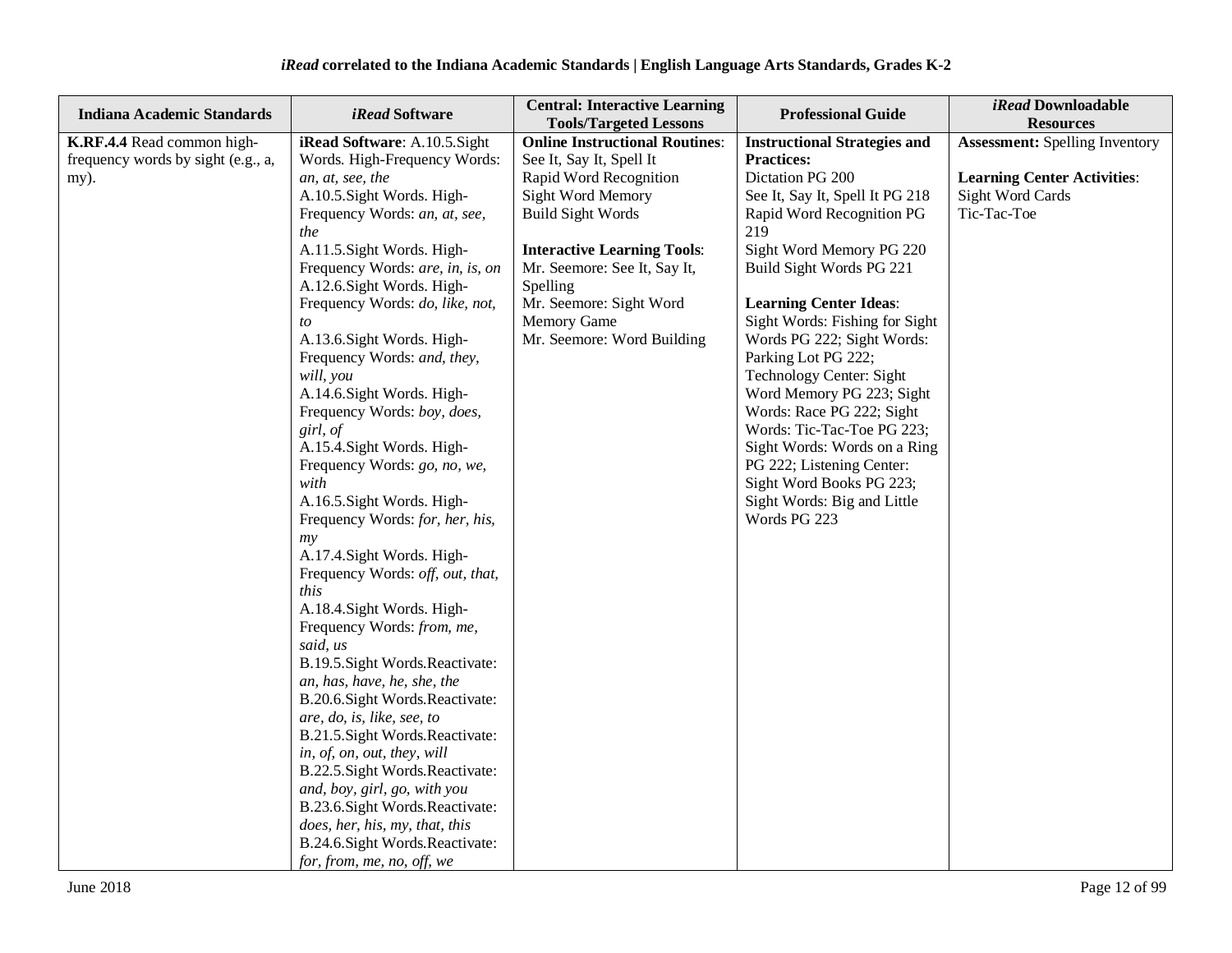| <b>Indiana Academic Standards</b>                                        | <i>iRead</i> Software                                                                                                                                                                                                                                                                                                                                                                                                                                                                                                                                                                                                                                                                                                                                                                                                                                                                                                                                                                                                                                                                                                                   | <b>Central: Interactive Learning</b>                                                                                                                                                                                                                                                                                                           | <b>Professional Guide</b>                                                                                                                                                                                                                                                                                                                                                                                                                                                                                                                                                                       | iRead Downloadable                                                                                                                 |
|--------------------------------------------------------------------------|-----------------------------------------------------------------------------------------------------------------------------------------------------------------------------------------------------------------------------------------------------------------------------------------------------------------------------------------------------------------------------------------------------------------------------------------------------------------------------------------------------------------------------------------------------------------------------------------------------------------------------------------------------------------------------------------------------------------------------------------------------------------------------------------------------------------------------------------------------------------------------------------------------------------------------------------------------------------------------------------------------------------------------------------------------------------------------------------------------------------------------------------|------------------------------------------------------------------------------------------------------------------------------------------------------------------------------------------------------------------------------------------------------------------------------------------------------------------------------------------------|-------------------------------------------------------------------------------------------------------------------------------------------------------------------------------------------------------------------------------------------------------------------------------------------------------------------------------------------------------------------------------------------------------------------------------------------------------------------------------------------------------------------------------------------------------------------------------------------------|------------------------------------------------------------------------------------------------------------------------------------|
| K.RF.4.4 Read common high-<br>frequency words by sight (e.g., a,<br>my). | iRead Software: A.10.5.Sight<br>Words. High-Frequency Words:<br>an, at, see, the<br>A.10.5. Sight Words. High-<br>Frequency Words: an, at, see,<br>the<br>A.11.5. Sight Words. High-<br>Frequency Words: are, in, is, on<br>A.12.6. Sight Words. High-<br>Frequency Words: do, like, not,<br>to<br>A.13.6. Sight Words. High-<br>Frequency Words: and, they,<br>will, you<br>A.14.6. Sight Words. High-<br>Frequency Words: boy, does,<br>girl, of<br>A.15.4. Sight Words. High-<br>Frequency Words: go, no, we,<br>with<br>A.16.5. Sight Words. High-<br>Frequency Words: for, her, his,<br>my<br>A.17.4. Sight Words. High-<br>Frequency Words: off, out, that,<br>this<br>A.18.4. Sight Words. High-<br>Frequency Words: from, me,<br>said, us<br>B.19.5. Sight Words. Reactivate:<br>an, has, have, he, she, the<br>B.20.6. Sight Words. Reactivate:<br>are, do, is, like, see, to<br>B.21.5. Sight Words. Reactivate:<br>in, of, on, out, they, will<br>B.22.5. Sight Words. Reactivate:<br>and, boy, girl, go, with you<br>B.23.6. Sight Words. Reactivate:<br>does, her, his, my, that, this<br>B.24.6. Sight Words. Reactivate: | <b>Tools/Targeted Lessons</b><br><b>Online Instructional Routines:</b><br>See It, Say It, Spell It<br>Rapid Word Recognition<br>Sight Word Memory<br><b>Build Sight Words</b><br><b>Interactive Learning Tools:</b><br>Mr. Seemore: See It, Say It,<br>Spelling<br>Mr. Seemore: Sight Word<br><b>Memory Game</b><br>Mr. Seemore: Word Building | <b>Instructional Strategies and</b><br><b>Practices:</b><br>Dictation PG 200<br>See It, Say It, Spell It PG 218<br>Rapid Word Recognition PG<br>219<br>Sight Word Memory PG 220<br>Build Sight Words PG 221<br><b>Learning Center Ideas:</b><br>Sight Words: Fishing for Sight<br>Words PG 222; Sight Words:<br>Parking Lot PG 222;<br>Technology Center: Sight<br>Word Memory PG 223; Sight<br>Words: Race PG 222; Sight<br>Words: Tic-Tac-Toe PG 223;<br>Sight Words: Words on a Ring<br>PG 222; Listening Center:<br>Sight Word Books PG 223;<br>Sight Words: Big and Little<br>Words PG 223 | <b>Resources</b><br><b>Assessment:</b> Spelling Inventory<br><b>Learning Center Activities:</b><br>Sight Word Cards<br>Tic-Tac-Toe |
|                                                                          | for, from, me, no, off, we                                                                                                                                                                                                                                                                                                                                                                                                                                                                                                                                                                                                                                                                                                                                                                                                                                                                                                                                                                                                                                                                                                              |                                                                                                                                                                                                                                                                                                                                                |                                                                                                                                                                                                                                                                                                                                                                                                                                                                                                                                                                                                 |                                                                                                                                    |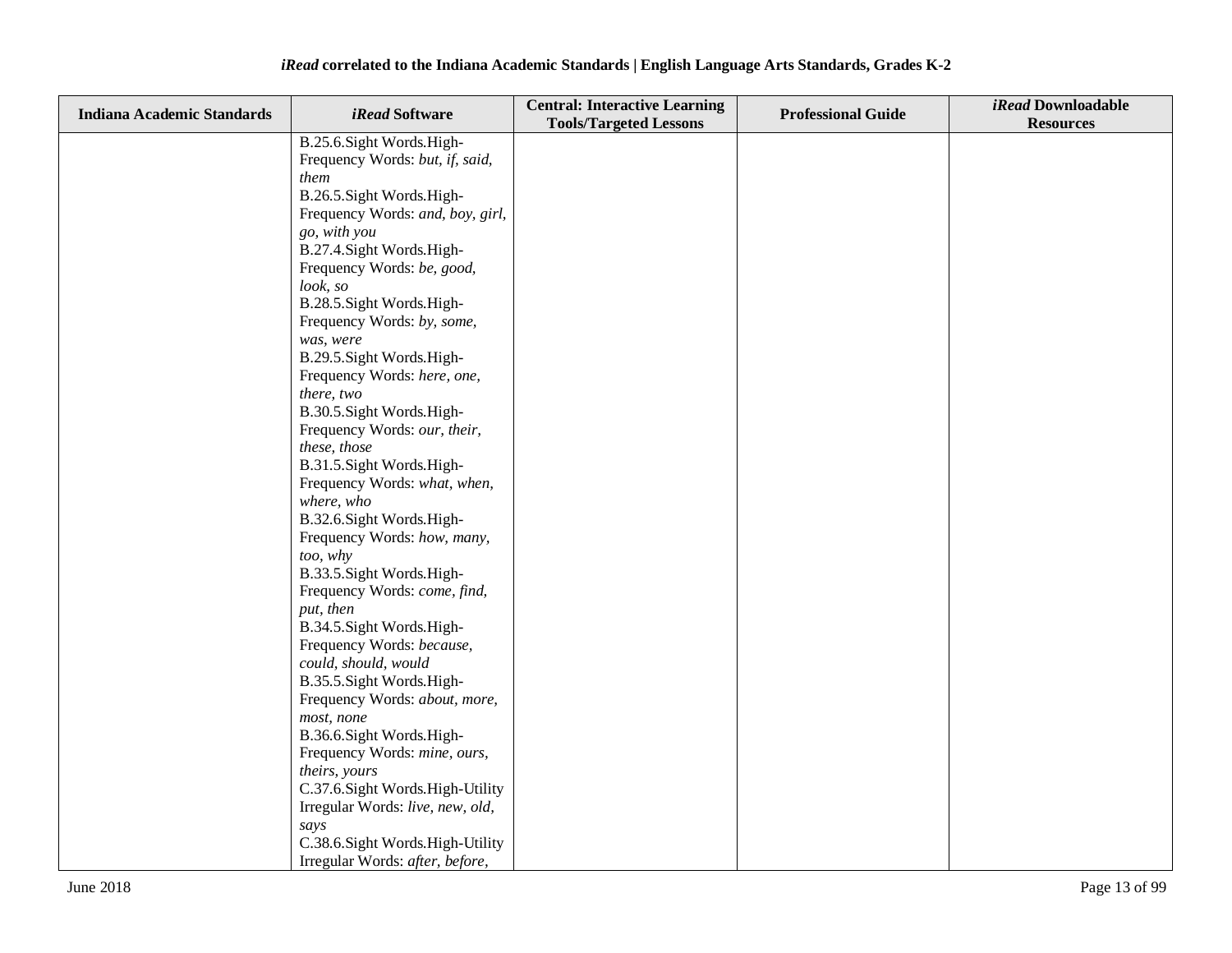| <b>Indiana Academic Standards</b> | iRead Software                             | <b>Central: Interactive Learning</b><br><b>Tools/Targeted Lessons</b> | <b>Professional Guide</b> | iRead Downloadable<br><b>Resources</b> |
|-----------------------------------|--------------------------------------------|-----------------------------------------------------------------------|---------------------------|----------------------------------------|
|                                   | B.25.6.Sight Words.High-                   |                                                                       |                           |                                        |
|                                   | Frequency Words: but, if, said,            |                                                                       |                           |                                        |
|                                   | them                                       |                                                                       |                           |                                        |
|                                   | B.26.5. Sight Words. High-                 |                                                                       |                           |                                        |
|                                   | Frequency Words: and, boy, girl,           |                                                                       |                           |                                        |
|                                   | go, with you                               |                                                                       |                           |                                        |
|                                   | B.27.4. Sight Words. High-                 |                                                                       |                           |                                        |
|                                   | Frequency Words: be, good,                 |                                                                       |                           |                                        |
|                                   | look, so                                   |                                                                       |                           |                                        |
|                                   | B.28.5. Sight Words. High-                 |                                                                       |                           |                                        |
|                                   | Frequency Words: by, some,                 |                                                                       |                           |                                        |
|                                   | was, were                                  |                                                                       |                           |                                        |
|                                   | B.29.5. Sight Words. High-                 |                                                                       |                           |                                        |
|                                   | Frequency Words: here, one,                |                                                                       |                           |                                        |
|                                   | there, two                                 |                                                                       |                           |                                        |
|                                   | B.30.5. Sight Words. High-                 |                                                                       |                           |                                        |
|                                   | Frequency Words: our, their,               |                                                                       |                           |                                        |
|                                   | these, those<br>B.31.5. Sight Words. High- |                                                                       |                           |                                        |
|                                   | Frequency Words: what, when,               |                                                                       |                           |                                        |
|                                   | where, who                                 |                                                                       |                           |                                        |
|                                   | B.32.6. Sight Words. High-                 |                                                                       |                           |                                        |
|                                   | Frequency Words: how, many,                |                                                                       |                           |                                        |
|                                   | too, why                                   |                                                                       |                           |                                        |
|                                   | B.33.5. Sight Words. High-                 |                                                                       |                           |                                        |
|                                   | Frequency Words: come, find,               |                                                                       |                           |                                        |
|                                   | put, then                                  |                                                                       |                           |                                        |
|                                   | B.34.5. Sight Words. High-                 |                                                                       |                           |                                        |
|                                   | Frequency Words: because,                  |                                                                       |                           |                                        |
|                                   | could, should, would                       |                                                                       |                           |                                        |
|                                   | B.35.5. Sight Words. High-                 |                                                                       |                           |                                        |
|                                   | Frequency Words: about, more,              |                                                                       |                           |                                        |
|                                   | most, none                                 |                                                                       |                           |                                        |
|                                   | B.36.6. Sight Words. High-                 |                                                                       |                           |                                        |
|                                   | Frequency Words: mine, ours,               |                                                                       |                           |                                        |
|                                   | theirs, yours                              |                                                                       |                           |                                        |
|                                   | C.37.6. Sight Words. High-Utility          |                                                                       |                           |                                        |
|                                   | Irregular Words: live, new, old,           |                                                                       |                           |                                        |
|                                   | says                                       |                                                                       |                           |                                        |
|                                   | C.38.6. Sight Words. High-Utility          |                                                                       |                           |                                        |
|                                   | Irregular Words: after, before,            |                                                                       |                           |                                        |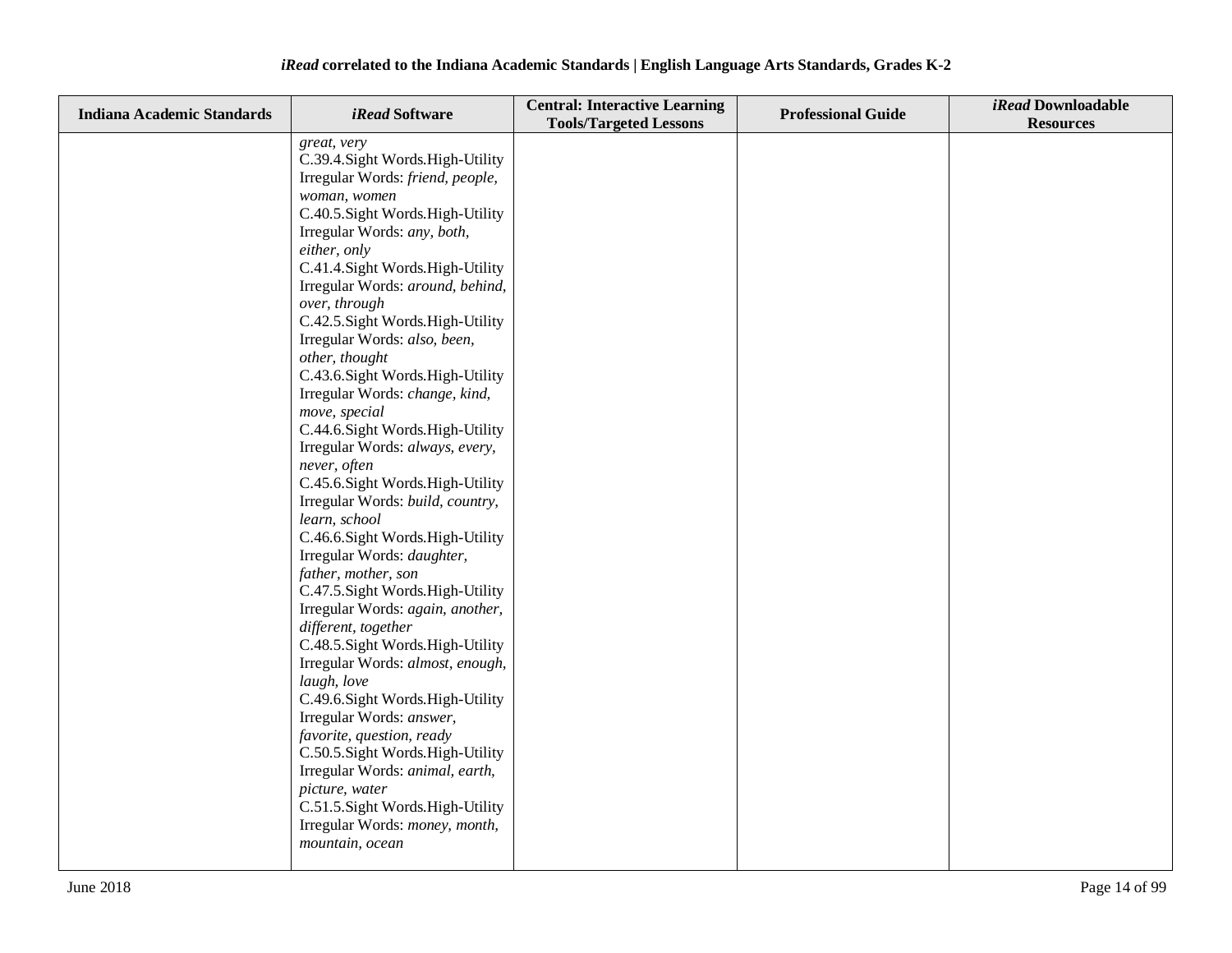| <b>Indiana Academic Standards</b> | <i>iRead</i> Software                                               | <b>Central: Interactive Learning</b><br><b>Tools/Targeted Lessons</b> | <b>Professional Guide</b> | iRead Downloadable<br><b>Resources</b> |
|-----------------------------------|---------------------------------------------------------------------|-----------------------------------------------------------------------|---------------------------|----------------------------------------|
|                                   | great, very                                                         |                                                                       |                           |                                        |
|                                   | C.39.4. Sight Words. High-Utility                                   |                                                                       |                           |                                        |
|                                   | Irregular Words: friend, people,                                    |                                                                       |                           |                                        |
|                                   | woman, women                                                        |                                                                       |                           |                                        |
|                                   | C.40.5. Sight Words. High-Utility                                   |                                                                       |                           |                                        |
|                                   | Irregular Words: any, both,                                         |                                                                       |                           |                                        |
|                                   | either, only                                                        |                                                                       |                           |                                        |
|                                   | C.41.4. Sight Words. High-Utility                                   |                                                                       |                           |                                        |
|                                   | Irregular Words: around, behind,                                    |                                                                       |                           |                                        |
|                                   | over, through                                                       |                                                                       |                           |                                        |
|                                   | C.42.5. Sight Words. High-Utility                                   |                                                                       |                           |                                        |
|                                   | Irregular Words: also, been,                                        |                                                                       |                           |                                        |
|                                   | other, thought                                                      |                                                                       |                           |                                        |
|                                   | C.43.6. Sight Words. High-Utility                                   |                                                                       |                           |                                        |
|                                   | Irregular Words: change, kind,<br>move, special                     |                                                                       |                           |                                        |
|                                   | C.44.6.Sight Words.High-Utility                                     |                                                                       |                           |                                        |
|                                   | Irregular Words: always, every,                                     |                                                                       |                           |                                        |
|                                   | never, often                                                        |                                                                       |                           |                                        |
|                                   | C.45.6. Sight Words. High-Utility                                   |                                                                       |                           |                                        |
|                                   | Irregular Words: build, country,                                    |                                                                       |                           |                                        |
|                                   | learn, school                                                       |                                                                       |                           |                                        |
|                                   | C.46.6.Sight Words.High-Utility                                     |                                                                       |                           |                                        |
|                                   | Irregular Words: daughter,                                          |                                                                       |                           |                                        |
|                                   | father, mother, son                                                 |                                                                       |                           |                                        |
|                                   | C.47.5. Sight Words. High-Utility                                   |                                                                       |                           |                                        |
|                                   | Irregular Words: again, another,                                    |                                                                       |                           |                                        |
|                                   | different, together                                                 |                                                                       |                           |                                        |
|                                   | C.48.5. Sight Words. High-Utility                                   |                                                                       |                           |                                        |
|                                   | Irregular Words: almost, enough,                                    |                                                                       |                           |                                        |
|                                   | laugh, love                                                         |                                                                       |                           |                                        |
|                                   | C.49.6. Sight Words. High-Utility                                   |                                                                       |                           |                                        |
|                                   | Irregular Words: answer,                                            |                                                                       |                           |                                        |
|                                   | favorite, question, ready                                           |                                                                       |                           |                                        |
|                                   | C.50.5. Sight Words. High-Utility                                   |                                                                       |                           |                                        |
|                                   | Irregular Words: animal, earth,                                     |                                                                       |                           |                                        |
|                                   | picture, water                                                      |                                                                       |                           |                                        |
|                                   | C.51.5. Sight Words. High-Utility<br>Irregular Words: money, month, |                                                                       |                           |                                        |
|                                   |                                                                     |                                                                       |                           |                                        |
|                                   | mountain, ocean                                                     |                                                                       |                           |                                        |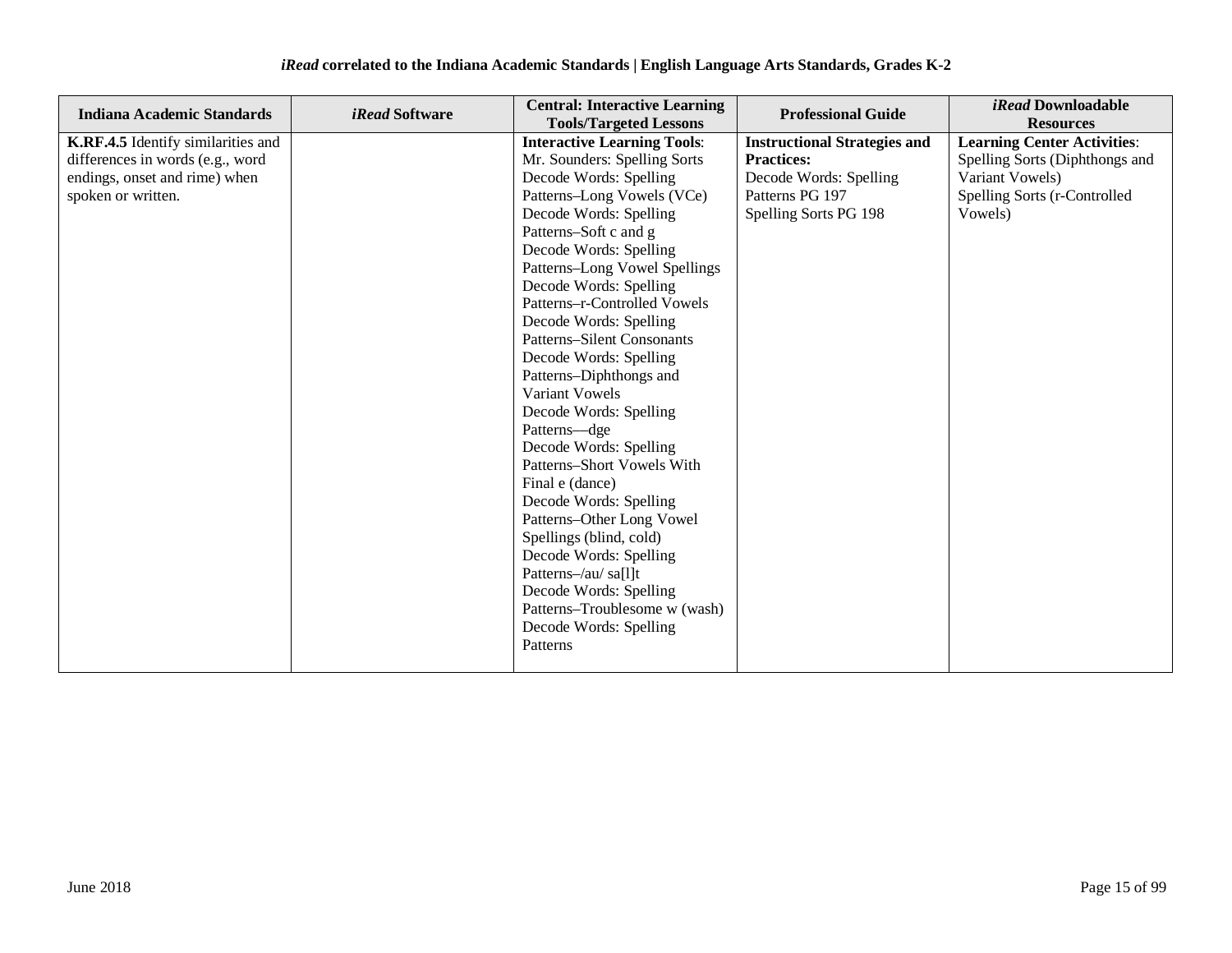| <b>Indiana Academic Standards</b>                                                                                             | <i>iRead</i> Software | <b>Central: Interactive Learning</b><br><b>Tools/Targeted Lessons</b>                                                                                                                                                                                                                                                                                                                                                                                                                                                                                                                                                                                                                                                                                                                              | <b>Professional Guide</b>                                                                                                      | <i>iRead</i> Downloadable<br><b>Resources</b>                                                                                      |
|-------------------------------------------------------------------------------------------------------------------------------|-----------------------|----------------------------------------------------------------------------------------------------------------------------------------------------------------------------------------------------------------------------------------------------------------------------------------------------------------------------------------------------------------------------------------------------------------------------------------------------------------------------------------------------------------------------------------------------------------------------------------------------------------------------------------------------------------------------------------------------------------------------------------------------------------------------------------------------|--------------------------------------------------------------------------------------------------------------------------------|------------------------------------------------------------------------------------------------------------------------------------|
| K.RF.4.5 Identify similarities and<br>differences in words (e.g., word<br>endings, onset and rime) when<br>spoken or written. |                       | <b>Interactive Learning Tools:</b><br>Mr. Sounders: Spelling Sorts<br>Decode Words: Spelling<br>Patterns-Long Vowels (VCe)<br>Decode Words: Spelling<br>Patterns-Soft c and g<br>Decode Words: Spelling<br>Patterns-Long Vowel Spellings<br>Decode Words: Spelling<br>Patterns-r-Controlled Vowels<br>Decode Words: Spelling<br><b>Patterns-Silent Consonants</b><br>Decode Words: Spelling<br>Patterns-Diphthongs and<br>Variant Vowels<br>Decode Words: Spelling<br>Patterns-dge<br>Decode Words: Spelling<br>Patterns-Short Vowels With<br>Final e (dance)<br>Decode Words: Spelling<br>Patterns-Other Long Vowel<br>Spellings (blind, cold)<br>Decode Words: Spelling<br>Patterns-/au/ sa[l]t<br>Decode Words: Spelling<br>Patterns-Troublesome w (wash)<br>Decode Words: Spelling<br>Patterns | <b>Instructional Strategies and</b><br><b>Practices:</b><br>Decode Words: Spelling<br>Patterns PG 197<br>Spelling Sorts PG 198 | <b>Learning Center Activities:</b><br>Spelling Sorts (Diphthongs and<br>Variant Vowels)<br>Spelling Sorts (r-Controlled<br>Vowels) |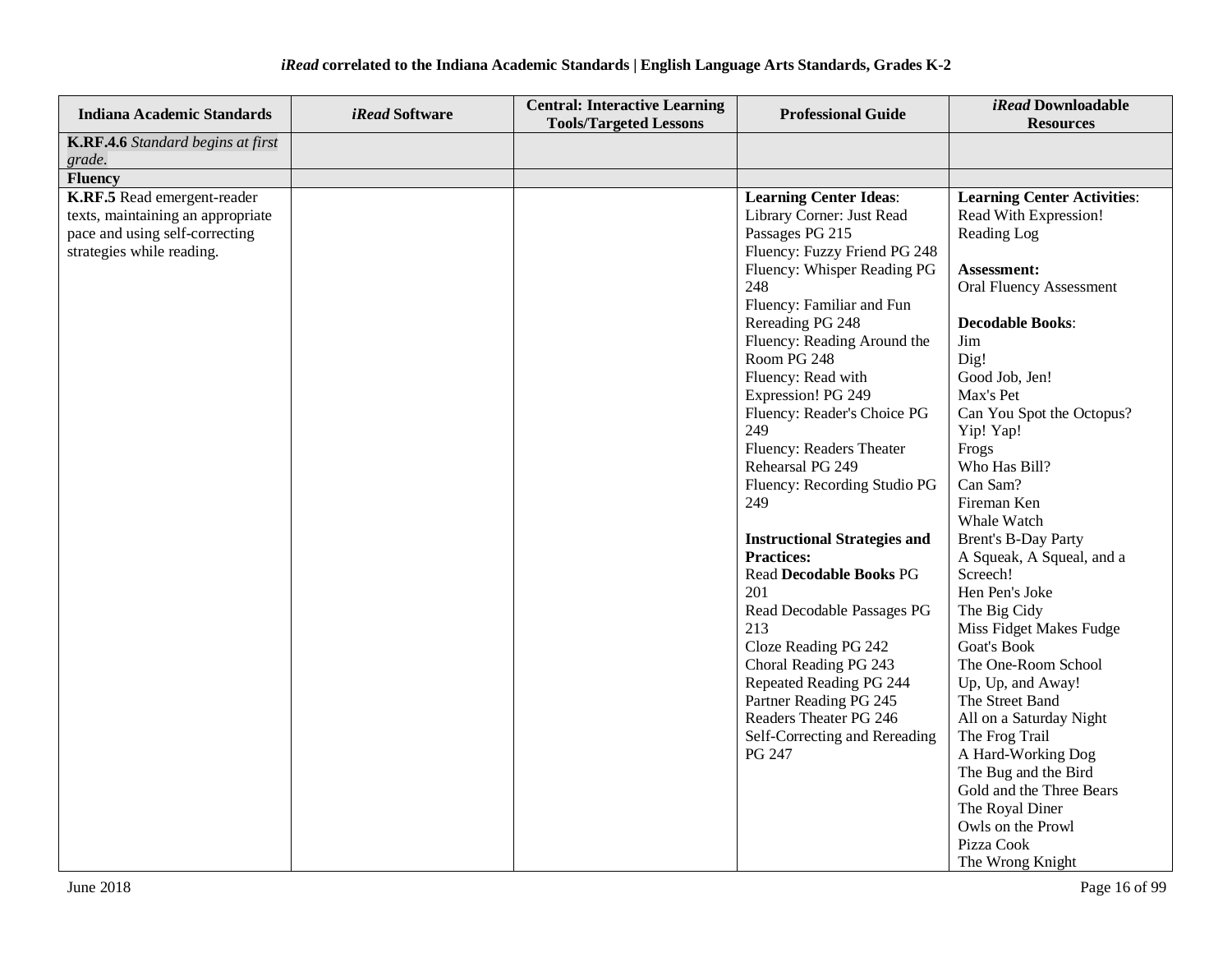| <b>Indiana Academic Standards</b>                                                                                                                 | <i>iRead</i> Software | <b>Central: Interactive Learning</b><br><b>Tools/Targeted Lessons</b> | <b>Professional Guide</b>                                                                                                                                                                                                                                                                                                                                                                                                                                                                                                                                                                                                                                                                                                                        | iRead Downloadable<br><b>Resources</b>                                                                                                                                                                                                                                                                                                                                                                                                                                                                                                                                                                                                                                                                     |
|---------------------------------------------------------------------------------------------------------------------------------------------------|-----------------------|-----------------------------------------------------------------------|--------------------------------------------------------------------------------------------------------------------------------------------------------------------------------------------------------------------------------------------------------------------------------------------------------------------------------------------------------------------------------------------------------------------------------------------------------------------------------------------------------------------------------------------------------------------------------------------------------------------------------------------------------------------------------------------------------------------------------------------------|------------------------------------------------------------------------------------------------------------------------------------------------------------------------------------------------------------------------------------------------------------------------------------------------------------------------------------------------------------------------------------------------------------------------------------------------------------------------------------------------------------------------------------------------------------------------------------------------------------------------------------------------------------------------------------------------------------|
| K.RF.4.6 Standard begins at first                                                                                                                 |                       |                                                                       |                                                                                                                                                                                                                                                                                                                                                                                                                                                                                                                                                                                                                                                                                                                                                  |                                                                                                                                                                                                                                                                                                                                                                                                                                                                                                                                                                                                                                                                                                            |
| grade.                                                                                                                                            |                       |                                                                       |                                                                                                                                                                                                                                                                                                                                                                                                                                                                                                                                                                                                                                                                                                                                                  |                                                                                                                                                                                                                                                                                                                                                                                                                                                                                                                                                                                                                                                                                                            |
|                                                                                                                                                   |                       |                                                                       |                                                                                                                                                                                                                                                                                                                                                                                                                                                                                                                                                                                                                                                                                                                                                  |                                                                                                                                                                                                                                                                                                                                                                                                                                                                                                                                                                                                                                                                                                            |
| <b>Fluency</b><br>K.RF.5 Read emergent-reader<br>texts, maintaining an appropriate<br>pace and using self-correcting<br>strategies while reading. |                       |                                                                       | <b>Learning Center Ideas:</b><br>Library Corner: Just Read<br>Passages PG 215<br>Fluency: Fuzzy Friend PG 248<br>Fluency: Whisper Reading PG<br>248<br>Fluency: Familiar and Fun<br>Rereading PG 248<br>Fluency: Reading Around the<br>Room PG 248<br>Fluency: Read with<br>Expression! PG 249<br>Fluency: Reader's Choice PG<br>249<br>Fluency: Readers Theater<br>Rehearsal PG 249<br>Fluency: Recording Studio PG<br>249<br><b>Instructional Strategies and</b><br><b>Practices:</b><br><b>Read Decodable Books PG</b><br>201<br>Read Decodable Passages PG<br>213<br>Cloze Reading PG 242<br>Choral Reading PG 243<br>Repeated Reading PG 244<br>Partner Reading PG 245<br>Readers Theater PG 246<br>Self-Correcting and Rereading<br>PG 247 | <b>Learning Center Activities:</b><br>Read With Expression!<br>Reading Log<br>Assessment:<br><b>Oral Fluency Assessment</b><br><b>Decodable Books:</b><br>Jim<br>Dig!<br>Good Job, Jen!<br>Max's Pet<br>Can You Spot the Octopus?<br>Yip! Yap!<br>Frogs<br>Who Has Bill?<br>Can Sam?<br>Fireman Ken<br>Whale Watch<br><b>Brent's B-Day Party</b><br>A Squeak, A Squeal, and a<br>Screech!<br>Hen Pen's Joke<br>The Big Cidy<br>Miss Fidget Makes Fudge<br><b>Goat's Book</b><br>The One-Room School<br>Up, Up, and Away!<br>The Street Band<br>All on a Saturday Night<br>The Frog Trail<br>A Hard-Working Dog<br>The Bug and the Bird<br>Gold and the Three Bears<br>The Royal Diner<br>Owls on the Prowl |
|                                                                                                                                                   |                       |                                                                       |                                                                                                                                                                                                                                                                                                                                                                                                                                                                                                                                                                                                                                                                                                                                                  | Pizza Cook<br>The Wrong Knight                                                                                                                                                                                                                                                                                                                                                                                                                                                                                                                                                                                                                                                                             |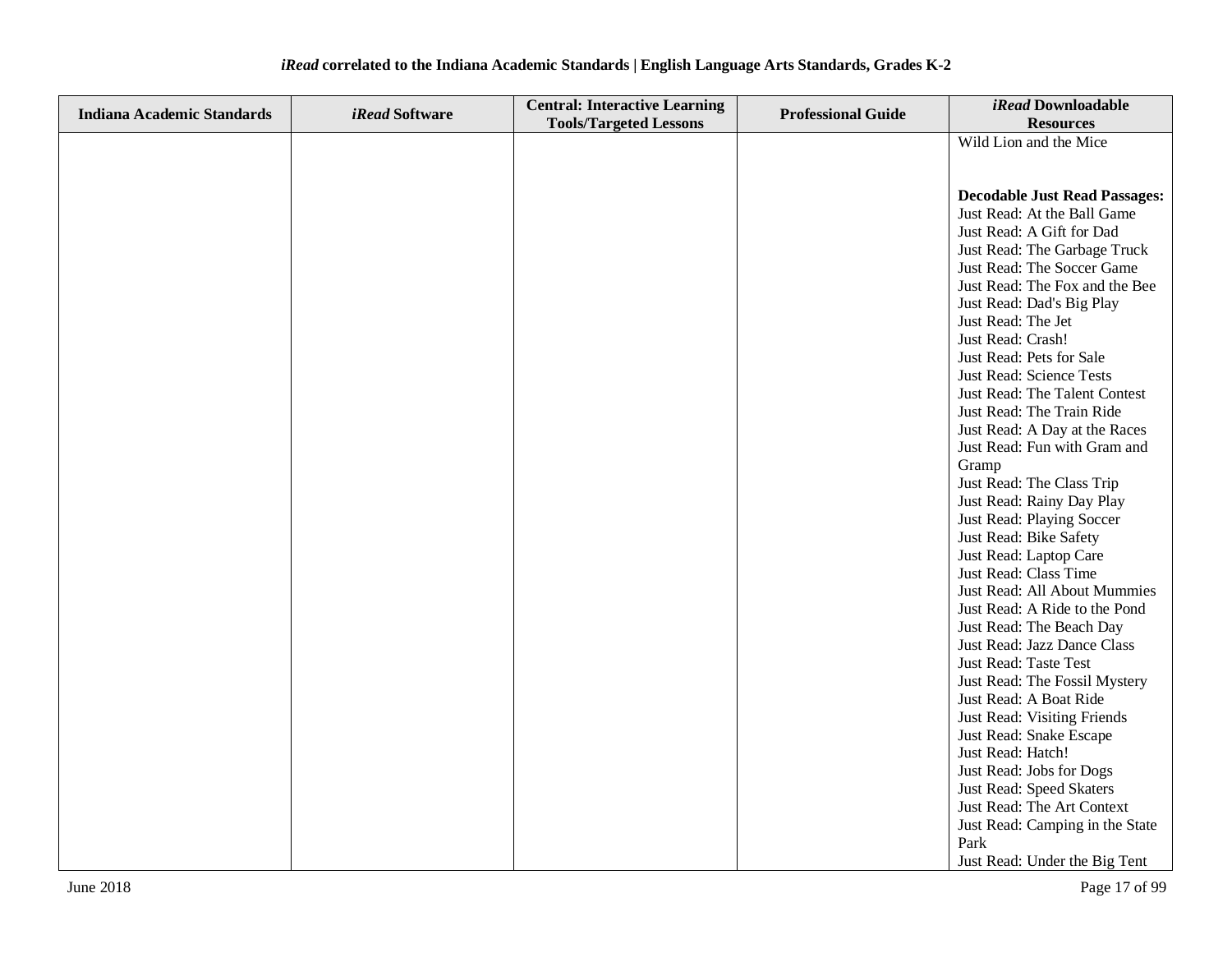| <b>Indiana Academic Standards</b> | <i>iRead</i> Software | <b>Central: Interactive Learning</b> | <b>Professional Guide</b> | iRead Downloadable                                    |
|-----------------------------------|-----------------------|--------------------------------------|---------------------------|-------------------------------------------------------|
|                                   |                       | <b>Tools/Targeted Lessons</b>        |                           | <b>Resources</b>                                      |
|                                   |                       |                                      |                           | Wild Lion and the Mice                                |
|                                   |                       |                                      |                           |                                                       |
|                                   |                       |                                      |                           |                                                       |
|                                   |                       |                                      |                           | <b>Decodable Just Read Passages:</b>                  |
|                                   |                       |                                      |                           | Just Read: At the Ball Game                           |
|                                   |                       |                                      |                           | Just Read: A Gift for Dad                             |
|                                   |                       |                                      |                           | Just Read: The Garbage Truck                          |
|                                   |                       |                                      |                           | Just Read: The Soccer Game                            |
|                                   |                       |                                      |                           | Just Read: The Fox and the Bee                        |
|                                   |                       |                                      |                           | Just Read: Dad's Big Play                             |
|                                   |                       |                                      |                           | Just Read: The Jet                                    |
|                                   |                       |                                      |                           | Just Read: Crash!                                     |
|                                   |                       |                                      |                           | Just Read: Pets for Sale                              |
|                                   |                       |                                      |                           | Just Read: Science Tests                              |
|                                   |                       |                                      |                           | Just Read: The Talent Contest                         |
|                                   |                       |                                      |                           | Just Read: The Train Ride                             |
|                                   |                       |                                      |                           | Just Read: A Day at the Races                         |
|                                   |                       |                                      |                           | Just Read: Fun with Gram and                          |
|                                   |                       |                                      |                           | Gramp                                                 |
|                                   |                       |                                      |                           | Just Read: The Class Trip                             |
|                                   |                       |                                      |                           | Just Read: Rainy Day Play                             |
|                                   |                       |                                      |                           | Just Read: Playing Soccer                             |
|                                   |                       |                                      |                           | Just Read: Bike Safety                                |
|                                   |                       |                                      |                           | Just Read: Laptop Care                                |
|                                   |                       |                                      |                           | Just Read: Class Time<br>Just Read: All About Mummies |
|                                   |                       |                                      |                           | Just Read: A Ride to the Pond                         |
|                                   |                       |                                      |                           | Just Read: The Beach Day                              |
|                                   |                       |                                      |                           | Just Read: Jazz Dance Class                           |
|                                   |                       |                                      |                           | Just Read: Taste Test                                 |
|                                   |                       |                                      |                           | Just Read: The Fossil Mystery                         |
|                                   |                       |                                      |                           | Just Read: A Boat Ride                                |
|                                   |                       |                                      |                           | Just Read: Visiting Friends                           |
|                                   |                       |                                      |                           | Just Read: Snake Escape                               |
|                                   |                       |                                      |                           | Just Read: Hatch!                                     |
|                                   |                       |                                      |                           | Just Read: Jobs for Dogs                              |
|                                   |                       |                                      |                           | Just Read: Speed Skaters                              |
|                                   |                       |                                      |                           | Just Read: The Art Context                            |
|                                   |                       |                                      |                           | Just Read: Camping in the State                       |
|                                   |                       |                                      |                           | Park                                                  |
|                                   |                       |                                      |                           | Just Read: Under the Big Tent                         |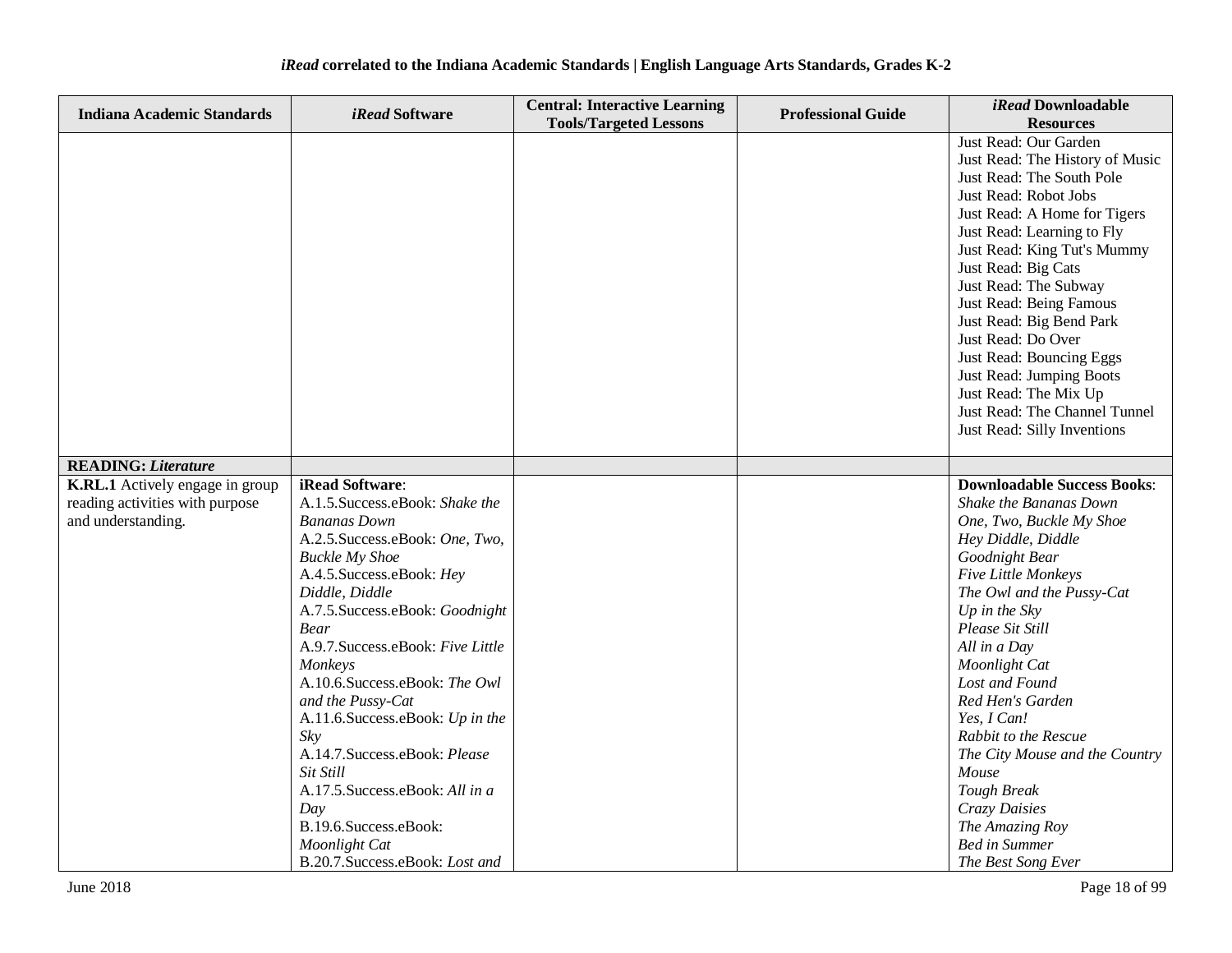| <b>Indiana Academic Standards</b> | iRead Software                                        | <b>Central: Interactive Learning</b> | <b>Professional Guide</b> | iRead Downloadable                                       |
|-----------------------------------|-------------------------------------------------------|--------------------------------------|---------------------------|----------------------------------------------------------|
|                                   |                                                       | <b>Tools/Targeted Lessons</b>        |                           | <b>Resources</b>                                         |
|                                   |                                                       |                                      |                           | Just Read: Our Garden<br>Just Read: The History of Music |
|                                   |                                                       |                                      |                           | Just Read: The South Pole                                |
|                                   |                                                       |                                      |                           | Just Read: Robot Jobs                                    |
|                                   |                                                       |                                      |                           | Just Read: A Home for Tigers                             |
|                                   |                                                       |                                      |                           | Just Read: Learning to Fly                               |
|                                   |                                                       |                                      |                           | Just Read: King Tut's Mummy                              |
|                                   |                                                       |                                      |                           | Just Read: Big Cats                                      |
|                                   |                                                       |                                      |                           | Just Read: The Subway                                    |
|                                   |                                                       |                                      |                           | Just Read: Being Famous                                  |
|                                   |                                                       |                                      |                           | Just Read: Big Bend Park                                 |
|                                   |                                                       |                                      |                           | Just Read: Do Over                                       |
|                                   |                                                       |                                      |                           | Just Read: Bouncing Eggs                                 |
|                                   |                                                       |                                      |                           | Just Read: Jumping Boots                                 |
|                                   |                                                       |                                      |                           | Just Read: The Mix Up                                    |
|                                   |                                                       |                                      |                           | Just Read: The Channel Tunnel                            |
|                                   |                                                       |                                      |                           | Just Read: Silly Inventions                              |
| <b>READING: Literature</b>        |                                                       |                                      |                           |                                                          |
| K.RL.1 Actively engage in group   | iRead Software:                                       |                                      |                           | <b>Downloadable Success Books:</b>                       |
| reading activities with purpose   | A.1.5. Success.eBook: Shake the                       |                                      |                           | Shake the Bananas Down                                   |
| and understanding.                | <b>Bananas Down</b>                                   |                                      |                           | One, Two, Buckle My Shoe                                 |
|                                   | A.2.5. Success.eBook: One, Two,                       |                                      |                           | Hey Diddle, Diddle                                       |
|                                   | <b>Buckle My Shoe</b>                                 |                                      |                           | Goodnight Bear                                           |
|                                   | A.4.5. Success.eBook: Hey                             |                                      |                           | Five Little Monkeys                                      |
|                                   | Diddle, Diddle                                        |                                      |                           | The Owl and the Pussy-Cat                                |
|                                   | A.7.5. Success.eBook: Goodnight                       |                                      |                           | Up in the Sky                                            |
|                                   | <b>Bear</b>                                           |                                      |                           | Please Sit Still                                         |
|                                   | A.9.7. Success.eBook: Five Little                     |                                      |                           | All in a Day                                             |
|                                   | Monkeys                                               |                                      |                           | Moonlight Cat                                            |
|                                   | A.10.6.Success.eBook: The Owl                         |                                      |                           | Lost and Found                                           |
|                                   | and the Pussy-Cat<br>A.11.6. Success.eBook: Up in the |                                      |                           | Red Hen's Garden<br>Yes, I Can!                          |
|                                   | Sky                                                   |                                      |                           | Rabbit to the Rescue                                     |
|                                   | A.14.7. Success.eBook: Please                         |                                      |                           | The City Mouse and the Country                           |
|                                   | Sit Still                                             |                                      |                           | Mouse                                                    |
|                                   | A.17.5. Success.eBook: All in a                       |                                      |                           | <b>Tough Break</b>                                       |
|                                   | Day                                                   |                                      |                           | Crazy Daisies                                            |
|                                   | B.19.6.Success.eBook:                                 |                                      |                           | The Amazing Roy                                          |
|                                   | Moonlight Cat                                         |                                      |                           | <b>Bed in Summer</b>                                     |
|                                   | B.20.7. Success.eBook: Lost and                       |                                      |                           | The Best Song Ever                                       |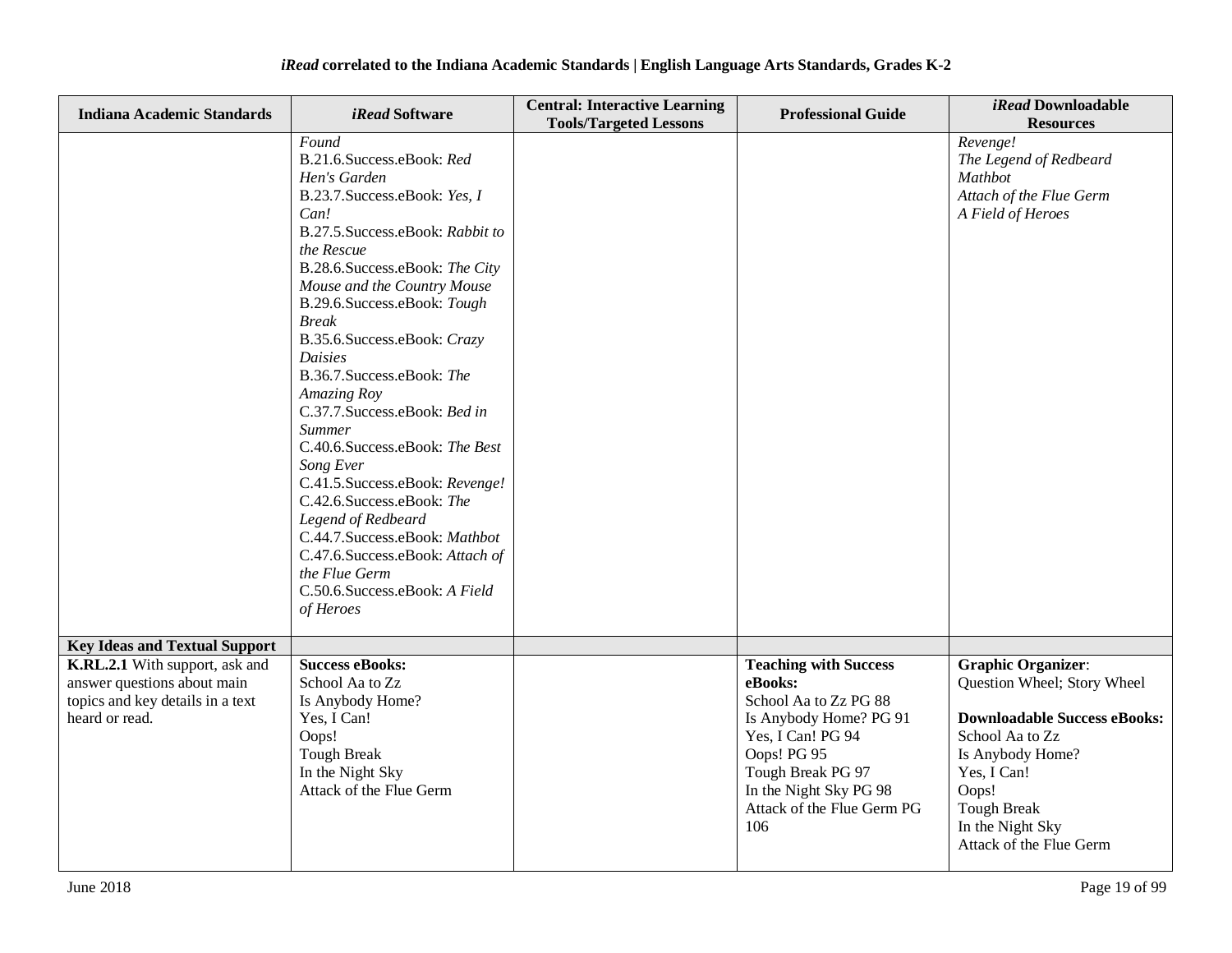| <b>Indiana Academic Standards</b>                                                                                   | <i>iRead</i> Software                                                                                                                                                                                                                                                                                                                                                                                                                                                                                                                                                                                                                                                                | <b>Central: Interactive Learning</b><br><b>Tools/Targeted Lessons</b> | <b>Professional Guide</b>                                                                                                                                                                                          | iRead Downloadable<br><b>Resources</b>                                                                                                                                                                                              |
|---------------------------------------------------------------------------------------------------------------------|--------------------------------------------------------------------------------------------------------------------------------------------------------------------------------------------------------------------------------------------------------------------------------------------------------------------------------------------------------------------------------------------------------------------------------------------------------------------------------------------------------------------------------------------------------------------------------------------------------------------------------------------------------------------------------------|-----------------------------------------------------------------------|--------------------------------------------------------------------------------------------------------------------------------------------------------------------------------------------------------------------|-------------------------------------------------------------------------------------------------------------------------------------------------------------------------------------------------------------------------------------|
|                                                                                                                     | Found<br>B.21.6.Success.eBook: Red<br>Hen's Garden<br>B.23.7. Success.eBook: Yes, I<br>Can!<br>B.27.5. Success.eBook: Rabbit to<br>the Rescue<br>B.28.6.Success.eBook: The City<br>Mouse and the Country Mouse<br>B.29.6.Success.eBook: Tough<br><b>Break</b><br>B.35.6. Success.eBook: Crazy<br><b>Daisies</b><br>B.36.7. Success.eBook: The<br>Amazing Roy<br>C.37.7.Success.eBook: Bed in<br><b>Summer</b><br>C.40.6.Success.eBook: The Best<br>Song Ever<br>C.41.5.Success.eBook: Revenge!<br>C.42.6.Success.eBook: The<br>Legend of Redbeard<br>C.44.7.Success.eBook: Mathbot<br>C.47.6.Success.eBook: Attach of<br>the Flue Germ<br>C.50.6.Success.eBook: A Field<br>of Heroes |                                                                       |                                                                                                                                                                                                                    | Revenge!<br>The Legend of Redbeard<br>Mathbot<br>Attach of the Flue Germ<br>A Field of Heroes                                                                                                                                       |
| <b>Key Ideas and Textual Support</b>                                                                                |                                                                                                                                                                                                                                                                                                                                                                                                                                                                                                                                                                                                                                                                                      |                                                                       |                                                                                                                                                                                                                    |                                                                                                                                                                                                                                     |
| K.RL.2.1 With support, ask and<br>answer questions about main<br>topics and key details in a text<br>heard or read. | <b>Success eBooks:</b><br>School Aa to Zz<br>Is Anybody Home?<br>Yes, I Can!<br>Oops!<br><b>Tough Break</b><br>In the Night Sky<br>Attack of the Flue Germ                                                                                                                                                                                                                                                                                                                                                                                                                                                                                                                           |                                                                       | <b>Teaching with Success</b><br>eBooks:<br>School Aa to Zz PG 88<br>Is Anybody Home? PG 91<br>Yes, I Can! PG 94<br>Oops! PG 95<br>Tough Break PG 97<br>In the Night Sky PG 98<br>Attack of the Flue Germ PG<br>106 | <b>Graphic Organizer:</b><br>Question Wheel; Story Wheel<br><b>Downloadable Success eBooks:</b><br>School Aa to Zz<br>Is Anybody Home?<br>Yes, I Can!<br>Oops!<br><b>Tough Break</b><br>In the Night Sky<br>Attack of the Flue Germ |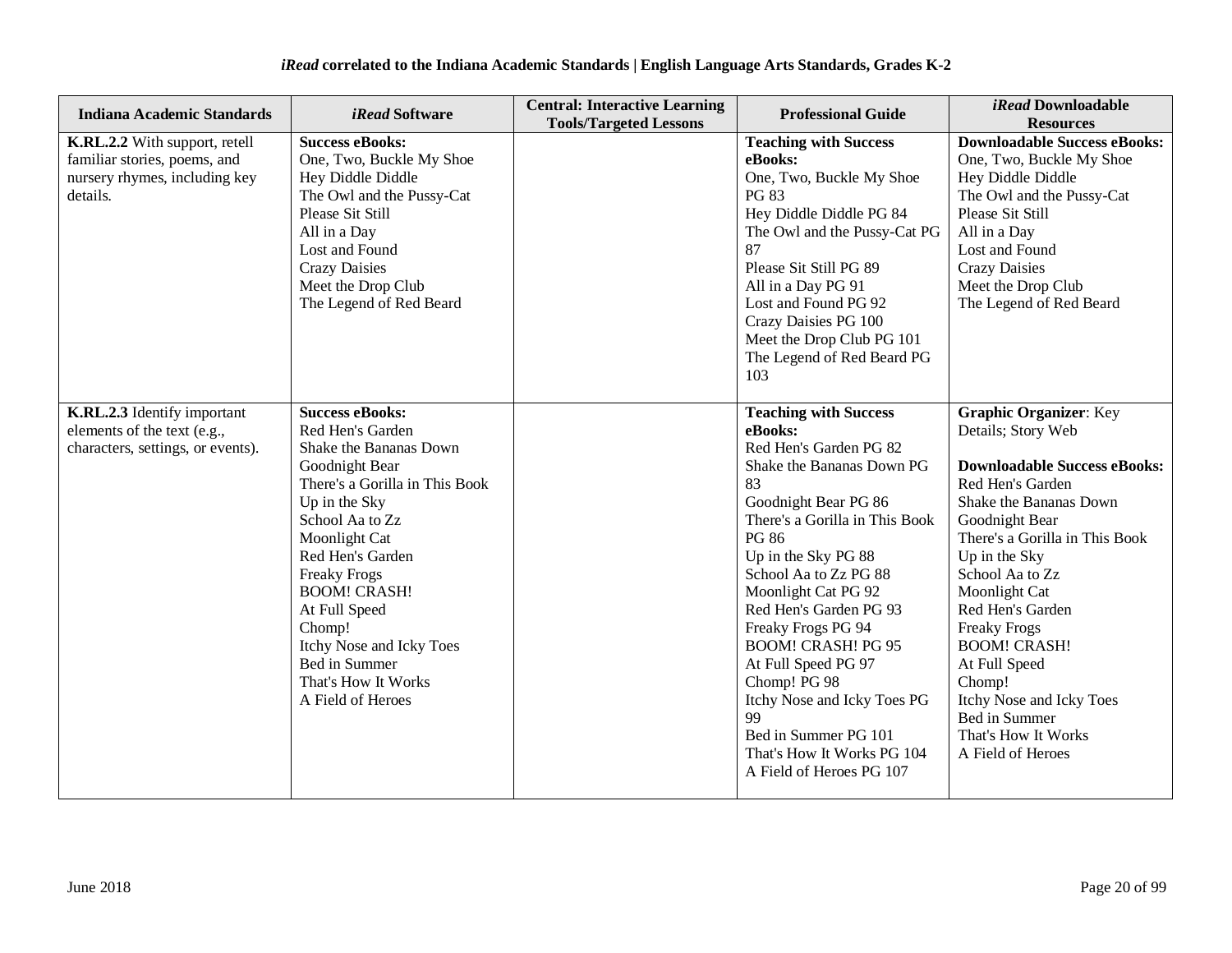| <b>Indiana Academic Standards</b>                                                                          | <i>iRead</i> Software                                                                                                                                                                                                                                                                                                                                               | <b>Central: Interactive Learning</b><br><b>Tools/Targeted Lessons</b> | <b>Professional Guide</b>                                                                                                                                                                                                                                                                                                                                                                                                                                                                        | <i>iRead</i> Downloadable<br><b>Resources</b>                                                                                                                                                                                                                                                                                                                                                                                           |
|------------------------------------------------------------------------------------------------------------|---------------------------------------------------------------------------------------------------------------------------------------------------------------------------------------------------------------------------------------------------------------------------------------------------------------------------------------------------------------------|-----------------------------------------------------------------------|--------------------------------------------------------------------------------------------------------------------------------------------------------------------------------------------------------------------------------------------------------------------------------------------------------------------------------------------------------------------------------------------------------------------------------------------------------------------------------------------------|-----------------------------------------------------------------------------------------------------------------------------------------------------------------------------------------------------------------------------------------------------------------------------------------------------------------------------------------------------------------------------------------------------------------------------------------|
| K.RL.2.2 With support, retell<br>familiar stories, poems, and<br>nursery rhymes, including key<br>details. | <b>Success eBooks:</b><br>One, Two, Buckle My Shoe<br>Hey Diddle Diddle<br>The Owl and the Pussy-Cat<br>Please Sit Still<br>All in a Day<br>Lost and Found<br><b>Crazy Daisies</b><br>Meet the Drop Club<br>The Legend of Red Beard                                                                                                                                 |                                                                       | <b>Teaching with Success</b><br>eBooks:<br>One, Two, Buckle My Shoe<br>PG 83<br>Hey Diddle Diddle PG 84<br>The Owl and the Pussy-Cat PG<br>87<br>Please Sit Still PG 89<br>All in a Day PG 91<br>Lost and Found PG 92<br>Crazy Daisies PG 100<br>Meet the Drop Club PG 101<br>The Legend of Red Beard PG<br>103                                                                                                                                                                                  | <b>Downloadable Success eBooks:</b><br>One, Two, Buckle My Shoe<br>Hey Diddle Diddle<br>The Owl and the Pussy-Cat<br>Please Sit Still<br>All in a Day<br>Lost and Found<br><b>Crazy Daisies</b><br>Meet the Drop Club<br>The Legend of Red Beard                                                                                                                                                                                        |
| K.RL.2.3 Identify important<br>elements of the text (e.g.,<br>characters, settings, or events).            | <b>Success eBooks:</b><br>Red Hen's Garden<br>Shake the Bananas Down<br>Goodnight Bear<br>There's a Gorilla in This Book<br>Up in the Sky<br>School Aa to Zz<br>Moonlight Cat<br>Red Hen's Garden<br><b>Freaky Frogs</b><br><b>BOOM! CRASH!</b><br>At Full Speed<br>Chomp!<br>Itchy Nose and Icky Toes<br>Bed in Summer<br>That's How It Works<br>A Field of Heroes |                                                                       | <b>Teaching with Success</b><br>eBooks:<br>Red Hen's Garden PG 82<br>Shake the Bananas Down PG<br>83<br>Goodnight Bear PG 86<br>There's a Gorilla in This Book<br><b>PG 86</b><br>Up in the Sky PG 88<br>School Aa to Zz PG 88<br>Moonlight Cat PG 92<br>Red Hen's Garden PG 93<br>Freaky Frogs PG 94<br><b>BOOM! CRASH! PG 95</b><br>At Full Speed PG 97<br>Chomp! PG 98<br>Itchy Nose and Icky Toes PG<br>99<br>Bed in Summer PG 101<br>That's How It Works PG 104<br>A Field of Heroes PG 107 | <b>Graphic Organizer: Key</b><br>Details; Story Web<br><b>Downloadable Success eBooks:</b><br>Red Hen's Garden<br>Shake the Bananas Down<br>Goodnight Bear<br>There's a Gorilla in This Book<br>Up in the Sky<br>School Aa to Zz<br>Moonlight Cat<br>Red Hen's Garden<br><b>Freaky Frogs</b><br><b>BOOM! CRASH!</b><br>At Full Speed<br>Chomp!<br>Itchy Nose and Icky Toes<br>Bed in Summer<br>That's How It Works<br>A Field of Heroes |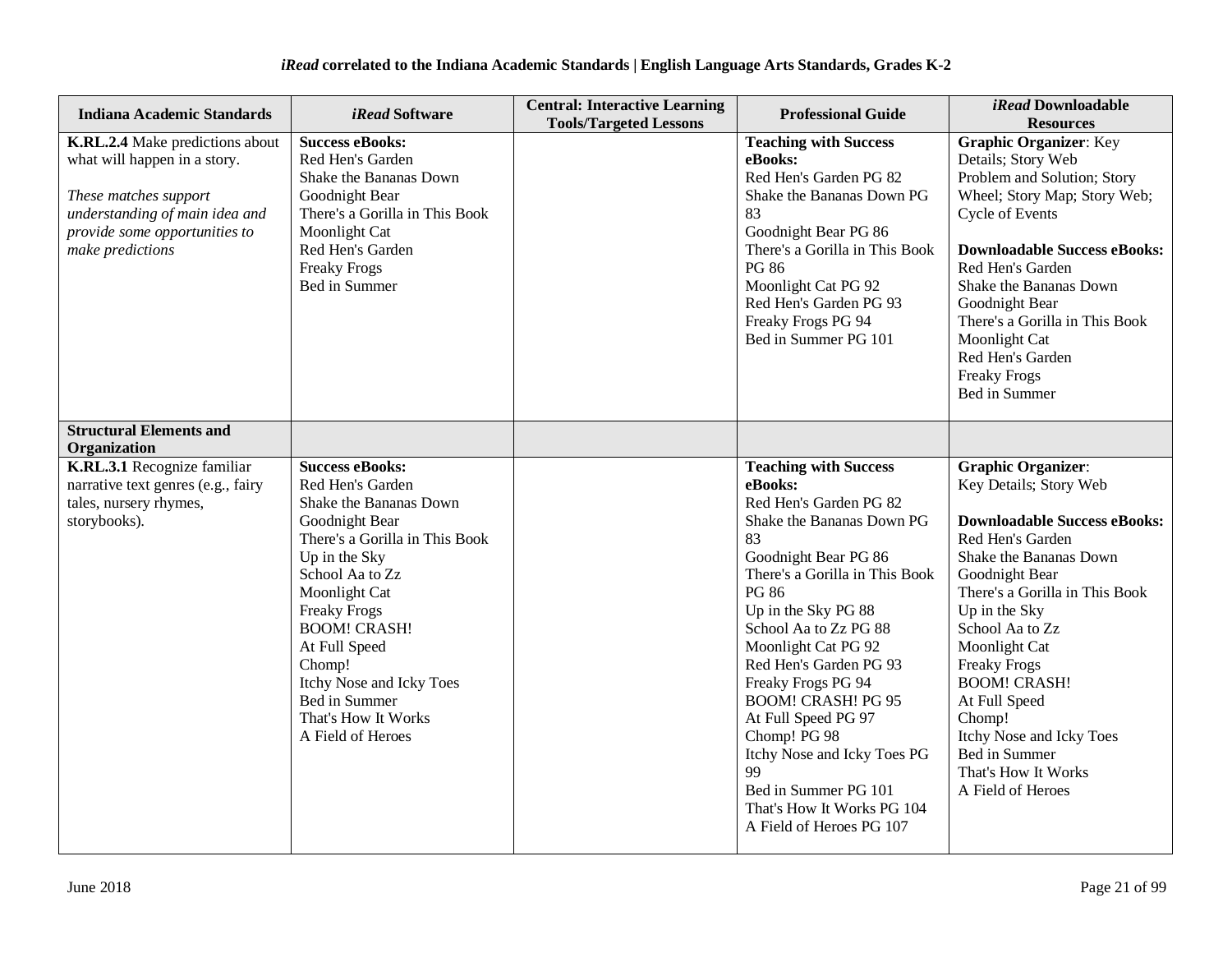| Indiana Academic Standards                                                                                                                                                      | <i>iRead</i> Software                                                                                                                                                                                                                                                                                                                           | <b>Central: Interactive Learning</b><br><b>Tools/Targeted Lessons</b> | <b>Professional Guide</b>                                                                                                                                                                                                                                                                                                                                                                                                                                                                        | <i>iRead</i> Downloadable<br><b>Resources</b>                                                                                                                                                                                                                                                                                                                                                                       |
|---------------------------------------------------------------------------------------------------------------------------------------------------------------------------------|-------------------------------------------------------------------------------------------------------------------------------------------------------------------------------------------------------------------------------------------------------------------------------------------------------------------------------------------------|-----------------------------------------------------------------------|--------------------------------------------------------------------------------------------------------------------------------------------------------------------------------------------------------------------------------------------------------------------------------------------------------------------------------------------------------------------------------------------------------------------------------------------------------------------------------------------------|---------------------------------------------------------------------------------------------------------------------------------------------------------------------------------------------------------------------------------------------------------------------------------------------------------------------------------------------------------------------------------------------------------------------|
| K.RL.2.4 Make predictions about<br>what will happen in a story.<br>These matches support<br>understanding of main idea and<br>provide some opportunities to<br>make predictions | <b>Success eBooks:</b><br>Red Hen's Garden<br>Shake the Bananas Down<br>Goodnight Bear<br>There's a Gorilla in This Book<br>Moonlight Cat<br>Red Hen's Garden<br><b>Freaky Frogs</b><br>Bed in Summer                                                                                                                                           |                                                                       | <b>Teaching with Success</b><br>eBooks:<br>Red Hen's Garden PG 82<br>Shake the Bananas Down PG<br>83<br>Goodnight Bear PG 86<br>There's a Gorilla in This Book<br><b>PG 86</b><br>Moonlight Cat PG 92<br>Red Hen's Garden PG 93<br>Freaky Frogs PG 94<br>Bed in Summer PG 101                                                                                                                                                                                                                    | <b>Graphic Organizer: Key</b><br>Details; Story Web<br>Problem and Solution; Story<br>Wheel; Story Map; Story Web;<br><b>Cycle of Events</b><br><b>Downloadable Success eBooks:</b><br>Red Hen's Garden<br>Shake the Bananas Down<br>Goodnight Bear<br>There's a Gorilla in This Book<br>Moonlight Cat<br>Red Hen's Garden<br><b>Freaky Frogs</b><br>Bed in Summer                                                  |
| <b>Structural Elements and</b><br>Organization                                                                                                                                  |                                                                                                                                                                                                                                                                                                                                                 |                                                                       |                                                                                                                                                                                                                                                                                                                                                                                                                                                                                                  |                                                                                                                                                                                                                                                                                                                                                                                                                     |
| K.RL.3.1 Recognize familiar<br>narrative text genres (e.g., fairy<br>tales, nursery rhymes,<br>storybooks).                                                                     | <b>Success eBooks:</b><br>Red Hen's Garden<br>Shake the Bananas Down<br>Goodnight Bear<br>There's a Gorilla in This Book<br>Up in the Sky<br>School Aa to Zz<br>Moonlight Cat<br><b>Freaky Frogs</b><br><b>BOOM! CRASH!</b><br>At Full Speed<br>Chomp!<br>Itchy Nose and Icky Toes<br>Bed in Summer<br>That's How It Works<br>A Field of Heroes |                                                                       | <b>Teaching with Success</b><br>eBooks:<br>Red Hen's Garden PG 82<br>Shake the Bananas Down PG<br>83<br>Goodnight Bear PG 86<br>There's a Gorilla in This Book<br><b>PG 86</b><br>Up in the Sky PG 88<br>School Aa to Zz PG 88<br>Moonlight Cat PG 92<br>Red Hen's Garden PG 93<br>Freaky Frogs PG 94<br><b>BOOM! CRASH! PG 95</b><br>At Full Speed PG 97<br>Chomp! PG 98<br>Itchy Nose and Icky Toes PG<br>99<br>Bed in Summer PG 101<br>That's How It Works PG 104<br>A Field of Heroes PG 107 | <b>Graphic Organizer:</b><br>Key Details; Story Web<br><b>Downloadable Success eBooks:</b><br>Red Hen's Garden<br>Shake the Bananas Down<br>Goodnight Bear<br>There's a Gorilla in This Book<br>Up in the Sky<br>School Aa to Zz<br>Moonlight Cat<br><b>Freaky Frogs</b><br><b>BOOM! CRASH!</b><br>At Full Speed<br>Chomp!<br>Itchy Nose and Icky Toes<br>Bed in Summer<br>That's How It Works<br>A Field of Heroes |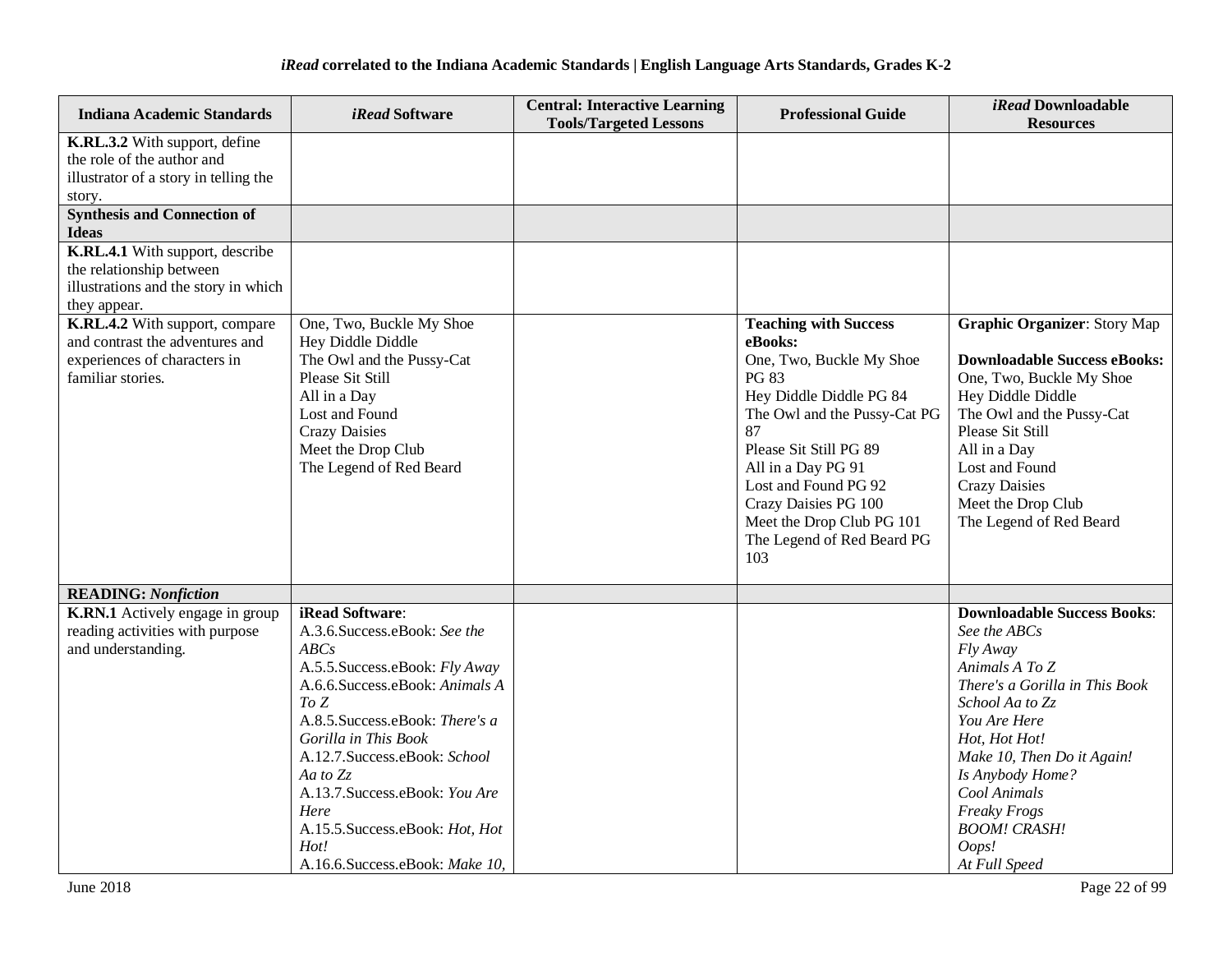| <b>Indiana Academic Standards</b>                                                                                                                    | <i>iRead</i> Software                                                                                                                                                                                                                                                                                                                                                  | <b>Central: Interactive Learning</b><br><b>Tools/Targeted Lessons</b> | <b>Professional Guide</b>                                                                                                                                                                                                                                                                                       | <i>iRead</i> Downloadable<br><b>Resources</b>                                                                                                                                                                                                                                                             |
|------------------------------------------------------------------------------------------------------------------------------------------------------|------------------------------------------------------------------------------------------------------------------------------------------------------------------------------------------------------------------------------------------------------------------------------------------------------------------------------------------------------------------------|-----------------------------------------------------------------------|-----------------------------------------------------------------------------------------------------------------------------------------------------------------------------------------------------------------------------------------------------------------------------------------------------------------|-----------------------------------------------------------------------------------------------------------------------------------------------------------------------------------------------------------------------------------------------------------------------------------------------------------|
| K.RL.3.2 With support, define<br>the role of the author and<br>illustrator of a story in telling the<br>story.<br><b>Synthesis and Connection of</b> |                                                                                                                                                                                                                                                                                                                                                                        |                                                                       |                                                                                                                                                                                                                                                                                                                 |                                                                                                                                                                                                                                                                                                           |
| <b>Ideas</b>                                                                                                                                         |                                                                                                                                                                                                                                                                                                                                                                        |                                                                       |                                                                                                                                                                                                                                                                                                                 |                                                                                                                                                                                                                                                                                                           |
| K.RL.4.1 With support, describe<br>the relationship between<br>illustrations and the story in which<br>they appear.                                  |                                                                                                                                                                                                                                                                                                                                                                        |                                                                       |                                                                                                                                                                                                                                                                                                                 |                                                                                                                                                                                                                                                                                                           |
| K.RL.4.2 With support, compare<br>and contrast the adventures and<br>experiences of characters in<br>familiar stories.                               | One, Two, Buckle My Shoe<br>Hey Diddle Diddle<br>The Owl and the Pussy-Cat<br>Please Sit Still<br>All in a Day<br>Lost and Found<br><b>Crazy Daisies</b><br>Meet the Drop Club<br>The Legend of Red Beard                                                                                                                                                              |                                                                       | <b>Teaching with Success</b><br>eBooks:<br>One, Two, Buckle My Shoe<br>PG 83<br>Hey Diddle Diddle PG 84<br>The Owl and the Pussy-Cat PG<br>87<br>Please Sit Still PG 89<br>All in a Day PG 91<br>Lost and Found PG 92<br>Crazy Daisies PG 100<br>Meet the Drop Club PG 101<br>The Legend of Red Beard PG<br>103 | <b>Graphic Organizer: Story Map</b><br><b>Downloadable Success eBooks:</b><br>One, Two, Buckle My Shoe<br>Hey Diddle Diddle<br>The Owl and the Pussy-Cat<br>Please Sit Still<br>All in a Day<br>Lost and Found<br><b>Crazy Daisies</b><br>Meet the Drop Club<br>The Legend of Red Beard                   |
| <b>READING: Nonfiction</b>                                                                                                                           |                                                                                                                                                                                                                                                                                                                                                                        |                                                                       |                                                                                                                                                                                                                                                                                                                 |                                                                                                                                                                                                                                                                                                           |
| K.RN.1 Actively engage in group<br>reading activities with purpose<br>and understanding.                                                             | iRead Software:<br>A.3.6. Success.eBook: See the<br>ABCs<br>A.5.5. Success.eBook: Fly Away<br>A.6.6. Success. eBook: Animals A<br>To Z<br>A.8.5. Success.eBook: There's a<br>Gorilla in This Book<br>A.12.7. Success.eBook: School<br>Aa to Zz<br>A.13.7. Success.eBook: You Are<br>Here<br>A.15.5. Success.eBook: Hot, Hot<br>Hot!<br>A.16.6. Success.eBook: Make 10, |                                                                       |                                                                                                                                                                                                                                                                                                                 | <b>Downloadable Success Books:</b><br>See the ABCs<br>Fly Away<br>Animals A To Z<br>There's a Gorilla in This Book<br>School Aa to Zz<br>You Are Here<br>Hot, Hot Hot!<br>Make 10, Then Do it Again!<br>Is Anybody Home?<br>Cool Animals<br>Freaky Frogs<br><b>BOOM! CRASH!</b><br>Oops!<br>At Full Speed |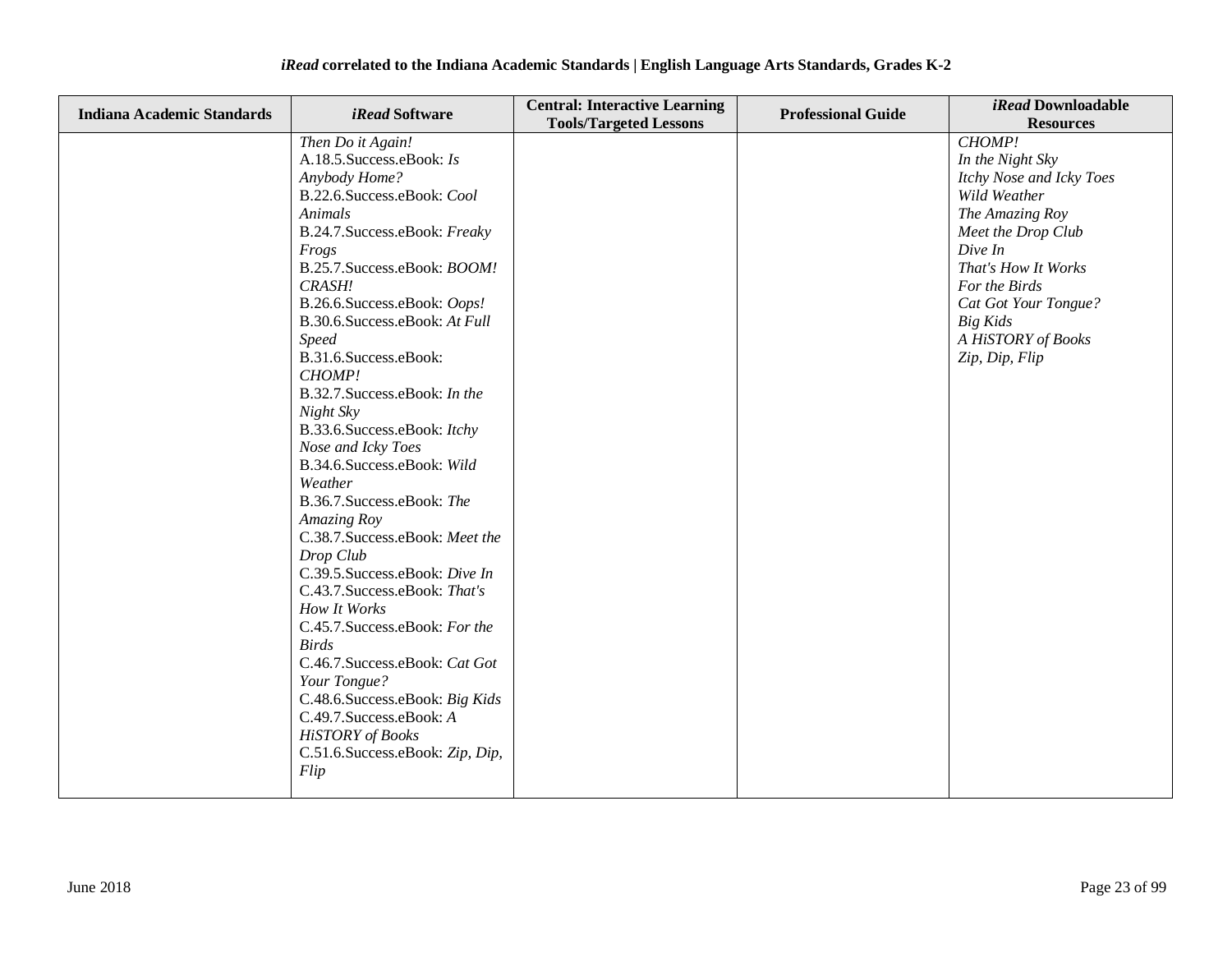| <b>Indiana Academic Standards</b> | <i>iRead</i> Software                                                                                                                                                                                                                                                                                                                                                                                                                                                                                                                                                                                                                                                                                                                                                                                                                                                               | <b>Central: Interactive Learning</b><br><b>Tools/Targeted Lessons</b> | <b>Professional Guide</b> | iRead Downloadable<br><b>Resources</b>                                                                                                                                                                                                                |
|-----------------------------------|-------------------------------------------------------------------------------------------------------------------------------------------------------------------------------------------------------------------------------------------------------------------------------------------------------------------------------------------------------------------------------------------------------------------------------------------------------------------------------------------------------------------------------------------------------------------------------------------------------------------------------------------------------------------------------------------------------------------------------------------------------------------------------------------------------------------------------------------------------------------------------------|-----------------------------------------------------------------------|---------------------------|-------------------------------------------------------------------------------------------------------------------------------------------------------------------------------------------------------------------------------------------------------|
|                                   | Then Do it Again!<br>A.18.5. Success.eBook: Is<br>Anybody Home?<br>B.22.6.Success.eBook: Cool<br>Animals<br>B.24.7. Success.eBook: Freaky<br>Frogs<br>B.25.7. Success.eBook: BOOM!<br>CRASH!<br>B.26.6.Success.eBook: Oops!<br>B.30.6.Success.eBook: At Full<br><b>Speed</b><br>B.31.6.Success.eBook:<br>CHOMP!<br>B.32.7. Success.eBook: In the<br>Night Sky<br>B.33.6. Success.eBook: Itchy<br>Nose and Icky Toes<br>B.34.6.Success.eBook: Wild<br>Weather<br>B.36.7. Success.eBook: The<br>Amazing Roy<br>C.38.7.Success.eBook: Meet the<br>Drop Club<br>C.39.5.Success.eBook: Dive In<br>C.43.7. Success.eBook: That's<br>How It Works<br>C.45.7. Success.eBook: For the<br><b>Birds</b><br>C.46.7. Success.eBook: Cat Got<br>Your Tongue?<br>C.48.6. Success.eBook: Big Kids<br>C.49.7. Success.eBook: A<br><b>HiSTORY</b> of Books<br>C.51.6.Success.eBook: Zip, Dip,<br>Flip |                                                                       |                           | CHOMP!<br>In the Night Sky<br>Itchy Nose and Icky Toes<br>Wild Weather<br>The Amazing Roy<br>Meet the Drop Club<br>Dive In<br>That's How It Works<br>For the Birds<br>Cat Got Your Tongue?<br><b>Big Kids</b><br>A HiSTORY of Books<br>Zip, Dip, Flip |
|                                   |                                                                                                                                                                                                                                                                                                                                                                                                                                                                                                                                                                                                                                                                                                                                                                                                                                                                                     |                                                                       |                           |                                                                                                                                                                                                                                                       |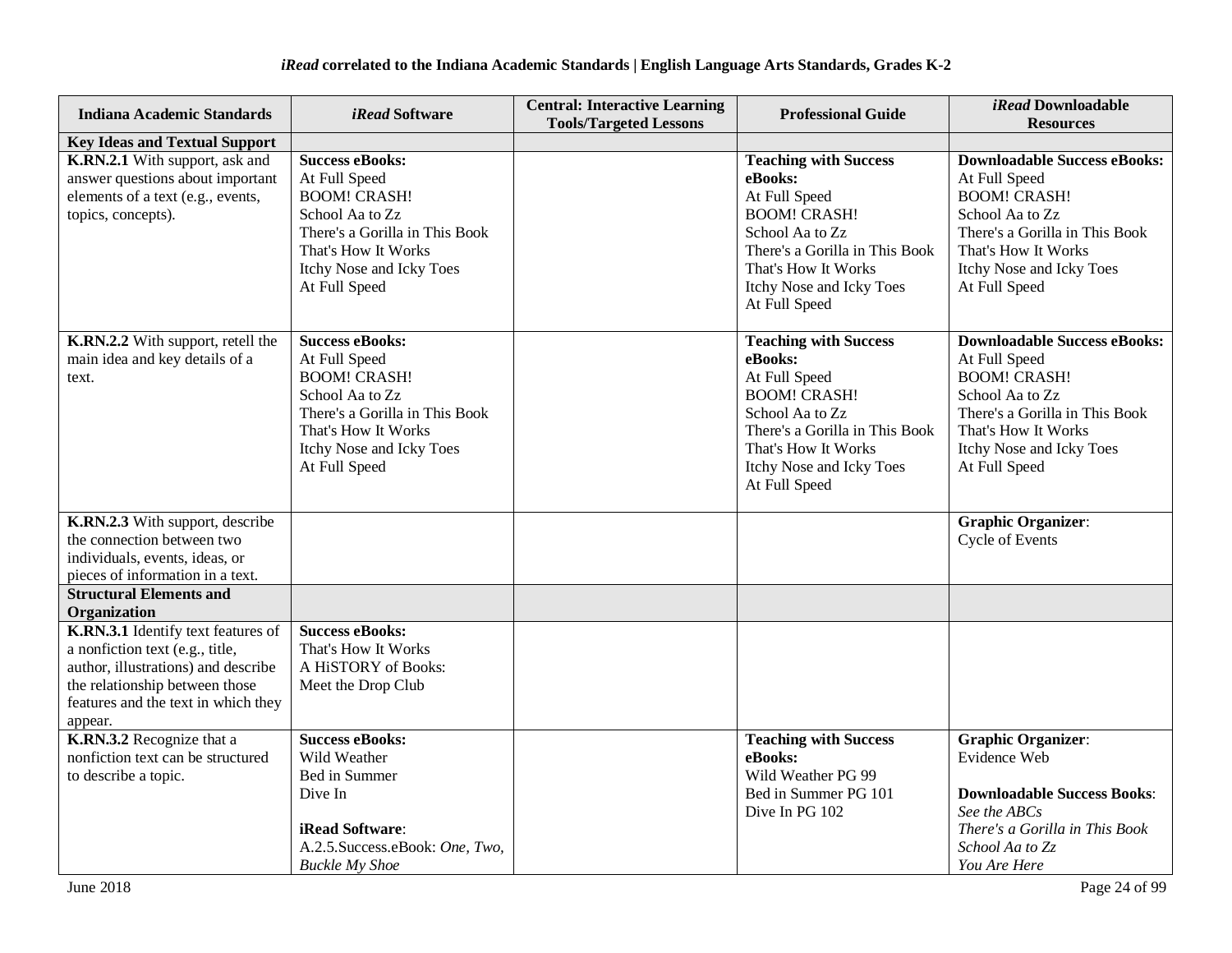| <b>Indiana Academic Standards</b>                                                                                                                                                                | <i>iRead</i> Software                                                                                                                                                                   | <b>Central: Interactive Learning</b><br><b>Tools/Targeted Lessons</b> | <b>Professional Guide</b>                                                                                                                                                                                | <i>iRead</i> Downloadable<br><b>Resources</b>                                                                                                                                                        |
|--------------------------------------------------------------------------------------------------------------------------------------------------------------------------------------------------|-----------------------------------------------------------------------------------------------------------------------------------------------------------------------------------------|-----------------------------------------------------------------------|----------------------------------------------------------------------------------------------------------------------------------------------------------------------------------------------------------|------------------------------------------------------------------------------------------------------------------------------------------------------------------------------------------------------|
| <b>Key Ideas and Textual Support</b>                                                                                                                                                             |                                                                                                                                                                                         |                                                                       |                                                                                                                                                                                                          |                                                                                                                                                                                                      |
| K.RN.2.1 With support, ask and<br>answer questions about important<br>elements of a text (e.g., events,<br>topics, concepts).                                                                    | <b>Success eBooks:</b><br>At Full Speed<br><b>BOOM! CRASH!</b><br>School Aa to Zz<br>There's a Gorilla in This Book<br>That's How It Works<br>Itchy Nose and Icky Toes<br>At Full Speed |                                                                       | <b>Teaching with Success</b><br>eBooks:<br>At Full Speed<br><b>BOOM! CRASH!</b><br>School Aa to Zz<br>There's a Gorilla in This Book<br>That's How It Works<br>Itchy Nose and Icky Toes<br>At Full Speed | <b>Downloadable Success eBooks:</b><br>At Full Speed<br><b>BOOM! CRASH!</b><br>School Aa to Zz<br>There's a Gorilla in This Book<br>That's How It Works<br>Itchy Nose and Icky Toes<br>At Full Speed |
| K.RN.2.2 With support, retell the<br>main idea and key details of a<br>text.                                                                                                                     | <b>Success eBooks:</b><br>At Full Speed<br><b>BOOM! CRASH!</b><br>School Aa to Zz<br>There's a Gorilla in This Book<br>That's How It Works<br>Itchy Nose and Icky Toes<br>At Full Speed |                                                                       | <b>Teaching with Success</b><br>eBooks:<br>At Full Speed<br><b>BOOM! CRASH!</b><br>School Aa to Zz<br>There's a Gorilla in This Book<br>That's How It Works<br>Itchy Nose and Icky Toes<br>At Full Speed | <b>Downloadable Success eBooks:</b><br>At Full Speed<br><b>BOOM! CRASH!</b><br>School Aa to Zz<br>There's a Gorilla in This Book<br>That's How It Works<br>Itchy Nose and Icky Toes<br>At Full Speed |
| K.RN.2.3 With support, describe<br>the connection between two<br>individuals, events, ideas, or<br>pieces of information in a text.                                                              |                                                                                                                                                                                         |                                                                       |                                                                                                                                                                                                          | <b>Graphic Organizer:</b><br><b>Cycle of Events</b>                                                                                                                                                  |
| <b>Structural Elements and</b><br>Organization                                                                                                                                                   |                                                                                                                                                                                         |                                                                       |                                                                                                                                                                                                          |                                                                                                                                                                                                      |
| K.RN.3.1 Identify text features of<br>a nonfiction text (e.g., title,<br>author, illustrations) and describe<br>the relationship between those<br>features and the text in which they<br>appear. | <b>Success eBooks:</b><br>That's How It Works<br>A HiSTORY of Books:<br>Meet the Drop Club                                                                                              |                                                                       |                                                                                                                                                                                                          |                                                                                                                                                                                                      |
| K.RN.3.2 Recognize that a<br>nonfiction text can be structured<br>to describe a topic.                                                                                                           | <b>Success eBooks:</b><br>Wild Weather<br>Bed in Summer<br>Dive In<br>iRead Software:<br>A.2.5. Success.eBook: One, Two,<br><b>Buckle My Shoe</b>                                       |                                                                       | <b>Teaching with Success</b><br>eBooks:<br>Wild Weather PG 99<br>Bed in Summer PG 101<br>Dive In PG 102                                                                                                  | <b>Graphic Organizer:</b><br>Evidence Web<br><b>Downloadable Success Books:</b><br>See the ABCs<br>There's a Gorilla in This Book<br>School Aa to Zz<br>You Are Here                                 |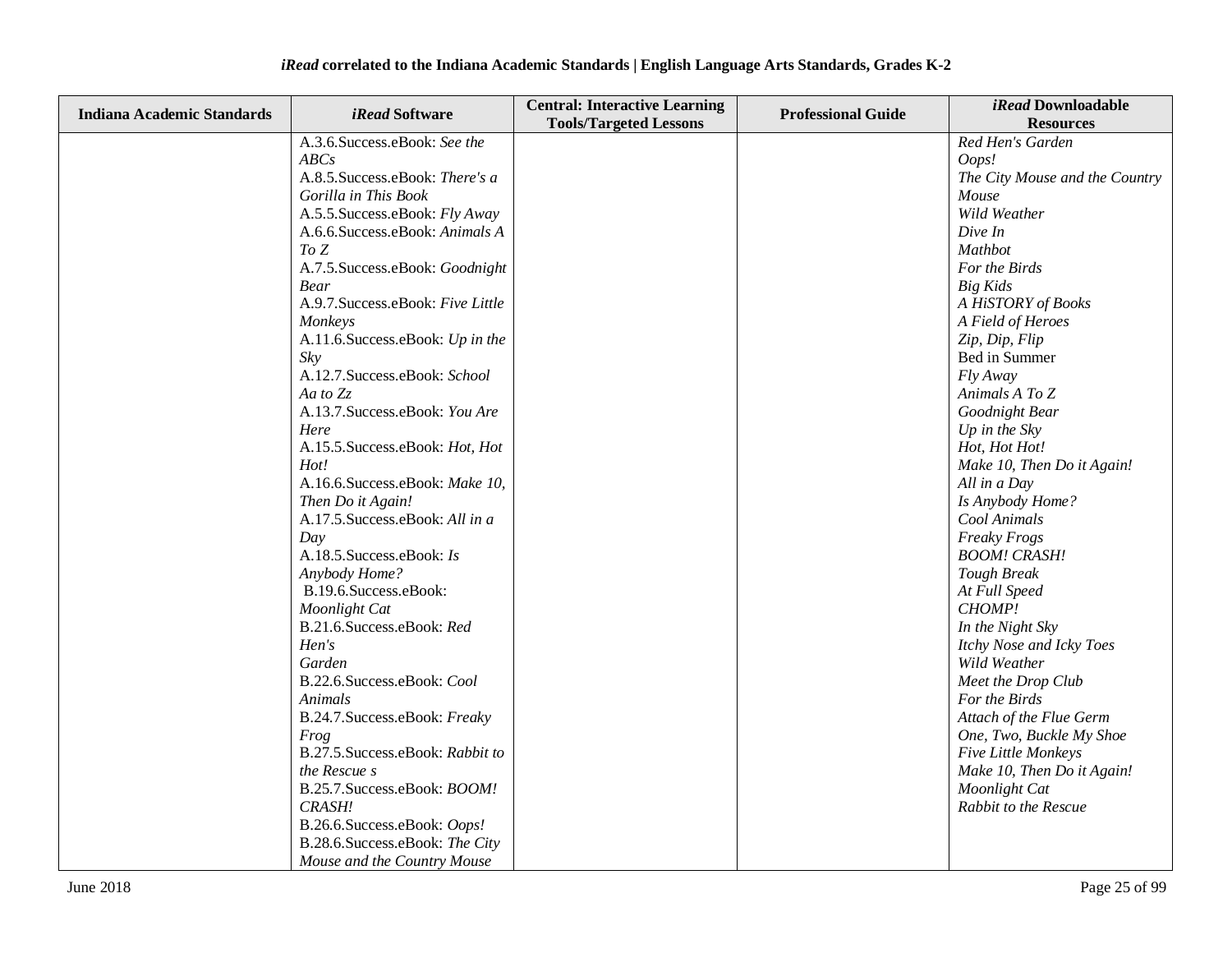| <b>Indiana Academic Standards</b> | <i>iRead</i> Software             | <b>Central: Interactive Learning</b> | <b>Professional Guide</b> | iRead Downloadable             |
|-----------------------------------|-----------------------------------|--------------------------------------|---------------------------|--------------------------------|
|                                   |                                   | <b>Tools/Targeted Lessons</b>        |                           | <b>Resources</b>               |
|                                   | A.3.6. Success.eBook: See the     |                                      |                           | Red Hen's Garden               |
|                                   | ABCs                              |                                      |                           | Oops!                          |
|                                   | A.8.5. Success.eBook: There's a   |                                      |                           | The City Mouse and the Country |
|                                   | Gorilla in This Book              |                                      |                           | Mouse                          |
|                                   | A.5.5. Success.eBook: Fly Away    |                                      |                           | Wild Weather                   |
|                                   | A.6.6.Success.eBook: Animals A    |                                      |                           | Dive In                        |
|                                   | To Z                              |                                      |                           | Mathbot                        |
|                                   | A.7.5. Success.eBook: Goodnight   |                                      |                           | For the Birds                  |
|                                   | <b>Bear</b>                       |                                      |                           | <b>Big Kids</b>                |
|                                   | A.9.7. Success.eBook: Five Little |                                      |                           | A HiSTORY of Books             |
|                                   | Monkeys                           |                                      |                           | A Field of Heroes              |
|                                   | A.11.6. Success.eBook: Up in the  |                                      |                           | Zip, Dip, Flip                 |
|                                   | Skv                               |                                      |                           | Bed in Summer                  |
|                                   | A.12.7. Success.eBook: School     |                                      |                           | Fly Away                       |
|                                   | Aa to Zz                          |                                      |                           | Animals A To Z                 |
|                                   | A.13.7. Success.eBook: You Are    |                                      |                           | Goodnight Bear                 |
|                                   | Here                              |                                      |                           | Up in the $Sky$                |
|                                   | A.15.5. Success.eBook: Hot, Hot   |                                      |                           | Hot, Hot Hot!                  |
|                                   | Hot!                              |                                      |                           | Make 10, Then Do it Again!     |
|                                   | A.16.6.Success.eBook: Make 10,    |                                      |                           | All in a Day                   |
|                                   | Then Do it Again!                 |                                      |                           | Is Anybody Home?               |
|                                   | A.17.5. Success.eBook: All in a   |                                      |                           | Cool Animals                   |
|                                   | Day                               |                                      |                           | Freaky Frogs                   |
|                                   | A.18.5. Success.eBook: Is         |                                      |                           | <b>BOOM! CRASH!</b>            |
|                                   | Anybody Home?                     |                                      |                           | <b>Tough Break</b>             |
|                                   | B.19.6.Success.eBook:             |                                      |                           | At Full Speed                  |
|                                   | Moonlight Cat                     |                                      |                           | CHOMP!                         |
|                                   | B.21.6.Success.eBook: Red         |                                      |                           | In the Night Sky               |
|                                   | Hen's                             |                                      |                           | Itchy Nose and Icky Toes       |
|                                   | Garden                            |                                      |                           | Wild Weather                   |
|                                   | B.22.6.Success.eBook: Cool        |                                      |                           | Meet the Drop Club             |
|                                   | Animals                           |                                      |                           | For the Birds                  |
|                                   | B.24.7. Success.eBook: Freaky     |                                      |                           | Attach of the Flue Germ        |
|                                   | Frog                              |                                      |                           | One, Two, Buckle My Shoe       |
|                                   | B.27.5. Success.eBook: Rabbit to  |                                      |                           | Five Little Monkeys            |
|                                   | the Rescue s                      |                                      |                           | Make 10, Then Do it Again!     |
|                                   | B.25.7. Success.eBook: BOOM!      |                                      |                           | Moonlight Cat                  |
|                                   | CRASH!                            |                                      |                           | Rabbit to the Rescue           |
|                                   | B.26.6.Success.eBook: Oops!       |                                      |                           |                                |
|                                   | B.28.6.Success.eBook: The City    |                                      |                           |                                |
|                                   | Mouse and the Country Mouse       |                                      |                           |                                |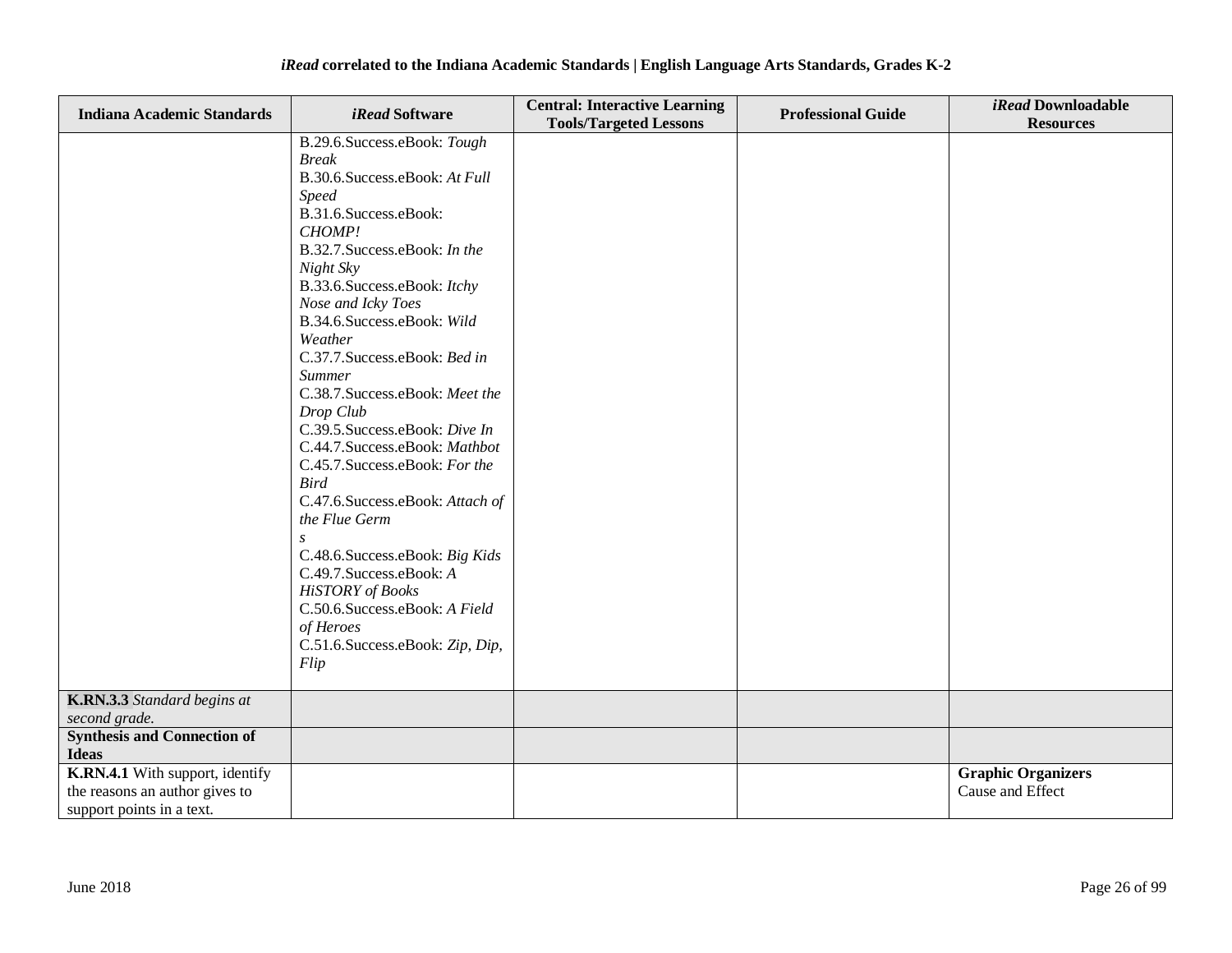| <b>Indiana Academic Standards</b>  | <i>iRead</i> Software            | <b>Central: Interactive Learning</b><br><b>Tools/Targeted Lessons</b> | <b>Professional Guide</b> | iRead Downloadable<br><b>Resources</b> |
|------------------------------------|----------------------------------|-----------------------------------------------------------------------|---------------------------|----------------------------------------|
|                                    | B.29.6. Success.eBook: Tough     |                                                                       |                           |                                        |
|                                    | <b>Break</b>                     |                                                                       |                           |                                        |
|                                    | B.30.6.Success.eBook: At Full    |                                                                       |                           |                                        |
|                                    | <b>Speed</b>                     |                                                                       |                           |                                        |
|                                    | B.31.6.Success.eBook:            |                                                                       |                           |                                        |
|                                    | CHOMP!                           |                                                                       |                           |                                        |
|                                    | B.32.7. Success.eBook: In the    |                                                                       |                           |                                        |
|                                    | Night Sky                        |                                                                       |                           |                                        |
|                                    | B.33.6. Success.eBook: Itchy     |                                                                       |                           |                                        |
|                                    | Nose and Icky Toes               |                                                                       |                           |                                        |
|                                    | B.34.6. Success.e Book: Wild     |                                                                       |                           |                                        |
|                                    | Weather                          |                                                                       |                           |                                        |
|                                    | C.37.7.Success.eBook: Bed in     |                                                                       |                           |                                        |
|                                    | <b>Summer</b>                    |                                                                       |                           |                                        |
|                                    | C.38.7. Success.eBook: Meet the  |                                                                       |                           |                                        |
|                                    | Drop Club                        |                                                                       |                           |                                        |
|                                    | C.39.5. Success.eBook: Dive In   |                                                                       |                           |                                        |
|                                    | C.44.7.Success.eBook: Mathbot    |                                                                       |                           |                                        |
|                                    | C.45.7. Success.eBook: For the   |                                                                       |                           |                                        |
|                                    | <b>Bird</b>                      |                                                                       |                           |                                        |
|                                    | C.47.6.Success.eBook: Attach of  |                                                                       |                           |                                        |
|                                    | the Flue Germ                    |                                                                       |                           |                                        |
|                                    | $\overline{S}$                   |                                                                       |                           |                                        |
|                                    | C.48.6. Success.eBook: Big Kids  |                                                                       |                           |                                        |
|                                    | C.49.7. Success.eBook: A         |                                                                       |                           |                                        |
|                                    | <b>HiSTORY</b> of Books          |                                                                       |                           |                                        |
|                                    | C.50.6.Success.eBook: A Field    |                                                                       |                           |                                        |
|                                    | of Heroes                        |                                                                       |                           |                                        |
|                                    | C.51.6. Success.eBook: Zip, Dip, |                                                                       |                           |                                        |
|                                    | Flip                             |                                                                       |                           |                                        |
|                                    |                                  |                                                                       |                           |                                        |
| K.RN.3.3 Standard begins at        |                                  |                                                                       |                           |                                        |
| second grade.                      |                                  |                                                                       |                           |                                        |
| <b>Synthesis and Connection of</b> |                                  |                                                                       |                           |                                        |
| <b>Ideas</b>                       |                                  |                                                                       |                           |                                        |
| K.RN.4.1 With support, identify    |                                  |                                                                       |                           | <b>Graphic Organizers</b>              |
| the reasons an author gives to     |                                  |                                                                       |                           | Cause and Effect                       |
| support points in a text.          |                                  |                                                                       |                           |                                        |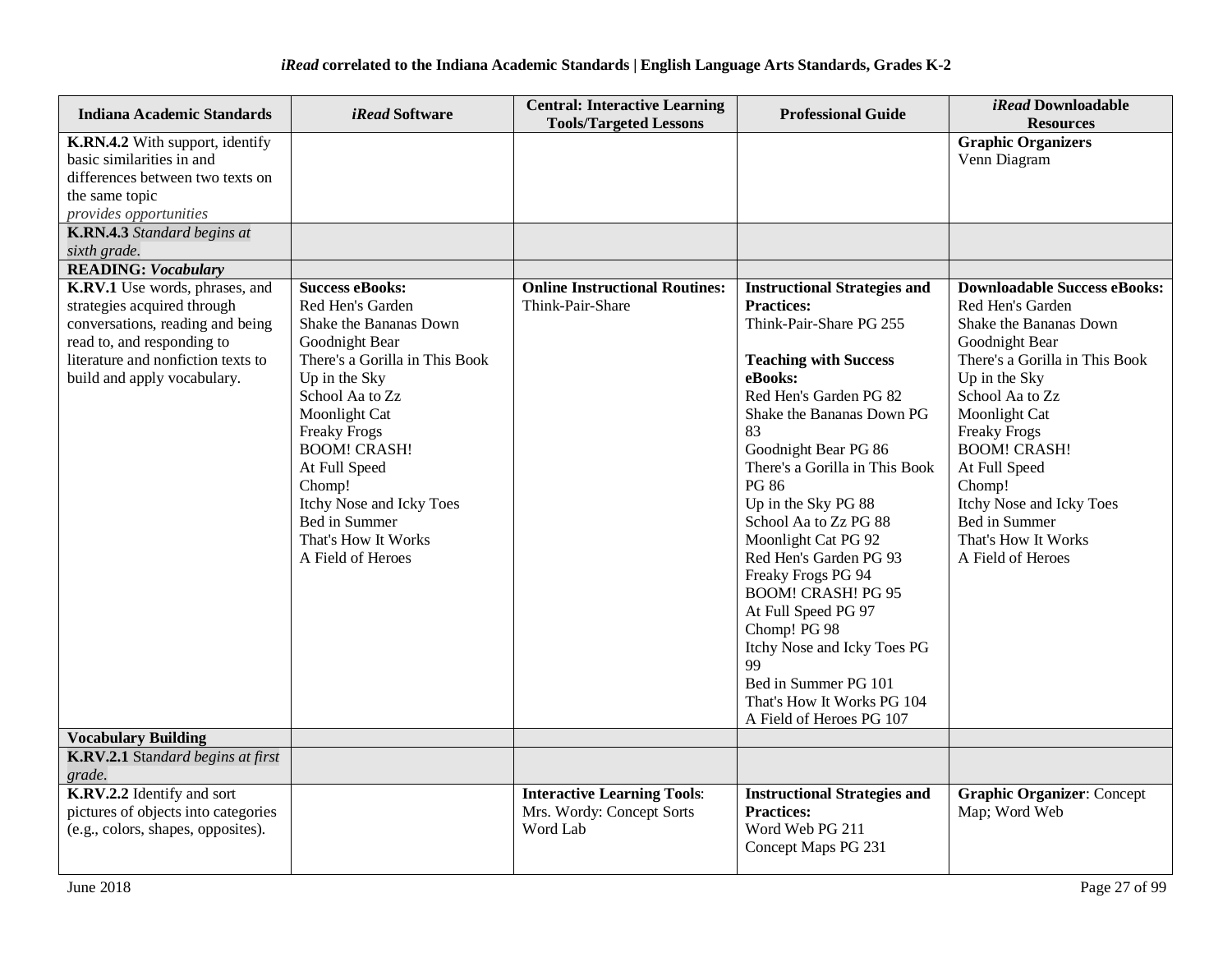| <b>Indiana Academic Standards</b>                                                                                                                                                                    | <i>iRead</i> Software                                                                                                                                                                                                                                                                                                                           | <b>Central: Interactive Learning</b><br><b>Tools/Targeted Lessons</b>       | <b>Professional Guide</b>                                                                                                                                                                                                                                                                                                                                                                                                                                                                                                                                                               | <i>iRead</i> Downloadable<br><b>Resources</b>                                                                                                                                                                                                                                                                                                                |
|------------------------------------------------------------------------------------------------------------------------------------------------------------------------------------------------------|-------------------------------------------------------------------------------------------------------------------------------------------------------------------------------------------------------------------------------------------------------------------------------------------------------------------------------------------------|-----------------------------------------------------------------------------|-----------------------------------------------------------------------------------------------------------------------------------------------------------------------------------------------------------------------------------------------------------------------------------------------------------------------------------------------------------------------------------------------------------------------------------------------------------------------------------------------------------------------------------------------------------------------------------------|--------------------------------------------------------------------------------------------------------------------------------------------------------------------------------------------------------------------------------------------------------------------------------------------------------------------------------------------------------------|
| K.RN.4.2 With support, identify<br>basic similarities in and<br>differences between two texts on<br>the same topic<br>provides opportunities                                                         |                                                                                                                                                                                                                                                                                                                                                 |                                                                             |                                                                                                                                                                                                                                                                                                                                                                                                                                                                                                                                                                                         | <b>Graphic Organizers</b><br>Venn Diagram                                                                                                                                                                                                                                                                                                                    |
| <b>K.RN.4.3</b> Standard begins at<br>sixth grade.                                                                                                                                                   |                                                                                                                                                                                                                                                                                                                                                 |                                                                             |                                                                                                                                                                                                                                                                                                                                                                                                                                                                                                                                                                                         |                                                                                                                                                                                                                                                                                                                                                              |
| <b>READING: Vocabulary</b>                                                                                                                                                                           |                                                                                                                                                                                                                                                                                                                                                 |                                                                             |                                                                                                                                                                                                                                                                                                                                                                                                                                                                                                                                                                                         |                                                                                                                                                                                                                                                                                                                                                              |
| K.RV.1 Use words, phrases, and<br>strategies acquired through<br>conversations, reading and being<br>read to, and responding to<br>literature and nonfiction texts to<br>build and apply vocabulary. | <b>Success eBooks:</b><br>Red Hen's Garden<br>Shake the Bananas Down<br>Goodnight Bear<br>There's a Gorilla in This Book<br>Up in the Sky<br>School Aa to Zz<br>Moonlight Cat<br><b>Freaky Frogs</b><br><b>BOOM! CRASH!</b><br>At Full Speed<br>Chomp!<br>Itchy Nose and Icky Toes<br>Bed in Summer<br>That's How It Works<br>A Field of Heroes | <b>Online Instructional Routines:</b><br>Think-Pair-Share                   | <b>Instructional Strategies and</b><br><b>Practices:</b><br>Think-Pair-Share PG 255<br><b>Teaching with Success</b><br>eBooks:<br>Red Hen's Garden PG 82<br>Shake the Bananas Down PG<br>83<br>Goodnight Bear PG 86<br>There's a Gorilla in This Book<br><b>PG 86</b><br>Up in the Sky PG 88<br>School Aa to Zz PG 88<br>Moonlight Cat PG 92<br>Red Hen's Garden PG 93<br>Freaky Frogs PG 94<br><b>BOOM! CRASH! PG 95</b><br>At Full Speed PG 97<br>Chomp! PG 98<br>Itchy Nose and Icky Toes PG<br>99<br>Bed in Summer PG 101<br>That's How It Works PG 104<br>A Field of Heroes PG 107 | <b>Downloadable Success eBooks:</b><br>Red Hen's Garden<br>Shake the Bananas Down<br>Goodnight Bear<br>There's a Gorilla in This Book<br>Up in the Sky<br>School Aa to Zz<br>Moonlight Cat<br><b>Freaky Frogs</b><br><b>BOOM! CRASH!</b><br>At Full Speed<br>Chomp!<br>Itchy Nose and Icky Toes<br>Bed in Summer<br>That's How It Works<br>A Field of Heroes |
| <b>Vocabulary Building</b>                                                                                                                                                                           |                                                                                                                                                                                                                                                                                                                                                 |                                                                             |                                                                                                                                                                                                                                                                                                                                                                                                                                                                                                                                                                                         |                                                                                                                                                                                                                                                                                                                                                              |
| K.RV.2.1 Standard begins at first<br>grade.                                                                                                                                                          |                                                                                                                                                                                                                                                                                                                                                 |                                                                             |                                                                                                                                                                                                                                                                                                                                                                                                                                                                                                                                                                                         |                                                                                                                                                                                                                                                                                                                                                              |
| K.RV.2.2 Identify and sort<br>pictures of objects into categories<br>(e.g., colors, shapes, opposites).                                                                                              |                                                                                                                                                                                                                                                                                                                                                 | <b>Interactive Learning Tools:</b><br>Mrs. Wordy: Concept Sorts<br>Word Lab | <b>Instructional Strategies and</b><br><b>Practices:</b><br>Word Web PG 211<br>Concept Maps PG 231                                                                                                                                                                                                                                                                                                                                                                                                                                                                                      | <b>Graphic Organizer: Concept</b><br>Map; Word Web                                                                                                                                                                                                                                                                                                           |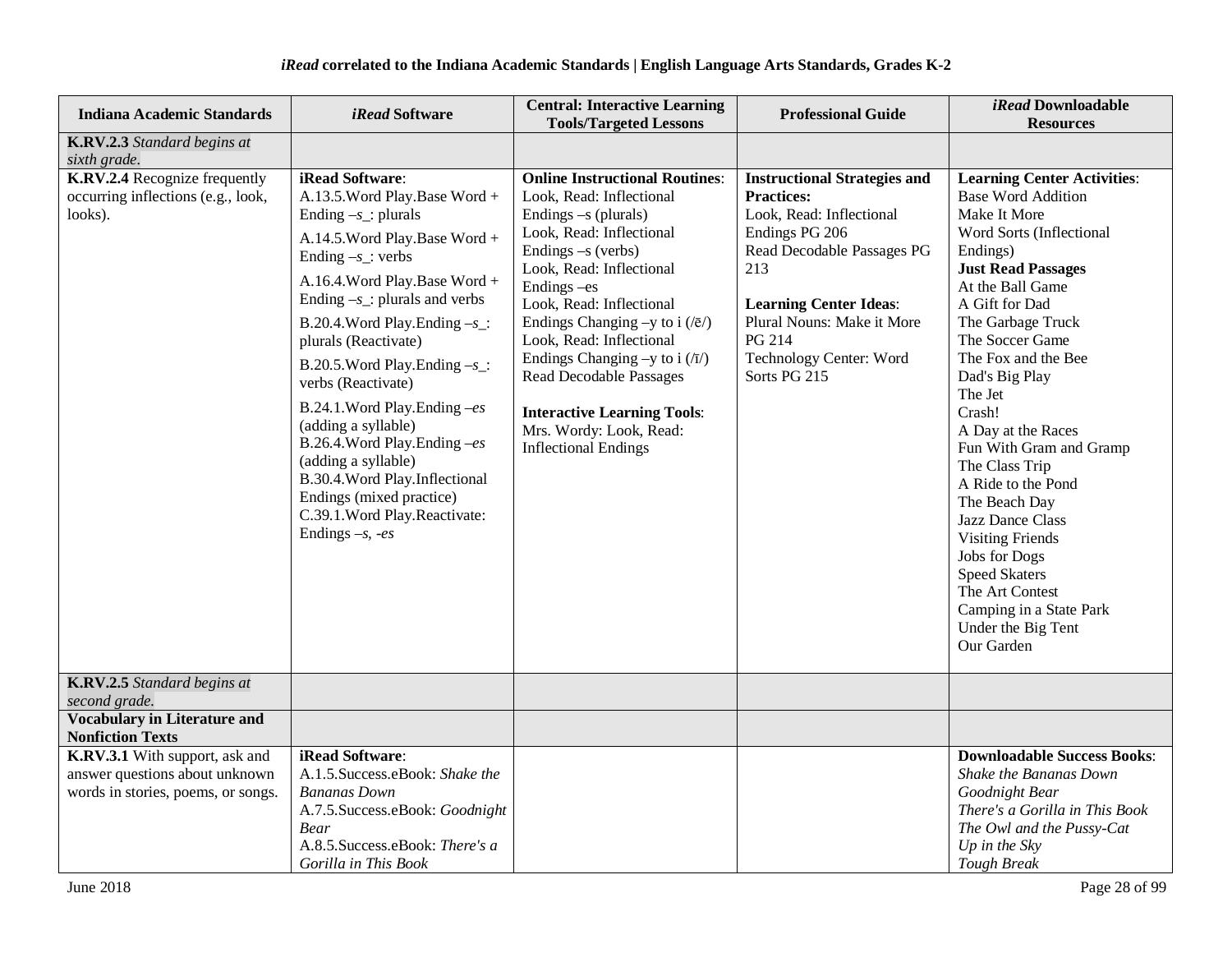| <b>Indiana Academic Standards</b>                                                                      | <i>iRead</i> Software                                                                                                                                                                                                                                                                                                                                                                                                                                                                                                                                                        | <b>Central: Interactive Learning</b><br><b>Tools/Targeted Lessons</b>                                                                                                                                                                                                                                                                                                                                                                                                      | <b>Professional Guide</b>                                                                                                                                                                                                                                       | iRead Downloadable<br><b>Resources</b>                                                                                                                                                                                                                                                                                                                                                                                                                                                                                                                                                      |
|--------------------------------------------------------------------------------------------------------|------------------------------------------------------------------------------------------------------------------------------------------------------------------------------------------------------------------------------------------------------------------------------------------------------------------------------------------------------------------------------------------------------------------------------------------------------------------------------------------------------------------------------------------------------------------------------|----------------------------------------------------------------------------------------------------------------------------------------------------------------------------------------------------------------------------------------------------------------------------------------------------------------------------------------------------------------------------------------------------------------------------------------------------------------------------|-----------------------------------------------------------------------------------------------------------------------------------------------------------------------------------------------------------------------------------------------------------------|---------------------------------------------------------------------------------------------------------------------------------------------------------------------------------------------------------------------------------------------------------------------------------------------------------------------------------------------------------------------------------------------------------------------------------------------------------------------------------------------------------------------------------------------------------------------------------------------|
| K.RV.2.3 Standard begins at<br>sixth grade.                                                            |                                                                                                                                                                                                                                                                                                                                                                                                                                                                                                                                                                              |                                                                                                                                                                                                                                                                                                                                                                                                                                                                            |                                                                                                                                                                                                                                                                 |                                                                                                                                                                                                                                                                                                                                                                                                                                                                                                                                                                                             |
| K.RV.2.4 Recognize frequently<br>occurring inflections (e.g., look,<br>looks).                         | iRead Software:<br>A.13.5. Word Play. Base Word +<br>Ending $-s$ : plurals<br>A.14.5. Word Play. Base Word +<br>Ending $-s$ : verbs<br>A.16.4. Word Play. Base Word +<br>Ending $-s$ _: plurals and verbs<br>B.20.4. Word Play. Ending $-s$ :<br>plurals (Reactivate)<br>B.20.5. Word Play. Ending $-s$ :<br>verbs (Reactivate)<br>B.24.1. Word Play. Ending $-es$<br>(adding a syllable)<br>B.26.4. Word Play. Ending $-es$<br>(adding a syllable)<br>B.30.4. Word Play. Inflectional<br>Endings (mixed practice)<br>C.39.1. Word Play. Reactivate:<br>Endings $-s$ , $-es$ | <b>Online Instructional Routines:</b><br>Look, Read: Inflectional<br>Endings $-s$ (plurals)<br>Look, Read: Inflectional<br>Endings -s (verbs)<br>Look, Read: Inflectional<br>Endings - es<br>Look, Read: Inflectional<br>Endings Changing -y to i $(\sqrt{e})$<br>Look, Read: Inflectional<br>Endings Changing -y to i $(\overline{17})$<br><b>Read Decodable Passages</b><br><b>Interactive Learning Tools:</b><br>Mrs. Wordy: Look, Read:<br><b>Inflectional Endings</b> | <b>Instructional Strategies and</b><br><b>Practices:</b><br>Look, Read: Inflectional<br>Endings PG 206<br>Read Decodable Passages PG<br>213<br><b>Learning Center Ideas:</b><br>Plural Nouns: Make it More<br>PG 214<br>Technology Center: Word<br>Sorts PG 215 | <b>Learning Center Activities:</b><br><b>Base Word Addition</b><br>Make It More<br>Word Sorts (Inflectional<br>Endings)<br><b>Just Read Passages</b><br>At the Ball Game<br>A Gift for Dad<br>The Garbage Truck<br>The Soccer Game<br>The Fox and the Bee<br>Dad's Big Play<br>The Jet<br>Crash!<br>A Day at the Races<br>Fun With Gram and Gramp<br>The Class Trip<br>A Ride to the Pond<br>The Beach Day<br>Jazz Dance Class<br><b>Visiting Friends</b><br><b>Jobs</b> for Dogs<br><b>Speed Skaters</b><br>The Art Contest<br>Camping in a State Park<br>Under the Big Tent<br>Our Garden |
| K.RV.2.5 Standard begins at<br>second grade.                                                           |                                                                                                                                                                                                                                                                                                                                                                                                                                                                                                                                                                              |                                                                                                                                                                                                                                                                                                                                                                                                                                                                            |                                                                                                                                                                                                                                                                 |                                                                                                                                                                                                                                                                                                                                                                                                                                                                                                                                                                                             |
| <b>Vocabulary in Literature and</b><br><b>Nonfiction Texts</b>                                         |                                                                                                                                                                                                                                                                                                                                                                                                                                                                                                                                                                              |                                                                                                                                                                                                                                                                                                                                                                                                                                                                            |                                                                                                                                                                                                                                                                 |                                                                                                                                                                                                                                                                                                                                                                                                                                                                                                                                                                                             |
| K.RV.3.1 With support, ask and<br>answer questions about unknown<br>words in stories, poems, or songs. | iRead Software:<br>A.1.5. Success.eBook: Shake the<br><b>Bananas Down</b><br>A.7.5. Success.eBook: Goodnight<br><b>Bear</b><br>A.8.5. Success.eBook: There's a<br>Gorilla in This Book                                                                                                                                                                                                                                                                                                                                                                                       |                                                                                                                                                                                                                                                                                                                                                                                                                                                                            |                                                                                                                                                                                                                                                                 | <b>Downloadable Success Books:</b><br>Shake the Bananas Down<br>Goodnight Bear<br>There's a Gorilla in This Book<br>The Owl and the Pussy-Cat<br>Up in the $Sky$<br><b>Tough Break</b>                                                                                                                                                                                                                                                                                                                                                                                                      |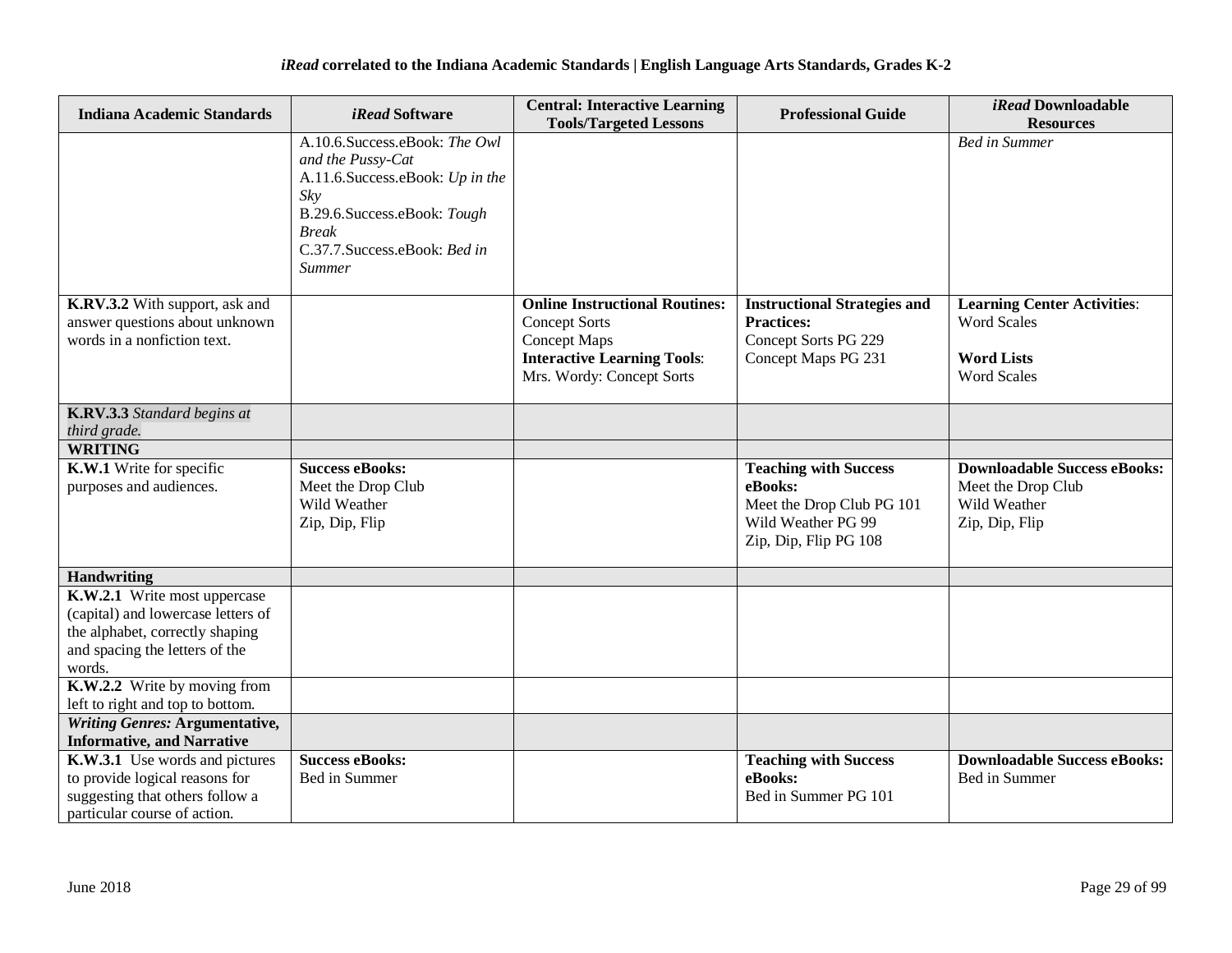| <b>Indiana Academic Standards</b>                                                                                                                 | <i>iRead</i> Software                                                                                                                                                                        | <b>Central: Interactive Learning</b><br><b>Tools/Targeted Lessons</b>                                                                                   | <b>Professional Guide</b>                                                                                           | iRead Downloadable<br><b>Resources</b>                                                              |
|---------------------------------------------------------------------------------------------------------------------------------------------------|----------------------------------------------------------------------------------------------------------------------------------------------------------------------------------------------|---------------------------------------------------------------------------------------------------------------------------------------------------------|---------------------------------------------------------------------------------------------------------------------|-----------------------------------------------------------------------------------------------------|
|                                                                                                                                                   | A.10.6.Success.eBook: The Owl<br>and the Pussy-Cat<br>A.11.6.Success.eBook: Up in the<br>Sky<br>B.29.6.Success.eBook: Tough<br><b>Break</b><br>C.37.7.Success.eBook: Bed in<br><b>Summer</b> |                                                                                                                                                         |                                                                                                                     | <b>Bed in Summer</b>                                                                                |
| K.RV.3.2 With support, ask and<br>answer questions about unknown<br>words in a nonfiction text.                                                   |                                                                                                                                                                                              | <b>Online Instructional Routines:</b><br><b>Concept Sorts</b><br><b>Concept Maps</b><br><b>Interactive Learning Tools:</b><br>Mrs. Wordy: Concept Sorts | <b>Instructional Strategies and</b><br><b>Practices:</b><br>Concept Sorts PG 229<br>Concept Maps PG 231             | <b>Learning Center Activities:</b><br><b>Word Scales</b><br><b>Word Lists</b><br><b>Word Scales</b> |
| K.RV.3.3 Standard begins at<br>third grade.                                                                                                       |                                                                                                                                                                                              |                                                                                                                                                         |                                                                                                                     |                                                                                                     |
| <b>WRITING</b>                                                                                                                                    |                                                                                                                                                                                              |                                                                                                                                                         |                                                                                                                     |                                                                                                     |
| K.W.1 Write for specific<br>purposes and audiences.                                                                                               | Success eBooks:<br>Meet the Drop Club<br>Wild Weather<br>Zip, Dip, Flip                                                                                                                      |                                                                                                                                                         | <b>Teaching with Success</b><br>eBooks:<br>Meet the Drop Club PG 101<br>Wild Weather PG 99<br>Zip, Dip, Flip PG 108 | <b>Downloadable Success eBooks:</b><br>Meet the Drop Club<br>Wild Weather<br>Zip, Dip, Flip         |
| Handwriting                                                                                                                                       |                                                                                                                                                                                              |                                                                                                                                                         |                                                                                                                     |                                                                                                     |
| K.W.2.1 Write most uppercase<br>(capital) and lowercase letters of<br>the alphabet, correctly shaping<br>and spacing the letters of the<br>words. |                                                                                                                                                                                              |                                                                                                                                                         |                                                                                                                     |                                                                                                     |
| K.W.2.2 Write by moving from<br>left to right and top to bottom.                                                                                  |                                                                                                                                                                                              |                                                                                                                                                         |                                                                                                                     |                                                                                                     |
| <b>Writing Genres: Argumentative,</b>                                                                                                             |                                                                                                                                                                                              |                                                                                                                                                         |                                                                                                                     |                                                                                                     |
| <b>Informative, and Narrative</b>                                                                                                                 |                                                                                                                                                                                              |                                                                                                                                                         |                                                                                                                     |                                                                                                     |
| K.W.3.1 Use words and pictures                                                                                                                    | <b>Success eBooks:</b>                                                                                                                                                                       |                                                                                                                                                         | <b>Teaching with Success</b>                                                                                        | <b>Downloadable Success eBooks:</b>                                                                 |
| to provide logical reasons for                                                                                                                    | Bed in Summer                                                                                                                                                                                |                                                                                                                                                         | eBooks:                                                                                                             | Bed in Summer                                                                                       |
| suggesting that others follow a                                                                                                                   |                                                                                                                                                                                              |                                                                                                                                                         | Bed in Summer PG 101                                                                                                |                                                                                                     |
| particular course of action.                                                                                                                      |                                                                                                                                                                                              |                                                                                                                                                         |                                                                                                                     |                                                                                                     |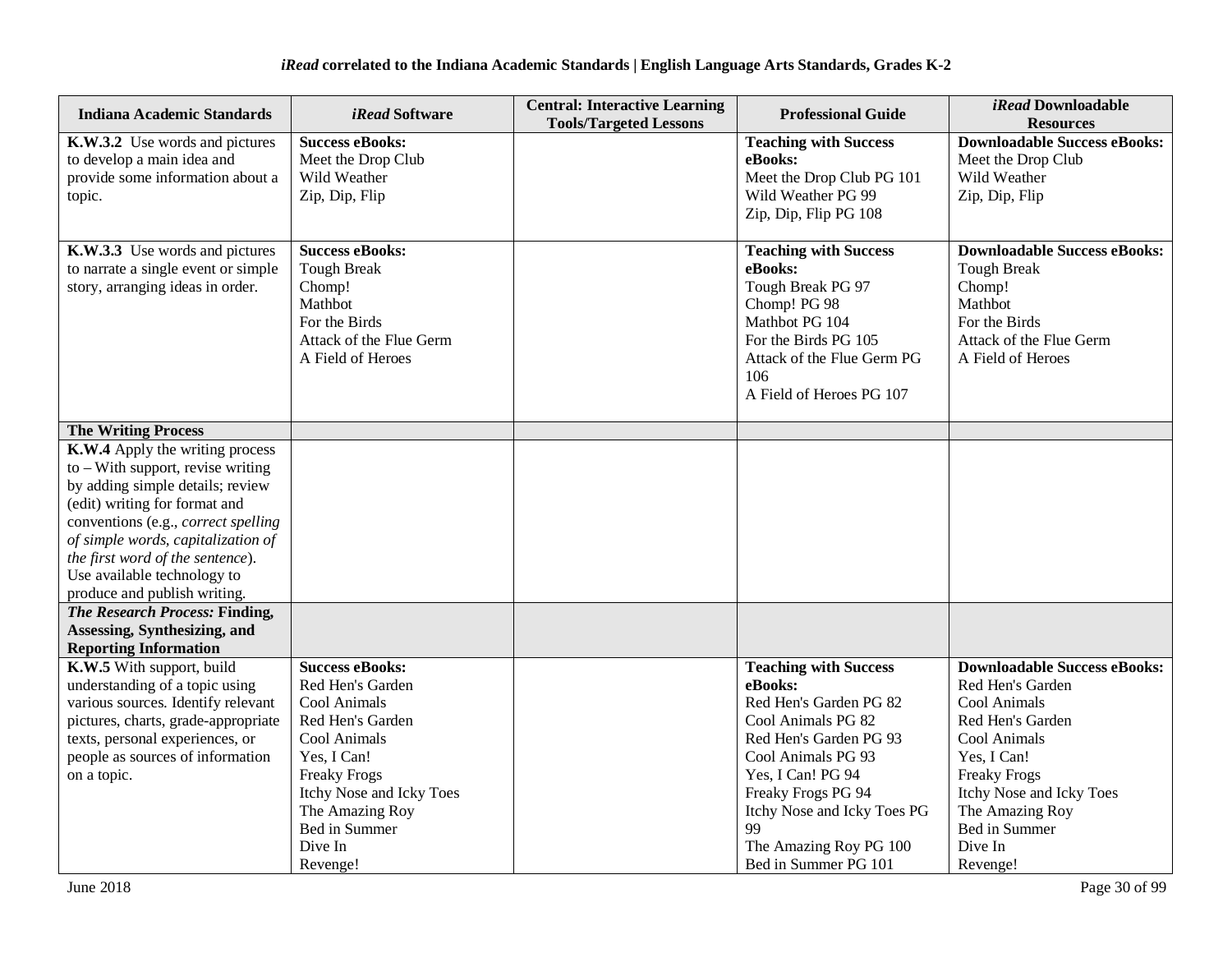| <b>Indiana Academic Standards</b>                                                                                                                                                                                                                                                                                           | iRead Software                                                                                                                                                                                                              | <b>Central: Interactive Learning</b><br><b>Tools/Targeted Lessons</b> | <b>Professional Guide</b>                                                                                                                                                                                                                                                 | iRead Downloadable<br><b>Resources</b>                                                                                                                                                                                                   |
|-----------------------------------------------------------------------------------------------------------------------------------------------------------------------------------------------------------------------------------------------------------------------------------------------------------------------------|-----------------------------------------------------------------------------------------------------------------------------------------------------------------------------------------------------------------------------|-----------------------------------------------------------------------|---------------------------------------------------------------------------------------------------------------------------------------------------------------------------------------------------------------------------------------------------------------------------|------------------------------------------------------------------------------------------------------------------------------------------------------------------------------------------------------------------------------------------|
| K.W.3.2 Use words and pictures<br>to develop a main idea and<br>provide some information about a<br>topic.                                                                                                                                                                                                                  | <b>Success eBooks:</b><br>Meet the Drop Club<br>Wild Weather<br>Zip, Dip, Flip                                                                                                                                              |                                                                       | <b>Teaching with Success</b><br>eBooks:<br>Meet the Drop Club PG 101<br>Wild Weather PG 99<br>Zip, Dip, Flip PG 108                                                                                                                                                       | <b>Downloadable Success eBooks:</b><br>Meet the Drop Club<br>Wild Weather<br>Zip, Dip, Flip                                                                                                                                              |
| K.W.3.3 Use words and pictures<br>to narrate a single event or simple<br>story, arranging ideas in order.                                                                                                                                                                                                                   | <b>Success eBooks:</b><br><b>Tough Break</b><br>Chomp!<br>Mathbot<br>For the Birds<br>Attack of the Flue Germ<br>A Field of Heroes                                                                                          |                                                                       | <b>Teaching with Success</b><br>eBooks:<br>Tough Break PG 97<br>Chomp! PG 98<br>Mathbot PG 104<br>For the Birds PG 105<br>Attack of the Flue Germ PG<br>106<br>A Field of Heroes PG 107                                                                                   | <b>Downloadable Success eBooks:</b><br><b>Tough Break</b><br>Chomp!<br>Mathbot<br>For the Birds<br>Attack of the Flue Germ<br>A Field of Heroes                                                                                          |
| <b>The Writing Process</b>                                                                                                                                                                                                                                                                                                  |                                                                                                                                                                                                                             |                                                                       |                                                                                                                                                                                                                                                                           |                                                                                                                                                                                                                                          |
| K.W.4 Apply the writing process<br>$to$ – With support, revise writing<br>by adding simple details; review<br>(edit) writing for format and<br>conventions (e.g., correct spelling<br>of simple words, capitalization of<br>the first word of the sentence).<br>Use available technology to<br>produce and publish writing. |                                                                                                                                                                                                                             |                                                                       |                                                                                                                                                                                                                                                                           |                                                                                                                                                                                                                                          |
| <b>The Research Process: Finding,</b>                                                                                                                                                                                                                                                                                       |                                                                                                                                                                                                                             |                                                                       |                                                                                                                                                                                                                                                                           |                                                                                                                                                                                                                                          |
| Assessing, Synthesizing, and<br><b>Reporting Information</b>                                                                                                                                                                                                                                                                |                                                                                                                                                                                                                             |                                                                       |                                                                                                                                                                                                                                                                           |                                                                                                                                                                                                                                          |
| K.W.5 With support, build<br>understanding of a topic using<br>various sources. Identify relevant<br>pictures, charts, grade-appropriate<br>texts, personal experiences, or<br>people as sources of information<br>on a topic.                                                                                              | <b>Success eBooks:</b><br>Red Hen's Garden<br>Cool Animals<br>Red Hen's Garden<br>Cool Animals<br>Yes, I Can!<br><b>Freaky Frogs</b><br>Itchy Nose and Icky Toes<br>The Amazing Roy<br>Bed in Summer<br>Dive In<br>Revenge! |                                                                       | <b>Teaching with Success</b><br>eBooks:<br>Red Hen's Garden PG 82<br>Cool Animals PG 82<br>Red Hen's Garden PG 93<br>Cool Animals PG 93<br>Yes, I Can! PG 94<br>Freaky Frogs PG 94<br>Itchy Nose and Icky Toes PG<br>99<br>The Amazing Roy PG 100<br>Bed in Summer PG 101 | <b>Downloadable Success eBooks:</b><br>Red Hen's Garden<br>Cool Animals<br>Red Hen's Garden<br>Cool Animals<br>Yes, I Can!<br><b>Freaky Frogs</b><br>Itchy Nose and Icky Toes<br>The Amazing Roy<br>Bed in Summer<br>Dive In<br>Revenge! |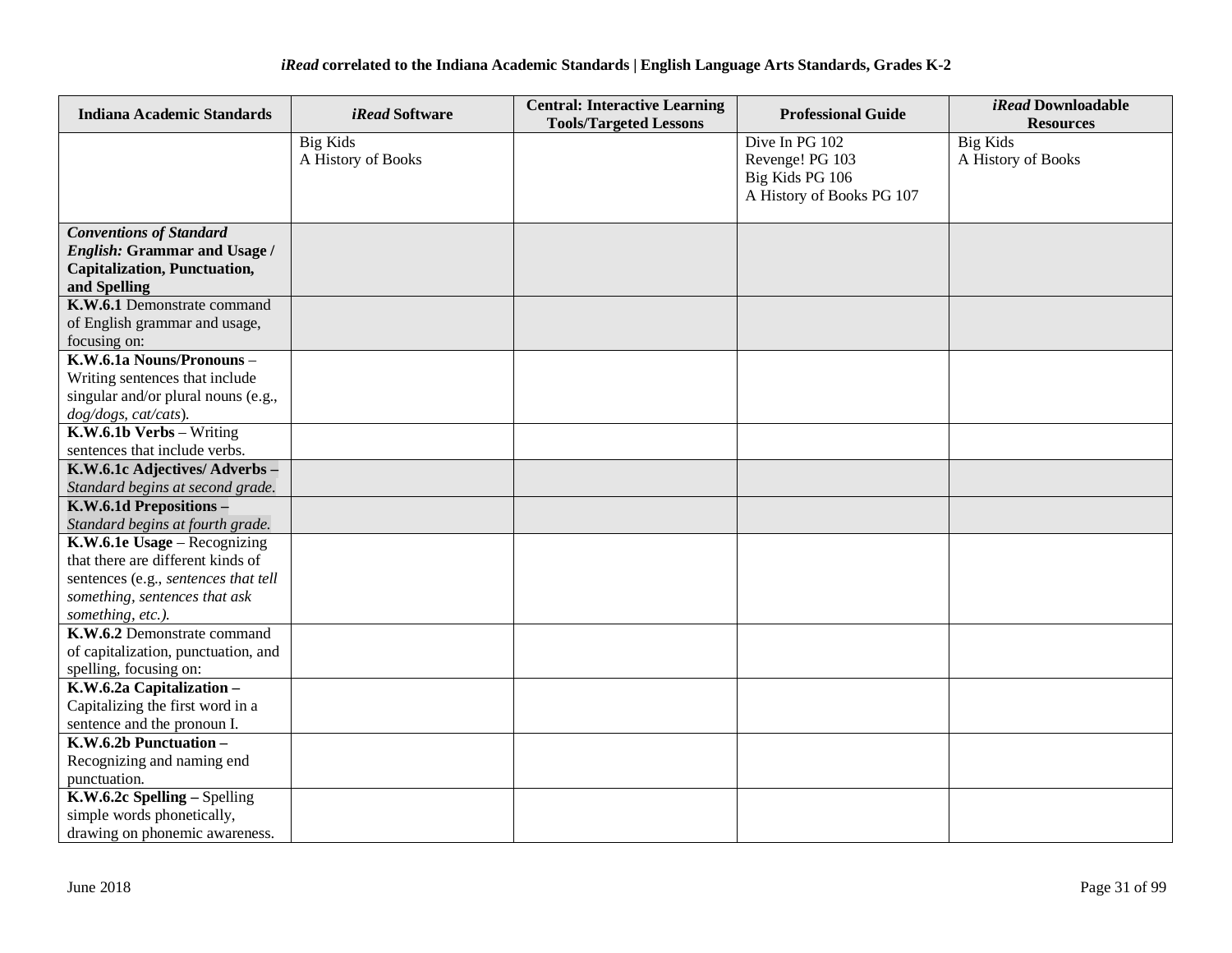| <b>Indiana Academic Standards</b>                                                                                                                               | <i>iRead</i> Software                 | <b>Central: Interactive Learning</b><br><b>Tools/Targeted Lessons</b> | <b>Professional Guide</b>                                                         | <i>iRead</i> Downloadable<br><b>Resources</b> |
|-----------------------------------------------------------------------------------------------------------------------------------------------------------------|---------------------------------------|-----------------------------------------------------------------------|-----------------------------------------------------------------------------------|-----------------------------------------------|
|                                                                                                                                                                 | <b>Big Kids</b><br>A History of Books |                                                                       | Dive In PG 102<br>Revenge! PG 103<br>Big Kids PG 106<br>A History of Books PG 107 | <b>Big Kids</b><br>A History of Books         |
| <b>Conventions of Standard</b><br><b>English: Grammar and Usage /</b><br><b>Capitalization, Punctuation,</b><br>and Spelling                                    |                                       |                                                                       |                                                                                   |                                               |
| K.W.6.1 Demonstrate command<br>of English grammar and usage,<br>focusing on:                                                                                    |                                       |                                                                       |                                                                                   |                                               |
| K.W.6.1a Nouns/Pronouns-<br>Writing sentences that include<br>singular and/or plural nouns (e.g.,<br>dog/dogs, cat/cats).                                       |                                       |                                                                       |                                                                                   |                                               |
| K.W.6.1b Verbs - Writing<br>sentences that include verbs.                                                                                                       |                                       |                                                                       |                                                                                   |                                               |
| K.W.6.1c Adjectives/Adverbs-<br>Standard begins at second grade.                                                                                                |                                       |                                                                       |                                                                                   |                                               |
| K.W.6.1d Prepositions -<br>Standard begins at fourth grade.                                                                                                     |                                       |                                                                       |                                                                                   |                                               |
| K.W.6.1e Usage - Recognizing<br>that there are different kinds of<br>sentences (e.g., sentences that tell<br>something, sentences that ask<br>something, etc.). |                                       |                                                                       |                                                                                   |                                               |
| K.W.6.2 Demonstrate command<br>of capitalization, punctuation, and<br>spelling, focusing on:                                                                    |                                       |                                                                       |                                                                                   |                                               |
| K.W.6.2a Capitalization -<br>Capitalizing the first word in a<br>sentence and the pronoun I.                                                                    |                                       |                                                                       |                                                                                   |                                               |
| K.W.6.2b Punctuation-<br>Recognizing and naming end<br>punctuation.                                                                                             |                                       |                                                                       |                                                                                   |                                               |
| K.W.6.2c Spelling - Spelling<br>simple words phonetically,<br>drawing on phonemic awareness.                                                                    |                                       |                                                                       |                                                                                   |                                               |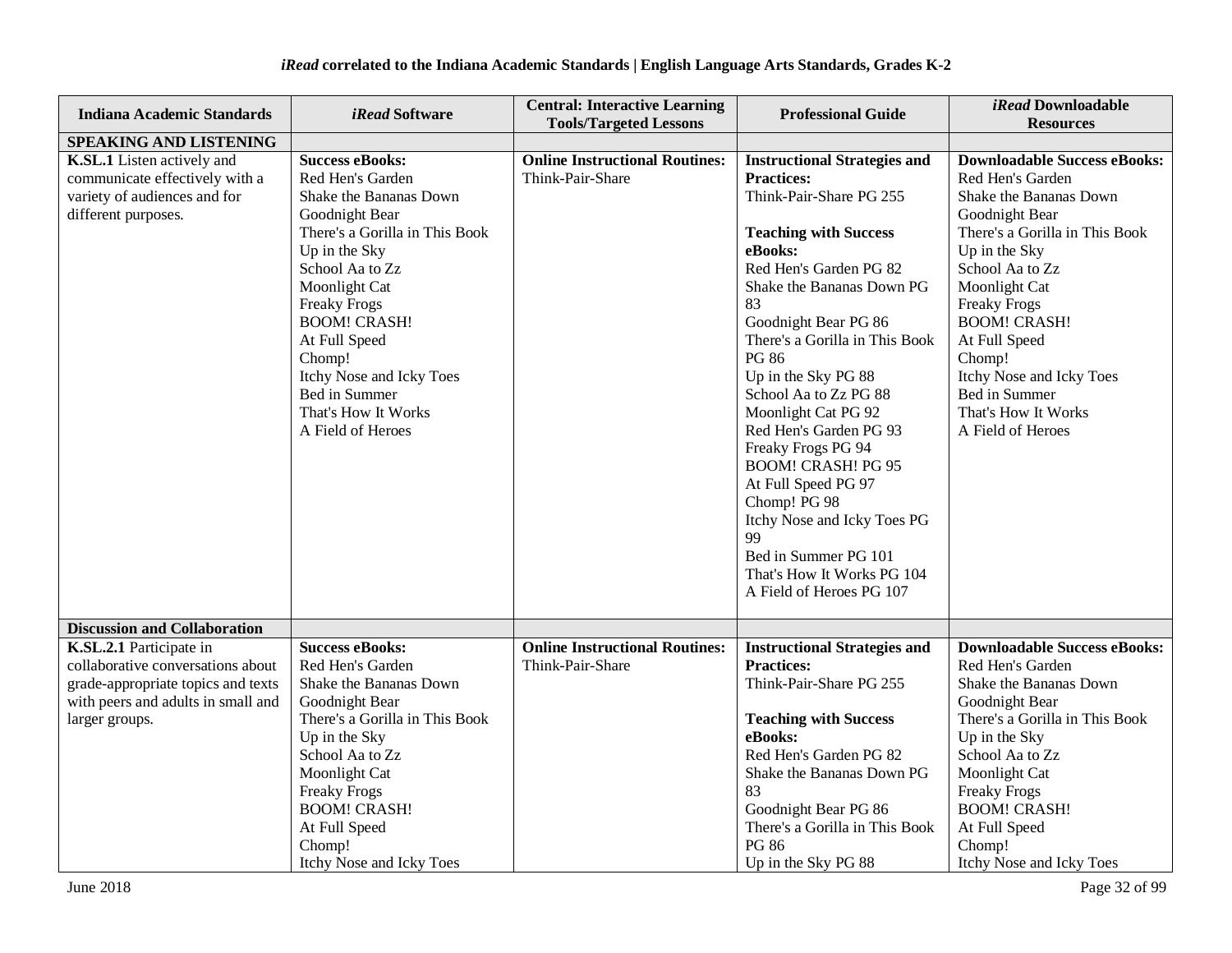| <b>Indiana Academic Standards</b>                                                                                                                          | <i>iRead</i> Software                                                                                                                                                                                                                                                                                                                           | <b>Central: Interactive Learning</b><br><b>Tools/Targeted Lessons</b> | <b>Professional Guide</b>                                                                                                                                                                                                                                                                                                                                                                                                                                                                                                                                                        | iRead Downloadable<br><b>Resources</b>                                                                                                                                                                                                                                                                                                                       |
|------------------------------------------------------------------------------------------------------------------------------------------------------------|-------------------------------------------------------------------------------------------------------------------------------------------------------------------------------------------------------------------------------------------------------------------------------------------------------------------------------------------------|-----------------------------------------------------------------------|----------------------------------------------------------------------------------------------------------------------------------------------------------------------------------------------------------------------------------------------------------------------------------------------------------------------------------------------------------------------------------------------------------------------------------------------------------------------------------------------------------------------------------------------------------------------------------|--------------------------------------------------------------------------------------------------------------------------------------------------------------------------------------------------------------------------------------------------------------------------------------------------------------------------------------------------------------|
| SPEAKING AND LISTENING                                                                                                                                     |                                                                                                                                                                                                                                                                                                                                                 |                                                                       |                                                                                                                                                                                                                                                                                                                                                                                                                                                                                                                                                                                  |                                                                                                                                                                                                                                                                                                                                                              |
| K.SL.1 Listen actively and<br>communicate effectively with a<br>variety of audiences and for<br>different purposes.                                        | <b>Success eBooks:</b><br>Red Hen's Garden<br>Shake the Bananas Down<br>Goodnight Bear<br>There's a Gorilla in This Book<br>Up in the Sky<br>School Aa to Zz<br>Moonlight Cat<br><b>Freaky Frogs</b><br><b>BOOM! CRASH!</b><br>At Full Speed<br>Chomp!<br>Itchy Nose and Icky Toes<br>Bed in Summer<br>That's How It Works<br>A Field of Heroes | <b>Online Instructional Routines:</b><br>Think-Pair-Share             | <b>Instructional Strategies and</b><br><b>Practices:</b><br>Think-Pair-Share PG 255<br><b>Teaching with Success</b><br>eBooks:<br>Red Hen's Garden PG 82<br>Shake the Bananas Down PG<br>83<br>Goodnight Bear PG 86<br>There's a Gorilla in This Book<br>PG 86<br>Up in the Sky PG 88<br>School Aa to Zz PG 88<br>Moonlight Cat PG 92<br>Red Hen's Garden PG 93<br>Freaky Frogs PG 94<br><b>BOOM! CRASH! PG 95</b><br>At Full Speed PG 97<br>Chomp! PG 98<br>Itchy Nose and Icky Toes PG<br>99<br>Bed in Summer PG 101<br>That's How It Works PG 104<br>A Field of Heroes PG 107 | <b>Downloadable Success eBooks:</b><br>Red Hen's Garden<br>Shake the Bananas Down<br>Goodnight Bear<br>There's a Gorilla in This Book<br>Up in the Sky<br>School Aa to Zz<br>Moonlight Cat<br><b>Freaky Frogs</b><br><b>BOOM! CRASH!</b><br>At Full Speed<br>Chomp!<br>Itchy Nose and Icky Toes<br>Bed in Summer<br>That's How It Works<br>A Field of Heroes |
| <b>Discussion and Collaboration</b>                                                                                                                        |                                                                                                                                                                                                                                                                                                                                                 |                                                                       |                                                                                                                                                                                                                                                                                                                                                                                                                                                                                                                                                                                  |                                                                                                                                                                                                                                                                                                                                                              |
| K.SL.2.1 Participate in<br>collaborative conversations about<br>grade-appropriate topics and texts<br>with peers and adults in small and<br>larger groups. | <b>Success eBooks:</b><br>Red Hen's Garden<br>Shake the Bananas Down<br>Goodnight Bear<br>There's a Gorilla in This Book<br>Up in the Sky<br>School Aa to Zz<br>Moonlight Cat<br><b>Freaky Frogs</b><br><b>BOOM! CRASH!</b><br>At Full Speed<br>Chomp!<br>Itchy Nose and Icky Toes                                                              | <b>Online Instructional Routines:</b><br>Think-Pair-Share             | <b>Instructional Strategies and</b><br><b>Practices:</b><br>Think-Pair-Share PG 255<br><b>Teaching with Success</b><br>eBooks:<br>Red Hen's Garden PG 82<br>Shake the Bananas Down PG<br>83<br>Goodnight Bear PG 86<br>There's a Gorilla in This Book<br><b>PG 86</b><br>Up in the Sky PG 88                                                                                                                                                                                                                                                                                     | <b>Downloadable Success eBooks:</b><br>Red Hen's Garden<br>Shake the Bananas Down<br>Goodnight Bear<br>There's a Gorilla in This Book<br>Up in the Sky<br>School Aa to Zz<br>Moonlight Cat<br><b>Freaky Frogs</b><br><b>BOOM! CRASH!</b><br>At Full Speed<br>Chomp!<br>Itchy Nose and Icky Toes                                                              |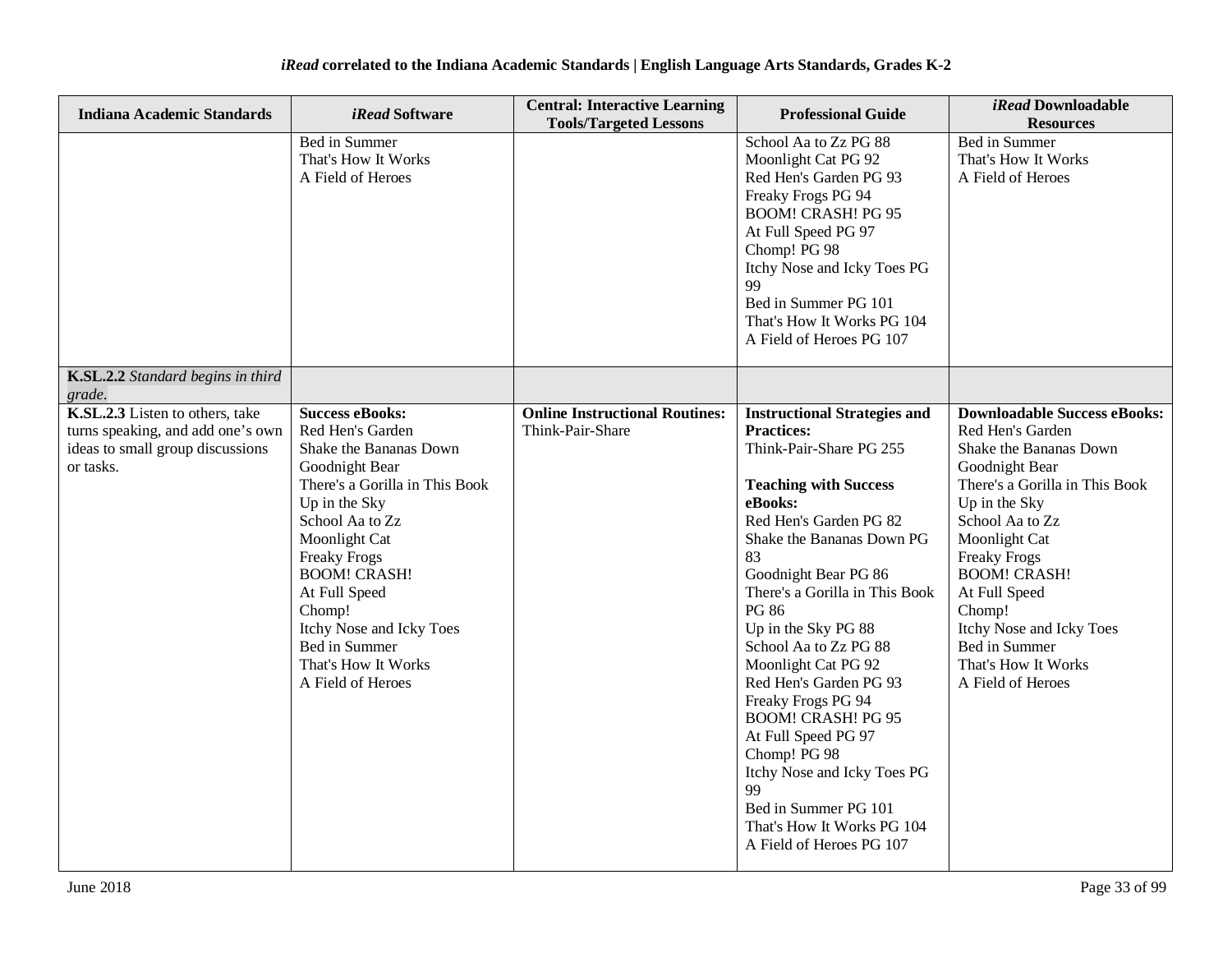| <b>Indiana Academic Standards</b>                                                                                     | iRead Software                                                                                                                                                                                                                                                                                                                                  | <b>Central: Interactive Learning</b><br><b>Tools/Targeted Lessons</b> | <b>Professional Guide</b>                                                                                                                                                                                                                                                                                                                                                                                                                                                                                                                                                               | iRead Downloadable<br><b>Resources</b>                                                                                                                                                                                                                                                                                                                       |
|-----------------------------------------------------------------------------------------------------------------------|-------------------------------------------------------------------------------------------------------------------------------------------------------------------------------------------------------------------------------------------------------------------------------------------------------------------------------------------------|-----------------------------------------------------------------------|-----------------------------------------------------------------------------------------------------------------------------------------------------------------------------------------------------------------------------------------------------------------------------------------------------------------------------------------------------------------------------------------------------------------------------------------------------------------------------------------------------------------------------------------------------------------------------------------|--------------------------------------------------------------------------------------------------------------------------------------------------------------------------------------------------------------------------------------------------------------------------------------------------------------------------------------------------------------|
|                                                                                                                       | Bed in Summer<br>That's How It Works<br>A Field of Heroes                                                                                                                                                                                                                                                                                       |                                                                       | School Aa to Zz PG 88<br>Moonlight Cat PG 92<br>Red Hen's Garden PG 93<br>Freaky Frogs PG 94<br><b>BOOM! CRASH! PG 95</b><br>At Full Speed PG 97<br>Chomp! PG 98<br>Itchy Nose and Icky Toes PG<br>99<br>Bed in Summer PG 101<br>That's How It Works PG 104<br>A Field of Heroes PG 107                                                                                                                                                                                                                                                                                                 | Bed in Summer<br>That's How It Works<br>A Field of Heroes                                                                                                                                                                                                                                                                                                    |
| K.SL.2.2 Standard begins in third<br>grade.                                                                           |                                                                                                                                                                                                                                                                                                                                                 |                                                                       |                                                                                                                                                                                                                                                                                                                                                                                                                                                                                                                                                                                         |                                                                                                                                                                                                                                                                                                                                                              |
| K.SL.2.3 Listen to others, take<br>turns speaking, and add one's own<br>ideas to small group discussions<br>or tasks. | <b>Success eBooks:</b><br>Red Hen's Garden<br>Shake the Bananas Down<br>Goodnight Bear<br>There's a Gorilla in This Book<br>Up in the Sky<br>School Aa to Zz<br>Moonlight Cat<br><b>Freaky Frogs</b><br><b>BOOM! CRASH!</b><br>At Full Speed<br>Chomp!<br>Itchy Nose and Icky Toes<br>Bed in Summer<br>That's How It Works<br>A Field of Heroes | <b>Online Instructional Routines:</b><br>Think-Pair-Share             | <b>Instructional Strategies and</b><br><b>Practices:</b><br>Think-Pair-Share PG 255<br><b>Teaching with Success</b><br>eBooks:<br>Red Hen's Garden PG 82<br>Shake the Bananas Down PG<br>83<br>Goodnight Bear PG 86<br>There's a Gorilla in This Book<br><b>PG 86</b><br>Up in the Sky PG 88<br>School Aa to Zz PG 88<br>Moonlight Cat PG 92<br>Red Hen's Garden PG 93<br>Freaky Frogs PG 94<br><b>BOOM! CRASH! PG 95</b><br>At Full Speed PG 97<br>Chomp! PG 98<br>Itchy Nose and Icky Toes PG<br>99<br>Bed in Summer PG 101<br>That's How It Works PG 104<br>A Field of Heroes PG 107 | <b>Downloadable Success eBooks:</b><br>Red Hen's Garden<br>Shake the Bananas Down<br>Goodnight Bear<br>There's a Gorilla in This Book<br>Up in the Sky<br>School Aa to Zz<br>Moonlight Cat<br><b>Freaky Frogs</b><br><b>BOOM! CRASH!</b><br>At Full Speed<br>Chomp!<br>Itchy Nose and Icky Toes<br>Bed in Summer<br>That's How It Works<br>A Field of Heroes |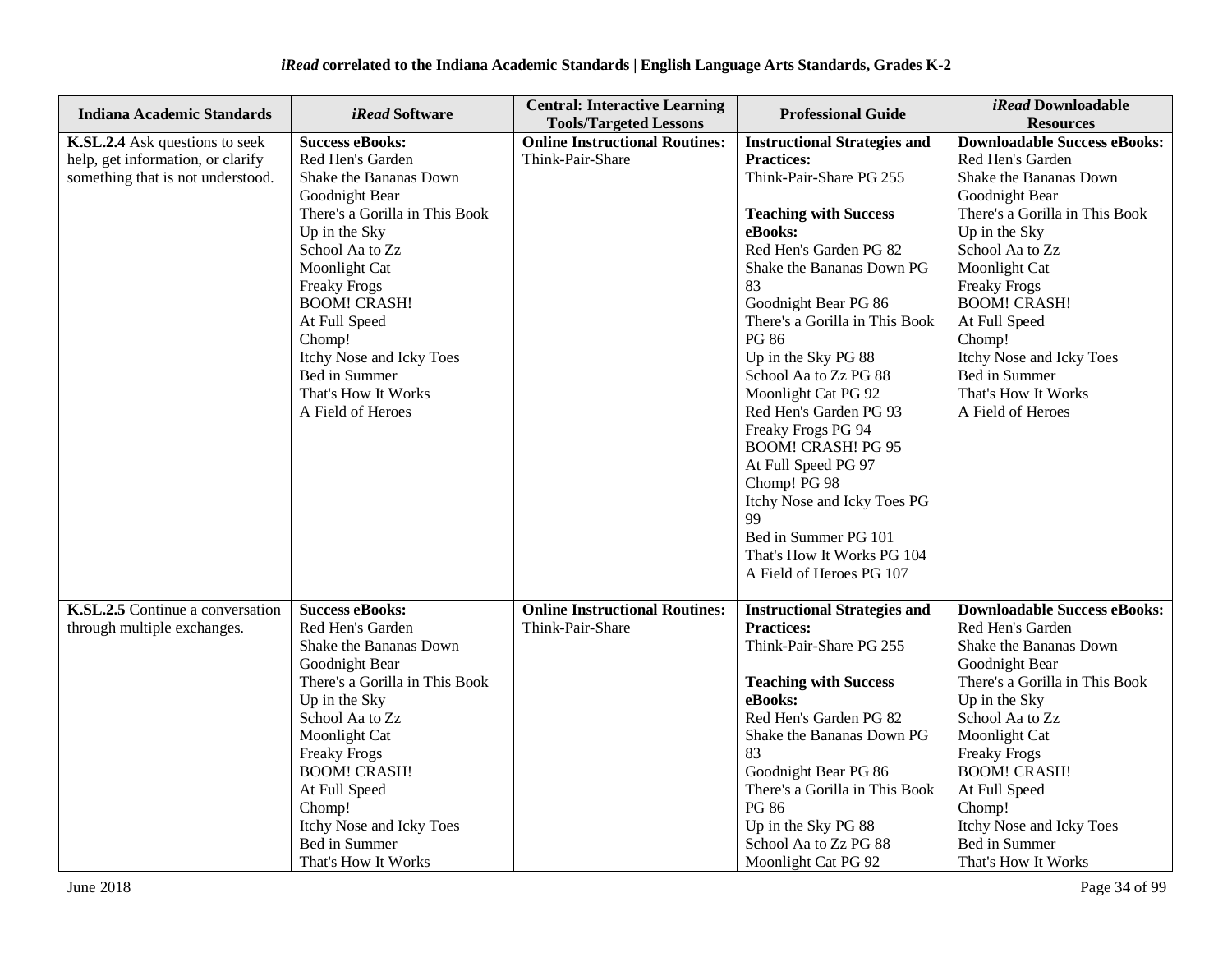| <b>Indiana Academic Standards</b>                                                                        | <i>iRead</i> Software                                                                                                                                                                                                                                                                                                                           | <b>Central: Interactive Learning</b>                                                       | <b>Professional Guide</b>                                                                                                                                                                                                                                                                                                                                                                                                                                                                                              | iRead Downloadable                                                                                                                                                                                                                                                                                                                                                               |
|----------------------------------------------------------------------------------------------------------|-------------------------------------------------------------------------------------------------------------------------------------------------------------------------------------------------------------------------------------------------------------------------------------------------------------------------------------------------|--------------------------------------------------------------------------------------------|------------------------------------------------------------------------------------------------------------------------------------------------------------------------------------------------------------------------------------------------------------------------------------------------------------------------------------------------------------------------------------------------------------------------------------------------------------------------------------------------------------------------|----------------------------------------------------------------------------------------------------------------------------------------------------------------------------------------------------------------------------------------------------------------------------------------------------------------------------------------------------------------------------------|
| K.SL.2.4 Ask questions to seek<br>help, get information, or clarify<br>something that is not understood. | <b>Success eBooks:</b><br>Red Hen's Garden<br>Shake the Bananas Down<br>Goodnight Bear<br>There's a Gorilla in This Book<br>Up in the Sky<br>School Aa to Zz<br>Moonlight Cat<br><b>Freaky Frogs</b><br><b>BOOM! CRASH!</b><br>At Full Speed<br>Chomp!<br>Itchy Nose and Icky Toes<br>Bed in Summer<br>That's How It Works<br>A Field of Heroes | <b>Tools/Targeted Lessons</b><br><b>Online Instructional Routines:</b><br>Think-Pair-Share | <b>Instructional Strategies and</b><br><b>Practices:</b><br>Think-Pair-Share PG 255<br><b>Teaching with Success</b><br>eBooks:<br>Red Hen's Garden PG 82<br>Shake the Bananas Down PG<br>83<br>Goodnight Bear PG 86<br>There's a Gorilla in This Book<br>PG 86<br>Up in the Sky PG 88<br>School Aa to Zz PG 88<br>Moonlight Cat PG 92<br>Red Hen's Garden PG 93<br>Freaky Frogs PG 94<br><b>BOOM! CRASH! PG 95</b><br>At Full Speed PG 97<br>Chomp! PG 98<br>Itchy Nose and Icky Toes PG<br>99<br>Bed in Summer PG 101 | <b>Resources</b><br><b>Downloadable Success eBooks:</b><br>Red Hen's Garden<br>Shake the Bananas Down<br>Goodnight Bear<br>There's a Gorilla in This Book<br>Up in the Sky<br>School Aa to Zz<br>Moonlight Cat<br><b>Freaky Frogs</b><br><b>BOOM! CRASH!</b><br>At Full Speed<br>Chomp!<br>Itchy Nose and Icky Toes<br>Bed in Summer<br>That's How It Works<br>A Field of Heroes |
| K.SL.2.5 Continue a conversation<br>through multiple exchanges.                                          | <b>Success eBooks:</b><br>Red Hen's Garden<br>Shake the Bananas Down<br>Goodnight Bear                                                                                                                                                                                                                                                          | <b>Online Instructional Routines:</b><br>Think-Pair-Share                                  | That's How It Works PG 104<br>A Field of Heroes PG 107<br><b>Instructional Strategies and</b><br><b>Practices:</b><br>Think-Pair-Share PG 255                                                                                                                                                                                                                                                                                                                                                                          | <b>Downloadable Success eBooks:</b><br>Red Hen's Garden<br>Shake the Bananas Down<br>Goodnight Bear                                                                                                                                                                                                                                                                              |
|                                                                                                          | There's a Gorilla in This Book<br>Up in the Sky<br>School Aa to Zz<br>Moonlight Cat<br><b>Freaky Frogs</b><br><b>BOOM! CRASH!</b><br>At Full Speed<br>Chomp!<br>Itchy Nose and Icky Toes<br>Bed in Summer<br>That's How It Works                                                                                                                |                                                                                            | <b>Teaching with Success</b><br>eBooks:<br>Red Hen's Garden PG 82<br>Shake the Bananas Down PG<br>83<br>Goodnight Bear PG 86<br>There's a Gorilla in This Book<br><b>PG 86</b><br>Up in the Sky PG 88<br>School Aa to Zz PG 88<br>Moonlight Cat PG 92                                                                                                                                                                                                                                                                  | There's a Gorilla in This Book<br>Up in the Sky<br>School Aa to Zz<br>Moonlight Cat<br><b>Freaky Frogs</b><br><b>BOOM! CRASH!</b><br>At Full Speed<br>Chomp!<br>Itchy Nose and Icky Toes<br>Bed in Summer<br>That's How It Works                                                                                                                                                 |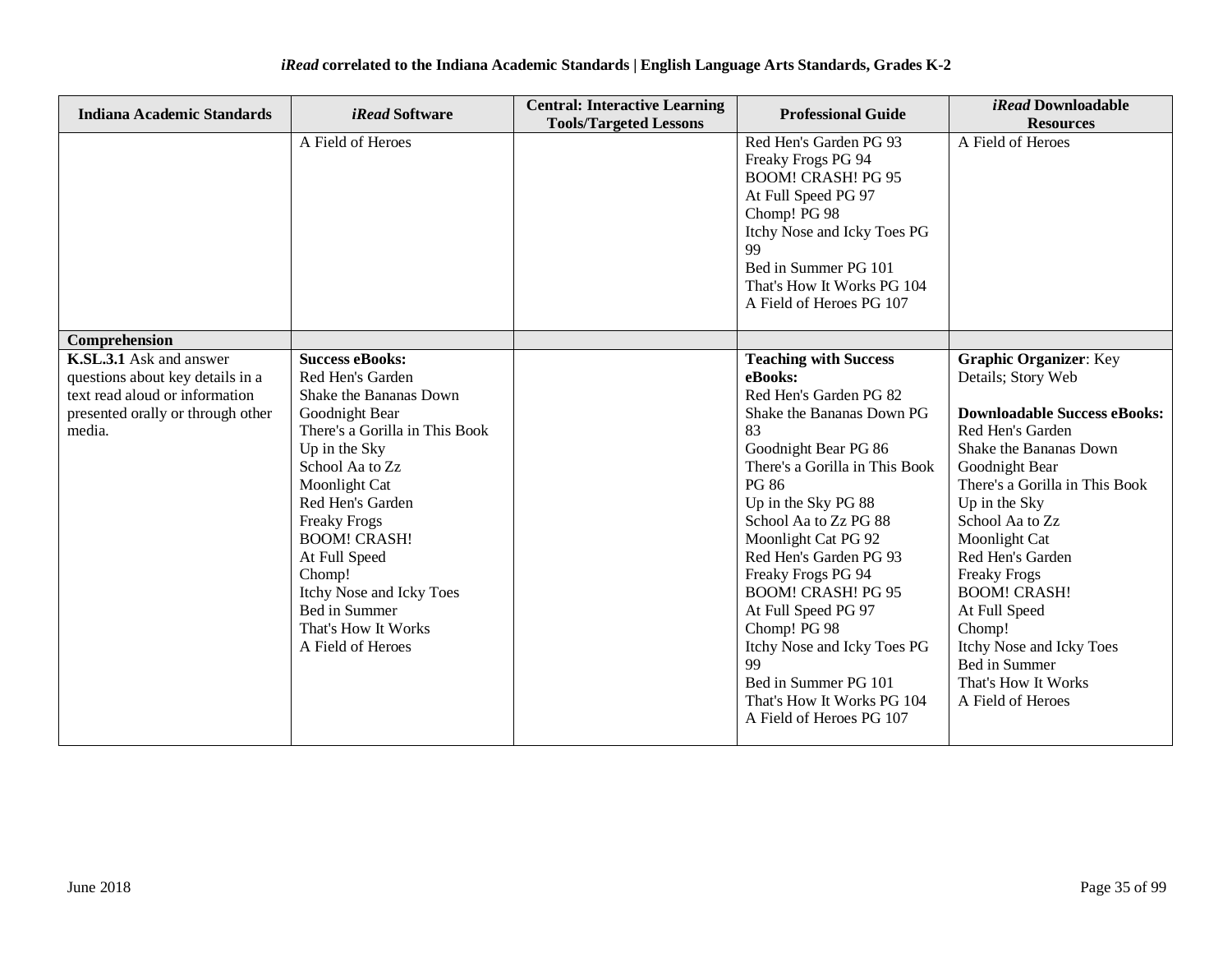| <b>Indiana Academic Standards</b>                                                                                                            | <i>iRead</i> Software                                                                                                                                                                                                                                                                                                                                               | <b>Central: Interactive Learning</b><br><b>Tools/Targeted Lessons</b> | <b>Professional Guide</b>                                                                                                                                                                                                                                                                                                                                                                                                                                                                 | <i>iRead</i> Downloadable<br><b>Resources</b>                                                                                                                                                                                                                                                                                                                                                                                           |
|----------------------------------------------------------------------------------------------------------------------------------------------|---------------------------------------------------------------------------------------------------------------------------------------------------------------------------------------------------------------------------------------------------------------------------------------------------------------------------------------------------------------------|-----------------------------------------------------------------------|-------------------------------------------------------------------------------------------------------------------------------------------------------------------------------------------------------------------------------------------------------------------------------------------------------------------------------------------------------------------------------------------------------------------------------------------------------------------------------------------|-----------------------------------------------------------------------------------------------------------------------------------------------------------------------------------------------------------------------------------------------------------------------------------------------------------------------------------------------------------------------------------------------------------------------------------------|
|                                                                                                                                              | A Field of Heroes                                                                                                                                                                                                                                                                                                                                                   |                                                                       | Red Hen's Garden PG 93<br>Freaky Frogs PG 94<br><b>BOOM! CRASH! PG 95</b><br>At Full Speed PG 97<br>Chomp! PG 98<br>Itchy Nose and Icky Toes PG<br>99<br>Bed in Summer PG 101<br>That's How It Works PG 104<br>A Field of Heroes PG 107                                                                                                                                                                                                                                                   | A Field of Heroes                                                                                                                                                                                                                                                                                                                                                                                                                       |
| Comprehension                                                                                                                                |                                                                                                                                                                                                                                                                                                                                                                     |                                                                       |                                                                                                                                                                                                                                                                                                                                                                                                                                                                                           |                                                                                                                                                                                                                                                                                                                                                                                                                                         |
| K.SL.3.1 Ask and answer<br>questions about key details in a<br>text read aloud or information<br>presented orally or through other<br>media. | <b>Success eBooks:</b><br>Red Hen's Garden<br>Shake the Bananas Down<br>Goodnight Bear<br>There's a Gorilla in This Book<br>Up in the Sky<br>School Aa to Zz<br>Moonlight Cat<br>Red Hen's Garden<br><b>Freaky Frogs</b><br><b>BOOM! CRASH!</b><br>At Full Speed<br>Chomp!<br>Itchy Nose and Icky Toes<br>Bed in Summer<br>That's How It Works<br>A Field of Heroes |                                                                       | <b>Teaching with Success</b><br>eBooks:<br>Red Hen's Garden PG 82<br>Shake the Bananas Down PG<br>83<br>Goodnight Bear PG 86<br>There's a Gorilla in This Book<br>PG 86<br>Up in the Sky PG 88<br>School Aa to Zz PG 88<br>Moonlight Cat PG 92<br>Red Hen's Garden PG 93<br>Freaky Frogs PG 94<br><b>BOOM! CRASH! PG 95</b><br>At Full Speed PG 97<br>Chomp! PG 98<br>Itchy Nose and Icky Toes PG<br>99<br>Bed in Summer PG 101<br>That's How It Works PG 104<br>A Field of Heroes PG 107 | <b>Graphic Organizer: Key</b><br>Details; Story Web<br><b>Downloadable Success eBooks:</b><br>Red Hen's Garden<br>Shake the Bananas Down<br>Goodnight Bear<br>There's a Gorilla in This Book<br>Up in the Sky<br>School Aa to Zz<br>Moonlight Cat<br>Red Hen's Garden<br><b>Freaky Frogs</b><br><b>BOOM! CRASH!</b><br>At Full Speed<br>Chomp!<br>Itchy Nose and Icky Toes<br>Bed in Summer<br>That's How It Works<br>A Field of Heroes |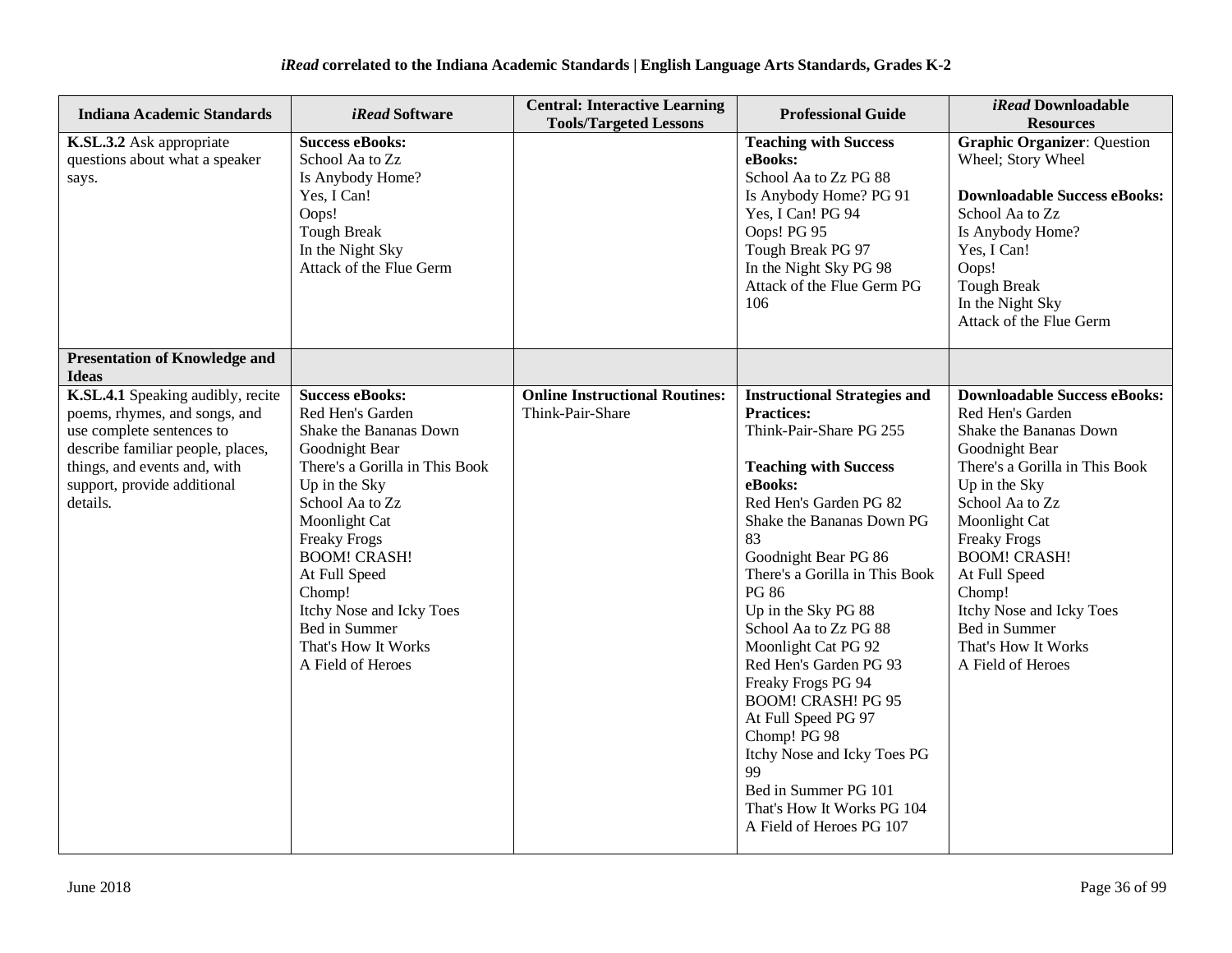| <b>Indiana Academic Standards</b>                                                                                                                                                                               | <i>iRead</i> Software                                                                                                                                                                                                                                                                                                                           | <b>Central: Interactive Learning</b><br><b>Tools/Targeted Lessons</b> | <b>Professional Guide</b>                                                                                                                                                                                                                                                                                                                                                                                                                                                                                                                                                               | iRead Downloadable<br><b>Resources</b>                                                                                                                                                                                                                                                                                                                       |
|-----------------------------------------------------------------------------------------------------------------------------------------------------------------------------------------------------------------|-------------------------------------------------------------------------------------------------------------------------------------------------------------------------------------------------------------------------------------------------------------------------------------------------------------------------------------------------|-----------------------------------------------------------------------|-----------------------------------------------------------------------------------------------------------------------------------------------------------------------------------------------------------------------------------------------------------------------------------------------------------------------------------------------------------------------------------------------------------------------------------------------------------------------------------------------------------------------------------------------------------------------------------------|--------------------------------------------------------------------------------------------------------------------------------------------------------------------------------------------------------------------------------------------------------------------------------------------------------------------------------------------------------------|
| K.SL.3.2 Ask appropriate<br>questions about what a speaker<br>says.                                                                                                                                             | <b>Success eBooks:</b><br>School Aa to Zz<br>Is Anybody Home?<br>Yes, I Can!<br>Oops!<br><b>Tough Break</b><br>In the Night Sky<br>Attack of the Flue Germ                                                                                                                                                                                      |                                                                       | <b>Teaching with Success</b><br>eBooks:<br>School Aa to Zz PG 88<br>Is Anybody Home? PG 91<br>Yes, I Can! PG 94<br>Oops! PG 95<br>Tough Break PG 97<br>In the Night Sky PG 98<br>Attack of the Flue Germ PG<br>106                                                                                                                                                                                                                                                                                                                                                                      | <b>Graphic Organizer: Question</b><br>Wheel; Story Wheel<br><b>Downloadable Success eBooks:</b><br>School Aa to Zz<br>Is Anybody Home?<br>Yes, I Can!<br>Oops!<br><b>Tough Break</b><br>In the Night Sky<br>Attack of the Flue Germ                                                                                                                          |
| <b>Presentation of Knowledge and</b><br><b>Ideas</b>                                                                                                                                                            |                                                                                                                                                                                                                                                                                                                                                 |                                                                       |                                                                                                                                                                                                                                                                                                                                                                                                                                                                                                                                                                                         |                                                                                                                                                                                                                                                                                                                                                              |
| K.SL.4.1 Speaking audibly, recite<br>poems, rhymes, and songs, and<br>use complete sentences to<br>describe familiar people, places,<br>things, and events and, with<br>support, provide additional<br>details. | <b>Success eBooks:</b><br>Red Hen's Garden<br>Shake the Bananas Down<br>Goodnight Bear<br>There's a Gorilla in This Book<br>Up in the Sky<br>School Aa to Zz<br>Moonlight Cat<br><b>Freaky Frogs</b><br><b>BOOM! CRASH!</b><br>At Full Speed<br>Chomp!<br>Itchy Nose and Icky Toes<br>Bed in Summer<br>That's How It Works<br>A Field of Heroes | <b>Online Instructional Routines:</b><br>Think-Pair-Share             | <b>Instructional Strategies and</b><br><b>Practices:</b><br>Think-Pair-Share PG 255<br><b>Teaching with Success</b><br>eBooks:<br>Red Hen's Garden PG 82<br>Shake the Bananas Down PG<br>83<br>Goodnight Bear PG 86<br>There's a Gorilla in This Book<br><b>PG 86</b><br>Up in the Sky PG 88<br>School Aa to Zz PG 88<br>Moonlight Cat PG 92<br>Red Hen's Garden PG 93<br>Freaky Frogs PG 94<br><b>BOOM! CRASH! PG 95</b><br>At Full Speed PG 97<br>Chomp! PG 98<br>Itchy Nose and Icky Toes PG<br>99<br>Bed in Summer PG 101<br>That's How It Works PG 104<br>A Field of Heroes PG 107 | <b>Downloadable Success eBooks:</b><br>Red Hen's Garden<br>Shake the Bananas Down<br>Goodnight Bear<br>There's a Gorilla in This Book<br>Up in the Sky<br>School Aa to Zz<br>Moonlight Cat<br><b>Freaky Frogs</b><br><b>BOOM! CRASH!</b><br>At Full Speed<br>Chomp!<br>Itchy Nose and Icky Toes<br>Bed in Summer<br>That's How It Works<br>A Field of Heroes |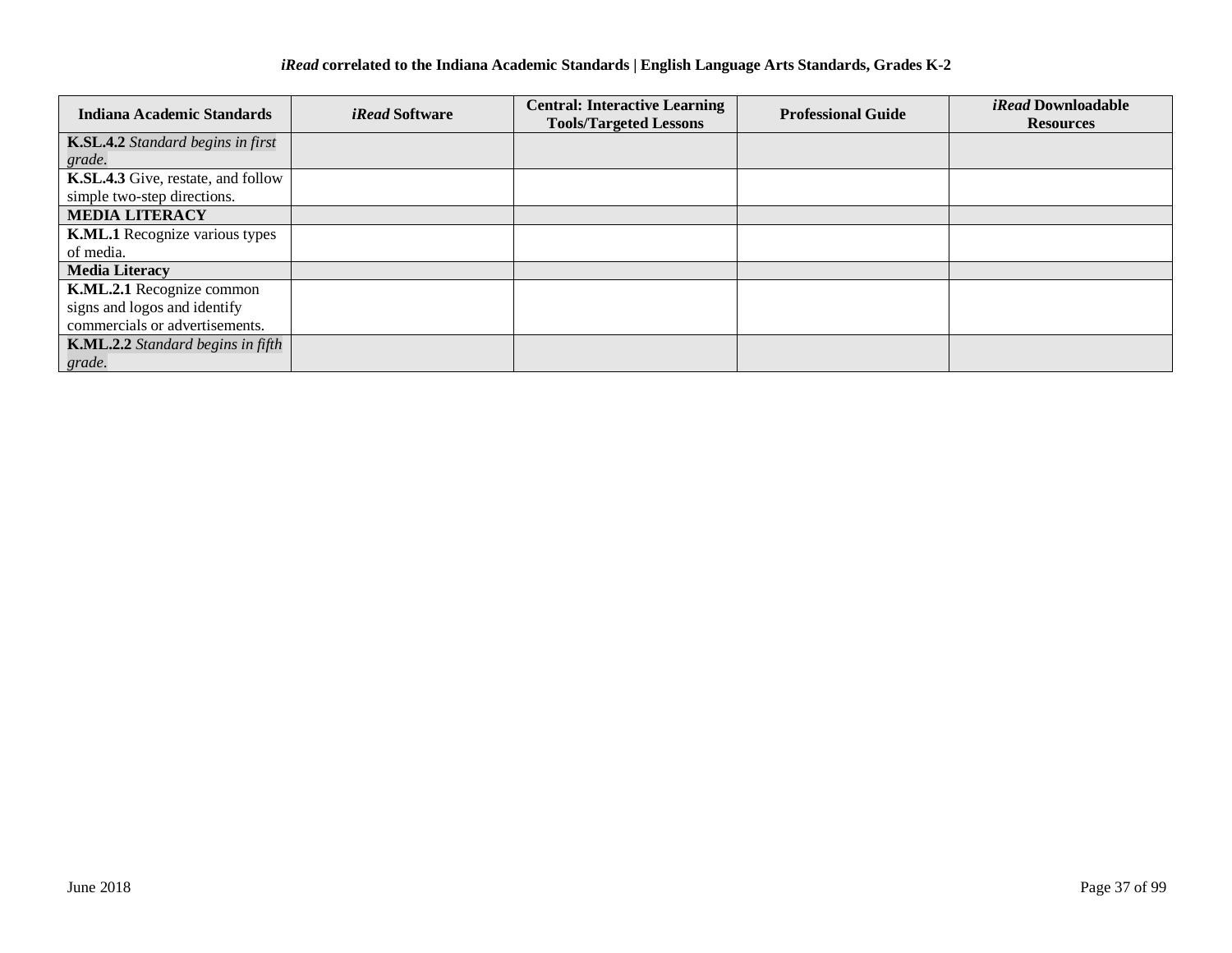| <b>Indiana Academic Standards</b>     | <i>iRead</i> Software | <b>Central: Interactive Learning</b> | <b>Professional Guide</b> | <i>iRead</i> Downloadable |
|---------------------------------------|-----------------------|--------------------------------------|---------------------------|---------------------------|
|                                       |                       | <b>Tools/Targeted Lessons</b>        |                           | <b>Resources</b>          |
| K.SL.4.2 Standard begins in first     |                       |                                      |                           |                           |
| grade.                                |                       |                                      |                           |                           |
| K.SL.4.3 Give, restate, and follow    |                       |                                      |                           |                           |
| simple two-step directions.           |                       |                                      |                           |                           |
| <b>MEDIA LITERACY</b>                 |                       |                                      |                           |                           |
| <b>K.ML.1</b> Recognize various types |                       |                                      |                           |                           |
| of media.                             |                       |                                      |                           |                           |
| <b>Media Literacy</b>                 |                       |                                      |                           |                           |
| K.ML.2.1 Recognize common             |                       |                                      |                           |                           |
| signs and logos and identify          |                       |                                      |                           |                           |
| commercials or advertisements.        |                       |                                      |                           |                           |
| K.ML.2.2 Standard begins in fifth     |                       |                                      |                           |                           |
| grade.                                |                       |                                      |                           |                           |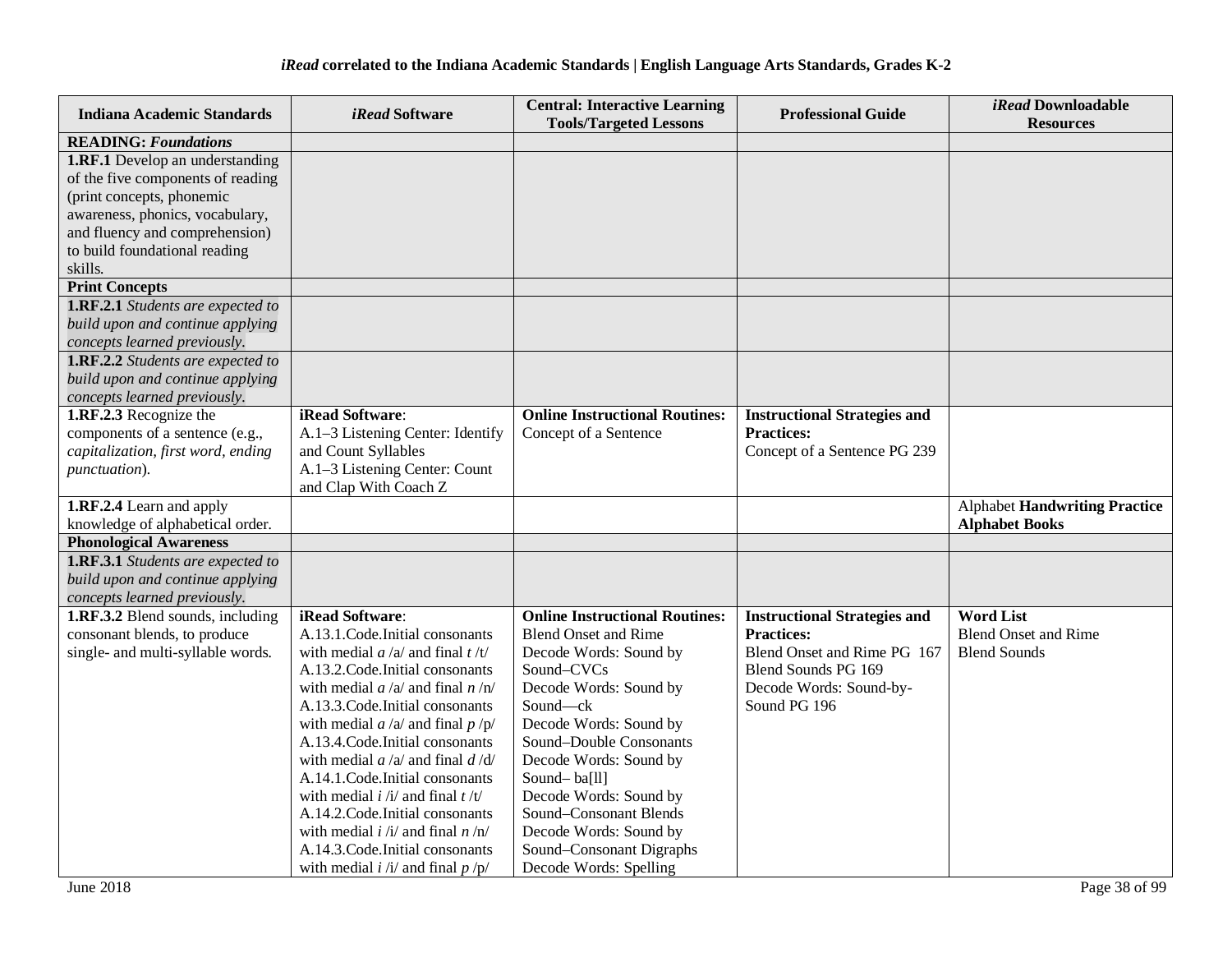| <b>Indiana Academic Standards</b>                                                                                                                                                                                                                                                                                                                                                                | <i>iRead</i> Software                                                                                                                                                                                                                                                                                                                                                                                                                                                                                                                                                  | <b>Central: Interactive Learning</b><br><b>Tools/Targeted Lessons</b>                                                                                                                                                                                                                                                                                                                 | <b>Professional Guide</b>                                                                                                                                 | iRead Downloadable<br><b>Resources</b>                                 |
|--------------------------------------------------------------------------------------------------------------------------------------------------------------------------------------------------------------------------------------------------------------------------------------------------------------------------------------------------------------------------------------------------|------------------------------------------------------------------------------------------------------------------------------------------------------------------------------------------------------------------------------------------------------------------------------------------------------------------------------------------------------------------------------------------------------------------------------------------------------------------------------------------------------------------------------------------------------------------------|---------------------------------------------------------------------------------------------------------------------------------------------------------------------------------------------------------------------------------------------------------------------------------------------------------------------------------------------------------------------------------------|-----------------------------------------------------------------------------------------------------------------------------------------------------------|------------------------------------------------------------------------|
| <b>READING: Foundations</b>                                                                                                                                                                                                                                                                                                                                                                      |                                                                                                                                                                                                                                                                                                                                                                                                                                                                                                                                                                        |                                                                                                                                                                                                                                                                                                                                                                                       |                                                                                                                                                           |                                                                        |
| <b>1.RF.1</b> Develop an understanding<br>of the five components of reading<br>(print concepts, phonemic<br>awareness, phonics, vocabulary,<br>and fluency and comprehension)<br>to build foundational reading<br>skills.<br><b>Print Concepts</b><br>1.RF.2.1 Students are expected to<br>build upon and continue applying<br>concepts learned previously.<br>1.RF.2.2 Students are expected to |                                                                                                                                                                                                                                                                                                                                                                                                                                                                                                                                                                        |                                                                                                                                                                                                                                                                                                                                                                                       |                                                                                                                                                           |                                                                        |
| build upon and continue applying<br>concepts learned previously.                                                                                                                                                                                                                                                                                                                                 |                                                                                                                                                                                                                                                                                                                                                                                                                                                                                                                                                                        |                                                                                                                                                                                                                                                                                                                                                                                       |                                                                                                                                                           |                                                                        |
| 1.RF.2.3 Recognize the<br>components of a sentence (e.g.,<br>capitalization, first word, ending<br>punctuation).                                                                                                                                                                                                                                                                                 | iRead Software:<br>A.1-3 Listening Center: Identify<br>and Count Syllables<br>A.1-3 Listening Center: Count<br>and Clap With Coach Z                                                                                                                                                                                                                                                                                                                                                                                                                                   | <b>Online Instructional Routines:</b><br>Concept of a Sentence                                                                                                                                                                                                                                                                                                                        | <b>Instructional Strategies and</b><br><b>Practices:</b><br>Concept of a Sentence PG 239                                                                  |                                                                        |
| 1.RF.2.4 Learn and apply<br>knowledge of alphabetical order.                                                                                                                                                                                                                                                                                                                                     |                                                                                                                                                                                                                                                                                                                                                                                                                                                                                                                                                                        |                                                                                                                                                                                                                                                                                                                                                                                       |                                                                                                                                                           | <b>Alphabet Handwriting Practice</b><br><b>Alphabet Books</b>          |
| <b>Phonological Awareness</b>                                                                                                                                                                                                                                                                                                                                                                    |                                                                                                                                                                                                                                                                                                                                                                                                                                                                                                                                                                        |                                                                                                                                                                                                                                                                                                                                                                                       |                                                                                                                                                           |                                                                        |
| 1.RF.3.1 Students are expected to<br>build upon and continue applying<br>concepts learned previously.                                                                                                                                                                                                                                                                                            |                                                                                                                                                                                                                                                                                                                                                                                                                                                                                                                                                                        |                                                                                                                                                                                                                                                                                                                                                                                       |                                                                                                                                                           |                                                                        |
| 1.RF.3.2 Blend sounds, including<br>consonant blends, to produce<br>single- and multi-syllable words.                                                                                                                                                                                                                                                                                            | iRead Software:<br>A.13.1. Code. Initial consonants<br>with medial $a/a$ and final $t/t$<br>A.13.2. Code. Initial consonants<br>with medial $a/a$ and final $n/n$<br>A.13.3. Code. Initial consonants<br>with medial $a/a$ and final $p/p$<br>A.13.4. Code. Initial consonants<br>with medial $a/a$ and final $d/d$<br>A.14.1. Code. Initial consonants<br>with medial $i / i /$ and final $t / t /$<br>A.14.2. Code. Initial consonants<br>with medial $i / i /$ and final $n / n /$<br>A.14.3. Code. Initial consonants<br>with medial $i / i /$ and final $p / p /$ | <b>Online Instructional Routines:</b><br><b>Blend Onset and Rime</b><br>Decode Words: Sound by<br>Sound-CVCs<br>Decode Words: Sound by<br>Sound-ck<br>Decode Words: Sound by<br>Sound-Double Consonants<br>Decode Words: Sound by<br>Sound-ba[ll]<br>Decode Words: Sound by<br>Sound-Consonant Blends<br>Decode Words: Sound by<br>Sound-Consonant Digraphs<br>Decode Words: Spelling | <b>Instructional Strategies and</b><br><b>Practices:</b><br>Blend Onset and Rime PG 167<br>Blend Sounds PG 169<br>Decode Words: Sound-by-<br>Sound PG 196 | <b>Word List</b><br><b>Blend Onset and Rime</b><br><b>Blend Sounds</b> |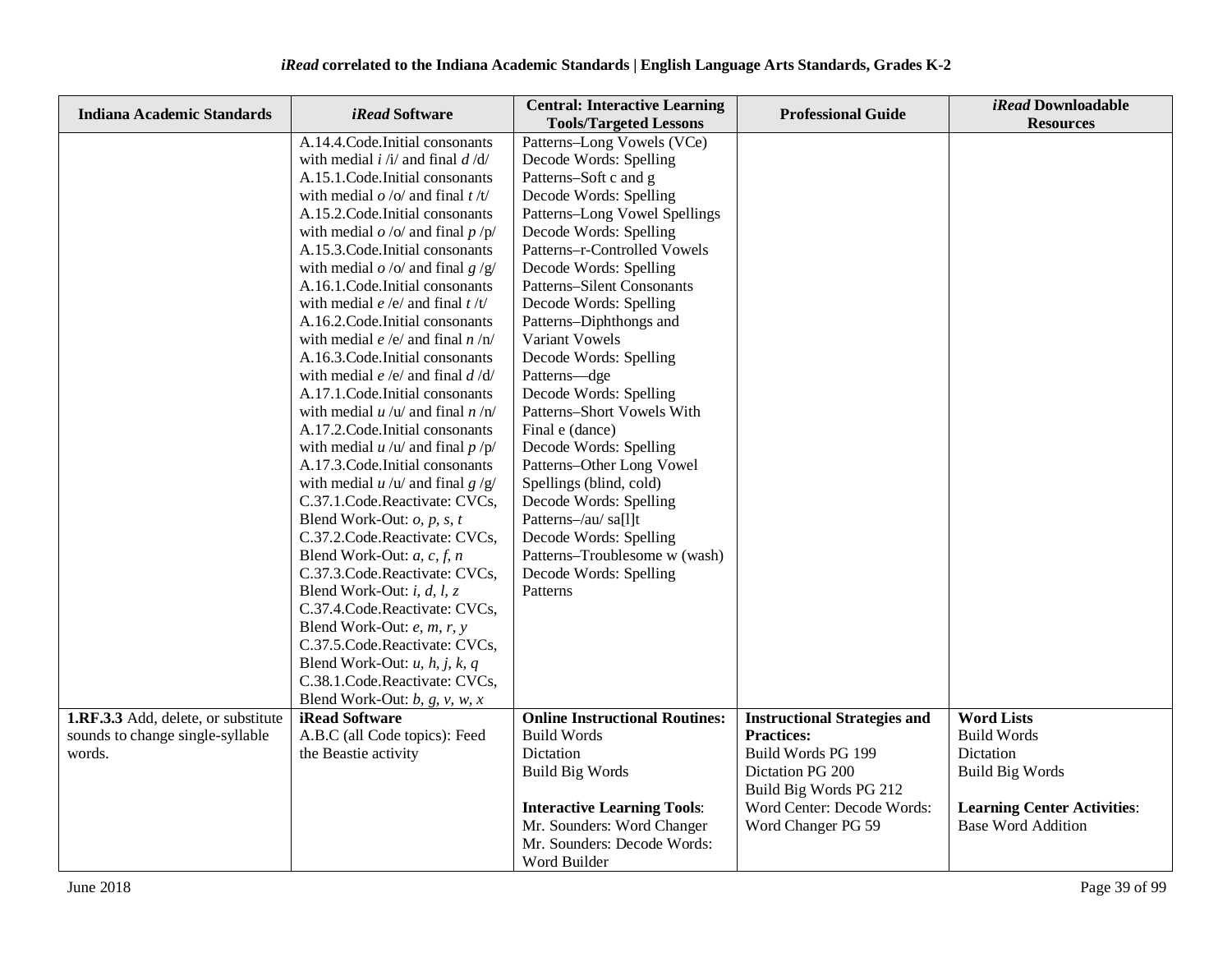| <b>Indiana Academic Standards</b>   | iRead Software                                            | <b>Central: Interactive Learning</b><br><b>Tools/Targeted Lessons</b> | <b>Professional Guide</b>           | <i>iRead</i> Downloadable<br><b>Resources</b> |
|-------------------------------------|-----------------------------------------------------------|-----------------------------------------------------------------------|-------------------------------------|-----------------------------------------------|
|                                     | A.14.4. Code. Initial consonants                          | Patterns-Long Vowels (VCe)                                            |                                     |                                               |
|                                     | with medial $i / i /$ and final $d / d /$                 | Decode Words: Spelling                                                |                                     |                                               |
|                                     | A.15.1.Code.Initial consonants                            | Patterns-Soft c and g                                                 |                                     |                                               |
|                                     | with medial $\rho$ /o/ and final t/t/                     | Decode Words: Spelling                                                |                                     |                                               |
|                                     | A.15.2. Code. Initial consonants                          | Patterns-Long Vowel Spellings                                         |                                     |                                               |
|                                     | with medial $o$ /o/ and final $p$ /p/                     | Decode Words: Spelling                                                |                                     |                                               |
|                                     | A.15.3. Code. Initial consonants                          | Patterns-r-Controlled Vowels                                          |                                     |                                               |
|                                     | with medial $o$ /o/ and final $g$ /g/                     | Decode Words: Spelling                                                |                                     |                                               |
|                                     | A.16.1.Code.Initial consonants                            | <b>Patterns-Silent Consonants</b>                                     |                                     |                                               |
|                                     | with medial $e/e/$ and final $t/t/$                       | Decode Words: Spelling                                                |                                     |                                               |
|                                     | A.16.2. Code. Initial consonants                          | Patterns-Diphthongs and                                               |                                     |                                               |
|                                     | with medial <i>e</i> /e/ and final <i>n</i> /n/           | Variant Vowels                                                        |                                     |                                               |
|                                     | A.16.3. Code. Initial consonants                          | Decode Words: Spelling                                                |                                     |                                               |
|                                     | with medial $e/e/$ and final $d/d/$                       | Patterns-dge                                                          |                                     |                                               |
|                                     | A.17.1. Code. Initial consonants                          | Decode Words: Spelling                                                |                                     |                                               |
|                                     | with medial $u / u /$ and final $n / n/$                  | Patterns-Short Vowels With                                            |                                     |                                               |
|                                     | A.17.2. Code. Initial consonants                          | Final e (dance)                                                       |                                     |                                               |
|                                     | with medial $u / u /$ and final $p / p /$                 | Decode Words: Spelling                                                |                                     |                                               |
|                                     | A.17.3. Code. Initial consonants                          | Patterns-Other Long Vowel                                             |                                     |                                               |
|                                     | with medial $u / u /$ and final $g / g /$                 | Spellings (blind, cold)                                               |                                     |                                               |
|                                     | C.37.1.Code.Reactivate: CVCs,                             | Decode Words: Spelling                                                |                                     |                                               |
|                                     | Blend Work-Out: $o$ , $p$ , $s$ , $t$                     | Patterns-/au/ sa[l]t                                                  |                                     |                                               |
|                                     | C.37.2.Code.Reactivate: CVCs,                             | Decode Words: Spelling                                                |                                     |                                               |
|                                     | Blend Work-Out: $a, c, f, n$                              | Patterns-Troublesome w (wash)                                         |                                     |                                               |
|                                     | C.37.3.Code.Reactivate: CVCs,                             | Decode Words: Spelling                                                |                                     |                                               |
|                                     | Blend Work-Out: <i>i</i> , <i>d</i> , <i>l</i> , <i>z</i> | Patterns                                                              |                                     |                                               |
|                                     | C.37.4. Code. Reactivate: CVCs,                           |                                                                       |                                     |                                               |
|                                     | Blend Work-Out: $e$ , $m$ , $r$ , $y$                     |                                                                       |                                     |                                               |
|                                     | C.37.5.Code.Reactivate: CVCs,                             |                                                                       |                                     |                                               |
|                                     | Blend Work-Out: $u$ , $h$ , $j$ , $k$ , $q$               |                                                                       |                                     |                                               |
|                                     | C.38.1.Code.Reactivate: CVCs,                             |                                                                       |                                     |                                               |
|                                     | Blend Work-Out: $b$ , $g$ , $v$ , $w$ , $x$               |                                                                       |                                     |                                               |
| 1.RF.3.3 Add, delete, or substitute | iRead Software                                            | <b>Online Instructional Routines:</b>                                 | <b>Instructional Strategies and</b> | <b>Word Lists</b>                             |
| sounds to change single-syllable    | A.B.C (all Code topics): Feed                             | <b>Build Words</b>                                                    | <b>Practices:</b>                   | <b>Build Words</b>                            |
| words.                              | the Beastie activity                                      | Dictation                                                             | Build Words PG 199                  | Dictation                                     |
|                                     |                                                           | <b>Build Big Words</b>                                                | Dictation PG 200                    | <b>Build Big Words</b>                        |
|                                     |                                                           |                                                                       | Build Big Words PG 212              |                                               |
|                                     |                                                           | <b>Interactive Learning Tools:</b>                                    | Word Center: Decode Words:          | <b>Learning Center Activities:</b>            |
|                                     |                                                           | Mr. Sounders: Word Changer                                            | Word Changer PG 59                  | <b>Base Word Addition</b>                     |
|                                     |                                                           | Mr. Sounders: Decode Words:                                           |                                     |                                               |
|                                     |                                                           | Word Builder                                                          |                                     |                                               |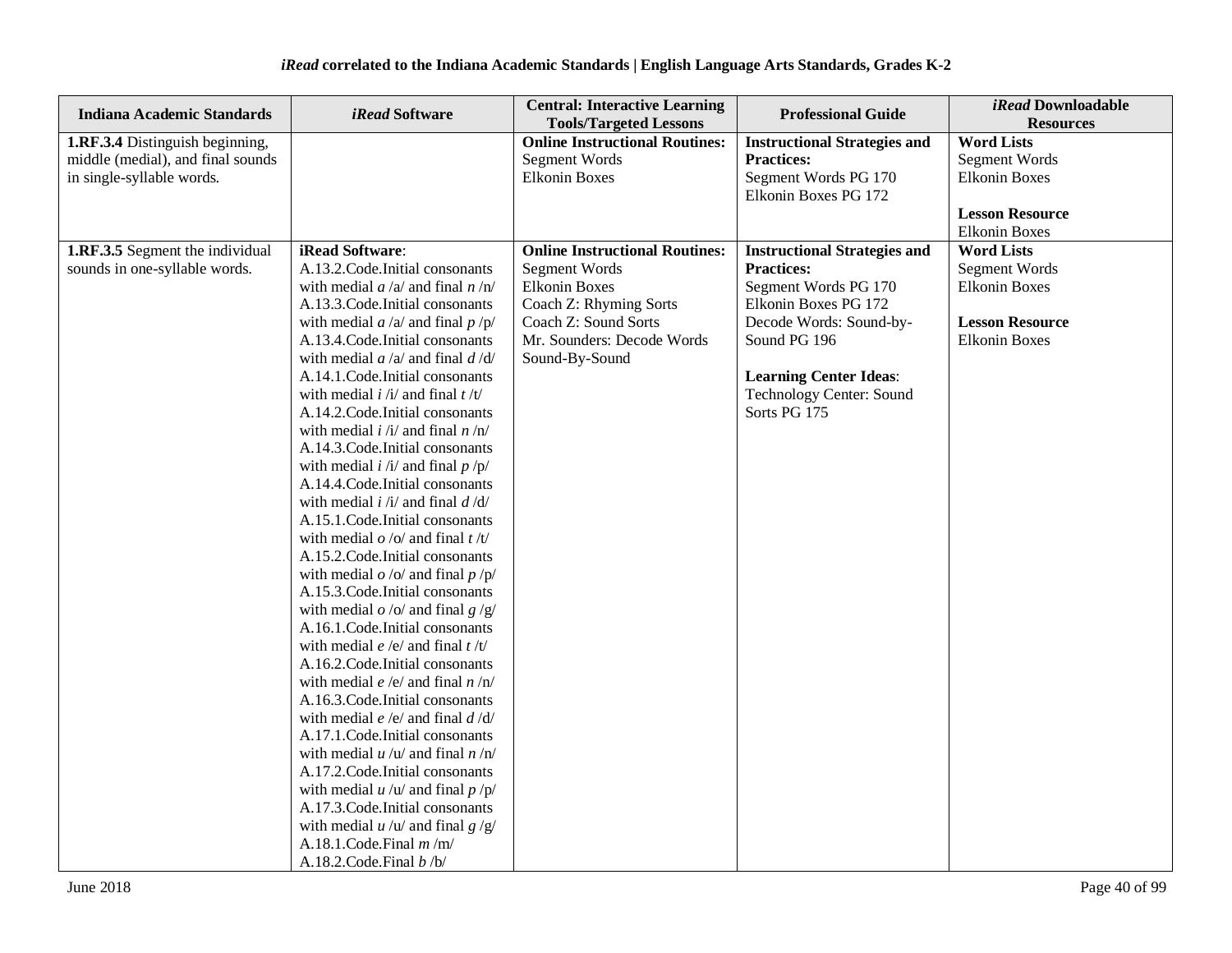| <b>Indiana Academic Standards</b> | <i>iRead</i> Software                     | <b>Central: Interactive Learning</b><br><b>Tools/Targeted Lessons</b> | <b>Professional Guide</b>           | iRead Downloadable<br><b>Resources</b> |
|-----------------------------------|-------------------------------------------|-----------------------------------------------------------------------|-------------------------------------|----------------------------------------|
| 1.RF.3.4 Distinguish beginning,   |                                           | <b>Online Instructional Routines:</b>                                 | <b>Instructional Strategies and</b> | <b>Word Lists</b>                      |
| middle (medial), and final sounds |                                           | <b>Segment Words</b>                                                  | <b>Practices:</b>                   | <b>Segment Words</b>                   |
| in single-syllable words.         |                                           | <b>Elkonin Boxes</b>                                                  | Segment Words PG 170                | <b>Elkonin Boxes</b>                   |
|                                   |                                           |                                                                       | Elkonin Boxes PG 172                |                                        |
|                                   |                                           |                                                                       |                                     | <b>Lesson Resource</b>                 |
|                                   |                                           |                                                                       |                                     | <b>Elkonin Boxes</b>                   |
| 1.RF.3.5 Segment the individual   | iRead Software:                           | <b>Online Instructional Routines:</b>                                 | <b>Instructional Strategies and</b> | <b>Word Lists</b>                      |
| sounds in one-syllable words.     | A.13.2. Code. Initial consonants          | Segment Words                                                         | <b>Practices:</b>                   | Segment Words                          |
|                                   | with medial $a/a$ and final $n/n$         | <b>Elkonin Boxes</b>                                                  | Segment Words PG 170                | <b>Elkonin Boxes</b>                   |
|                                   | A.13.3. Code. Initial consonants          | Coach Z: Rhyming Sorts                                                | Elkonin Boxes PG 172                |                                        |
|                                   | with medial $a/a$ and final $p/p$         | Coach Z: Sound Sorts                                                  | Decode Words: Sound-by-             | <b>Lesson Resource</b>                 |
|                                   | A.13.4. Code. Initial consonants          | Mr. Sounders: Decode Words                                            | Sound PG 196                        | <b>Elkonin Boxes</b>                   |
|                                   | with medial $a/a$ and final $d/d$         | Sound-By-Sound                                                        |                                     |                                        |
|                                   | A.14.1.Code.Initial consonants            |                                                                       | <b>Learning Center Ideas:</b>       |                                        |
|                                   | with medial $i / i /$ and final $t / t /$ |                                                                       | <b>Technology Center: Sound</b>     |                                        |
|                                   | A.14.2. Code. Initial consonants          |                                                                       | Sorts PG 175                        |                                        |
|                                   | with medial $i / i /$ and final $n / n /$ |                                                                       |                                     |                                        |
|                                   | A.14.3. Code. Initial consonants          |                                                                       |                                     |                                        |
|                                   | with medial $i / i /$ and final $p / p /$ |                                                                       |                                     |                                        |
|                                   | A.14.4.Code.Initial consonants            |                                                                       |                                     |                                        |
|                                   | with medial $i / i /$ and final $d / d /$ |                                                                       |                                     |                                        |
|                                   | A.15.1.Code.Initial consonants            |                                                                       |                                     |                                        |
|                                   | with medial $o / o /$ and final $t / t /$ |                                                                       |                                     |                                        |
|                                   | A.15.2. Code. Initial consonants          |                                                                       |                                     |                                        |
|                                   | with medial $o$ /o/ and final $p$ /p/     |                                                                       |                                     |                                        |
|                                   | A.15.3. Code. Initial consonants          |                                                                       |                                     |                                        |
|                                   | with medial $o$ /o/ and final $g$ /g/     |                                                                       |                                     |                                        |
|                                   | A.16.1. Code. Initial consonants          |                                                                       |                                     |                                        |
|                                   | with medial $e/e$ and final $t/t$         |                                                                       |                                     |                                        |
|                                   | A.16.2. Code. Initial consonants          |                                                                       |                                     |                                        |
|                                   | with medial $e/e/$ and final $n/n/$       |                                                                       |                                     |                                        |
|                                   | A.16.3. Code. Initial consonants          |                                                                       |                                     |                                        |
|                                   | with medial $e/e/$ and final $d/d/$       |                                                                       |                                     |                                        |
|                                   | A.17.1. Code. Initial consonants          |                                                                       |                                     |                                        |
|                                   | with medial $u / u /$ and final $n / n/$  |                                                                       |                                     |                                        |
|                                   | A.17.2. Code. Initial consonants          |                                                                       |                                     |                                        |
|                                   | with medial $u / u /$ and final $p / p /$ |                                                                       |                                     |                                        |
|                                   | A.17.3. Code. Initial consonants          |                                                                       |                                     |                                        |
|                                   | with medial $u / u /$ and final $g / g /$ |                                                                       |                                     |                                        |
|                                   | A.18.1.Code.Final $m/m/$                  |                                                                       |                                     |                                        |
|                                   | A.18.2.Code.Final $b/b$                   |                                                                       |                                     |                                        |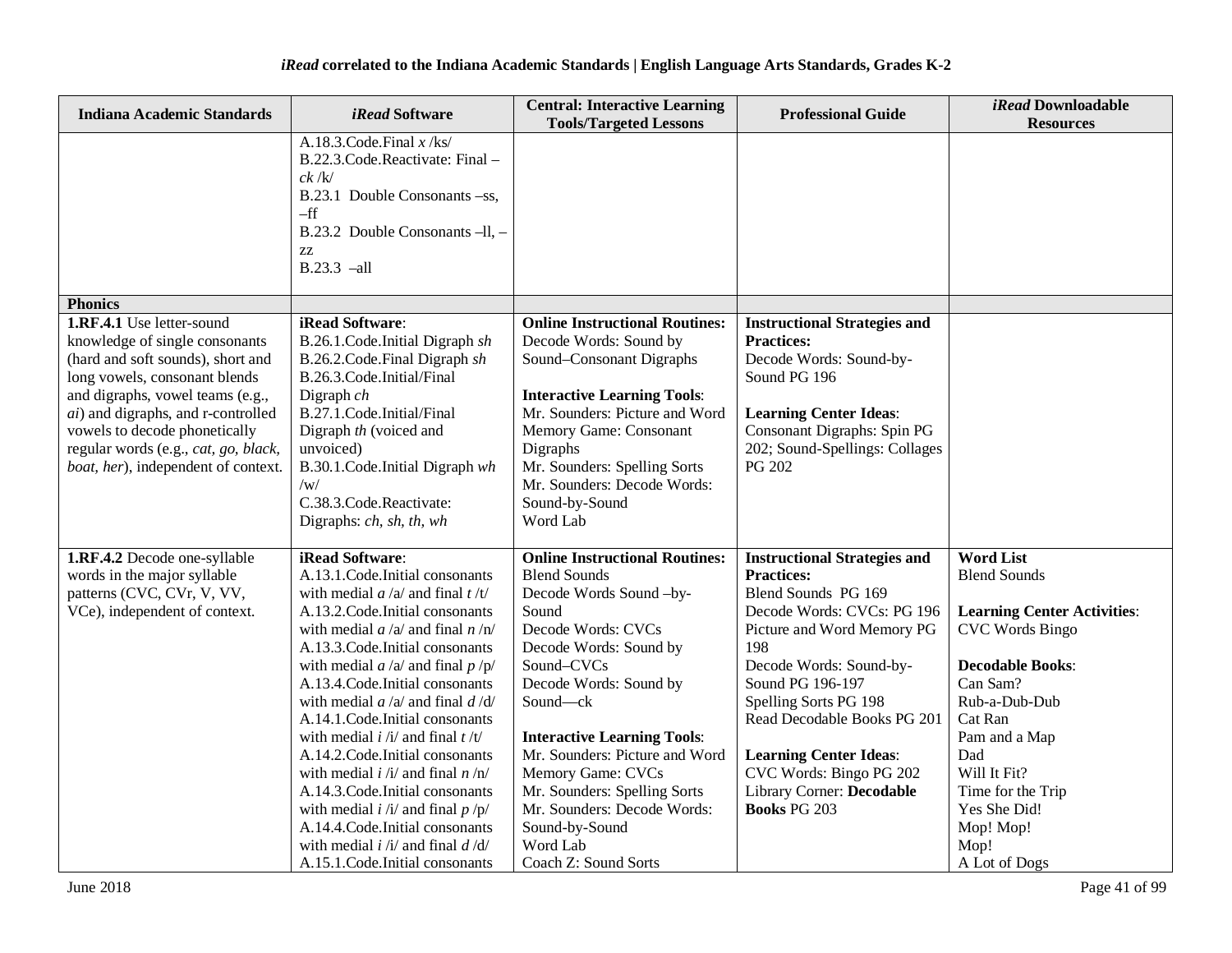| <b>Indiana Academic Standards</b>                                                                                                                                                                                                                                                                                                   | <i>iRead</i> Software                                                                                                                                                                                                                                                                              | <b>Central: Interactive Learning</b><br><b>Tools/Targeted Lessons</b>                                                                                                                                                                                                                                  | <b>Professional Guide</b>                                                                                                                                                                                       | iRead Downloadable<br><b>Resources</b>                       |
|-------------------------------------------------------------------------------------------------------------------------------------------------------------------------------------------------------------------------------------------------------------------------------------------------------------------------------------|----------------------------------------------------------------------------------------------------------------------------------------------------------------------------------------------------------------------------------------------------------------------------------------------------|--------------------------------------------------------------------------------------------------------------------------------------------------------------------------------------------------------------------------------------------------------------------------------------------------------|-----------------------------------------------------------------------------------------------------------------------------------------------------------------------------------------------------------------|--------------------------------------------------------------|
|                                                                                                                                                                                                                                                                                                                                     | A.18.3.Code.Final $x$ /ks/<br>B.22.3.Code.Reactivate: Final -<br>ck / k/<br>B.23.1 Double Consonants -ss,<br>$-ff$<br>B.23.2 Double Consonants $-ll$ , $-$<br>ZZ<br>$B.23.3$ -all                                                                                                                  |                                                                                                                                                                                                                                                                                                        |                                                                                                                                                                                                                 |                                                              |
| <b>Phonics</b>                                                                                                                                                                                                                                                                                                                      |                                                                                                                                                                                                                                                                                                    |                                                                                                                                                                                                                                                                                                        |                                                                                                                                                                                                                 |                                                              |
| 1.RF.4.1 Use letter-sound<br>knowledge of single consonants<br>(hard and soft sounds), short and<br>long vowels, consonant blends<br>and digraphs, vowel teams (e.g.,<br><i>ai</i> ) and digraphs, and r-controlled<br>vowels to decode phonetically<br>regular words (e.g., cat, go, black,<br>boat, her), independent of context. | iRead Software:<br>B.26.1.Code.Initial Digraph sh<br>B.26.2.Code.Final Digraph sh<br>B.26.3.Code.Initial/Final<br>Digraph $ch$<br>B.27.1.Code.Initial/Final<br>Digraph th (voiced and<br>unvoiced)<br>B.30.1.Code.Initial Digraph wh<br>/w/<br>C.38.3.Code.Reactivate:<br>Digraphs: ch, sh, th, wh | <b>Online Instructional Routines:</b><br>Decode Words: Sound by<br>Sound-Consonant Digraphs<br><b>Interactive Learning Tools:</b><br>Mr. Sounders: Picture and Word<br>Memory Game: Consonant<br>Digraphs<br>Mr. Sounders: Spelling Sorts<br>Mr. Sounders: Decode Words:<br>Sound-by-Sound<br>Word Lab | <b>Instructional Strategies and</b><br><b>Practices:</b><br>Decode Words: Sound-by-<br>Sound PG 196<br><b>Learning Center Ideas:</b><br>Consonant Digraphs: Spin PG<br>202; Sound-Spellings: Collages<br>PG 202 |                                                              |
| 1.RF.4.2 Decode one-syllable                                                                                                                                                                                                                                                                                                        | iRead Software:                                                                                                                                                                                                                                                                                    | <b>Online Instructional Routines:</b>                                                                                                                                                                                                                                                                  | <b>Instructional Strategies and</b>                                                                                                                                                                             | <b>Word List</b>                                             |
| words in the major syllable                                                                                                                                                                                                                                                                                                         | A.13.1. Code. Initial consonants                                                                                                                                                                                                                                                                   | <b>Blend Sounds</b>                                                                                                                                                                                                                                                                                    | <b>Practices:</b>                                                                                                                                                                                               | <b>Blend Sounds</b>                                          |
| patterns (CVC, CVr, V, VV,                                                                                                                                                                                                                                                                                                          | with medial $a/a$ and final $t/t$                                                                                                                                                                                                                                                                  | Decode Words Sound-by-                                                                                                                                                                                                                                                                                 | Blend Sounds PG 169                                                                                                                                                                                             |                                                              |
| VCe), independent of context.                                                                                                                                                                                                                                                                                                       | A.13.2. Code. Initial consonants<br>with medial $a/a$ and final $n/n$                                                                                                                                                                                                                              | Sound<br>Decode Words: CVCs                                                                                                                                                                                                                                                                            | Decode Words: CVCs: PG 196<br>Picture and Word Memory PG                                                                                                                                                        | <b>Learning Center Activities:</b><br><b>CVC Words Bingo</b> |
|                                                                                                                                                                                                                                                                                                                                     | A.13.3. Code. Initial consonants                                                                                                                                                                                                                                                                   | Decode Words: Sound by                                                                                                                                                                                                                                                                                 | 198                                                                                                                                                                                                             |                                                              |
|                                                                                                                                                                                                                                                                                                                                     | with medial $a/a$ and final $p/p$                                                                                                                                                                                                                                                                  | Sound-CVCs                                                                                                                                                                                                                                                                                             | Decode Words: Sound-by-                                                                                                                                                                                         | <b>Decodable Books:</b>                                      |
|                                                                                                                                                                                                                                                                                                                                     | A.13.4. Code. Initial consonants                                                                                                                                                                                                                                                                   | Decode Words: Sound by                                                                                                                                                                                                                                                                                 | Sound PG 196-197                                                                                                                                                                                                | Can Sam?                                                     |
|                                                                                                                                                                                                                                                                                                                                     | with medial $a/a$ and final $d/d$                                                                                                                                                                                                                                                                  | Sound-ck                                                                                                                                                                                                                                                                                               | Spelling Sorts PG 198                                                                                                                                                                                           | Rub-a-Dub-Dub                                                |
|                                                                                                                                                                                                                                                                                                                                     | A.14.1. Code. Initial consonants                                                                                                                                                                                                                                                                   |                                                                                                                                                                                                                                                                                                        | Read Decodable Books PG 201                                                                                                                                                                                     | Cat Ran                                                      |
|                                                                                                                                                                                                                                                                                                                                     | with medial $i / i /$ and final $t / t /$<br>A.14.2. Code. Initial consonants                                                                                                                                                                                                                      | <b>Interactive Learning Tools:</b><br>Mr. Sounders: Picture and Word                                                                                                                                                                                                                                   |                                                                                                                                                                                                                 | Pam and a Map<br>Dad                                         |
|                                                                                                                                                                                                                                                                                                                                     | with medial $i / i /$ and final $n / n /$                                                                                                                                                                                                                                                          | <b>Memory Game: CVCs</b>                                                                                                                                                                                                                                                                               | <b>Learning Center Ideas:</b><br>CVC Words: Bingo PG 202                                                                                                                                                        | Will It Fit?                                                 |
|                                                                                                                                                                                                                                                                                                                                     | A.14.3. Code. Initial consonants                                                                                                                                                                                                                                                                   | Mr. Sounders: Spelling Sorts                                                                                                                                                                                                                                                                           | Library Corner: Decodable                                                                                                                                                                                       | Time for the Trip                                            |
|                                                                                                                                                                                                                                                                                                                                     | with medial $i / i /$ and final $p / p /$                                                                                                                                                                                                                                                          | Mr. Sounders: Decode Words:                                                                                                                                                                                                                                                                            | <b>Books PG 203</b>                                                                                                                                                                                             | Yes She Did!                                                 |
|                                                                                                                                                                                                                                                                                                                                     | A.14.4.Code.Initial consonants                                                                                                                                                                                                                                                                     | Sound-by-Sound                                                                                                                                                                                                                                                                                         |                                                                                                                                                                                                                 | Mop! Mop!                                                    |
|                                                                                                                                                                                                                                                                                                                                     | with medial $i / i /$ and final $d / d /$                                                                                                                                                                                                                                                          | Word Lab                                                                                                                                                                                                                                                                                               |                                                                                                                                                                                                                 | Mop!                                                         |
|                                                                                                                                                                                                                                                                                                                                     | A.15.1. Code. Initial consonants                                                                                                                                                                                                                                                                   | Coach Z: Sound Sorts                                                                                                                                                                                                                                                                                   |                                                                                                                                                                                                                 | A Lot of Dogs                                                |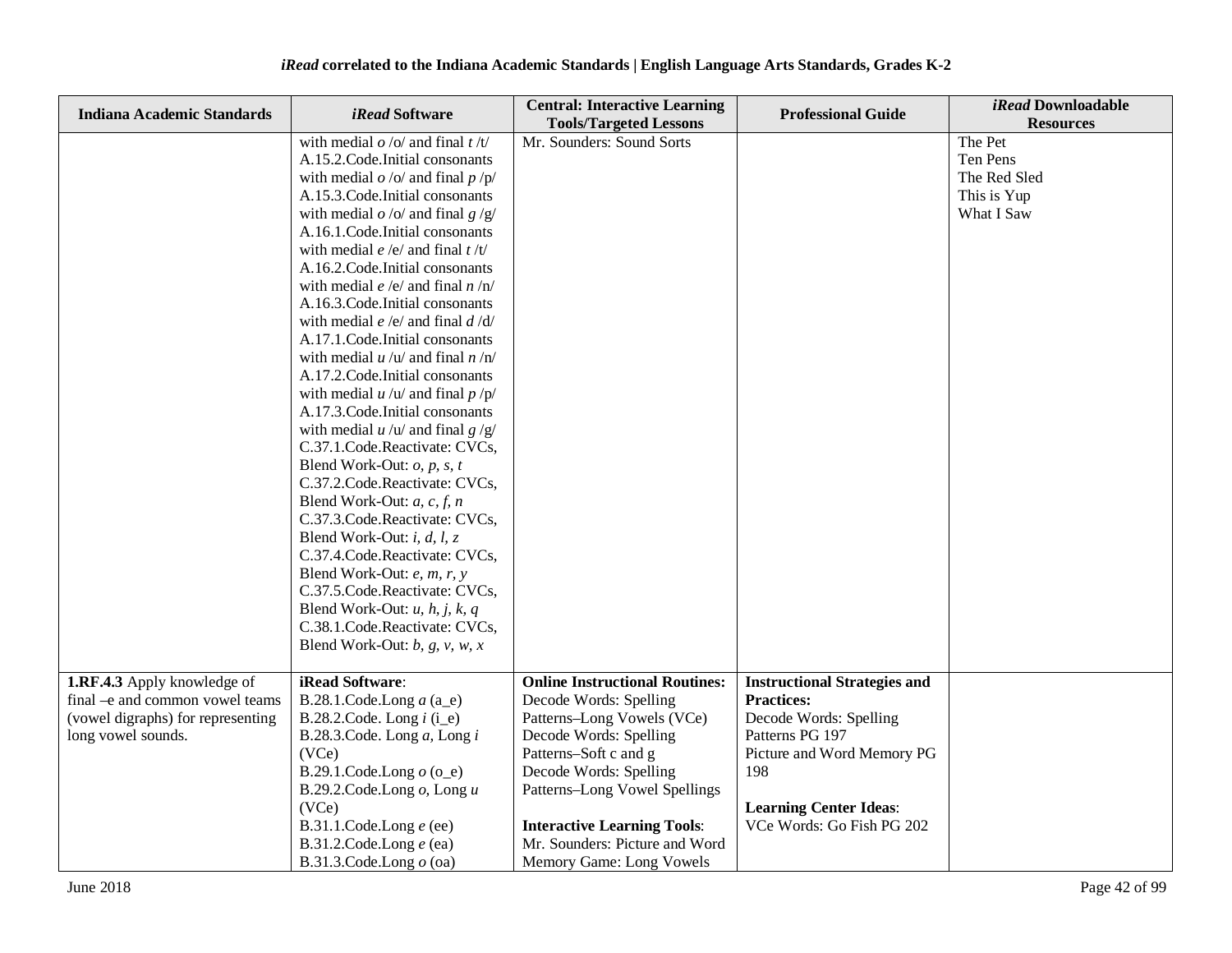| <b>Indiana Academic Standards</b>                                                                                         | <i>iRead</i> Software                                                                                                                                                                                                                                                                                                                                                                                                                                                                                                                                                                                                                                                                                                                                                                                                                                                                                                                                                                                                                                                                                                                                                    | <b>Central: Interactive Learning</b><br><b>Tools/Targeted Lessons</b>                                                                                                                                                                                                                                           | <b>Professional Guide</b>                                                                                                                                                                                | iRead Downloadable<br><b>Resources</b>                           |
|---------------------------------------------------------------------------------------------------------------------------|--------------------------------------------------------------------------------------------------------------------------------------------------------------------------------------------------------------------------------------------------------------------------------------------------------------------------------------------------------------------------------------------------------------------------------------------------------------------------------------------------------------------------------------------------------------------------------------------------------------------------------------------------------------------------------------------------------------------------------------------------------------------------------------------------------------------------------------------------------------------------------------------------------------------------------------------------------------------------------------------------------------------------------------------------------------------------------------------------------------------------------------------------------------------------|-----------------------------------------------------------------------------------------------------------------------------------------------------------------------------------------------------------------------------------------------------------------------------------------------------------------|----------------------------------------------------------------------------------------------------------------------------------------------------------------------------------------------------------|------------------------------------------------------------------|
|                                                                                                                           | with medial $o / o /$ and final $t / t /$<br>A.15.2. Code. Initial consonants<br>with medial $o$ /o/ and final $p$ /p/<br>A.15.3. Code. Initial consonants<br>with medial $o$ /o/ and final $g$ /g/<br>A.16.1. Code. Initial consonants<br>with medial e/e/ and final $t/t/$<br>A.16.2. Code. Initial consonants<br>with medial <i>e</i> /e/ and final <i>n</i> /n/<br>A.16.3. Code. Initial consonants<br>with medial $e/e/$ and final $d/d/$<br>A.17.1. Code. Initial consonants<br>with medial $u / u /$ and final $n / n/$<br>A.17.2. Code. Initial consonants<br>with medial $u / u /$ and final $p / p /$<br>A.17.3. Code. Initial consonants<br>with medial $u / u /$ and final $g / g /$<br>C.37.1.Code.Reactivate: CVCs,<br>Blend Work-Out: $o$ , $p$ , $s$ , $t$<br>C.37.2.Code.Reactivate: CVCs,<br>Blend Work-Out: $a, c, f, n$<br>C.37.3.Code.Reactivate: CVCs,<br>Blend Work-Out: <i>i</i> , <i>d</i> , <i>l</i> , <i>z</i><br>C.37.4.Code.Reactivate: CVCs,<br>Blend Work-Out: e, m, r, y<br>C.37.5.Code.Reactivate: CVCs,<br>Blend Work-Out: $u$ , $h$ , $j$ , $k$ , $q$<br>C.38.1.Code.Reactivate: CVCs,<br>Blend Work-Out: $b$ , $g$ , $v$ , $w$ , $x$ | Mr. Sounders: Sound Sorts                                                                                                                                                                                                                                                                                       |                                                                                                                                                                                                          | The Pet<br>Ten Pens<br>The Red Sled<br>This is Yup<br>What I Saw |
| 1.RF.4.3 Apply knowledge of<br>final -e and common vowel teams<br>(vowel digraphs) for representing<br>long vowel sounds. | iRead Software:<br>B.28.1.Code.Long $a$ (a_e)<br>B.28.2.Code. Long $i$ (i_e)<br>B.28.3.Code. Long $a$ , Long $i$<br>(VCe)<br>B.29.1.Code.Long $o$ (o_e)<br>B.29.2.Code.Long $o$ , Long $u$<br>(VCe)<br>B.31.1.Code.Long $e$ (ee)<br>B.31.2.Code.Long $e$ (ea)<br>B.31.3.Code.Long $o$ (oa)                                                                                                                                                                                                                                                                                                                                                                                                                                                                                                                                                                                                                                                                                                                                                                                                                                                                               | <b>Online Instructional Routines:</b><br>Decode Words: Spelling<br>Patterns-Long Vowels (VCe)<br>Decode Words: Spelling<br>Patterns-Soft c and g<br>Decode Words: Spelling<br>Patterns-Long Vowel Spellings<br><b>Interactive Learning Tools:</b><br>Mr. Sounders: Picture and Word<br>Memory Game: Long Vowels | <b>Instructional Strategies and</b><br><b>Practices:</b><br>Decode Words: Spelling<br>Patterns PG 197<br>Picture and Word Memory PG<br>198<br><b>Learning Center Ideas:</b><br>VCe Words: Go Fish PG 202 |                                                                  |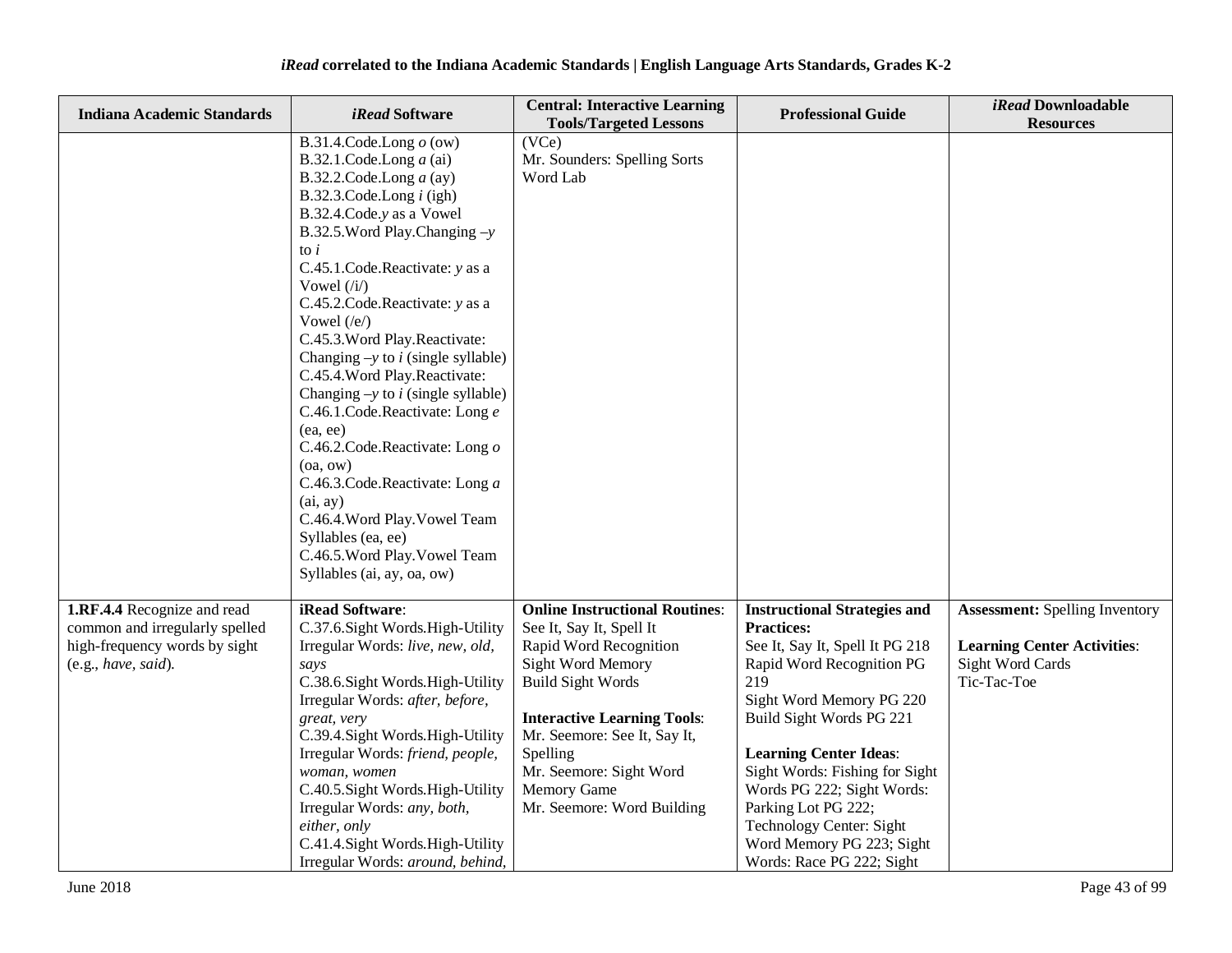| <b>Indiana Academic Standards</b>                                                                                     | iRead Software                                                                                                                                                                                                                                                                                                                                                                                                                                                                                                                                                                                                                                                                                                                         | <b>Central: Interactive Learning</b><br><b>Tools/Targeted Lessons</b>                                                                                                                                                                                                                                         | <b>Professional Guide</b>                                                                                                                                                                                                                                                                                                                                                                             | iRead Downloadable<br><b>Resources</b>                                                                         |
|-----------------------------------------------------------------------------------------------------------------------|----------------------------------------------------------------------------------------------------------------------------------------------------------------------------------------------------------------------------------------------------------------------------------------------------------------------------------------------------------------------------------------------------------------------------------------------------------------------------------------------------------------------------------------------------------------------------------------------------------------------------------------------------------------------------------------------------------------------------------------|---------------------------------------------------------------------------------------------------------------------------------------------------------------------------------------------------------------------------------------------------------------------------------------------------------------|-------------------------------------------------------------------------------------------------------------------------------------------------------------------------------------------------------------------------------------------------------------------------------------------------------------------------------------------------------------------------------------------------------|----------------------------------------------------------------------------------------------------------------|
|                                                                                                                       | B.31.4.Code.Long $o$ (ow)<br>B.32.1.Code.Long $a$ (ai)<br>B.32.2.Code.Long $a$ (ay)<br>B.32.3.Code.Long $i$ (igh)<br>B.32.4.Code.y as a Vowel<br>B.32.5. Word Play. Changing $-y$<br>to $i$<br>C.45.1.Code.Reactivate: y as a<br>Vowel $(i)$<br>C.45.2.Code.Reactivate: y as a<br>Vowel $(\sqrt{e})$<br>C.45.3. Word Play. Reactivate:<br>Changing $-y$ to <i>i</i> (single syllable)<br>C.45.4. Word Play. Reactivate:<br>Changing $-y$ to <i>i</i> (single syllable)<br>C.46.1.Code.Reactivate: Long e<br>(ea, ee)<br>C.46.2.Code.Reactivate: Long o<br>(oa, ow)<br>C.46.3.Code.Reactivate: Long a<br>(ai, ay)<br>C.46.4. Word Play. Vowel Team<br>Syllables (ea, ee)<br>C.46.5. Word Play. Vowel Team<br>Syllables (ai, ay, oa, ow) | (VCe)<br>Mr. Sounders: Spelling Sorts<br>Word Lab                                                                                                                                                                                                                                                             |                                                                                                                                                                                                                                                                                                                                                                                                       |                                                                                                                |
| 1.RF.4.4 Recognize and read<br>common and irregularly spelled<br>high-frequency words by sight<br>(e.g., have, said). | iRead Software:<br>C.37.6. Sight Words. High-Utility<br>Irregular Words: live, new, old,<br>says<br>C.38.6. Sight Words. High-Utility<br>Irregular Words: after, before,<br>great, very<br>C.39.4. Sight Words. High-Utility<br>Irregular Words: friend, people,<br>woman, women<br>C.40.5. Sight Words. High-Utility<br>Irregular Words: any, both,<br>either, only<br>C.41.4.Sight Words.High-Utility<br>Irregular Words: around, behind,                                                                                                                                                                                                                                                                                            | <b>Online Instructional Routines:</b><br>See It, Say It, Spell It<br>Rapid Word Recognition<br>Sight Word Memory<br><b>Build Sight Words</b><br><b>Interactive Learning Tools:</b><br>Mr. Seemore: See It, Say It,<br>Spelling<br>Mr. Seemore: Sight Word<br><b>Memory Game</b><br>Mr. Seemore: Word Building | <b>Instructional Strategies and</b><br><b>Practices:</b><br>See It, Say It, Spell It PG 218<br>Rapid Word Recognition PG<br>219<br>Sight Word Memory PG 220<br>Build Sight Words PG 221<br><b>Learning Center Ideas:</b><br>Sight Words: Fishing for Sight<br>Words PG 222; Sight Words:<br>Parking Lot PG 222;<br>Technology Center: Sight<br>Word Memory PG 223; Sight<br>Words: Race PG 222; Sight | <b>Assessment:</b> Spelling Inventory<br><b>Learning Center Activities:</b><br>Sight Word Cards<br>Tic-Tac-Toe |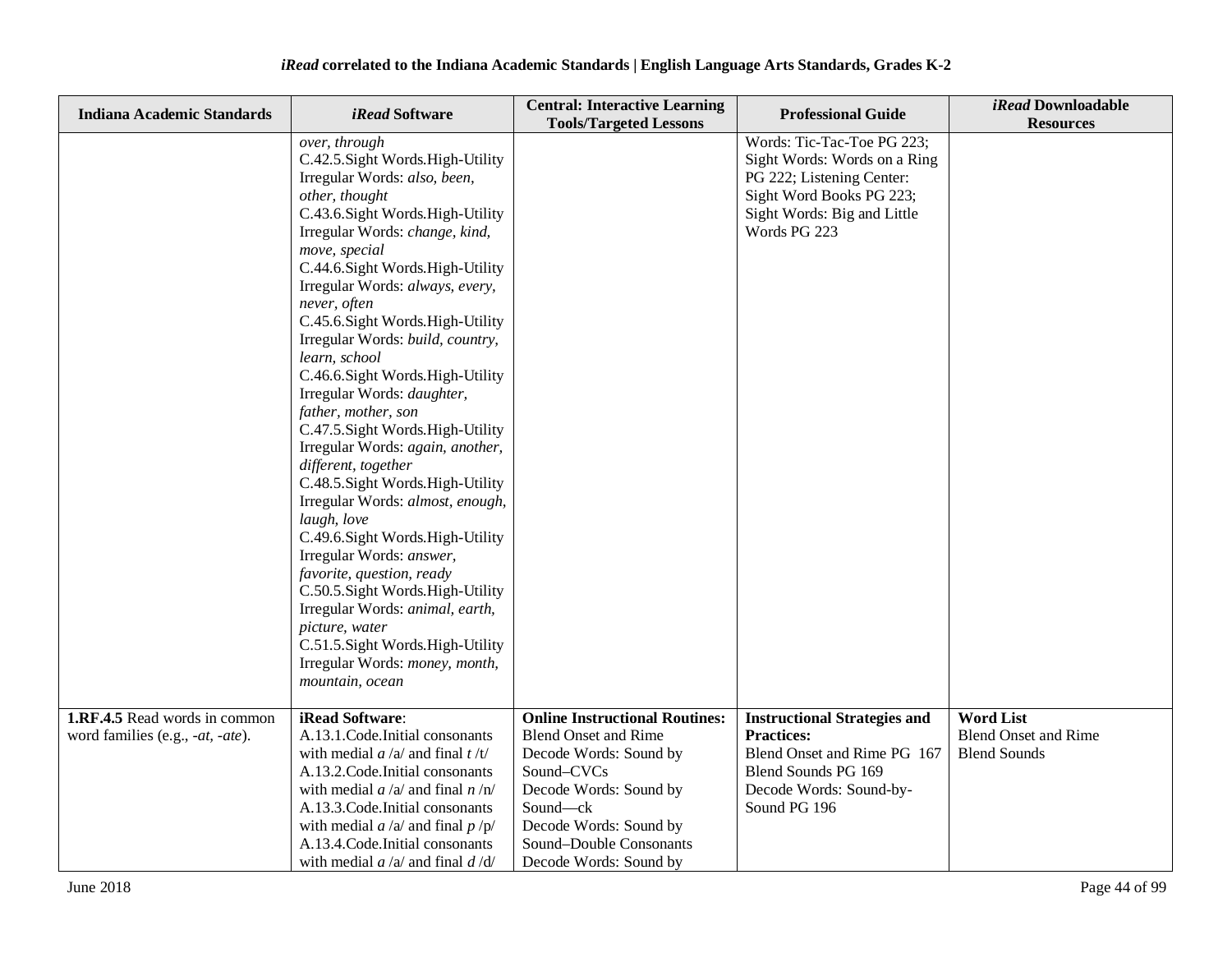| <b>Indiana Academic Standards</b>                                 | iRead Software                                                                                                                                                                                                                                                                                                                                                                                                                                                                                                                                                                                                                                                                                                                                                                                                                                                                                                                                 | <b>Central: Interactive Learning</b><br><b>Tools/Targeted Lessons</b>                                                                                                                                                             | <b>Professional Guide</b>                                                                                                                                          | iRead Downloadable<br><b>Resources</b>                                 |
|-------------------------------------------------------------------|------------------------------------------------------------------------------------------------------------------------------------------------------------------------------------------------------------------------------------------------------------------------------------------------------------------------------------------------------------------------------------------------------------------------------------------------------------------------------------------------------------------------------------------------------------------------------------------------------------------------------------------------------------------------------------------------------------------------------------------------------------------------------------------------------------------------------------------------------------------------------------------------------------------------------------------------|-----------------------------------------------------------------------------------------------------------------------------------------------------------------------------------------------------------------------------------|--------------------------------------------------------------------------------------------------------------------------------------------------------------------|------------------------------------------------------------------------|
|                                                                   | over, through<br>C.42.5. Sight Words. High-Utility<br>Irregular Words: also, been,<br>other, thought<br>C.43.6. Sight Words. High-Utility<br>Irregular Words: change, kind,<br>move, special<br>C.44.6.Sight Words.High-Utility<br>Irregular Words: always, every,<br>never, often<br>C.45.6. Sight Words. High-Utility<br>Irregular Words: build, country,<br>learn, school<br>C.46.6.Sight Words.High-Utility<br>Irregular Words: daughter,<br>father, mother, son<br>C.47.5. Sight Words. High-Utility<br>Irregular Words: again, another,<br>different, together<br>C.48.5. Sight Words. High-Utility<br>Irregular Words: almost, enough,<br>laugh, love<br>C.49.6. Sight Words. High-Utility<br>Irregular Words: answer,<br>favorite, question, ready<br>C.50.5. Sight Words. High-Utility<br>Irregular Words: animal, earth,<br>picture, water<br>C.51.5. Sight Words. High-Utility<br>Irregular Words: money, month,<br>mountain, ocean |                                                                                                                                                                                                                                   | Words: Tic-Tac-Toe PG 223;<br>Sight Words: Words on a Ring<br>PG 222; Listening Center:<br>Sight Word Books PG 223;<br>Sight Words: Big and Little<br>Words PG 223 |                                                                        |
| 1.RF.4.5 Read words in common<br>word families (e.g., -at, -ate). | iRead Software:<br>A.13.1.Code.Initial consonants<br>with medial $a/a$ and final $t/t$<br>A.13.2. Code. Initial consonants<br>with medial $a/a$ and final $n/n$<br>A.13.3. Code. Initial consonants<br>with medial $a/a$ and final $p/p$<br>A.13.4. Code. Initial consonants<br>with medial $a/a$ and final $d/d$                                                                                                                                                                                                                                                                                                                                                                                                                                                                                                                                                                                                                              | <b>Online Instructional Routines:</b><br><b>Blend Onset and Rime</b><br>Decode Words: Sound by<br>Sound-CVCs<br>Decode Words: Sound by<br>Sound-ck<br>Decode Words: Sound by<br>Sound-Double Consonants<br>Decode Words: Sound by | <b>Instructional Strategies and</b><br><b>Practices:</b><br>Blend Onset and Rime PG 167<br>Blend Sounds PG 169<br>Decode Words: Sound-by-<br>Sound PG 196          | <b>Word List</b><br><b>Blend Onset and Rime</b><br><b>Blend Sounds</b> |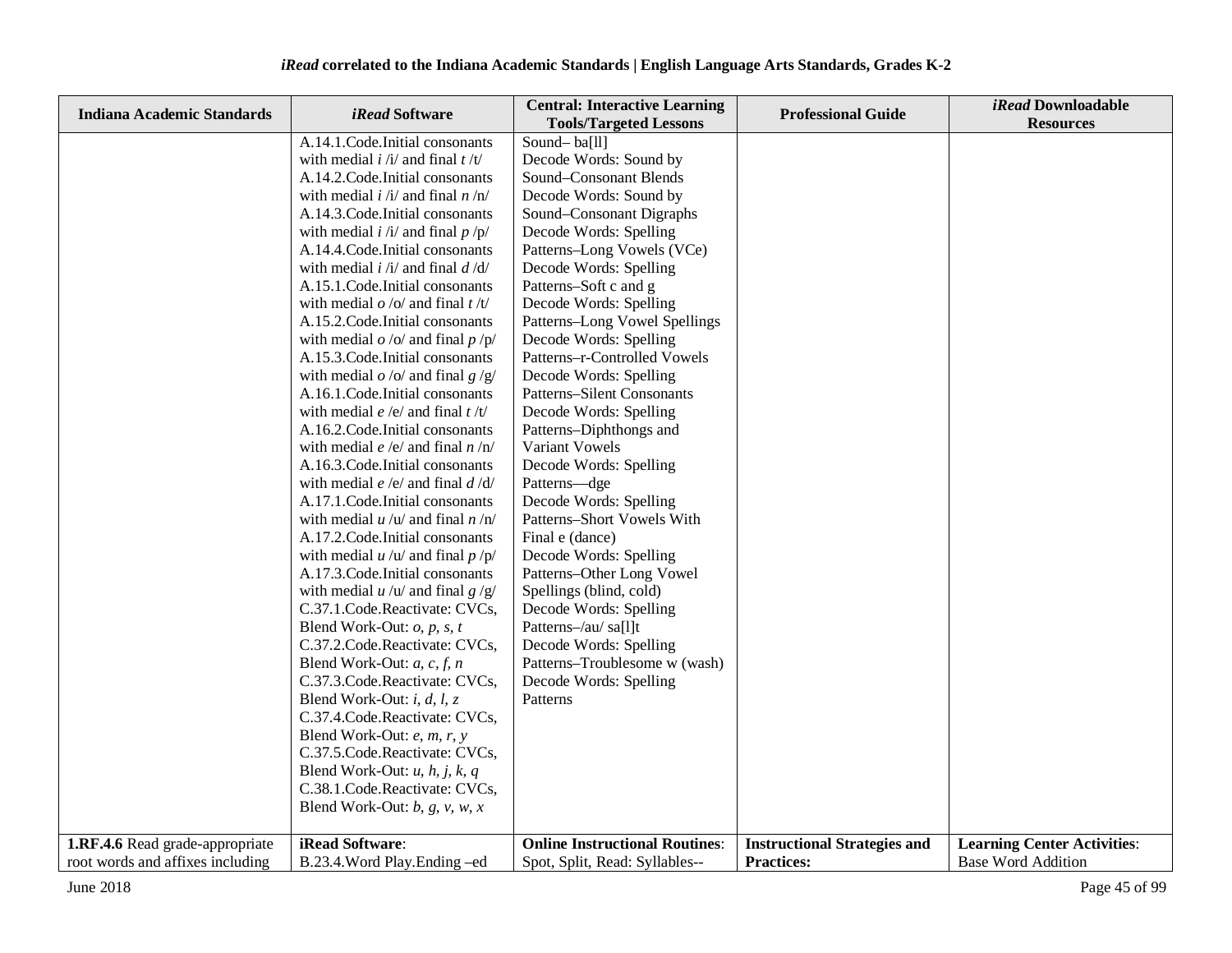| <b>Indiana Academic Standards</b> | <i>iRead</i> Software                           | <b>Central: Interactive Learning</b><br><b>Tools/Targeted Lessons</b> | <b>Professional Guide</b>           | iRead Downloadable<br><b>Resources</b> |
|-----------------------------------|-------------------------------------------------|-----------------------------------------------------------------------|-------------------------------------|----------------------------------------|
|                                   | A.14.1.Code.Initial consonants                  | Sound-ba[ll]                                                          |                                     |                                        |
|                                   | with medial $i / i /$ and final $t / t /$       | Decode Words: Sound by                                                |                                     |                                        |
|                                   | A.14.2. Code. Initial consonants                | Sound-Consonant Blends                                                |                                     |                                        |
|                                   | with medial $i / i /$ and final $n / n /$       | Decode Words: Sound by                                                |                                     |                                        |
|                                   | A.14.3. Code. Initial consonants                | Sound-Consonant Digraphs                                              |                                     |                                        |
|                                   | with medial $i / i /$ and final $p / p /$       | Decode Words: Spelling                                                |                                     |                                        |
|                                   | A.14.4. Code. Initial consonants                | Patterns-Long Vowels (VCe)                                            |                                     |                                        |
|                                   | with medial $i / i /$ and final $d / d /$       | Decode Words: Spelling                                                |                                     |                                        |
|                                   | A.15.1. Code. Initial consonants                | Patterns-Soft c and g                                                 |                                     |                                        |
|                                   | with medial $o / o /$ and final $t / t /$       | Decode Words: Spelling                                                |                                     |                                        |
|                                   | A.15.2. Code. Initial consonants                | Patterns-Long Vowel Spellings                                         |                                     |                                        |
|                                   | with medial $o$ /o/ and final $p$ /p/           | Decode Words: Spelling                                                |                                     |                                        |
|                                   | A.15.3. Code. Initial consonants                | Patterns-r-Controlled Vowels                                          |                                     |                                        |
|                                   | with medial $o$ /o/ and final $g$ /g/           | Decode Words: Spelling                                                |                                     |                                        |
|                                   | A.16.1. Code. Initial consonants                | Patterns-Silent Consonants                                            |                                     |                                        |
|                                   | with medial <i>e</i> /e/ and final <i>t</i> /t/ | Decode Words: Spelling                                                |                                     |                                        |
|                                   | A.16.2. Code. Initial consonants                | Patterns-Diphthongs and                                               |                                     |                                        |
|                                   | with medial $e/e/$ and final $n/n/$             | Variant Vowels                                                        |                                     |                                        |
|                                   | A.16.3. Code. Initial consonants                | Decode Words: Spelling                                                |                                     |                                        |
|                                   | with medial $e/e/$ and final $d/d/$             | Patterns-dge                                                          |                                     |                                        |
|                                   | A.17.1. Code. Initial consonants                | Decode Words: Spelling                                                |                                     |                                        |
|                                   | with medial $u / u /$ and final $n / n /$       | Patterns-Short Vowels With                                            |                                     |                                        |
|                                   | A.17.2. Code. Initial consonants                | Final e (dance)                                                       |                                     |                                        |
|                                   | with medial $u / u /$ and final $p / p /$       | Decode Words: Spelling                                                |                                     |                                        |
|                                   | A.17.3. Code. Initial consonants                | Patterns-Other Long Vowel                                             |                                     |                                        |
|                                   | with medial $u / u /$ and final $g / g /$       | Spellings (blind, cold)                                               |                                     |                                        |
|                                   | C.37.1.Code.Reactivate: CVCs,                   | Decode Words: Spelling                                                |                                     |                                        |
|                                   | Blend Work-Out: $o$ , $p$ , $s$ , $t$           | Patterns-/au/ sa[l]t                                                  |                                     |                                        |
|                                   | C.37.2.Code.Reactivate: CVCs,                   | Decode Words: Spelling                                                |                                     |                                        |
|                                   | Blend Work-Out: $a, c, f, n$                    | Patterns-Troublesome w (wash)                                         |                                     |                                        |
|                                   | C.37.3.Code.Reactivate: CVCs,                   | Decode Words: Spelling                                                |                                     |                                        |
|                                   | Blend Work-Out: $i, d, l, z$                    | Patterns                                                              |                                     |                                        |
|                                   | C.37.4. Code. Reactivate: CVCs,                 |                                                                       |                                     |                                        |
|                                   | Blend Work-Out: e, m, r, y                      |                                                                       |                                     |                                        |
|                                   | C.37.5. Code. Reactivate: CVCs,                 |                                                                       |                                     |                                        |
|                                   | Blend Work-Out: $u$ , $h$ , $j$ , $k$ , $q$     |                                                                       |                                     |                                        |
|                                   | C.38.1.Code.Reactivate: CVCs,                   |                                                                       |                                     |                                        |
|                                   | Blend Work-Out: $b$ , $g$ , $v$ , $w$ , $x$     |                                                                       |                                     |                                        |
| 1.RF.4.6 Read grade-appropriate   | iRead Software:                                 | <b>Online Instructional Routines:</b>                                 | <b>Instructional Strategies and</b> | <b>Learning Center Activities:</b>     |
| root words and affixes including  | B.23.4. Word Play. Ending -ed                   | Spot, Split, Read: Syllables--                                        | <b>Practices:</b>                   | <b>Base Word Addition</b>              |
|                                   |                                                 |                                                                       |                                     |                                        |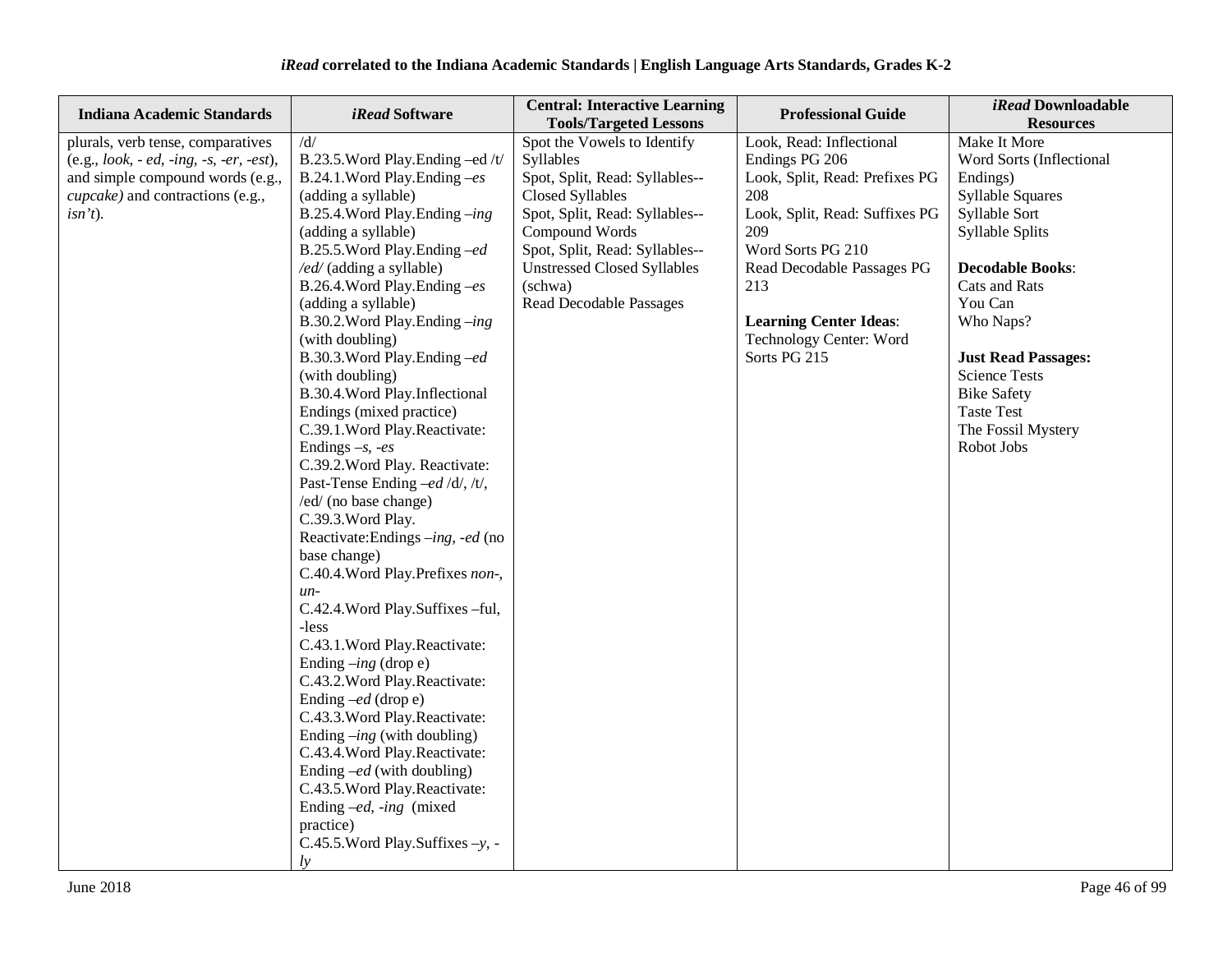| <b>Indiana Academic Standards</b>                                                                                                                                 | <i>iRead</i> Software                                                                                                                                                                                                                                                                                                                                                                                                                                                                                                                                                                                                                                                                                                                                                                                                                                                                                                                                                                                                                                                                                                                                                                        | <b>Central: Interactive Learning</b><br><b>Tools/Targeted Lessons</b>                                                                                                                                                                                                          | <b>Professional Guide</b>                                                                                                                                                                                                                                          | iRead Downloadable<br><b>Resources</b>                                                                                                                                                                                                                                                                                              |
|-------------------------------------------------------------------------------------------------------------------------------------------------------------------|----------------------------------------------------------------------------------------------------------------------------------------------------------------------------------------------------------------------------------------------------------------------------------------------------------------------------------------------------------------------------------------------------------------------------------------------------------------------------------------------------------------------------------------------------------------------------------------------------------------------------------------------------------------------------------------------------------------------------------------------------------------------------------------------------------------------------------------------------------------------------------------------------------------------------------------------------------------------------------------------------------------------------------------------------------------------------------------------------------------------------------------------------------------------------------------------|--------------------------------------------------------------------------------------------------------------------------------------------------------------------------------------------------------------------------------------------------------------------------------|--------------------------------------------------------------------------------------------------------------------------------------------------------------------------------------------------------------------------------------------------------------------|-------------------------------------------------------------------------------------------------------------------------------------------------------------------------------------------------------------------------------------------------------------------------------------------------------------------------------------|
| plurals, verb tense, comparatives<br>$(e.g., look, -ed, -ing, -s, -er, -est),$<br>and simple compound words (e.g.,<br>cupcake) and contractions (e.g.,<br>isn't). | /d/<br>B.23.5. Word Play. Ending -ed /t/<br>B.24.1.Word Play.Ending $-es$<br>(adding a syllable)<br>B.25.4. Word Play. Ending $-ing$<br>(adding a syllable)<br>B.25.5. Word Play. Ending -ed<br>/ed/ (adding a syllable)<br>B.26.4. Word Play. Ending $-es$<br>(adding a syllable)<br>B.30.2. Word Play. Ending -ing<br>(with doubling)<br>B.30.3. Word Play. Ending -ed<br>(with doubling)<br>B.30.4. Word Play. Inflectional<br>Endings (mixed practice)<br>C.39.1. Word Play. Reactivate:<br>Endings $-s$ , $-es$<br>C.39.2. Word Play. Reactivate:<br>Past-Tense Ending -ed /d/, /t/,<br>/ed/ (no base change)<br>C.39.3. Word Play.<br>Reactivate:Endings -ing, -ed (no<br>base change)<br>C.40.4. Word Play. Prefixes non-,<br>$un-$<br>C.42.4. Word Play. Suffixes -ful,<br>-less<br>C.43.1. Word Play. Reactivate:<br>Ending $-ing$ (drop e)<br>C.43.2. Word Play. Reactivate:<br>Ending $-e$ d (drop e)<br>C.43.3. Word Play. Reactivate:<br>Ending $-ing$ (with doubling)<br>C.43.4. Word Play. Reactivate:<br>Ending $-e$ d (with doubling)<br>C.43.5. Word Play. Reactivate:<br>Ending $-e$ d, -ing (mixed<br>practice)<br>C.45.5. Word Play. Suffixes $-y$ , -<br>$l\mathbf{v}$ | Spot the Vowels to Identify<br>Syllables<br>Spot, Split, Read: Syllables--<br><b>Closed Syllables</b><br>Spot, Split, Read: Syllables--<br>Compound Words<br>Spot, Split, Read: Syllables--<br><b>Unstressed Closed Syllables</b><br>(schwa)<br><b>Read Decodable Passages</b> | Look, Read: Inflectional<br>Endings PG 206<br>Look, Split, Read: Prefixes PG<br>208<br>Look, Split, Read: Suffixes PG<br>209<br>Word Sorts PG 210<br>Read Decodable Passages PG<br>213<br><b>Learning Center Ideas:</b><br>Technology Center: Word<br>Sorts PG 215 | Make It More<br>Word Sorts (Inflectional<br>Endings)<br><b>Syllable Squares</b><br>Syllable Sort<br><b>Syllable Splits</b><br><b>Decodable Books:</b><br>Cats and Rats<br>You Can<br>Who Naps?<br><b>Just Read Passages:</b><br><b>Science Tests</b><br><b>Bike Safety</b><br><b>Taste Test</b><br>The Fossil Mystery<br>Robot Jobs |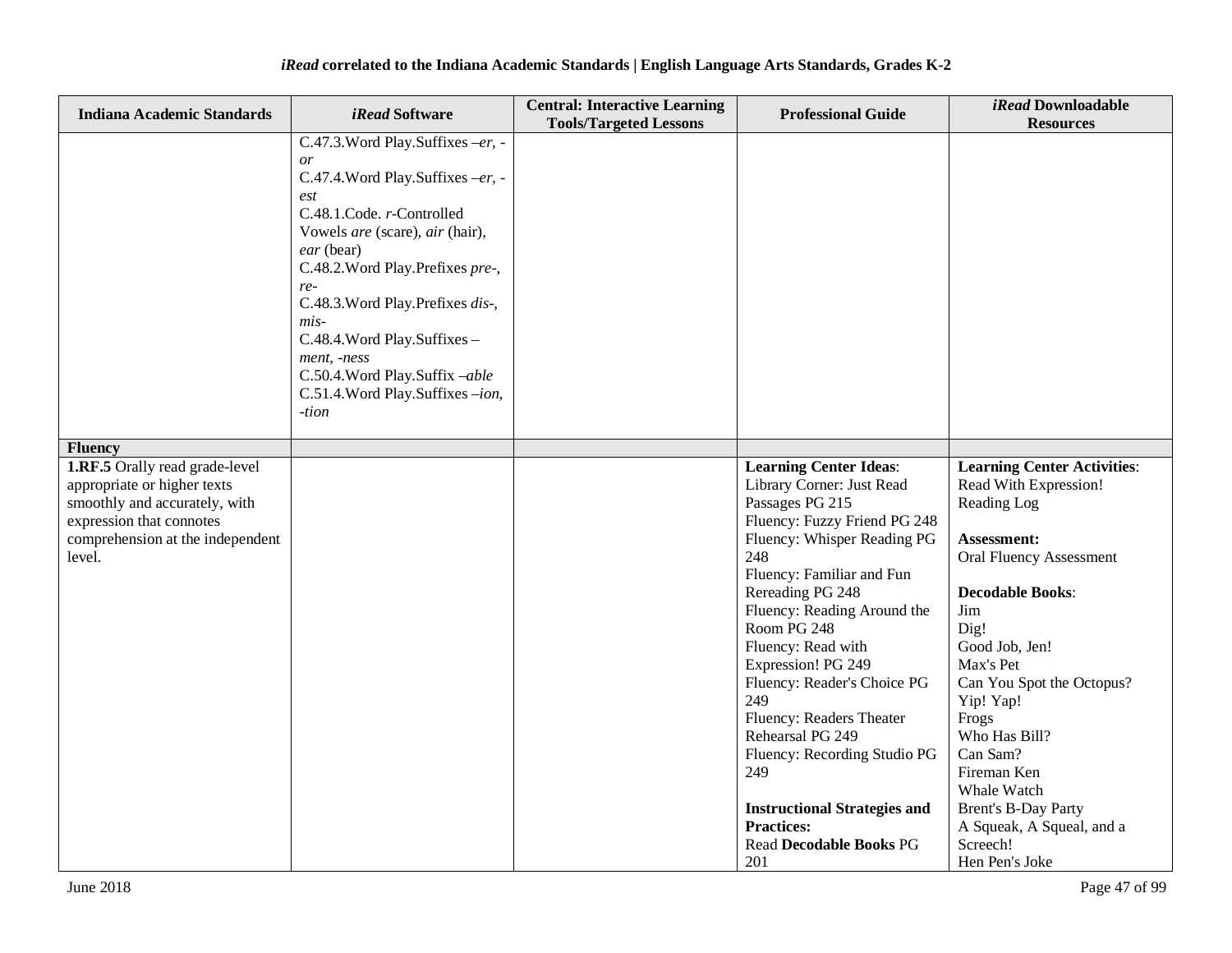| <b>Indiana Academic Standards</b>                                                                                                                                        | <i>iRead</i> Software                                                                                                                                                                                                                                                                                                                                                                           | <b>Central: Interactive Learning</b><br><b>Tools/Targeted Lessons</b> | <b>Professional Guide</b>                                                                                                                                                                                                                                                                                                                                                                                                                                                                                                        | iRead Downloadable<br><b>Resources</b>                                                                                                                                                                                                                                                                                                                                                                      |
|--------------------------------------------------------------------------------------------------------------------------------------------------------------------------|-------------------------------------------------------------------------------------------------------------------------------------------------------------------------------------------------------------------------------------------------------------------------------------------------------------------------------------------------------------------------------------------------|-----------------------------------------------------------------------|----------------------------------------------------------------------------------------------------------------------------------------------------------------------------------------------------------------------------------------------------------------------------------------------------------------------------------------------------------------------------------------------------------------------------------------------------------------------------------------------------------------------------------|-------------------------------------------------------------------------------------------------------------------------------------------------------------------------------------------------------------------------------------------------------------------------------------------------------------------------------------------------------------------------------------------------------------|
|                                                                                                                                                                          | C.47.3. Word Play. Suffixes -er, -<br>or<br>C.47.4. Word Play. Suffixes -er, -<br>est<br>C.48.1.Code. r-Controlled<br>Vowels are (scare), air (hair),<br>ear (bear)<br>C.48.2. Word Play. Prefixes pre-,<br>re-<br>C.48.3. Word Play. Prefixes dis-,<br>$mis-$<br>C.48.4. Word Play. Suffixes -<br>ment, -ness<br>C.50.4. Word Play. Suffix -able<br>C.51.4. Word Play. Suffixes -ion,<br>-tion |                                                                       |                                                                                                                                                                                                                                                                                                                                                                                                                                                                                                                                  |                                                                                                                                                                                                                                                                                                                                                                                                             |
| <b>Fluency</b>                                                                                                                                                           |                                                                                                                                                                                                                                                                                                                                                                                                 |                                                                       |                                                                                                                                                                                                                                                                                                                                                                                                                                                                                                                                  |                                                                                                                                                                                                                                                                                                                                                                                                             |
| 1.RF.5 Orally read grade-level<br>appropriate or higher texts<br>smoothly and accurately, with<br>expression that connotes<br>comprehension at the independent<br>level. |                                                                                                                                                                                                                                                                                                                                                                                                 |                                                                       | <b>Learning Center Ideas:</b><br>Library Corner: Just Read<br>Passages PG 215<br>Fluency: Fuzzy Friend PG 248<br>Fluency: Whisper Reading PG<br>248<br>Fluency: Familiar and Fun<br>Rereading PG 248<br>Fluency: Reading Around the<br>Room PG 248<br>Fluency: Read with<br>Expression! PG 249<br>Fluency: Reader's Choice PG<br>249<br>Fluency: Readers Theater<br>Rehearsal PG 249<br>Fluency: Recording Studio PG<br>249<br><b>Instructional Strategies and</b><br><b>Practices:</b><br><b>Read Decodable Books PG</b><br>201 | <b>Learning Center Activities:</b><br>Read With Expression!<br>Reading Log<br>Assessment:<br><b>Oral Fluency Assessment</b><br><b>Decodable Books:</b><br>Jim<br>Dig!<br>Good Job, Jen!<br>Max's Pet<br>Can You Spot the Octopus?<br>Yip! Yap!<br>Frogs<br>Who Has Bill?<br>Can Sam?<br>Fireman Ken<br>Whale Watch<br><b>Brent's B-Day Party</b><br>A Squeak, A Squeal, and a<br>Screech!<br>Hen Pen's Joke |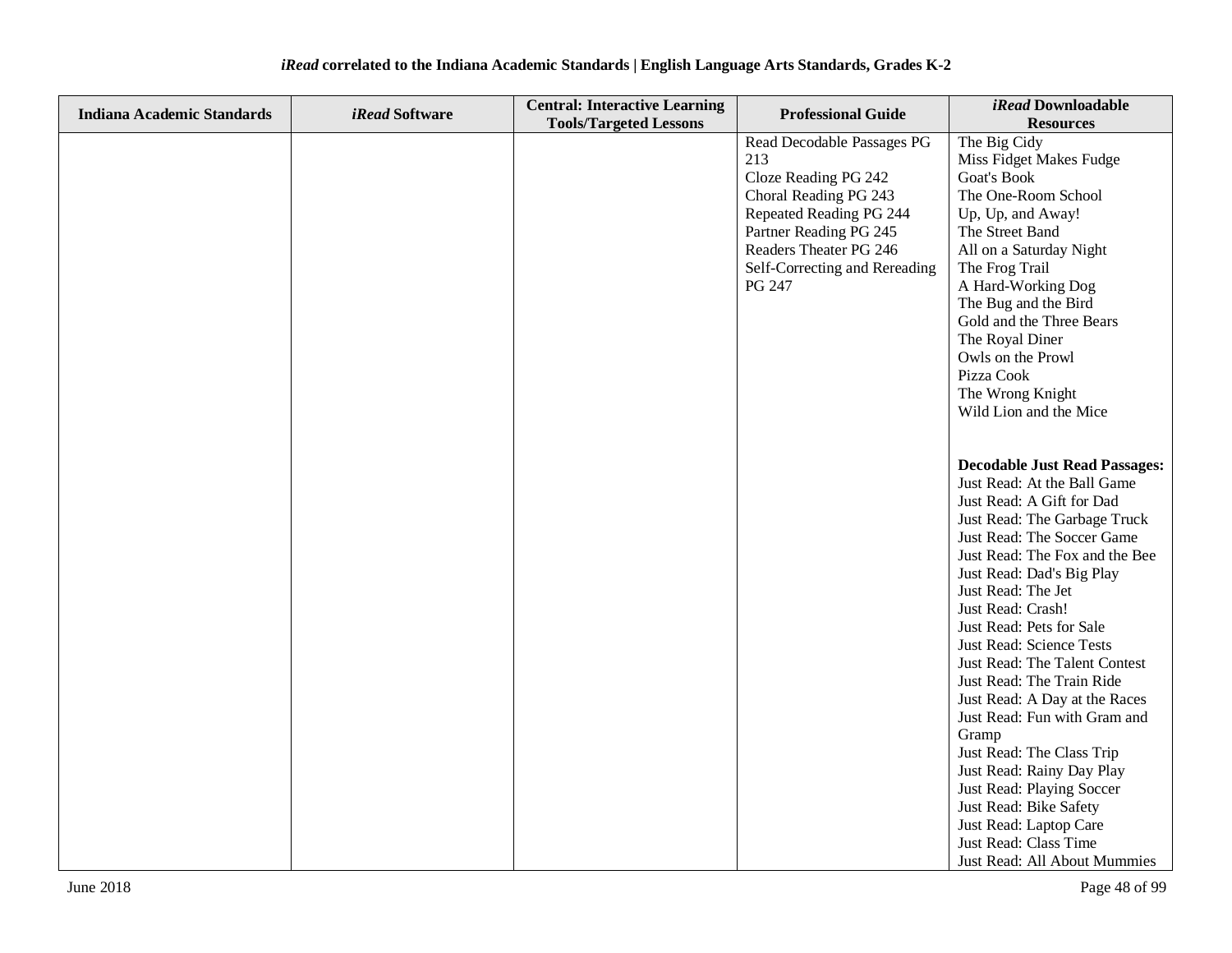| <b>Indiana Academic Standards</b> | iRead Software | <b>Central: Interactive Learning</b> | <b>Professional Guide</b>     | iRead Downloadable                               |
|-----------------------------------|----------------|--------------------------------------|-------------------------------|--------------------------------------------------|
|                                   |                | <b>Tools/Targeted Lessons</b>        |                               | <b>Resources</b>                                 |
|                                   |                |                                      | Read Decodable Passages PG    | The Big Cidy                                     |
|                                   |                |                                      | 213                           | Miss Fidget Makes Fudge                          |
|                                   |                |                                      | Cloze Reading PG 242          | Goat's Book                                      |
|                                   |                |                                      | Choral Reading PG 243         | The One-Room School                              |
|                                   |                |                                      | Repeated Reading PG 244       | Up, Up, and Away!                                |
|                                   |                |                                      | Partner Reading PG 245        | The Street Band                                  |
|                                   |                |                                      | Readers Theater PG 246        | All on a Saturday Night                          |
|                                   |                |                                      | Self-Correcting and Rereading | The Frog Trail                                   |
|                                   |                |                                      | PG 247                        | A Hard-Working Dog                               |
|                                   |                |                                      |                               | The Bug and the Bird                             |
|                                   |                |                                      |                               | Gold and the Three Bears                         |
|                                   |                |                                      |                               | The Royal Diner                                  |
|                                   |                |                                      |                               | Owls on the Prowl                                |
|                                   |                |                                      |                               | Pizza Cook                                       |
|                                   |                |                                      |                               | The Wrong Knight                                 |
|                                   |                |                                      |                               | Wild Lion and the Mice                           |
|                                   |                |                                      |                               |                                                  |
|                                   |                |                                      |                               | <b>Decodable Just Read Passages:</b>             |
|                                   |                |                                      |                               | Just Read: At the Ball Game                      |
|                                   |                |                                      |                               | Just Read: A Gift for Dad                        |
|                                   |                |                                      |                               | Just Read: The Garbage Truck                     |
|                                   |                |                                      |                               | Just Read: The Soccer Game                       |
|                                   |                |                                      |                               | Just Read: The Fox and the Bee                   |
|                                   |                |                                      |                               | Just Read: Dad's Big Play                        |
|                                   |                |                                      |                               | Just Read: The Jet                               |
|                                   |                |                                      |                               | Just Read: Crash!                                |
|                                   |                |                                      |                               | Just Read: Pets for Sale                         |
|                                   |                |                                      |                               | Just Read: Science Tests                         |
|                                   |                |                                      |                               | Just Read: The Talent Contest                    |
|                                   |                |                                      |                               | Just Read: The Train Ride                        |
|                                   |                |                                      |                               | Just Read: A Day at the Races                    |
|                                   |                |                                      |                               | Just Read: Fun with Gram and                     |
|                                   |                |                                      |                               | Gramp                                            |
|                                   |                |                                      |                               | Just Read: The Class Trip                        |
|                                   |                |                                      |                               | Just Read: Rainy Day Play                        |
|                                   |                |                                      |                               | Just Read: Playing Soccer                        |
|                                   |                |                                      |                               | Just Read: Bike Safety<br>Just Read: Laptop Care |
|                                   |                |                                      |                               | Just Read: Class Time                            |
|                                   |                |                                      |                               | Just Read: All About Mummies                     |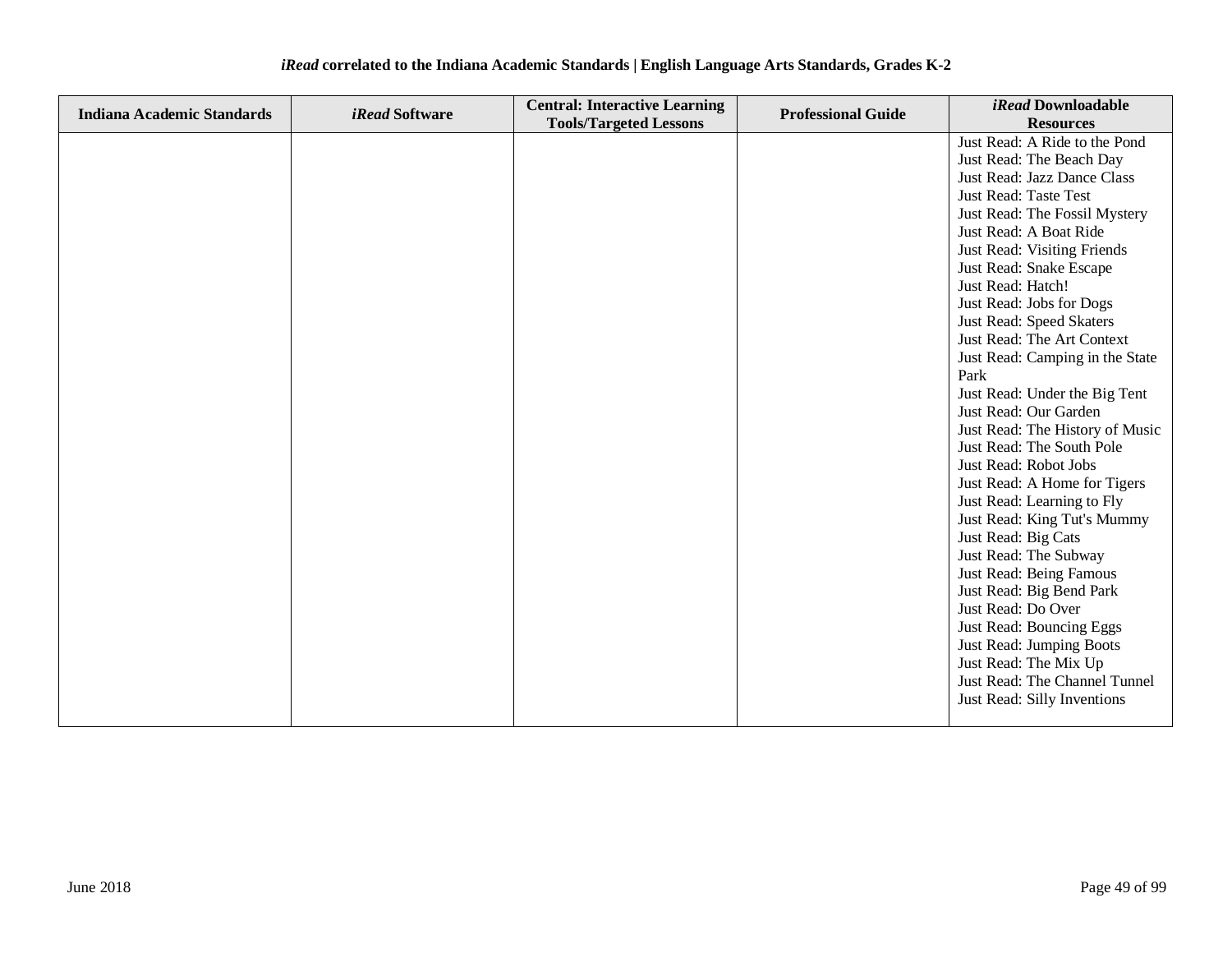| <i>iRead</i> correlated to the Indiana Academic Standards   English Language Arts Standards, Grades K-2 |  |  |
|---------------------------------------------------------------------------------------------------------|--|--|
|---------------------------------------------------------------------------------------------------------|--|--|

| <b>Indiana Academic Standards</b> | <i>iRead</i> Software | <b>Central: Interactive Learning</b> | <b>Professional Guide</b> | iRead Downloadable              |
|-----------------------------------|-----------------------|--------------------------------------|---------------------------|---------------------------------|
|                                   |                       | <b>Tools/Targeted Lessons</b>        |                           | <b>Resources</b>                |
|                                   |                       |                                      |                           | Just Read: A Ride to the Pond   |
|                                   |                       |                                      |                           | Just Read: The Beach Day        |
|                                   |                       |                                      |                           | Just Read: Jazz Dance Class     |
|                                   |                       |                                      |                           | Just Read: Taste Test           |
|                                   |                       |                                      |                           | Just Read: The Fossil Mystery   |
|                                   |                       |                                      |                           | Just Read: A Boat Ride          |
|                                   |                       |                                      |                           | Just Read: Visiting Friends     |
|                                   |                       |                                      |                           | Just Read: Snake Escape         |
|                                   |                       |                                      |                           | Just Read: Hatch!               |
|                                   |                       |                                      |                           | Just Read: Jobs for Dogs        |
|                                   |                       |                                      |                           | Just Read: Speed Skaters        |
|                                   |                       |                                      |                           | Just Read: The Art Context      |
|                                   |                       |                                      |                           | Just Read: Camping in the State |
|                                   |                       |                                      |                           | Park                            |
|                                   |                       |                                      |                           | Just Read: Under the Big Tent   |
|                                   |                       |                                      |                           | Just Read: Our Garden           |
|                                   |                       |                                      |                           | Just Read: The History of Music |
|                                   |                       |                                      |                           | Just Read: The South Pole       |
|                                   |                       |                                      |                           | Just Read: Robot Jobs           |
|                                   |                       |                                      |                           | Just Read: A Home for Tigers    |
|                                   |                       |                                      |                           | Just Read: Learning to Fly      |
|                                   |                       |                                      |                           | Just Read: King Tut's Mummy     |
|                                   |                       |                                      |                           | Just Read: Big Cats             |
|                                   |                       |                                      |                           | Just Read: The Subway           |
|                                   |                       |                                      |                           | Just Read: Being Famous         |
|                                   |                       |                                      |                           | Just Read: Big Bend Park        |
|                                   |                       |                                      |                           | Just Read: Do Over              |
|                                   |                       |                                      |                           | Just Read: Bouncing Eggs        |
|                                   |                       |                                      |                           | Just Read: Jumping Boots        |
|                                   |                       |                                      |                           | Just Read: The Mix Up           |
|                                   |                       |                                      |                           | Just Read: The Channel Tunnel   |
|                                   |                       |                                      |                           | Just Read: Silly Inventions     |
|                                   |                       |                                      |                           |                                 |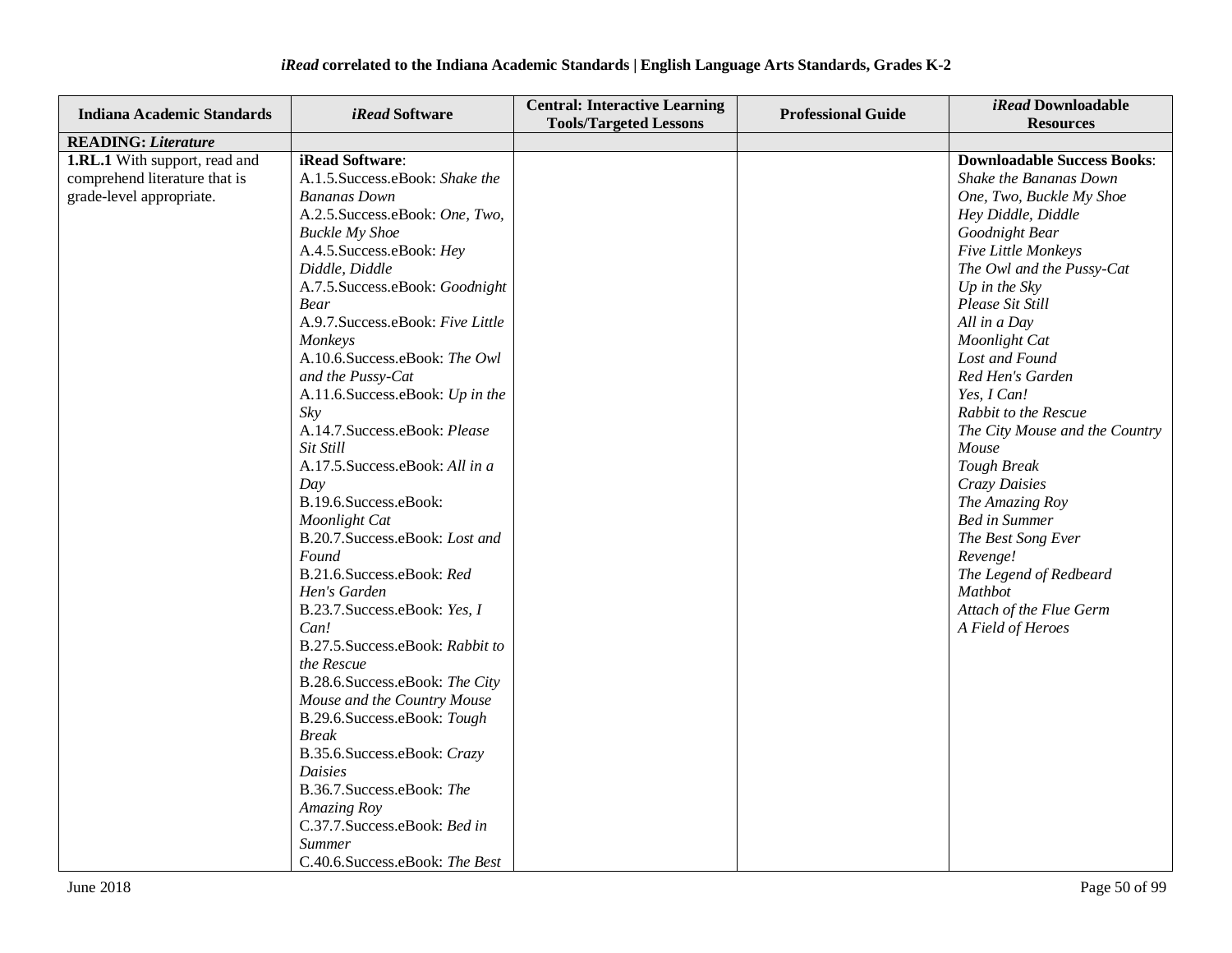| <b>Indiana Academic Standards</b>                                                                 | <i>iRead</i> Software                                                                                                                                                                                                                                                                                                                                                                                                                                                                                                                                                                                                                                                                                                                                                                                                                                                                                                                                                                                      | <b>Central: Interactive Learning</b><br><b>Tools/Targeted Lessons</b> | <b>Professional Guide</b> | iRead Downloadable<br><b>Resources</b>                                                                                                                                                                                                                                                                                                                                                                                                                                                                                                                                                        |
|---------------------------------------------------------------------------------------------------|------------------------------------------------------------------------------------------------------------------------------------------------------------------------------------------------------------------------------------------------------------------------------------------------------------------------------------------------------------------------------------------------------------------------------------------------------------------------------------------------------------------------------------------------------------------------------------------------------------------------------------------------------------------------------------------------------------------------------------------------------------------------------------------------------------------------------------------------------------------------------------------------------------------------------------------------------------------------------------------------------------|-----------------------------------------------------------------------|---------------------------|-----------------------------------------------------------------------------------------------------------------------------------------------------------------------------------------------------------------------------------------------------------------------------------------------------------------------------------------------------------------------------------------------------------------------------------------------------------------------------------------------------------------------------------------------------------------------------------------------|
| <b>READING: Literature</b>                                                                        |                                                                                                                                                                                                                                                                                                                                                                                                                                                                                                                                                                                                                                                                                                                                                                                                                                                                                                                                                                                                            |                                                                       |                           |                                                                                                                                                                                                                                                                                                                                                                                                                                                                                                                                                                                               |
| <b>1.RL.1</b> With support, read and<br>comprehend literature that is<br>grade-level appropriate. | iRead Software:<br>A.1.5. Success.eBook: Shake the<br><b>Bananas Down</b><br>A.2.5. Success.eBook: One, Two,<br><b>Buckle My Shoe</b><br>A.4.5. Success.eBook: Hey<br>Diddle, Diddle<br>A.7.5. Success.eBook: Goodnight<br><b>Bear</b><br>A.9.7. Success.eBook: Five Little<br>Monkeys<br>A.10.6.Success.eBook: The Owl<br>and the Pussy-Cat<br>A.11.6. Success.eBook: Up in the<br>Sky<br>A.14.7. Success.eBook: Please<br>Sit Still<br>A.17.5. Success. eBook: All in a<br>Day<br>B.19.6.Success.eBook:<br>Moonlight Cat<br>B.20.7.Success.eBook: Lost and<br>Found<br>B.21.6.Success.eBook: Red<br>Hen's Garden<br>B.23.7. Success.eBook: Yes, I<br>Can!<br>B.27.5. Success.eBook: Rabbit to<br>the Rescue<br>B.28.6.Success.eBook: The City<br>Mouse and the Country Mouse<br>B.29.6. Success.eBook: Tough<br><b>Break</b><br>B.35.6. Success.eBook: Crazy<br>Daisies<br>B.36.7. Success.eBook: The<br>Amazing Roy<br>C.37.7. Success.eBook: Bed in<br><b>Summer</b><br>C.40.6.Success.eBook: The Best |                                                                       |                           | <b>Downloadable Success Books:</b><br>Shake the Bananas Down<br>One, Two, Buckle My Shoe<br>Hey Diddle, Diddle<br>Goodnight Bear<br>Five Little Monkeys<br>The Owl and the Pussy-Cat<br>Up in the $Sky$<br>Please Sit Still<br>All in a Day<br>Moonlight Cat<br>Lost and Found<br>Red Hen's Garden<br>Yes, I Can!<br>Rabbit to the Rescue<br>The City Mouse and the Country<br>Mouse<br><b>Tough Break</b><br>Crazy Daisies<br>The Amazing Roy<br><b>Bed in Summer</b><br>The Best Song Ever<br>Revenge!<br>The Legend of Redbeard<br>Mathbot<br>Attach of the Flue Germ<br>A Field of Heroes |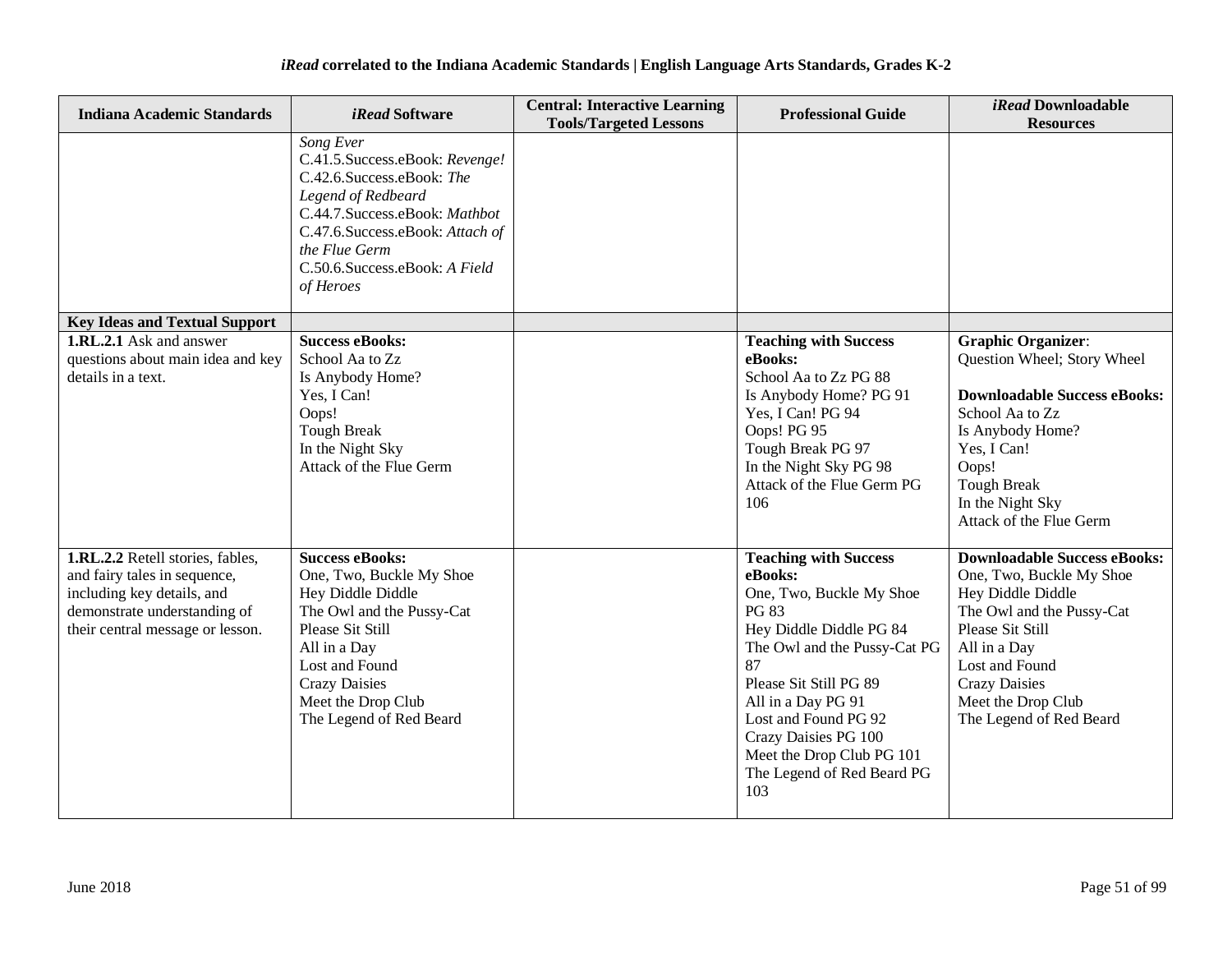| <b>Indiana Academic Standards</b>                                                                                                                                  | <i>iRead</i> Software                                                                                                                                                                                                                | <b>Central: Interactive Learning</b><br><b>Tools/Targeted Lessons</b> | <b>Professional Guide</b>                                                                                                                                                                                                                                                                                       | iRead Downloadable<br><b>Resources</b>                                                                                                                                                                                                           |
|--------------------------------------------------------------------------------------------------------------------------------------------------------------------|--------------------------------------------------------------------------------------------------------------------------------------------------------------------------------------------------------------------------------------|-----------------------------------------------------------------------|-----------------------------------------------------------------------------------------------------------------------------------------------------------------------------------------------------------------------------------------------------------------------------------------------------------------|--------------------------------------------------------------------------------------------------------------------------------------------------------------------------------------------------------------------------------------------------|
|                                                                                                                                                                    | Song Ever<br>C.41.5. Success.e Book: Revenge!<br>C.42.6.Success.eBook: The<br>Legend of Redbeard<br>C.44.7. Success.eBook: Mathbot<br>C.47.6.Success.eBook: Attach of<br>the Flue Germ<br>C.50.6.Success.eBook: A Field<br>of Heroes |                                                                       |                                                                                                                                                                                                                                                                                                                 |                                                                                                                                                                                                                                                  |
| <b>Key Ideas and Textual Support</b><br><b>1.RL.2.1</b> Ask and answer                                                                                             | <b>Success eBooks:</b>                                                                                                                                                                                                               |                                                                       | <b>Teaching with Success</b>                                                                                                                                                                                                                                                                                    | <b>Graphic Organizer:</b>                                                                                                                                                                                                                        |
| questions about main idea and key<br>details in a text.                                                                                                            | School Aa to Zz<br>Is Anybody Home?<br>Yes, I Can!<br>Oops!<br><b>Tough Break</b><br>In the Night Sky<br>Attack of the Flue Germ                                                                                                     |                                                                       | eBooks:<br>School Aa to Zz PG 88<br>Is Anybody Home? PG 91<br>Yes, I Can! PG 94<br>Oops! PG 95<br>Tough Break PG 97<br>In the Night Sky PG 98<br>Attack of the Flue Germ PG<br>106                                                                                                                              | Question Wheel; Story Wheel<br><b>Downloadable Success eBooks:</b><br>School Aa to Zz<br>Is Anybody Home?<br>Yes, I Can!<br>Oops!<br><b>Tough Break</b><br>In the Night Sky<br>Attack of the Flue Germ                                           |
| 1.RL.2.2 Retell stories, fables,<br>and fairy tales in sequence,<br>including key details, and<br>demonstrate understanding of<br>their central message or lesson. | <b>Success eBooks:</b><br>One, Two, Buckle My Shoe<br>Hey Diddle Diddle<br>The Owl and the Pussy-Cat<br>Please Sit Still<br>All in a Day<br>Lost and Found<br><b>Crazy Daisies</b><br>Meet the Drop Club<br>The Legend of Red Beard  |                                                                       | <b>Teaching with Success</b><br>eBooks:<br>One, Two, Buckle My Shoe<br>PG 83<br>Hey Diddle Diddle PG 84<br>The Owl and the Pussy-Cat PG<br>87<br>Please Sit Still PG 89<br>All in a Day PG 91<br>Lost and Found PG 92<br>Crazy Daisies PG 100<br>Meet the Drop Club PG 101<br>The Legend of Red Beard PG<br>103 | <b>Downloadable Success eBooks:</b><br>One, Two, Buckle My Shoe<br>Hey Diddle Diddle<br>The Owl and the Pussy-Cat<br>Please Sit Still<br>All in a Day<br>Lost and Found<br><b>Crazy Daisies</b><br>Meet the Drop Club<br>The Legend of Red Beard |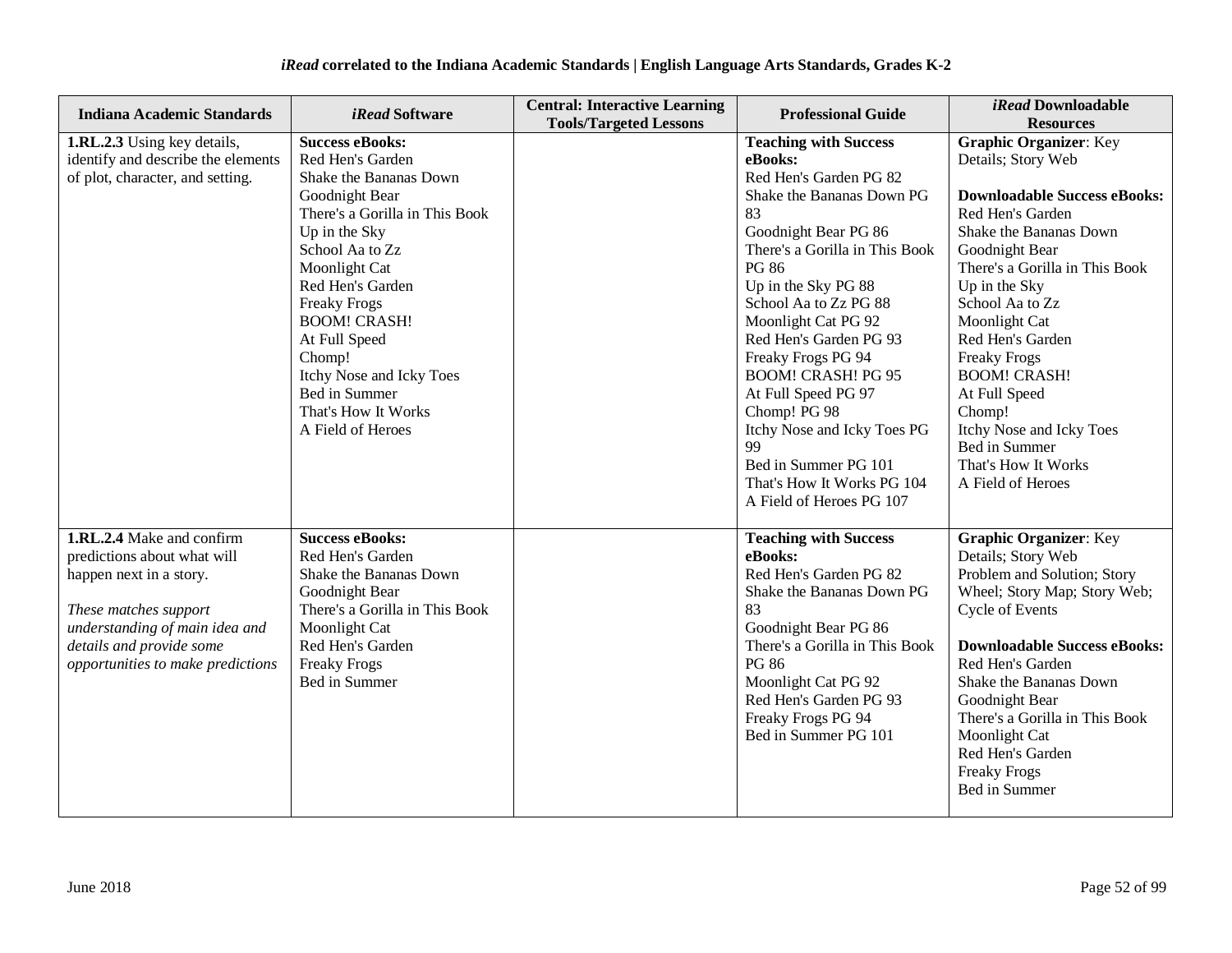| <b>Indiana Academic Standards</b>                                                                                                                                                                               | <i>iRead</i> Software                                                                                                                                                                                                                                                                                                                                               | <b>Central: Interactive Learning</b><br><b>Tools/Targeted Lessons</b> | <b>Professional Guide</b>                                                                                                                                                                                                                                                                                                                                                                                                                                                                 | iRead Downloadable<br><b>Resources</b>                                                                                                                                                                                                                                                                                                                                                                                                  |
|-----------------------------------------------------------------------------------------------------------------------------------------------------------------------------------------------------------------|---------------------------------------------------------------------------------------------------------------------------------------------------------------------------------------------------------------------------------------------------------------------------------------------------------------------------------------------------------------------|-----------------------------------------------------------------------|-------------------------------------------------------------------------------------------------------------------------------------------------------------------------------------------------------------------------------------------------------------------------------------------------------------------------------------------------------------------------------------------------------------------------------------------------------------------------------------------|-----------------------------------------------------------------------------------------------------------------------------------------------------------------------------------------------------------------------------------------------------------------------------------------------------------------------------------------------------------------------------------------------------------------------------------------|
| 1.RL.2.3 Using key details,<br>identify and describe the elements<br>of plot, character, and setting.                                                                                                           | <b>Success eBooks:</b><br>Red Hen's Garden<br>Shake the Bananas Down<br>Goodnight Bear<br>There's a Gorilla in This Book<br>Up in the Sky<br>School Aa to Zz<br>Moonlight Cat<br>Red Hen's Garden<br><b>Freaky Frogs</b><br><b>BOOM! CRASH!</b><br>At Full Speed<br>Chomp!<br>Itchy Nose and Icky Toes<br>Bed in Summer<br>That's How It Works<br>A Field of Heroes |                                                                       | <b>Teaching with Success</b><br>eBooks:<br>Red Hen's Garden PG 82<br>Shake the Bananas Down PG<br>83<br>Goodnight Bear PG 86<br>There's a Gorilla in This Book<br>PG 86<br>Up in the Sky PG 88<br>School Aa to Zz PG 88<br>Moonlight Cat PG 92<br>Red Hen's Garden PG 93<br>Freaky Frogs PG 94<br><b>BOOM! CRASH! PG 95</b><br>At Full Speed PG 97<br>Chomp! PG 98<br>Itchy Nose and Icky Toes PG<br>99<br>Bed in Summer PG 101<br>That's How It Works PG 104<br>A Field of Heroes PG 107 | <b>Graphic Organizer: Key</b><br>Details; Story Web<br><b>Downloadable Success eBooks:</b><br>Red Hen's Garden<br>Shake the Bananas Down<br>Goodnight Bear<br>There's a Gorilla in This Book<br>Up in the Sky<br>School Aa to Zz<br>Moonlight Cat<br>Red Hen's Garden<br><b>Freaky Frogs</b><br><b>BOOM! CRASH!</b><br>At Full Speed<br>Chomp!<br>Itchy Nose and Icky Toes<br>Bed in Summer<br>That's How It Works<br>A Field of Heroes |
| 1.RL.2.4 Make and confirm<br>predictions about what will<br>happen next in a story.<br>These matches support<br>understanding of main idea and<br>details and provide some<br>opportunities to make predictions | <b>Success eBooks:</b><br>Red Hen's Garden<br>Shake the Bananas Down<br>Goodnight Bear<br>There's a Gorilla in This Book<br>Moonlight Cat<br>Red Hen's Garden<br><b>Freaky Frogs</b><br>Bed in Summer                                                                                                                                                               |                                                                       | <b>Teaching with Success</b><br>eBooks:<br>Red Hen's Garden PG 82<br>Shake the Bananas Down PG<br>83<br>Goodnight Bear PG 86<br>There's a Gorilla in This Book<br>PG 86<br>Moonlight Cat PG 92<br>Red Hen's Garden PG 93<br>Freaky Frogs PG 94<br>Bed in Summer PG 101                                                                                                                                                                                                                    | <b>Graphic Organizer: Key</b><br>Details; Story Web<br>Problem and Solution; Story<br>Wheel; Story Map; Story Web;<br><b>Cycle of Events</b><br><b>Downloadable Success eBooks:</b><br>Red Hen's Garden<br>Shake the Bananas Down<br>Goodnight Bear<br>There's a Gorilla in This Book<br>Moonlight Cat<br>Red Hen's Garden<br><b>Freaky Frogs</b><br>Bed in Summer                                                                      |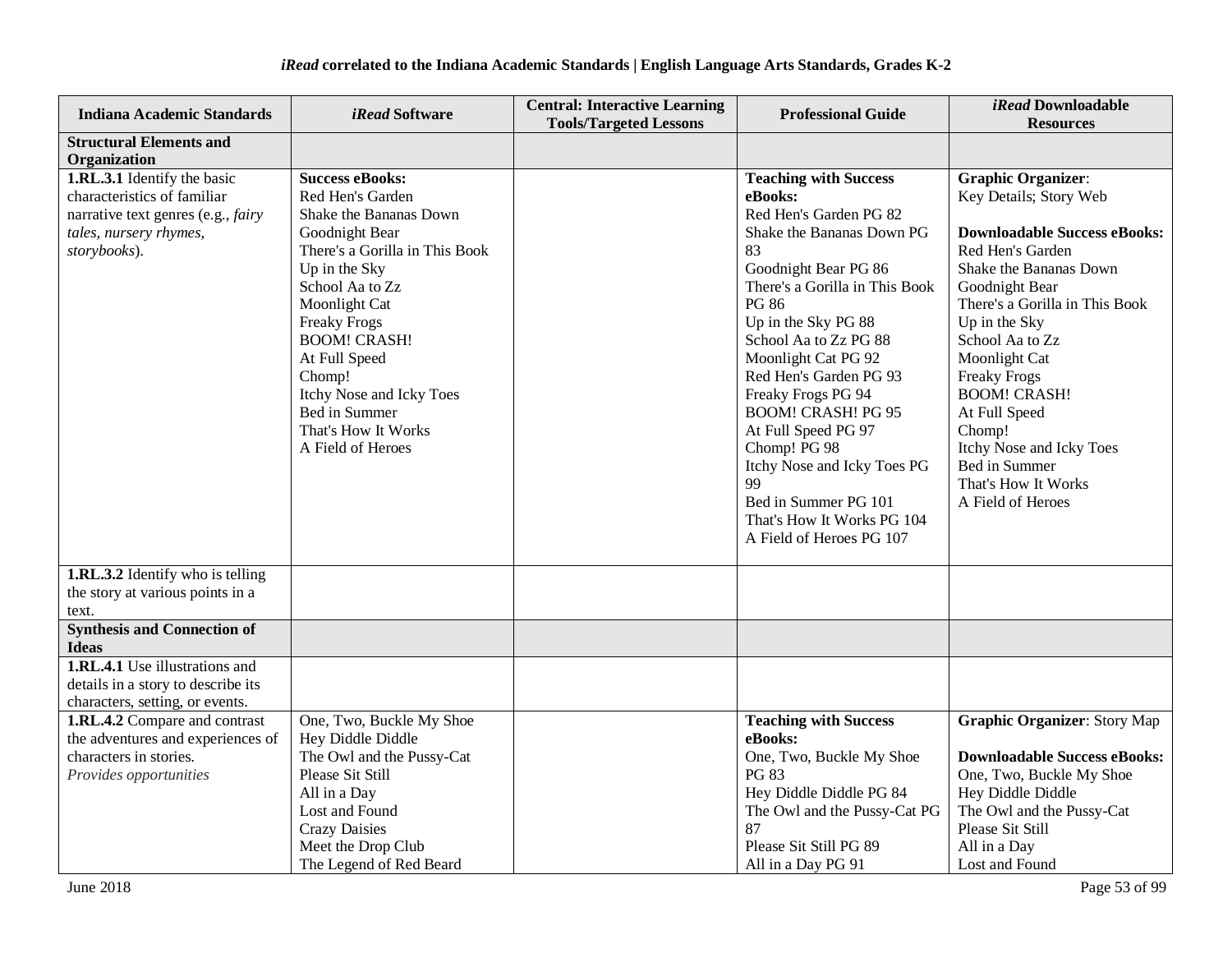| <b>Indiana Academic Standards</b>                  | <i>iRead</i> Software          | <b>Central: Interactive Learning</b><br><b>Tools/Targeted Lessons</b> | <b>Professional Guide</b>      | iRead Downloadable<br><b>Resources</b> |
|----------------------------------------------------|--------------------------------|-----------------------------------------------------------------------|--------------------------------|----------------------------------------|
| <b>Structural Elements and</b>                     |                                |                                                                       |                                |                                        |
| Organization                                       |                                |                                                                       |                                |                                        |
| 1.RL.3.1 Identify the basic                        | <b>Success eBooks:</b>         |                                                                       | <b>Teaching with Success</b>   | <b>Graphic Organizer:</b>              |
| characteristics of familiar                        | Red Hen's Garden               |                                                                       | eBooks:                        | Key Details; Story Web                 |
| narrative text genres (e.g., fairy                 | Shake the Bananas Down         |                                                                       | Red Hen's Garden PG 82         |                                        |
| tales, nursery rhymes,                             | Goodnight Bear                 |                                                                       | Shake the Bananas Down PG      | <b>Downloadable Success eBooks:</b>    |
| storybooks).                                       | There's a Gorilla in This Book |                                                                       | 83                             | Red Hen's Garden                       |
|                                                    | Up in the Sky                  |                                                                       | Goodnight Bear PG 86           | Shake the Bananas Down                 |
|                                                    | School Aa to Zz                |                                                                       | There's a Gorilla in This Book | Goodnight Bear                         |
|                                                    | Moonlight Cat                  |                                                                       | <b>PG 86</b>                   | There's a Gorilla in This Book         |
|                                                    | <b>Freaky Frogs</b>            |                                                                       | Up in the Sky PG 88            | Up in the Sky                          |
|                                                    | <b>BOOM! CRASH!</b>            |                                                                       | School Aa to Zz PG 88          | School Aa to Zz                        |
|                                                    | At Full Speed                  |                                                                       | Moonlight Cat PG 92            | Moonlight Cat                          |
|                                                    | Chomp!                         |                                                                       | Red Hen's Garden PG 93         | <b>Freaky Frogs</b>                    |
|                                                    | Itchy Nose and Icky Toes       |                                                                       | Freaky Frogs PG 94             | <b>BOOM! CRASH!</b>                    |
|                                                    | Bed in Summer                  |                                                                       | <b>BOOM! CRASH! PG 95</b>      | At Full Speed                          |
|                                                    | That's How It Works            |                                                                       | At Full Speed PG 97            | Chomp!                                 |
|                                                    | A Field of Heroes              |                                                                       | Chomp! PG 98                   | Itchy Nose and Icky Toes               |
|                                                    |                                |                                                                       | Itchy Nose and Icky Toes PG    | Bed in Summer                          |
|                                                    |                                |                                                                       | 99                             | That's How It Works                    |
|                                                    |                                |                                                                       | Bed in Summer PG 101           | A Field of Heroes                      |
|                                                    |                                |                                                                       | That's How It Works PG 104     |                                        |
|                                                    |                                |                                                                       | A Field of Heroes PG 107       |                                        |
| <b>1.RL.3.2</b> Identify who is telling            |                                |                                                                       |                                |                                        |
| the story at various points in a                   |                                |                                                                       |                                |                                        |
| text.                                              |                                |                                                                       |                                |                                        |
| <b>Synthesis and Connection of</b><br><b>Ideas</b> |                                |                                                                       |                                |                                        |
| <b>1.RL.4.1</b> Use illustrations and              |                                |                                                                       |                                |                                        |
| details in a story to describe its                 |                                |                                                                       |                                |                                        |
| characters, setting, or events.                    |                                |                                                                       |                                |                                        |
| 1.RL.4.2 Compare and contrast                      | One, Two, Buckle My Shoe       |                                                                       | <b>Teaching with Success</b>   | <b>Graphic Organizer: Story Map</b>    |
| the adventures and experiences of                  | Hey Diddle Diddle              |                                                                       | eBooks:                        |                                        |
| characters in stories.                             | The Owl and the Pussy-Cat      |                                                                       | One, Two, Buckle My Shoe       | <b>Downloadable Success eBooks:</b>    |
| Provides opportunities                             | Please Sit Still               |                                                                       | PG 83                          | One, Two, Buckle My Shoe               |
|                                                    | All in a Day                   |                                                                       | Hey Diddle Diddle PG 84        | Hey Diddle Diddle                      |
|                                                    | Lost and Found                 |                                                                       | The Owl and the Pussy-Cat PG   | The Owl and the Pussy-Cat              |
|                                                    | <b>Crazy Daisies</b>           |                                                                       | 87                             | Please Sit Still                       |
|                                                    | Meet the Drop Club             |                                                                       | Please Sit Still PG 89         | All in a Day                           |
|                                                    | The Legend of Red Beard        |                                                                       | All in a Day PG 91             | Lost and Found                         |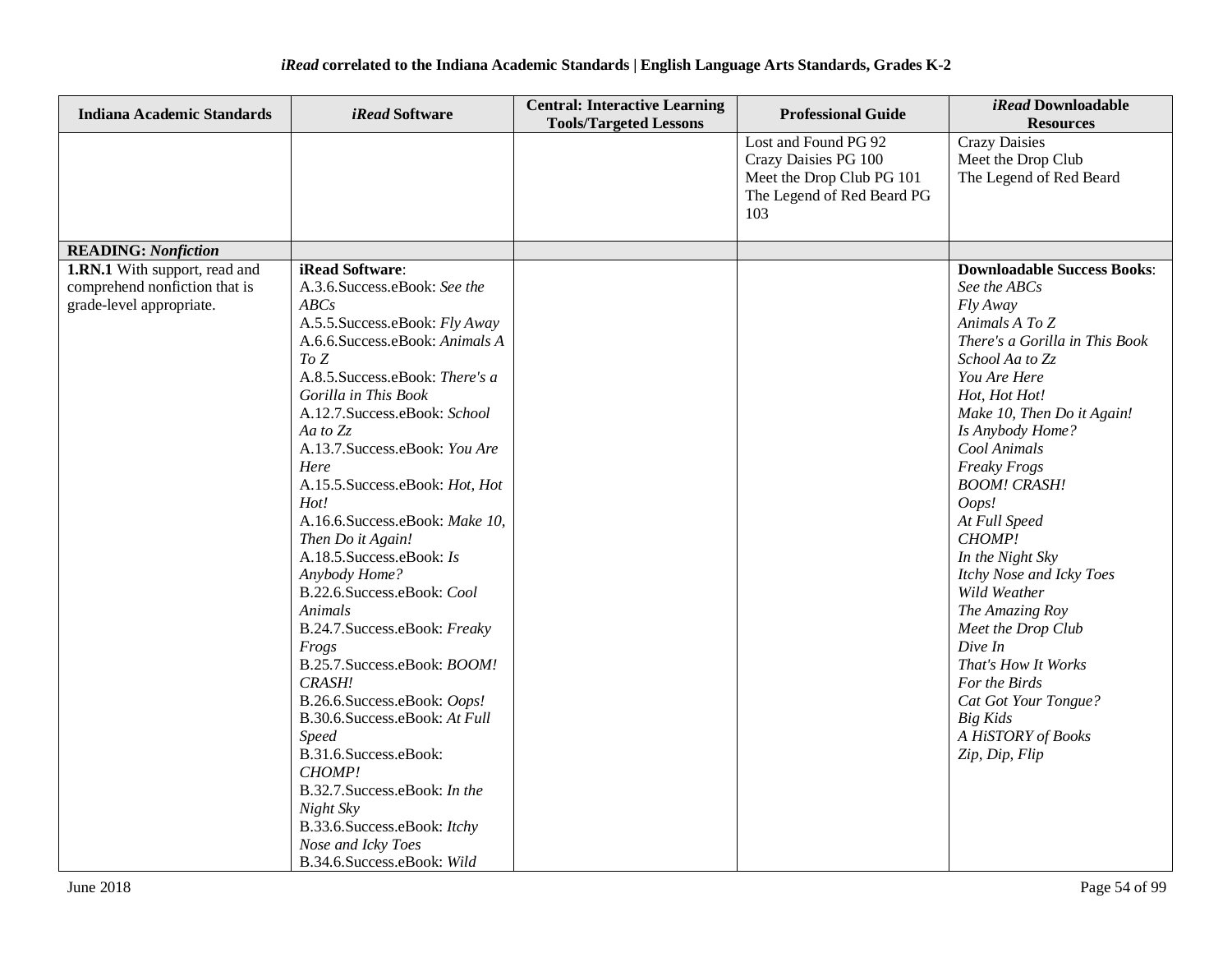| <b>Indiana Academic Standards</b>                                                          | <i>iRead</i> Software                                                                                                                                                                                                                                                                                                                                                                                                                                                                                                                                                                                                                                                                                                                                                                                                                   | <b>Central: Interactive Learning</b><br><b>Tools/Targeted Lessons</b> | <b>Professional Guide</b>                                                                                      | <i>iRead</i> Downloadable<br><b>Resources</b>                                                                                                                                                                                                                                                                                                                                                                                                                                                                                                                      |
|--------------------------------------------------------------------------------------------|-----------------------------------------------------------------------------------------------------------------------------------------------------------------------------------------------------------------------------------------------------------------------------------------------------------------------------------------------------------------------------------------------------------------------------------------------------------------------------------------------------------------------------------------------------------------------------------------------------------------------------------------------------------------------------------------------------------------------------------------------------------------------------------------------------------------------------------------|-----------------------------------------------------------------------|----------------------------------------------------------------------------------------------------------------|--------------------------------------------------------------------------------------------------------------------------------------------------------------------------------------------------------------------------------------------------------------------------------------------------------------------------------------------------------------------------------------------------------------------------------------------------------------------------------------------------------------------------------------------------------------------|
|                                                                                            |                                                                                                                                                                                                                                                                                                                                                                                                                                                                                                                                                                                                                                                                                                                                                                                                                                         |                                                                       | Lost and Found PG 92<br>Crazy Daisies PG 100<br>Meet the Drop Club PG 101<br>The Legend of Red Beard PG<br>103 | <b>Crazy Daisies</b><br>Meet the Drop Club<br>The Legend of Red Beard                                                                                                                                                                                                                                                                                                                                                                                                                                                                                              |
| <b>READING:</b> Nonfiction                                                                 |                                                                                                                                                                                                                                                                                                                                                                                                                                                                                                                                                                                                                                                                                                                                                                                                                                         |                                                                       |                                                                                                                |                                                                                                                                                                                                                                                                                                                                                                                                                                                                                                                                                                    |
| 1.RN.1 With support, read and<br>comprehend nonfiction that is<br>grade-level appropriate. | iRead Software:<br>A.3.6.Success.eBook: See the<br>ABC <sub>S</sub><br>A.5.5. Success.eBook: Fly Away<br>A.6.6. Success. eBook: Animals A<br>ToZ<br>A.8.5. Success.eBook: There's a<br>Gorilla in This Book<br>A.12.7.Success.eBook: School<br>Aa to $Z_z$<br>A.13.7. Success.eBook: You Are<br>Here<br>A.15.5. Success.eBook: Hot, Hot<br>Hot!<br>A.16.6.Success.eBook: Make 10,<br>Then Do it Again!<br>A.18.5. Success.eBook: Is<br>Anybody Home?<br>B.22.6.Success.eBook: Cool<br>Animals<br>B.24.7. Success.eBook: Freaky<br>Frogs<br>B.25.7. Success.eBook: BOOM!<br>CRASH!<br>B.26.6.Success.eBook: Oops!<br>B.30.6.Success.eBook: At Full<br><b>Speed</b><br>B.31.6.Success.eBook:<br>CHOMP!<br>B.32.7. Success.eBook: In the<br>Night Sky<br>B.33.6. Success.e Book: Itchy<br>Nose and Icky Toes<br>B.34.6.Success.eBook: Wild |                                                                       |                                                                                                                | <b>Downloadable Success Books:</b><br>See the ABCs<br>Fly Away<br>Animals A To Z<br>There's a Gorilla in This Book<br>School Aa to Zz<br>You Are Here<br>Hot, Hot Hot!<br>Make 10, Then Do it Again!<br>Is Anybody Home?<br>Cool Animals<br><b>Freaky Frogs</b><br><b>BOOM! CRASH!</b><br>Oops!<br>At Full Speed<br>CHOMP!<br>In the Night Sky<br>Itchy Nose and Icky Toes<br>Wild Weather<br>The Amazing Roy<br>Meet the Drop Club<br>Dive In<br>That's How It Works<br>For the Birds<br>Cat Got Your Tongue?<br>Big Kids<br>A HiSTORY of Books<br>Zip, Dip, Flip |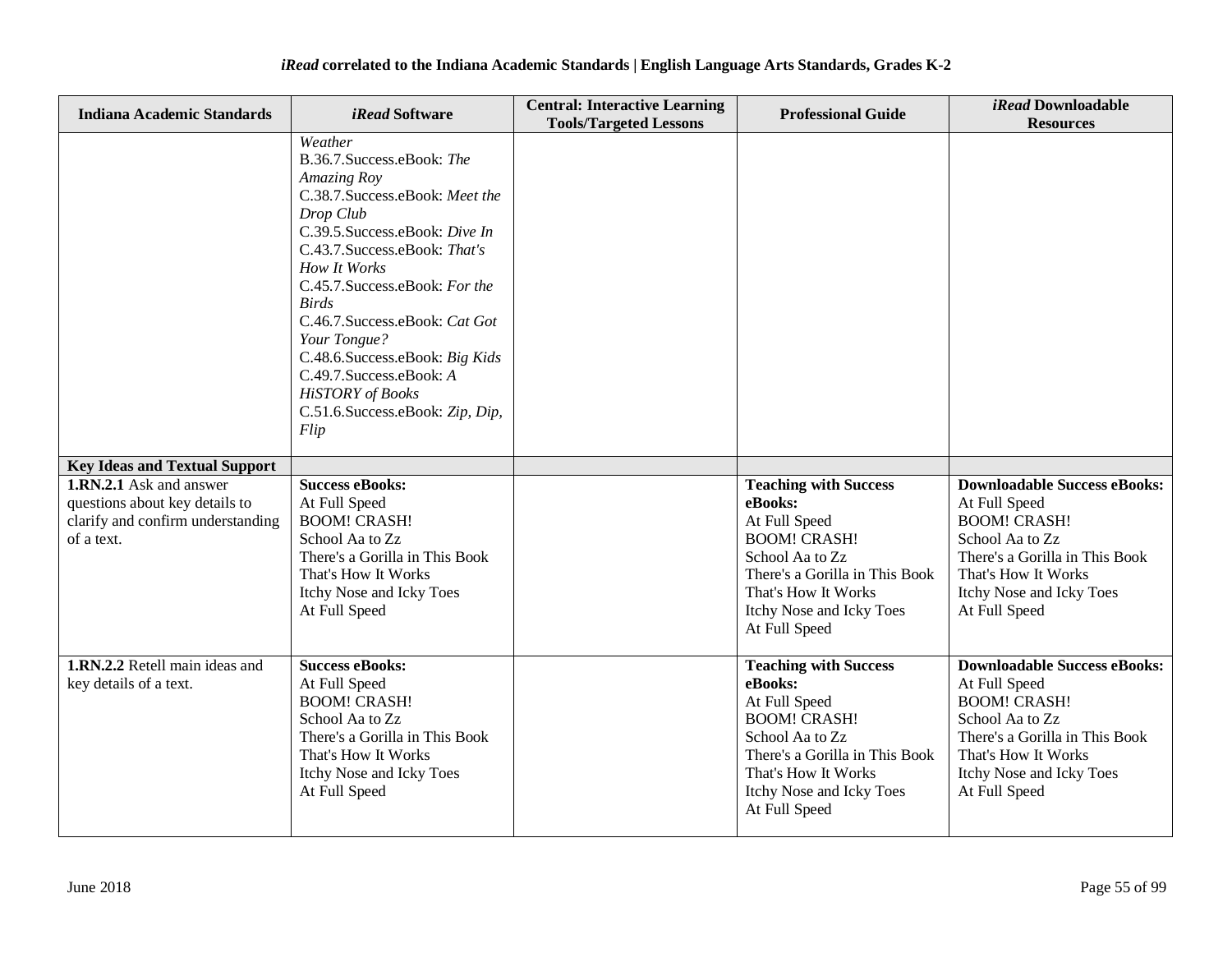| <b>Indiana Academic Standards</b>                                                                            | <i>iRead</i> Software                                                                                                                                                                                                                                                                                                                                                                                                             | <b>Central: Interactive Learning</b><br><b>Tools/Targeted Lessons</b> | <b>Professional Guide</b>                                                                                                                                                                                | <i>iRead</i> Downloadable<br><b>Resources</b>                                                                                                                                                        |
|--------------------------------------------------------------------------------------------------------------|-----------------------------------------------------------------------------------------------------------------------------------------------------------------------------------------------------------------------------------------------------------------------------------------------------------------------------------------------------------------------------------------------------------------------------------|-----------------------------------------------------------------------|----------------------------------------------------------------------------------------------------------------------------------------------------------------------------------------------------------|------------------------------------------------------------------------------------------------------------------------------------------------------------------------------------------------------|
|                                                                                                              | Weather<br>B.36.7. Success.eBook: The<br>Amazing Roy<br>C.38.7. Success.eBook: Meet the<br>Drop Club<br>C.39.5. Success.eBook: Dive In<br>C.43.7. Success.eBook: That's<br>How It Works<br>C.45.7. Success.eBook: For the<br><b>Birds</b><br>C.46.7. Success.eBook: Cat Got<br>Your Tongue?<br>C.48.6. Success.eBook: Big Kids<br>C.49.7. Success.eBook: A<br><b>HiSTORY</b> of Books<br>C.51.6. Success.eBook: Zip, Dip,<br>Flip |                                                                       |                                                                                                                                                                                                          |                                                                                                                                                                                                      |
| <b>Key Ideas and Textual Support</b>                                                                         |                                                                                                                                                                                                                                                                                                                                                                                                                                   |                                                                       |                                                                                                                                                                                                          |                                                                                                                                                                                                      |
| 1.RN.2.1 Ask and answer<br>questions about key details to<br>clarify and confirm understanding<br>of a text. | <b>Success eBooks:</b><br>At Full Speed<br><b>BOOM! CRASH!</b><br>School Aa to Zz<br>There's a Gorilla in This Book<br>That's How It Works<br>Itchy Nose and Icky Toes<br>At Full Speed                                                                                                                                                                                                                                           |                                                                       | <b>Teaching with Success</b><br>eBooks:<br>At Full Speed<br><b>BOOM! CRASH!</b><br>School Aa to Zz<br>There's a Gorilla in This Book<br>That's How It Works<br>Itchy Nose and Icky Toes<br>At Full Speed | <b>Downloadable Success eBooks:</b><br>At Full Speed<br><b>BOOM! CRASH!</b><br>School Aa to Zz<br>There's a Gorilla in This Book<br>That's How It Works<br>Itchy Nose and Icky Toes<br>At Full Speed |
| 1.RN.2.2 Retell main ideas and<br>key details of a text.                                                     | <b>Success eBooks:</b><br>At Full Speed<br><b>BOOM! CRASH!</b><br>School Aa to Zz<br>There's a Gorilla in This Book<br>That's How It Works<br>Itchy Nose and Icky Toes<br>At Full Speed                                                                                                                                                                                                                                           |                                                                       | <b>Teaching with Success</b><br>eBooks:<br>At Full Speed<br><b>BOOM! CRASH!</b><br>School Aa to Zz<br>There's a Gorilla in This Book<br>That's How It Works<br>Itchy Nose and Icky Toes<br>At Full Speed | <b>Downloadable Success eBooks:</b><br>At Full Speed<br><b>BOOM! CRASH!</b><br>School Aa to Zz<br>There's a Gorilla in This Book<br>That's How It Works<br>Itchy Nose and Icky Toes<br>At Full Speed |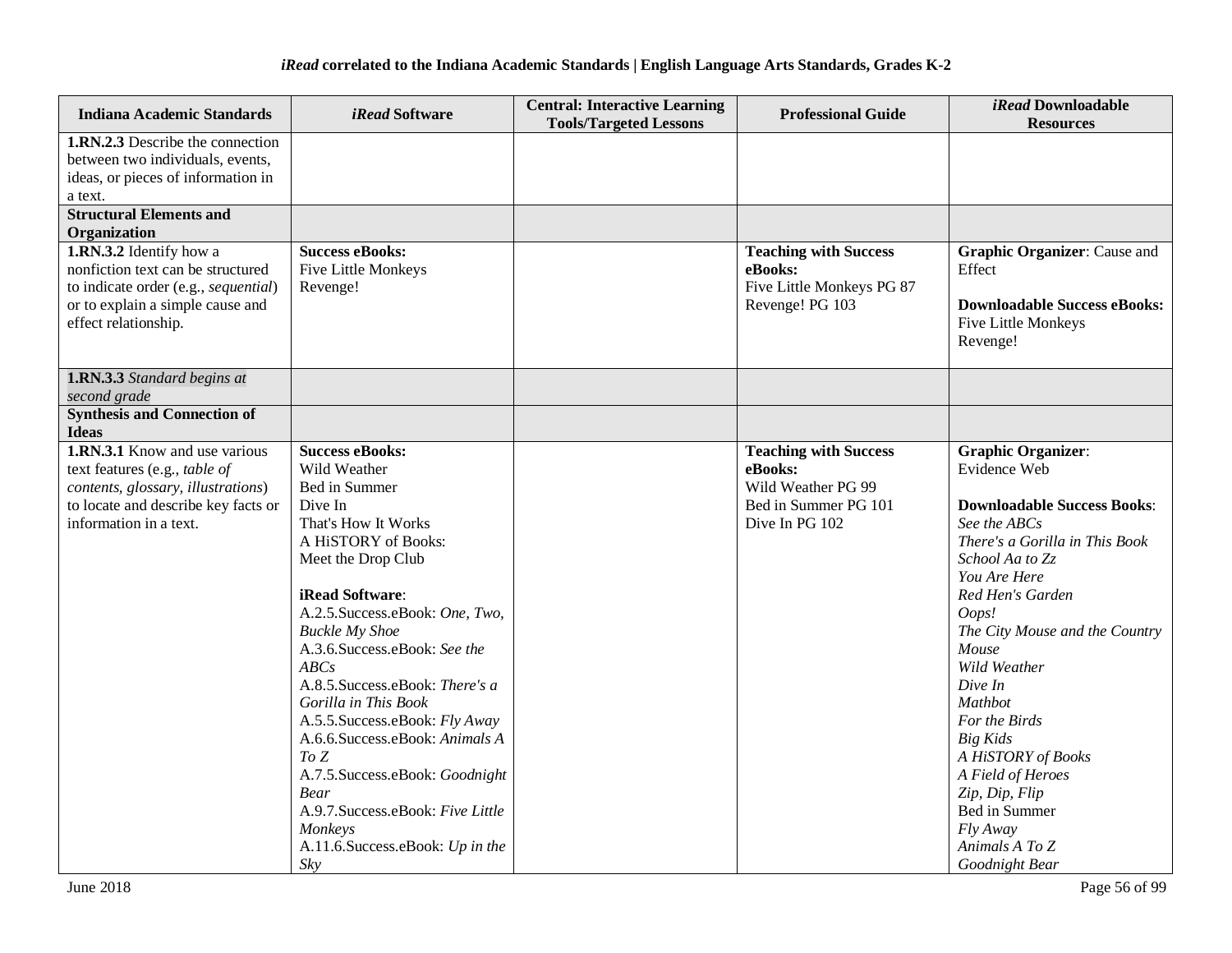| <b>Indiana Academic Standards</b>                                                                                                                                                | <i>iRead</i> Software                                                                                                                                                                                                                                                                                                                                                                                                                                                                                                                       | <b>Central: Interactive Learning</b><br><b>Tools/Targeted Lessons</b> | <b>Professional Guide</b>                                                                               | <i>iRead</i> Downloadable<br><b>Resources</b>                                                                                                                                                                                                                                                                                                                                                                                                        |
|----------------------------------------------------------------------------------------------------------------------------------------------------------------------------------|---------------------------------------------------------------------------------------------------------------------------------------------------------------------------------------------------------------------------------------------------------------------------------------------------------------------------------------------------------------------------------------------------------------------------------------------------------------------------------------------------------------------------------------------|-----------------------------------------------------------------------|---------------------------------------------------------------------------------------------------------|------------------------------------------------------------------------------------------------------------------------------------------------------------------------------------------------------------------------------------------------------------------------------------------------------------------------------------------------------------------------------------------------------------------------------------------------------|
| 1.RN.2.3 Describe the connection<br>between two individuals, events,<br>ideas, or pieces of information in<br>a text.                                                            |                                                                                                                                                                                                                                                                                                                                                                                                                                                                                                                                             |                                                                       |                                                                                                         |                                                                                                                                                                                                                                                                                                                                                                                                                                                      |
| <b>Structural Elements and</b>                                                                                                                                                   |                                                                                                                                                                                                                                                                                                                                                                                                                                                                                                                                             |                                                                       |                                                                                                         |                                                                                                                                                                                                                                                                                                                                                                                                                                                      |
| Organization<br>1.RN.3.2 Identify how a<br>nonfiction text can be structured<br>to indicate order (e.g., sequential)<br>or to explain a simple cause and<br>effect relationship. | <b>Success eBooks:</b><br>Five Little Monkeys<br>Revenge!                                                                                                                                                                                                                                                                                                                                                                                                                                                                                   |                                                                       | <b>Teaching with Success</b><br>eBooks:<br>Five Little Monkeys PG 87<br>Revenge! PG 103                 | <b>Graphic Organizer:</b> Cause and<br>Effect<br><b>Downloadable Success eBooks:</b><br>Five Little Monkeys<br>Revenge!                                                                                                                                                                                                                                                                                                                              |
| 1.RN.3.3 Standard begins at<br>second grade                                                                                                                                      |                                                                                                                                                                                                                                                                                                                                                                                                                                                                                                                                             |                                                                       |                                                                                                         |                                                                                                                                                                                                                                                                                                                                                                                                                                                      |
| <b>Synthesis and Connection of</b><br><b>Ideas</b>                                                                                                                               |                                                                                                                                                                                                                                                                                                                                                                                                                                                                                                                                             |                                                                       |                                                                                                         |                                                                                                                                                                                                                                                                                                                                                                                                                                                      |
| <b>1.RN.3.1</b> Know and use various<br>text features (e.g., table of<br>contents, glossary, illustrations)<br>to locate and describe key facts or<br>information in a text.     | <b>Success eBooks:</b><br>Wild Weather<br>Bed in Summer<br>Dive In<br>That's How It Works<br>A HiSTORY of Books:<br>Meet the Drop Club<br>iRead Software:<br>A.2.5. Success.eBook: One, Two,<br><b>Buckle My Shoe</b><br>A.3.6. Success.eBook: See the<br>ABCs<br>A.8.5. Success.eBook: There's a<br>Gorilla in This Book<br>A.5.5. Success.eBook: Fly Away<br>A.6.6.Success.eBook: Animals A<br>To Z<br>A.7.5. Success.eBook: Goodnight<br>Bear<br>A.9.7. Success.eBook: Five Little<br>Monkeys<br>A.11.6. Success.eBook: Up in the<br>Sky |                                                                       | <b>Teaching with Success</b><br>eBooks:<br>Wild Weather PG 99<br>Bed in Summer PG 101<br>Dive In PG 102 | <b>Graphic Organizer:</b><br>Evidence Web<br><b>Downloadable Success Books:</b><br>See the ABCs<br>There's a Gorilla in This Book<br>School Aa to Zz<br>You Are Here<br>Red Hen's Garden<br>Oops!<br>The City Mouse and the Country<br>Mouse<br>Wild Weather<br>Dive In<br>Mathbot<br>For the Birds<br><b>Big Kids</b><br>A HiSTORY of Books<br>A Field of Heroes<br>Zip, Dip, Flip<br>Bed in Summer<br>Fly Away<br>Animals A To Z<br>Goodnight Bear |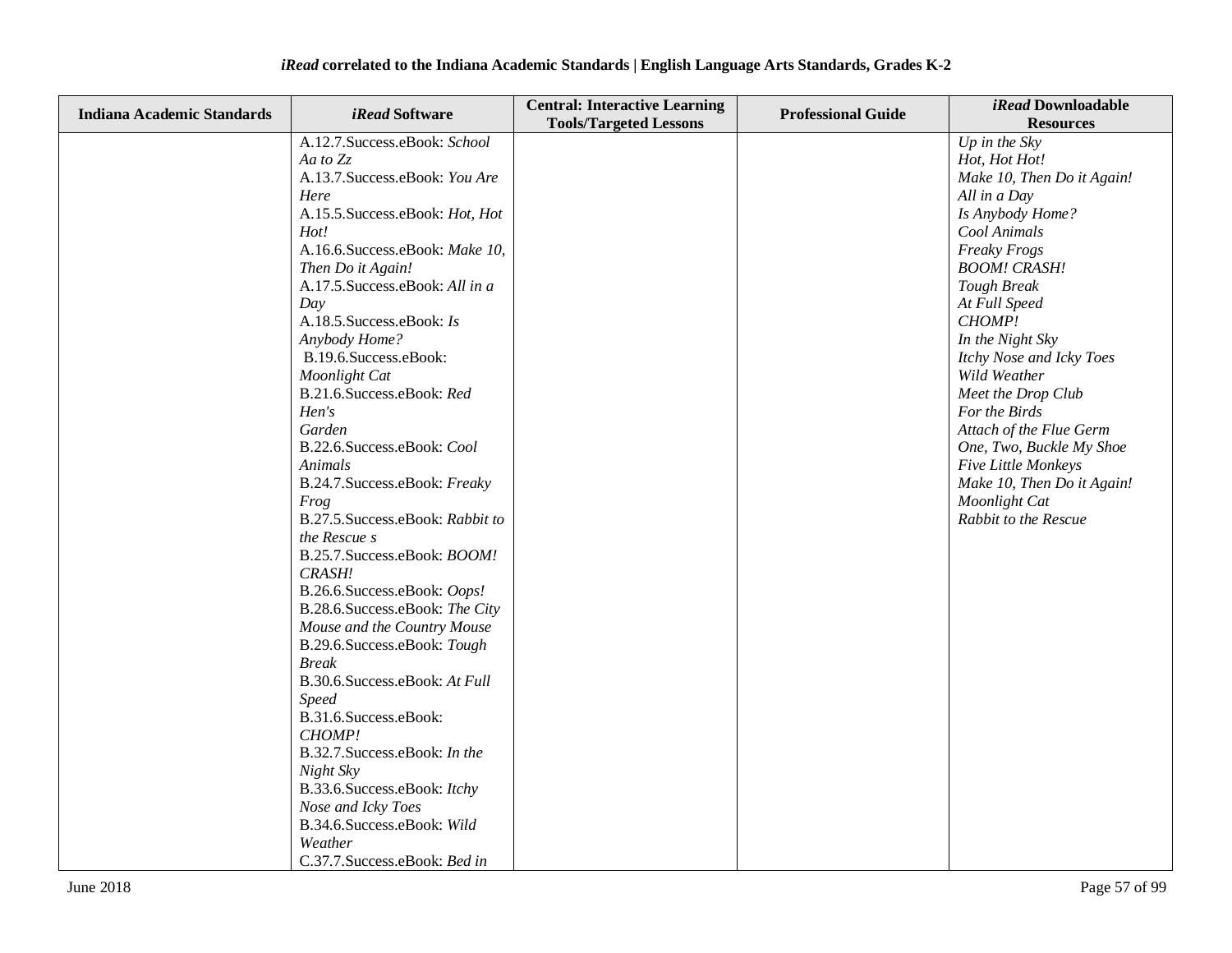| <b>Indiana Academic Standards</b> | <i>iRead</i> Software                 | <b>Central: Interactive Learning</b><br><b>Tools/Targeted Lessons</b> | <b>Professional Guide</b> | iRead Downloadable<br><b>Resources</b> |
|-----------------------------------|---------------------------------------|-----------------------------------------------------------------------|---------------------------|----------------------------------------|
|                                   | A.12.7. Success.eBook: School         |                                                                       |                           | Up in the $Sky$                        |
|                                   | Aa to Zz                              |                                                                       |                           | Hot, Hot Hot!                          |
|                                   | A.13.7. Success.eBook: You Are        |                                                                       |                           | Make 10, Then Do it Again!             |
|                                   | Here                                  |                                                                       |                           | All in a Day                           |
|                                   | A.15.5. Success.eBook: Hot, Hot       |                                                                       |                           | Is Anybody Home?                       |
|                                   | Hot!                                  |                                                                       |                           | Cool Animals                           |
|                                   | A.16.6.Success.eBook: Make 10,        |                                                                       |                           | <b>Freaky Frogs</b>                    |
|                                   | Then Do it Again!                     |                                                                       |                           | <b>BOOM! CRASH!</b>                    |
|                                   | A.17.5. Success.eBook: All in a       |                                                                       |                           | Tough Break                            |
|                                   | Day                                   |                                                                       |                           | At Full Speed                          |
|                                   | A.18.5. Success.eBook: Is             |                                                                       |                           | CHOMP!                                 |
|                                   | Anybody Home?                         |                                                                       |                           | In the Night Sky                       |
|                                   | B.19.6.Success.eBook:                 |                                                                       |                           | Itchy Nose and Icky Toes               |
|                                   | Moonlight Cat                         |                                                                       |                           | Wild Weather                           |
|                                   | B.21.6.Success.eBook: Red             |                                                                       |                           | Meet the Drop Club                     |
|                                   | Hen's                                 |                                                                       |                           | For the Birds                          |
|                                   | Garden                                |                                                                       |                           | Attach of the Flue Germ                |
|                                   | B.22.6.Success.eBook: Cool            |                                                                       |                           | One, Two, Buckle My Shoe               |
|                                   | Animals                               |                                                                       |                           | Five Little Monkeys                    |
|                                   | B.24.7. Success.eBook: Freaky         |                                                                       |                           | Make 10, Then Do it Again!             |
|                                   | Frog                                  |                                                                       |                           | Moonlight Cat                          |
|                                   | B.27.5. Success.eBook: Rabbit to      |                                                                       |                           | Rabbit to the Rescue                   |
|                                   | the Rescue s                          |                                                                       |                           |                                        |
|                                   | B.25.7. Success.eBook: BOOM!          |                                                                       |                           |                                        |
|                                   | CRASH!                                |                                                                       |                           |                                        |
|                                   | B.26.6.Success.eBook: Oops!           |                                                                       |                           |                                        |
|                                   | B.28.6.Success.eBook: The City        |                                                                       |                           |                                        |
|                                   | Mouse and the Country Mouse           |                                                                       |                           |                                        |
|                                   | B.29.6.Success.eBook: Tough           |                                                                       |                           |                                        |
|                                   | <b>Break</b>                          |                                                                       |                           |                                        |
|                                   | B.30.6. Success.eBook: At Full        |                                                                       |                           |                                        |
|                                   | <b>Speed</b><br>B.31.6.Success.eBook: |                                                                       |                           |                                        |
|                                   | CHOMP!                                |                                                                       |                           |                                        |
|                                   | B.32.7. Success.eBook: In the         |                                                                       |                           |                                        |
|                                   | Night Sky                             |                                                                       |                           |                                        |
|                                   | B.33.6. Success.eBook: Itchy          |                                                                       |                           |                                        |
|                                   | Nose and Icky Toes                    |                                                                       |                           |                                        |
|                                   | B.34.6.Success.eBook: Wild            |                                                                       |                           |                                        |
|                                   | Weather                               |                                                                       |                           |                                        |
|                                   | C.37.7.Success.eBook: Bed in          |                                                                       |                           |                                        |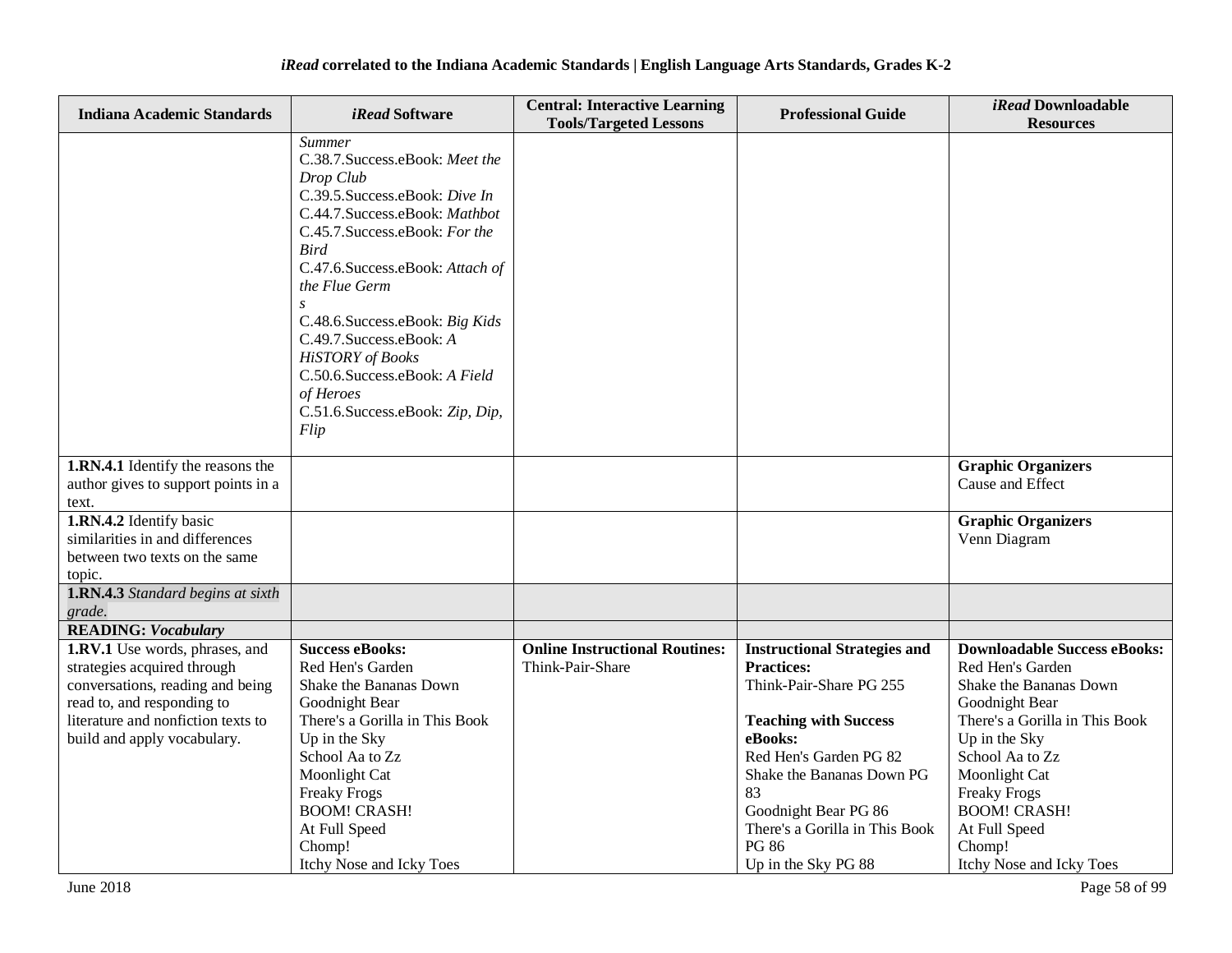| <b>Indiana Academic Standards</b>                              | <i>iRead</i> Software                                  | <b>Central: Interactive Learning</b><br><b>Tools/Targeted Lessons</b> | <b>Professional Guide</b>                    | iRead Downloadable<br><b>Resources</b>     |
|----------------------------------------------------------------|--------------------------------------------------------|-----------------------------------------------------------------------|----------------------------------------------|--------------------------------------------|
|                                                                | Summer<br>C.38.7. Success.eBook: Meet the<br>Drop Club |                                                                       |                                              |                                            |
|                                                                | C.39.5. Success.eBook: Dive In                         |                                                                       |                                              |                                            |
|                                                                | C.44.7.Success.eBook: Mathbot                          |                                                                       |                                              |                                            |
|                                                                | C.45.7. Success.eBook: For the                         |                                                                       |                                              |                                            |
|                                                                | <b>Bird</b>                                            |                                                                       |                                              |                                            |
|                                                                | C.47.6.Success.eBook: Attach of<br>the Flue Germ       |                                                                       |                                              |                                            |
|                                                                |                                                        |                                                                       |                                              |                                            |
|                                                                | C.48.6. Success.eBook: Big Kids                        |                                                                       |                                              |                                            |
|                                                                | C.49.7. Success.eBook: A                               |                                                                       |                                              |                                            |
|                                                                | <b>HiSTORY</b> of Books                                |                                                                       |                                              |                                            |
|                                                                | C.50.6.Success.eBook: A Field                          |                                                                       |                                              |                                            |
|                                                                | of Heroes<br>C.51.6.Success.eBook: Zip, Dip,           |                                                                       |                                              |                                            |
|                                                                | Flip                                                   |                                                                       |                                              |                                            |
|                                                                |                                                        |                                                                       |                                              |                                            |
| 1.RN.4.1 Identify the reasons the                              |                                                        |                                                                       |                                              | <b>Graphic Organizers</b>                  |
| author gives to support points in a                            |                                                        |                                                                       |                                              | Cause and Effect                           |
| text.                                                          |                                                        |                                                                       |                                              |                                            |
| 1.RN.4.2 Identify basic<br>similarities in and differences     |                                                        |                                                                       |                                              | <b>Graphic Organizers</b><br>Venn Diagram  |
| between two texts on the same                                  |                                                        |                                                                       |                                              |                                            |
| topic.                                                         |                                                        |                                                                       |                                              |                                            |
| 1.RN.4.3 Standard begins at sixth                              |                                                        |                                                                       |                                              |                                            |
| grade.                                                         |                                                        |                                                                       |                                              |                                            |
| <b>READING:</b> Vocabulary                                     |                                                        |                                                                       |                                              |                                            |
| 1.RV.1 Use words, phrases, and                                 | <b>Success eBooks:</b>                                 | <b>Online Instructional Routines:</b>                                 | <b>Instructional Strategies and</b>          | <b>Downloadable Success eBooks:</b>        |
| strategies acquired through                                    | Red Hen's Garden<br>Shake the Bananas Down             | Think-Pair-Share                                                      | <b>Practices:</b><br>Think-Pair-Share PG 255 | Red Hen's Garden<br>Shake the Bananas Down |
| conversations, reading and being<br>read to, and responding to | Goodnight Bear                                         |                                                                       |                                              | Goodnight Bear                             |
| literature and nonfiction texts to                             | There's a Gorilla in This Book                         |                                                                       | <b>Teaching with Success</b>                 | There's a Gorilla in This Book             |
| build and apply vocabulary.                                    | Up in the Sky                                          |                                                                       | eBooks:                                      | Up in the Sky                              |
|                                                                | School Aa to Zz                                        |                                                                       | Red Hen's Garden PG 82                       | School Aa to Zz                            |
|                                                                | Moonlight Cat                                          |                                                                       | Shake the Bananas Down PG                    | Moonlight Cat                              |
|                                                                | <b>Freaky Frogs</b>                                    |                                                                       | 83                                           | Freaky Frogs                               |
|                                                                | <b>BOOM! CRASH!</b>                                    |                                                                       | Goodnight Bear PG 86                         | <b>BOOM! CRASH!</b>                        |
|                                                                | At Full Speed                                          |                                                                       | There's a Gorilla in This Book               | At Full Speed                              |
|                                                                | Chomp!<br>Itchy Nose and Icky Toes                     |                                                                       | <b>PG 86</b><br>Up in the Sky PG 88          | Chomp!<br>Itchy Nose and Icky Toes         |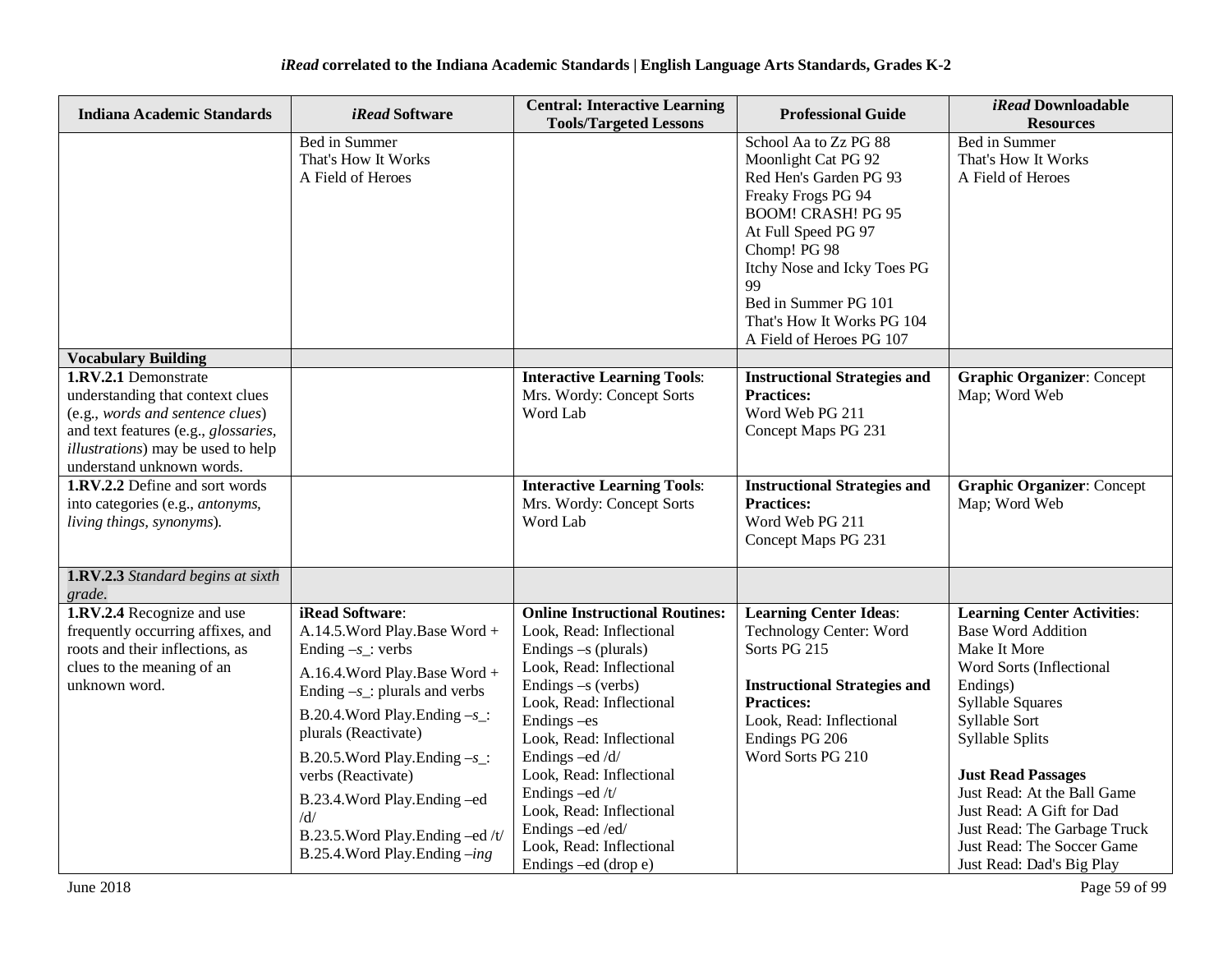| <b>Indiana Academic Standards</b>                                                                                                                                                                               | <i>iRead</i> Software                                                                                                                                                                                                                                                                                                                                                                  | <b>Central: Interactive Learning</b><br><b>Tools/Targeted Lessons</b>                                                                                                                                                                                                                                                                                                                      | <b>Professional Guide</b>                                                                                                                                                                                                                                                               | iRead Downloadable<br><b>Resources</b>                                                                                                                                                                                                                                                                                                                                     |
|-----------------------------------------------------------------------------------------------------------------------------------------------------------------------------------------------------------------|----------------------------------------------------------------------------------------------------------------------------------------------------------------------------------------------------------------------------------------------------------------------------------------------------------------------------------------------------------------------------------------|--------------------------------------------------------------------------------------------------------------------------------------------------------------------------------------------------------------------------------------------------------------------------------------------------------------------------------------------------------------------------------------------|-----------------------------------------------------------------------------------------------------------------------------------------------------------------------------------------------------------------------------------------------------------------------------------------|----------------------------------------------------------------------------------------------------------------------------------------------------------------------------------------------------------------------------------------------------------------------------------------------------------------------------------------------------------------------------|
|                                                                                                                                                                                                                 | Bed in Summer<br>That's How It Works<br>A Field of Heroes                                                                                                                                                                                                                                                                                                                              |                                                                                                                                                                                                                                                                                                                                                                                            | School Aa to Zz PG 88<br>Moonlight Cat PG 92<br>Red Hen's Garden PG 93<br>Freaky Frogs PG 94<br><b>BOOM! CRASH! PG 95</b><br>At Full Speed PG 97<br>Chomp! PG 98<br>Itchy Nose and Icky Toes PG<br>99<br>Bed in Summer PG 101<br>That's How It Works PG 104<br>A Field of Heroes PG 107 | Bed in Summer<br>That's How It Works<br>A Field of Heroes                                                                                                                                                                                                                                                                                                                  |
| <b>Vocabulary Building</b>                                                                                                                                                                                      |                                                                                                                                                                                                                                                                                                                                                                                        |                                                                                                                                                                                                                                                                                                                                                                                            |                                                                                                                                                                                                                                                                                         |                                                                                                                                                                                                                                                                                                                                                                            |
| 1.RV.2.1 Demonstrate<br>understanding that context clues<br>(e.g., words and sentence clues)<br>and text features (e.g., glossaries,<br><i>illustrations</i> ) may be used to help<br>understand unknown words. |                                                                                                                                                                                                                                                                                                                                                                                        | <b>Interactive Learning Tools:</b><br>Mrs. Wordy: Concept Sorts<br>Word Lab                                                                                                                                                                                                                                                                                                                | <b>Instructional Strategies and</b><br><b>Practices:</b><br>Word Web PG 211<br>Concept Maps PG 231                                                                                                                                                                                      | <b>Graphic Organizer: Concept</b><br>Map; Word Web                                                                                                                                                                                                                                                                                                                         |
| 1.RV.2.2 Define and sort words<br>into categories (e.g., antonyms,<br>living things, synonyms).                                                                                                                 |                                                                                                                                                                                                                                                                                                                                                                                        | <b>Interactive Learning Tools:</b><br>Mrs. Wordy: Concept Sorts<br>Word Lab                                                                                                                                                                                                                                                                                                                | <b>Instructional Strategies and</b><br><b>Practices:</b><br>Word Web PG 211<br>Concept Maps PG 231                                                                                                                                                                                      | <b>Graphic Organizer: Concept</b><br>Map; Word Web                                                                                                                                                                                                                                                                                                                         |
| 1.RV.2.3 Standard begins at sixth<br>grade.                                                                                                                                                                     |                                                                                                                                                                                                                                                                                                                                                                                        |                                                                                                                                                                                                                                                                                                                                                                                            |                                                                                                                                                                                                                                                                                         |                                                                                                                                                                                                                                                                                                                                                                            |
| 1.RV.2.4 Recognize and use<br>frequently occurring affixes, and<br>roots and their inflections, as<br>clues to the meaning of an<br>unknown word.                                                               | iRead Software:<br>A.14.5. Word Play. Base Word +<br>Ending $-s$ : verbs<br>A.16.4. Word Play. Base Word +<br>Ending $-s$ _: plurals and verbs<br>B.20.4. Word Play. Ending $-s$ :<br>plurals (Reactivate)<br>B.20.5. Word Play. Ending $-s$ :<br>verbs (Reactivate)<br>B.23.4. Word Play. Ending -ed<br>/d/<br>B.23.5. Word Play. Ending -ed /t/<br>B.25.4. Word Play. Ending $-$ ing | <b>Online Instructional Routines:</b><br>Look, Read: Inflectional<br>Endings $-s$ (plurals)<br>Look, Read: Inflectional<br>Endings $-s$ (verbs)<br>Look, Read: Inflectional<br>Endings - es<br>Look, Read: Inflectional<br>Endings -ed/d/<br>Look, Read: Inflectional<br>Endings -ed /t/<br>Look, Read: Inflectional<br>Endings-ed/ed/<br>Look, Read: Inflectional<br>Endings –ed (drop e) | <b>Learning Center Ideas:</b><br>Technology Center: Word<br>Sorts PG 215<br><b>Instructional Strategies and</b><br><b>Practices:</b><br>Look, Read: Inflectional<br>Endings PG 206<br>Word Sorts PG 210                                                                                 | <b>Learning Center Activities:</b><br><b>Base Word Addition</b><br>Make It More<br>Word Sorts (Inflectional<br>Endings)<br><b>Syllable Squares</b><br>Syllable Sort<br>Syllable Splits<br><b>Just Read Passages</b><br>Just Read: At the Ball Game<br>Just Read: A Gift for Dad<br>Just Read: The Garbage Truck<br>Just Read: The Soccer Game<br>Just Read: Dad's Big Play |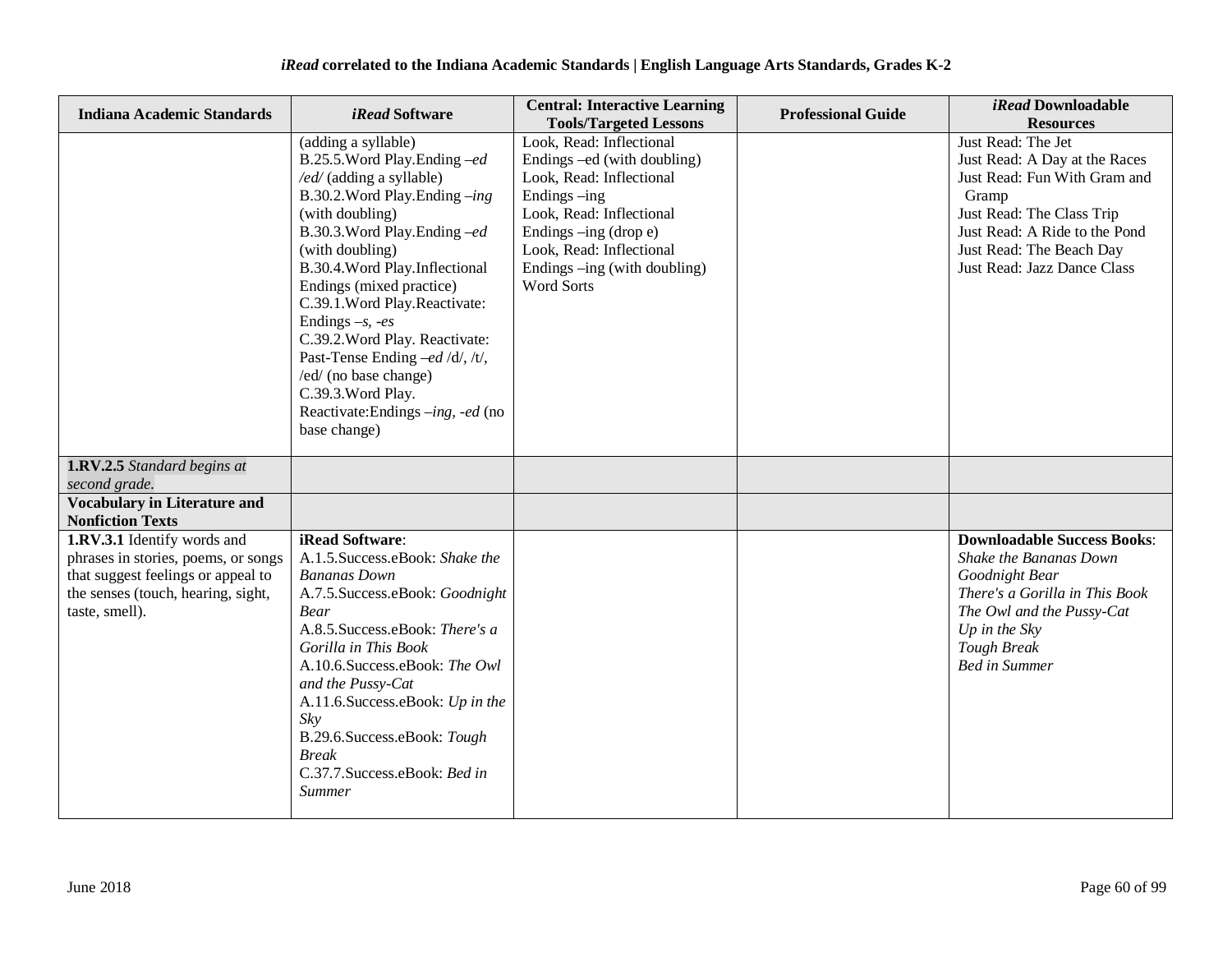| <b>Indiana Academic Standards</b>                                                                                                                                | <i>iRead</i> Software                                                                                                                                                                                                                                                                                                                                                                                                                                                                      | <b>Central: Interactive Learning</b><br><b>Tools/Targeted Lessons</b>                                                                                                                                                                       | <b>Professional Guide</b> | <i>iRead</i> Downloadable<br><b>Resources</b>                                                                                                                                                                         |
|------------------------------------------------------------------------------------------------------------------------------------------------------------------|--------------------------------------------------------------------------------------------------------------------------------------------------------------------------------------------------------------------------------------------------------------------------------------------------------------------------------------------------------------------------------------------------------------------------------------------------------------------------------------------|---------------------------------------------------------------------------------------------------------------------------------------------------------------------------------------------------------------------------------------------|---------------------------|-----------------------------------------------------------------------------------------------------------------------------------------------------------------------------------------------------------------------|
|                                                                                                                                                                  | (adding a syllable)<br>B.25.5. Word Play. Ending -ed<br>/ed/ (adding a syllable)<br>B.30.2. Word Play. Ending -ing<br>(with doubling)<br>B.30.3. Word Play. Ending -ed<br>(with doubling)<br>B.30.4. Word Play. Inflectional<br>Endings (mixed practice)<br>C.39.1. Word Play. Reactivate:<br>Endings $-s$ , $-es$<br>C.39.2. Word Play. Reactivate:<br>Past-Tense Ending -ed /d/, /t/,<br>/ed/ (no base change)<br>C.39.3. Word Play.<br>Reactivate:Endings -ing, -ed (no<br>base change) | Look, Read: Inflectional<br>Endings -ed (with doubling)<br>Look, Read: Inflectional<br>Endings -ing<br>Look, Read: Inflectional<br>Endings -ing (drop e)<br>Look, Read: Inflectional<br>Endings -- ing (with doubling)<br><b>Word Sorts</b> |                           | Just Read: The Jet<br>Just Read: A Day at the Races<br>Just Read: Fun With Gram and<br>Gramp<br>Just Read: The Class Trip<br>Just Read: A Ride to the Pond<br>Just Read: The Beach Day<br>Just Read: Jazz Dance Class |
| 1.RV.2.5 Standard begins at<br>second grade.                                                                                                                     |                                                                                                                                                                                                                                                                                                                                                                                                                                                                                            |                                                                                                                                                                                                                                             |                           |                                                                                                                                                                                                                       |
| <b>Vocabulary in Literature and</b><br><b>Nonfiction Texts</b>                                                                                                   |                                                                                                                                                                                                                                                                                                                                                                                                                                                                                            |                                                                                                                                                                                                                                             |                           |                                                                                                                                                                                                                       |
| 1.RV.3.1 Identify words and<br>phrases in stories, poems, or songs<br>that suggest feelings or appeal to<br>the senses (touch, hearing, sight,<br>taste, smell). | iRead Software:<br>A.1.5. Success.eBook: Shake the<br><b>Bananas Down</b><br>A.7.5. Success.eBook: Goodnight<br><b>Bear</b><br>A.8.5. Success.eBook: There's a<br>Gorilla in This Book<br>A.10.6.Success.eBook: The Owl<br>and the Pussy-Cat<br>A.11.6.Success.eBook: Up in the<br>Skv<br>B.29.6.Success.eBook: Tough<br><b>Break</b><br>C.37.7.Success.eBook: Bed in<br><b>Summer</b>                                                                                                     |                                                                                                                                                                                                                                             |                           | <b>Downloadable Success Books:</b><br>Shake the Bananas Down<br>Goodnight Bear<br>There's a Gorilla in This Book<br>The Owl and the Pussy-Cat<br>Up in the $Sky$<br>Tough Break<br><b>Bed in Summer</b>               |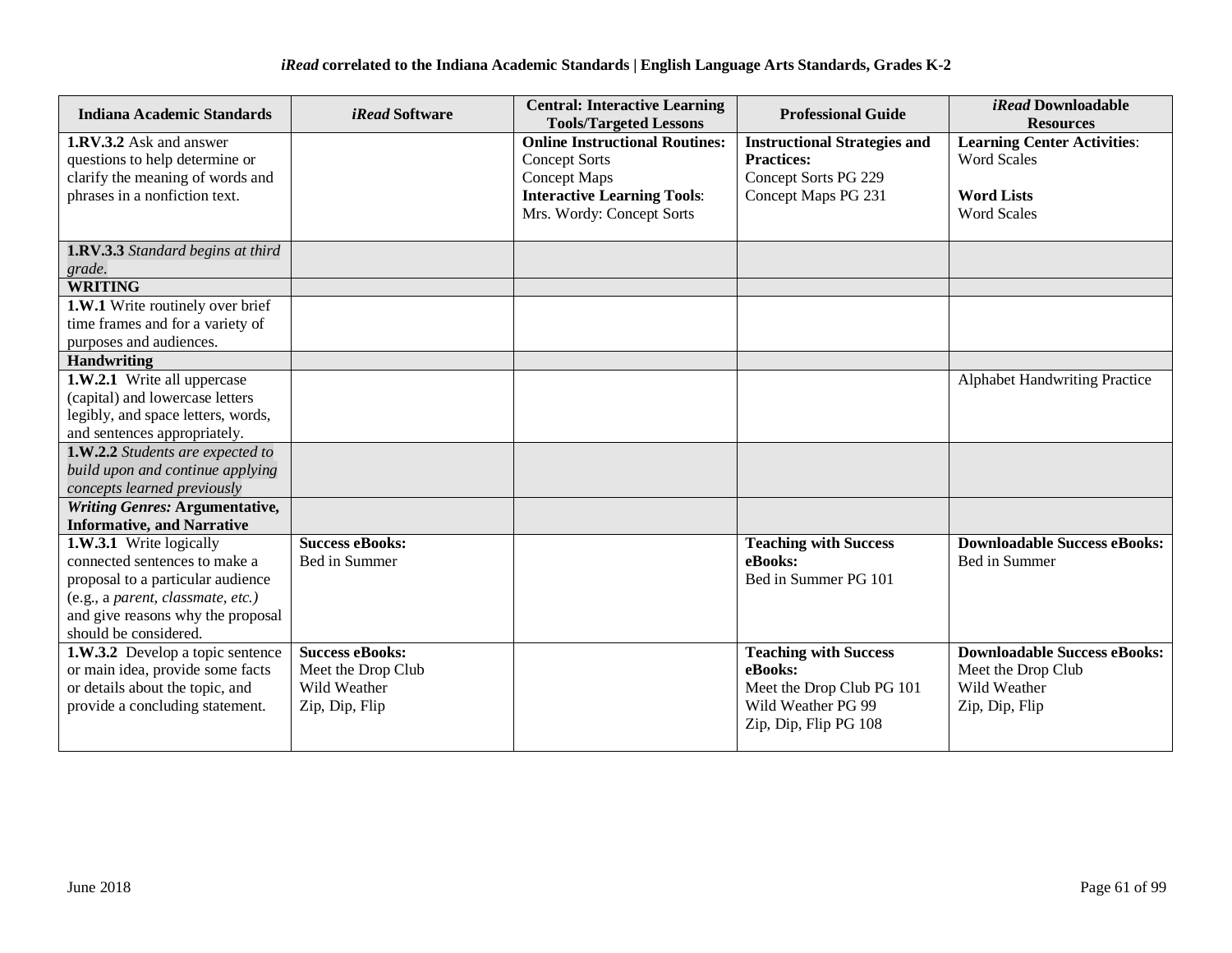| <b>Indiana Academic Standards</b>                                    | <i>iRead</i> Software  | <b>Central: Interactive Learning</b><br><b>Tools/Targeted Lessons</b> | <b>Professional Guide</b>           | <i>iRead</i> Downloadable<br><b>Resources</b> |
|----------------------------------------------------------------------|------------------------|-----------------------------------------------------------------------|-------------------------------------|-----------------------------------------------|
| <b>1.RV.3.2</b> Ask and answer                                       |                        | <b>Online Instructional Routines:</b>                                 | <b>Instructional Strategies and</b> | <b>Learning Center Activities:</b>            |
| questions to help determine or                                       |                        | <b>Concept Sorts</b>                                                  | <b>Practices:</b>                   | <b>Word Scales</b>                            |
| clarify the meaning of words and                                     |                        | <b>Concept Maps</b>                                                   | Concept Sorts PG 229                |                                               |
| phrases in a nonfiction text.                                        |                        | <b>Interactive Learning Tools:</b>                                    | Concept Maps PG 231                 | <b>Word Lists</b>                             |
|                                                                      |                        | Mrs. Wordy: Concept Sorts                                             |                                     | <b>Word Scales</b>                            |
| 1.RV.3.3 Standard begins at third                                    |                        |                                                                       |                                     |                                               |
| grade.                                                               |                        |                                                                       |                                     |                                               |
| <b>WRITING</b>                                                       |                        |                                                                       |                                     |                                               |
| 1.W.1 Write routinely over brief                                     |                        |                                                                       |                                     |                                               |
| time frames and for a variety of                                     |                        |                                                                       |                                     |                                               |
| purposes and audiences.                                              |                        |                                                                       |                                     |                                               |
| <b>Handwriting</b>                                                   |                        |                                                                       |                                     |                                               |
| 1.W.2.1 Write all uppercase                                          |                        |                                                                       |                                     | <b>Alphabet Handwriting Practice</b>          |
| (capital) and lowercase letters                                      |                        |                                                                       |                                     |                                               |
| legibly, and space letters, words,                                   |                        |                                                                       |                                     |                                               |
| and sentences appropriately.                                         |                        |                                                                       |                                     |                                               |
| 1.W.2.2 Students are expected to                                     |                        |                                                                       |                                     |                                               |
| build upon and continue applying                                     |                        |                                                                       |                                     |                                               |
| concepts learned previously<br><b>Writing Genres: Argumentative,</b> |                        |                                                                       |                                     |                                               |
| <b>Informative, and Narrative</b>                                    |                        |                                                                       |                                     |                                               |
| 1.W.3.1 Write logically                                              | <b>Success eBooks:</b> |                                                                       | <b>Teaching with Success</b>        | <b>Downloadable Success eBooks:</b>           |
| connected sentences to make a                                        | Bed in Summer          |                                                                       | eBooks:                             | Bed in Summer                                 |
| proposal to a particular audience                                    |                        |                                                                       | Bed in Summer PG 101                |                                               |
| (e.g., a parent, classmate, etc.)                                    |                        |                                                                       |                                     |                                               |
| and give reasons why the proposal                                    |                        |                                                                       |                                     |                                               |
| should be considered.                                                |                        |                                                                       |                                     |                                               |
| 1.W.3.2 Develop a topic sentence                                     | <b>Success eBooks:</b> |                                                                       | <b>Teaching with Success</b>        | <b>Downloadable Success eBooks:</b>           |
| or main idea, provide some facts                                     | Meet the Drop Club     |                                                                       | eBooks:                             | Meet the Drop Club                            |
| or details about the topic, and                                      | Wild Weather           |                                                                       | Meet the Drop Club PG 101           | Wild Weather                                  |
| provide a concluding statement.                                      | Zip, Dip, Flip         |                                                                       | Wild Weather PG 99                  | Zip, Dip, Flip                                |
|                                                                      |                        |                                                                       | Zip, Dip, Flip PG 108               |                                               |
|                                                                      |                        |                                                                       |                                     |                                               |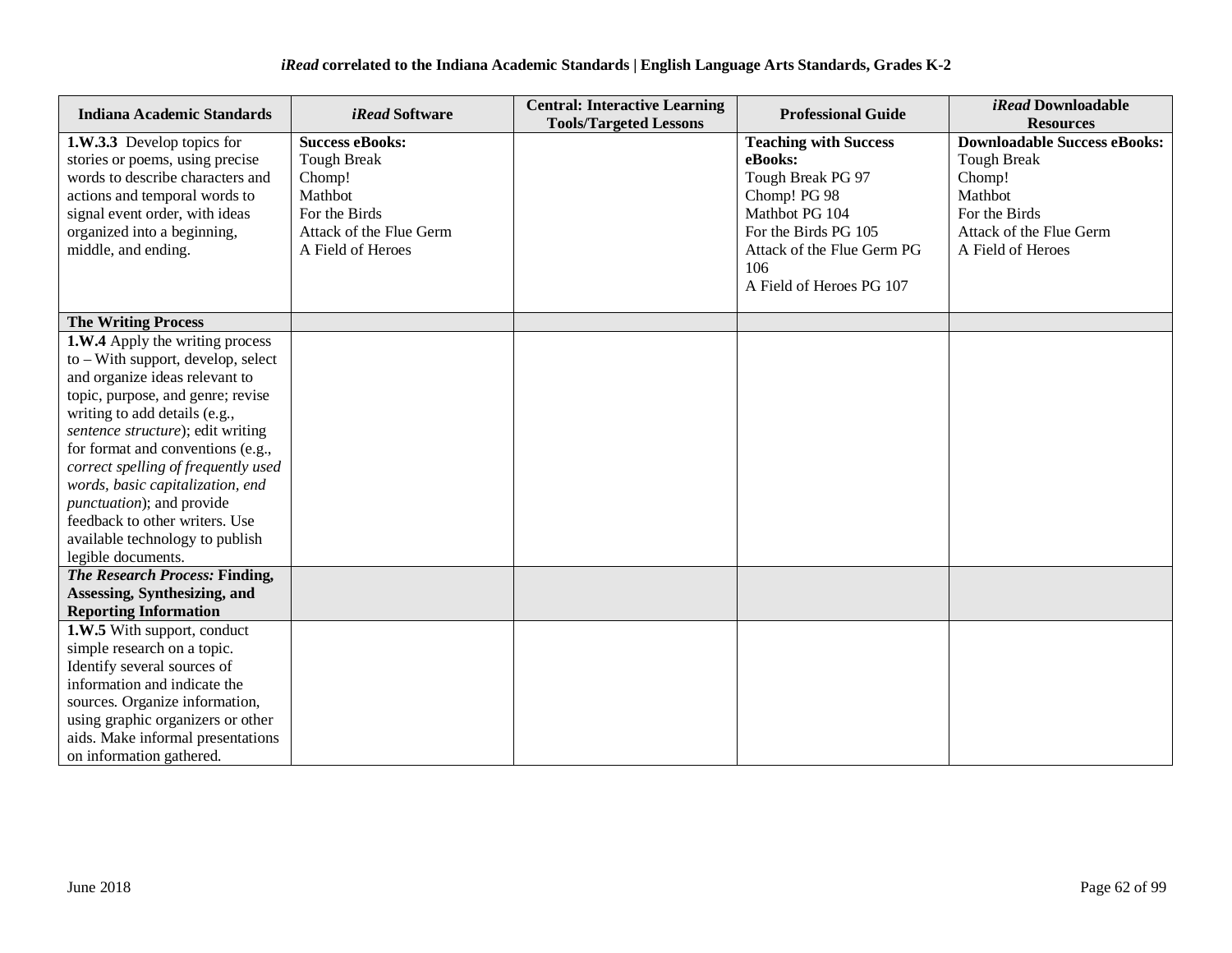| <b>Indiana Academic Standards</b>                                                                                                  | <i>iRead</i> Software                                             | <b>Central: Interactive Learning</b><br><b>Tools/Targeted Lessons</b> | <b>Professional Guide</b>                                                    | <i>iRead</i> Downloadable<br><b>Resources</b>                                  |
|------------------------------------------------------------------------------------------------------------------------------------|-------------------------------------------------------------------|-----------------------------------------------------------------------|------------------------------------------------------------------------------|--------------------------------------------------------------------------------|
| 1.W.3.3 Develop topics for<br>stories or poems, using precise<br>words to describe characters and<br>actions and temporal words to | <b>Success eBooks:</b><br><b>Tough Break</b><br>Chomp!<br>Mathbot |                                                                       | <b>Teaching with Success</b><br>eBooks:<br>Tough Break PG 97<br>Chomp! PG 98 | <b>Downloadable Success eBooks:</b><br><b>Tough Break</b><br>Chomp!<br>Mathbot |
| signal event order, with ideas<br>organized into a beginning,<br>middle, and ending.                                               | For the Birds<br>Attack of the Flue Germ<br>A Field of Heroes     |                                                                       | Mathbot PG 104<br>For the Birds PG 105<br>Attack of the Flue Germ PG<br>106  | For the Birds<br>Attack of the Flue Germ<br>A Field of Heroes                  |
|                                                                                                                                    |                                                                   |                                                                       | A Field of Heroes PG 107                                                     |                                                                                |
| <b>The Writing Process</b>                                                                                                         |                                                                   |                                                                       |                                                                              |                                                                                |
| <b>1.W.4</b> Apply the writing process                                                                                             |                                                                   |                                                                       |                                                                              |                                                                                |
| to – With support, develop, select<br>and organize ideas relevant to                                                               |                                                                   |                                                                       |                                                                              |                                                                                |
| topic, purpose, and genre; revise                                                                                                  |                                                                   |                                                                       |                                                                              |                                                                                |
| writing to add details (e.g.,                                                                                                      |                                                                   |                                                                       |                                                                              |                                                                                |
| sentence structure); edit writing                                                                                                  |                                                                   |                                                                       |                                                                              |                                                                                |
| for format and conventions (e.g.,                                                                                                  |                                                                   |                                                                       |                                                                              |                                                                                |
| correct spelling of frequently used                                                                                                |                                                                   |                                                                       |                                                                              |                                                                                |
| words, basic capitalization, end                                                                                                   |                                                                   |                                                                       |                                                                              |                                                                                |
| <i>punctuation</i> ); and provide                                                                                                  |                                                                   |                                                                       |                                                                              |                                                                                |
| feedback to other writers. Use                                                                                                     |                                                                   |                                                                       |                                                                              |                                                                                |
| available technology to publish                                                                                                    |                                                                   |                                                                       |                                                                              |                                                                                |
| legible documents.                                                                                                                 |                                                                   |                                                                       |                                                                              |                                                                                |
| <b>The Research Process: Finding,</b>                                                                                              |                                                                   |                                                                       |                                                                              |                                                                                |
| Assessing, Synthesizing, and                                                                                                       |                                                                   |                                                                       |                                                                              |                                                                                |
| <b>Reporting Information</b>                                                                                                       |                                                                   |                                                                       |                                                                              |                                                                                |
| 1.W.5 With support, conduct                                                                                                        |                                                                   |                                                                       |                                                                              |                                                                                |
| simple research on a topic.                                                                                                        |                                                                   |                                                                       |                                                                              |                                                                                |
| Identify several sources of                                                                                                        |                                                                   |                                                                       |                                                                              |                                                                                |
| information and indicate the                                                                                                       |                                                                   |                                                                       |                                                                              |                                                                                |
| sources. Organize information,                                                                                                     |                                                                   |                                                                       |                                                                              |                                                                                |
| using graphic organizers or other                                                                                                  |                                                                   |                                                                       |                                                                              |                                                                                |
| aids. Make informal presentations                                                                                                  |                                                                   |                                                                       |                                                                              |                                                                                |
| on information gathered.                                                                                                           |                                                                   |                                                                       |                                                                              |                                                                                |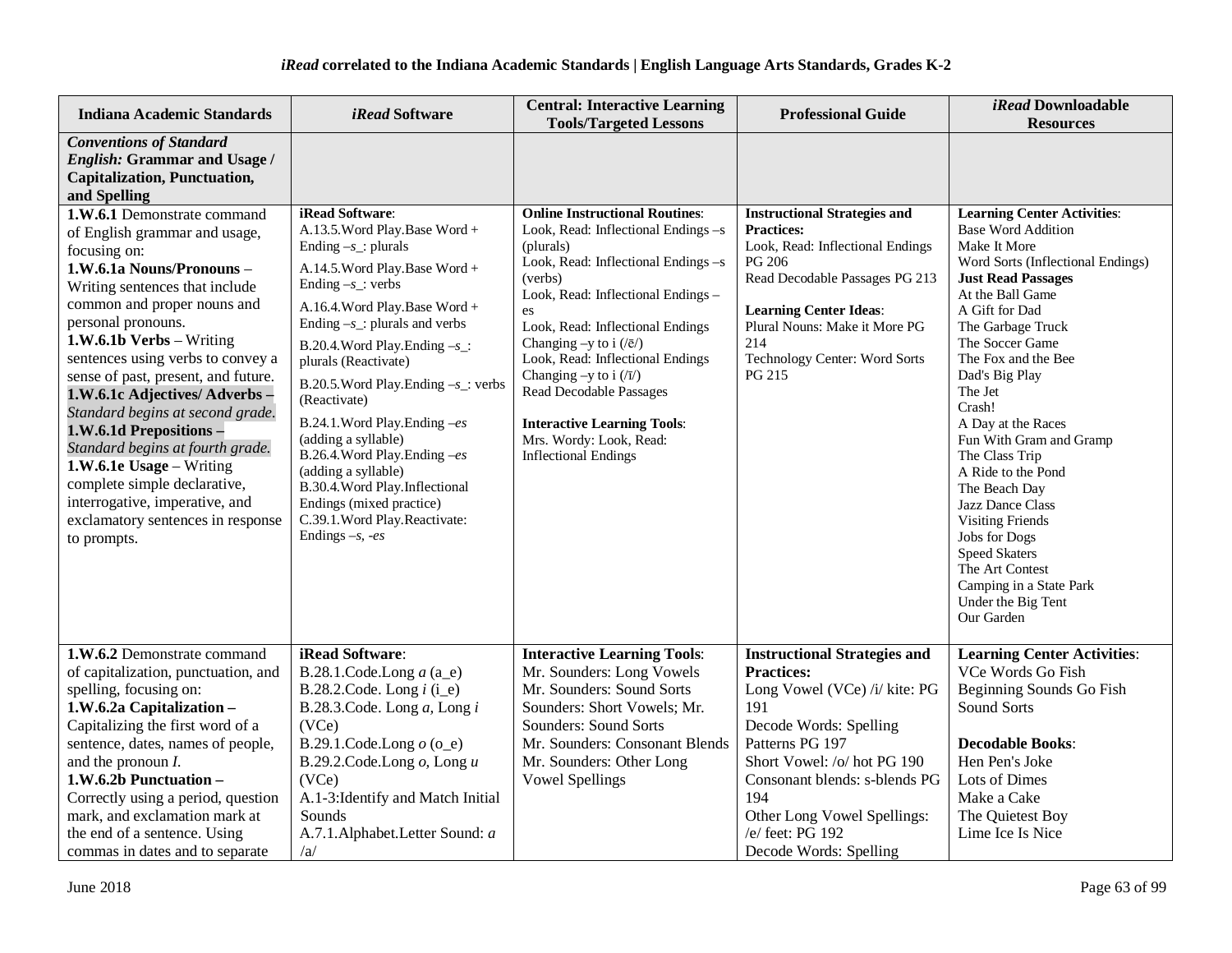| <b>Indiana Academic Standards</b>                                                                                                                                                                                                                                                                                                                                                                                                                                                                                                                                                            | <i>iRead</i> Software                                                                                                                                                                                                                                                                                                                                                                                                                                                                                                                                                      | <b>Central: Interactive Learning</b><br><b>Tools/Targeted Lessons</b>                                                                                                                                                                                                                                                                                                                                                                                               | <b>Professional Guide</b>                                                                                                                                                                                                                                                                         | <i>iRead</i> Downloadable<br><b>Resources</b>                                                                                                                                                                                                                                                                                                                                                                                                                                                                                                                                     |
|----------------------------------------------------------------------------------------------------------------------------------------------------------------------------------------------------------------------------------------------------------------------------------------------------------------------------------------------------------------------------------------------------------------------------------------------------------------------------------------------------------------------------------------------------------------------------------------------|----------------------------------------------------------------------------------------------------------------------------------------------------------------------------------------------------------------------------------------------------------------------------------------------------------------------------------------------------------------------------------------------------------------------------------------------------------------------------------------------------------------------------------------------------------------------------|---------------------------------------------------------------------------------------------------------------------------------------------------------------------------------------------------------------------------------------------------------------------------------------------------------------------------------------------------------------------------------------------------------------------------------------------------------------------|---------------------------------------------------------------------------------------------------------------------------------------------------------------------------------------------------------------------------------------------------------------------------------------------------|-----------------------------------------------------------------------------------------------------------------------------------------------------------------------------------------------------------------------------------------------------------------------------------------------------------------------------------------------------------------------------------------------------------------------------------------------------------------------------------------------------------------------------------------------------------------------------------|
| <b>Conventions of Standard</b><br><b>English: Grammar and Usage /</b><br><b>Capitalization, Punctuation,</b><br>and Spelling                                                                                                                                                                                                                                                                                                                                                                                                                                                                 |                                                                                                                                                                                                                                                                                                                                                                                                                                                                                                                                                                            |                                                                                                                                                                                                                                                                                                                                                                                                                                                                     |                                                                                                                                                                                                                                                                                                   |                                                                                                                                                                                                                                                                                                                                                                                                                                                                                                                                                                                   |
| 1.W.6.1 Demonstrate command<br>of English grammar and usage,<br>focusing on:<br>1.W.6.1a Nouns/Pronouns-<br>Writing sentences that include<br>common and proper nouns and<br>personal pronouns.<br>1.W.6.1b Verbs - Writing<br>sentences using verbs to convey a<br>sense of past, present, and future.<br>1.W.6.1c Adjectives/Adverbs-<br>Standard begins at second grade.<br>1.W.6.1d Prepositions -<br>Standard begins at fourth grade.<br>1.W.6.1e Usage - Writing<br>complete simple declarative,<br>interrogative, imperative, and<br>exclamatory sentences in response<br>to prompts. | iRead Software:<br>A.13.5. Word Play. Base Word +<br>Ending $-s$ _: plurals<br>A.14.5. Word Play. Base Word +<br>Ending $-s$ : verbs<br>A.16.4. Word Play. Base Word +<br>Ending $-s$ _: plurals and verbs<br>B.20.4. Word Play. Ending $-s$ _:<br>plurals (Reactivate)<br>B.20.5. Word Play. Ending $-s$ : verbs<br>(Reactivate)<br>B.24.1. Word Play. Ending -es<br>(adding a syllable)<br>B.26.4. Word Play. Ending -es<br>(adding a syllable)<br>B.30.4. Word Play. Inflectional<br>Endings (mixed practice)<br>C.39.1. Word Play. Reactivate:<br>Endings $-s$ , $-es$ | <b>Online Instructional Routines:</b><br>Look, Read: Inflectional Endings -s<br>(plurals)<br>Look, Read: Inflectional Endings -s<br>(verbs)<br>Look, Read: Inflectional Endings -<br>es<br>Look, Read: Inflectional Endings<br>Changing -y to i $(\sqrt{e})$<br>Look, Read: Inflectional Endings<br>Changing -y to i $(\sqrt{1})$<br><b>Read Decodable Passages</b><br><b>Interactive Learning Tools:</b><br>Mrs. Wordy: Look, Read:<br><b>Inflectional Endings</b> | <b>Instructional Strategies and</b><br><b>Practices:</b><br>Look, Read: Inflectional Endings<br>PG 206<br>Read Decodable Passages PG 213<br><b>Learning Center Ideas:</b><br>Plural Nouns: Make it More PG<br>214<br>Technology Center: Word Sorts<br>PG 215                                      | <b>Learning Center Activities:</b><br><b>Base Word Addition</b><br>Make It More<br>Word Sorts (Inflectional Endings)<br><b>Just Read Passages</b><br>At the Ball Game<br>A Gift for Dad<br>The Garbage Truck<br>The Soccer Game<br>The Fox and the Bee<br>Dad's Big Play<br>The Jet<br>Crash!<br>A Day at the Races<br>Fun With Gram and Gramp<br>The Class Trip<br>A Ride to the Pond<br>The Beach Day<br>Jazz Dance Class<br><b>Visiting Friends</b><br>Jobs for Dogs<br><b>Speed Skaters</b><br>The Art Contest<br>Camping in a State Park<br>Under the Big Tent<br>Our Garden |
| 1.W.6.2 Demonstrate command<br>of capitalization, punctuation, and<br>spelling, focusing on:<br>1.W.6.2a Capitalization-<br>Capitalizing the first word of a<br>sentence, dates, names of people,<br>and the pronoun $I$ .<br>1.W.6.2b Punctuation -<br>Correctly using a period, question<br>mark, and exclamation mark at<br>the end of a sentence. Using<br>commas in dates and to separate                                                                                                                                                                                               | iRead Software:<br>B.28.1.Code.Long $a$ (a_e)<br>B.28.2.Code. Long $i$ (i_e)<br>B.28.3.Code. Long $a$ , Long $i$<br>(VCe)<br>B.29.1.Code.Long $o$ (o_e)<br>B.29.2.Code.Long $o$ , Long $u$<br>(VCe)<br>A.1-3: Identify and Match Initial<br>Sounds<br>A.7.1.Alphabet.Letter Sound: a<br>/a/                                                                                                                                                                                                                                                                                | <b>Interactive Learning Tools:</b><br>Mr. Sounders: Long Vowels<br>Mr. Sounders: Sound Sorts<br>Sounders: Short Vowels; Mr.<br>Sounders: Sound Sorts<br>Mr. Sounders: Consonant Blends<br>Mr. Sounders: Other Long<br><b>Vowel Spellings</b>                                                                                                                                                                                                                        | <b>Instructional Strategies and</b><br><b>Practices:</b><br>Long Vowel (VCe) /i/ kite: PG<br>191<br>Decode Words: Spelling<br>Patterns PG 197<br>Short Vowel: /o/ hot PG 190<br>Consonant blends: s-blends PG<br>194<br>Other Long Vowel Spellings:<br>/e/ feet: PG 192<br>Decode Words: Spelling | <b>Learning Center Activities:</b><br>VCe Words Go Fish<br>Beginning Sounds Go Fish<br>Sound Sorts<br><b>Decodable Books:</b><br>Hen Pen's Joke<br>Lots of Dimes<br>Make a Cake<br>The Quietest Boy<br>Lime Ice Is Nice                                                                                                                                                                                                                                                                                                                                                           |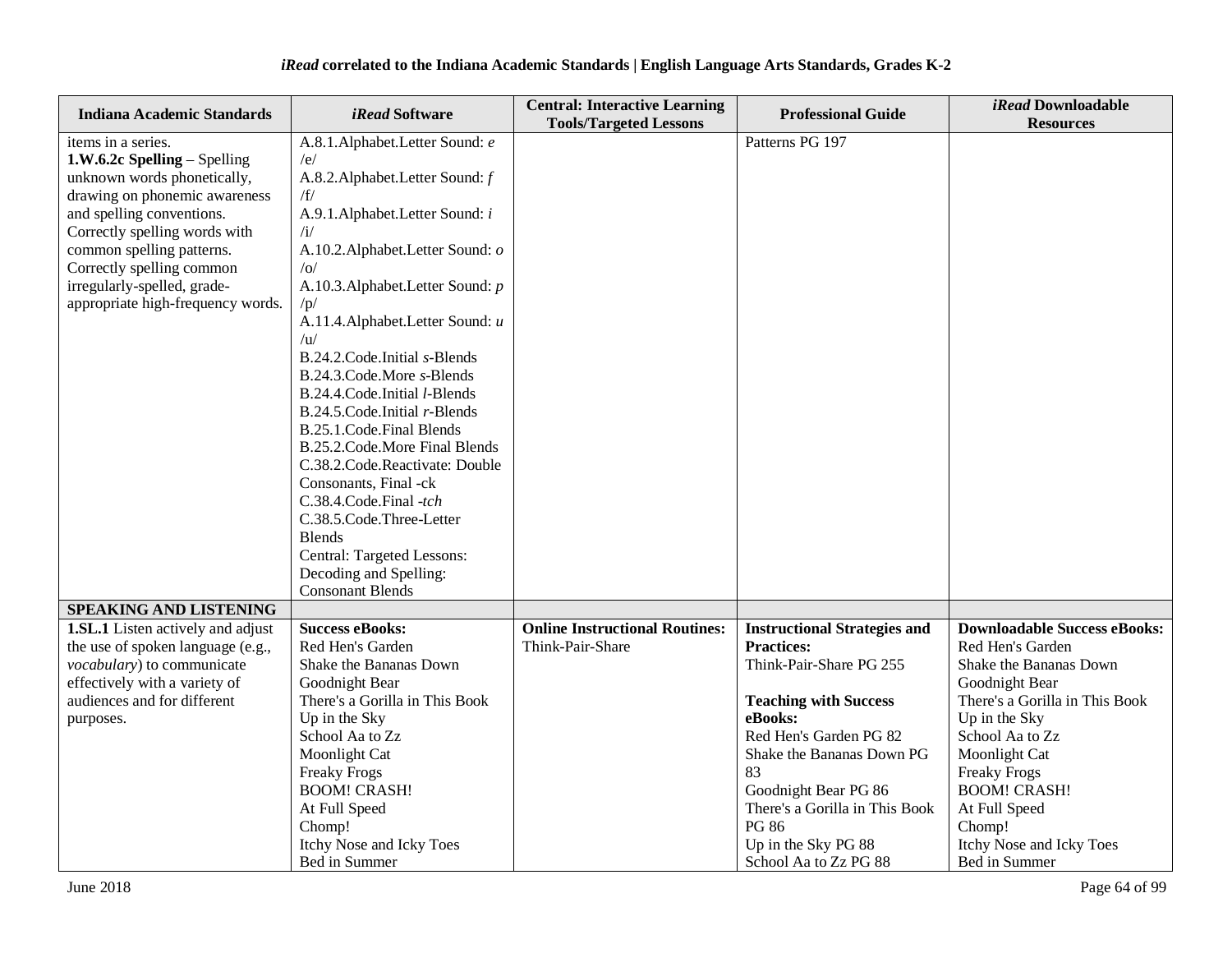| <b>Indiana Academic Standards</b>                            | iRead Software                                  | <b>Central: Interactive Learning</b><br><b>Tools/Targeted Lessons</b> | <b>Professional Guide</b>               | <i>iRead</i> Downloadable<br><b>Resources</b>   |
|--------------------------------------------------------------|-------------------------------------------------|-----------------------------------------------------------------------|-----------------------------------------|-------------------------------------------------|
| items in a series.                                           | A.8.1.Alphabet.Letter Sound: e                  |                                                                       | Patterns PG 197                         |                                                 |
| 1.W.6.2c Spelling - Spelling                                 | /e/                                             |                                                                       |                                         |                                                 |
| unknown words phonetically,                                  | A.8.2. Alphabet. Letter Sound: f                |                                                                       |                                         |                                                 |
| drawing on phonemic awareness                                | /f/                                             |                                                                       |                                         |                                                 |
| and spelling conventions.                                    | A.9.1. Alphabet. Letter Sound: i                |                                                                       |                                         |                                                 |
| Correctly spelling words with                                | $\mathbf{u}$                                    |                                                                       |                                         |                                                 |
| common spelling patterns.                                    | A.10.2. Alphabet. Letter Sound: o               |                                                                       |                                         |                                                 |
| Correctly spelling common                                    | /O/                                             |                                                                       |                                         |                                                 |
| irregularly-spelled, grade-                                  | A.10.3. Alphabet. Letter Sound: p               |                                                                       |                                         |                                                 |
| appropriate high-frequency words.                            | /p/                                             |                                                                       |                                         |                                                 |
|                                                              | A.11.4. Alphabet. Letter Sound: u               |                                                                       |                                         |                                                 |
|                                                              | /u/                                             |                                                                       |                                         |                                                 |
|                                                              | B.24.2.Code.Initial s-Blends                    |                                                                       |                                         |                                                 |
|                                                              | B.24.3.Code.More s-Blends                       |                                                                       |                                         |                                                 |
|                                                              | B.24.4.Code.Initial l-Blends                    |                                                                       |                                         |                                                 |
|                                                              | B.24.5.Code.Initial r-Blends                    |                                                                       |                                         |                                                 |
|                                                              | B.25.1.Code.Final Blends                        |                                                                       |                                         |                                                 |
|                                                              | B.25.2.Code.More Final Blends                   |                                                                       |                                         |                                                 |
|                                                              | C.38.2.Code.Reactivate: Double                  |                                                                       |                                         |                                                 |
|                                                              | Consonants, Final -ck                           |                                                                       |                                         |                                                 |
|                                                              | C.38.4.Code.Final -tch                          |                                                                       |                                         |                                                 |
|                                                              | C.38.5.Code.Three-Letter                        |                                                                       |                                         |                                                 |
|                                                              | <b>Blends</b>                                   |                                                                       |                                         |                                                 |
|                                                              | Central: Targeted Lessons:                      |                                                                       |                                         |                                                 |
|                                                              | Decoding and Spelling:                          |                                                                       |                                         |                                                 |
|                                                              | <b>Consonant Blends</b>                         |                                                                       |                                         |                                                 |
| SPEAKING AND LISTENING                                       |                                                 |                                                                       |                                         |                                                 |
| <b>1.SL.1</b> Listen actively and adjust                     | <b>Success eBooks:</b>                          | <b>Online Instructional Routines:</b>                                 | <b>Instructional Strategies and</b>     | <b>Downloadable Success eBooks:</b>             |
| the use of spoken language (e.g.,                            | Red Hen's Garden                                | Think-Pair-Share                                                      | <b>Practices:</b>                       | Red Hen's Garden                                |
| vocabulary) to communicate                                   | Shake the Bananas Down                          |                                                                       | Think-Pair-Share PG 255                 | Shake the Bananas Down                          |
| effectively with a variety of<br>audiences and for different | Goodnight Bear                                  |                                                                       |                                         | Goodnight Bear                                  |
|                                                              | There's a Gorilla in This Book<br>Up in the Sky |                                                                       | <b>Teaching with Success</b><br>eBooks: | There's a Gorilla in This Book<br>Up in the Sky |
| purposes.                                                    | School Aa to Zz                                 |                                                                       | Red Hen's Garden PG 82                  | School Aa to Zz                                 |
|                                                              | Moonlight Cat                                   |                                                                       | Shake the Bananas Down PG               | Moonlight Cat                                   |
|                                                              | <b>Freaky Frogs</b>                             |                                                                       | 83                                      | <b>Freaky Frogs</b>                             |
|                                                              | <b>BOOM! CRASH!</b>                             |                                                                       | Goodnight Bear PG 86                    | <b>BOOM! CRASH!</b>                             |
|                                                              | At Full Speed                                   |                                                                       | There's a Gorilla in This Book          | At Full Speed                                   |
|                                                              | Chomp!                                          |                                                                       | <b>PG 86</b>                            | Chomp!                                          |
|                                                              | Itchy Nose and Icky Toes                        |                                                                       | Up in the Sky PG 88                     | Itchy Nose and Icky Toes                        |
|                                                              | Bed in Summer                                   |                                                                       | School Aa to Zz PG 88                   | Bed in Summer                                   |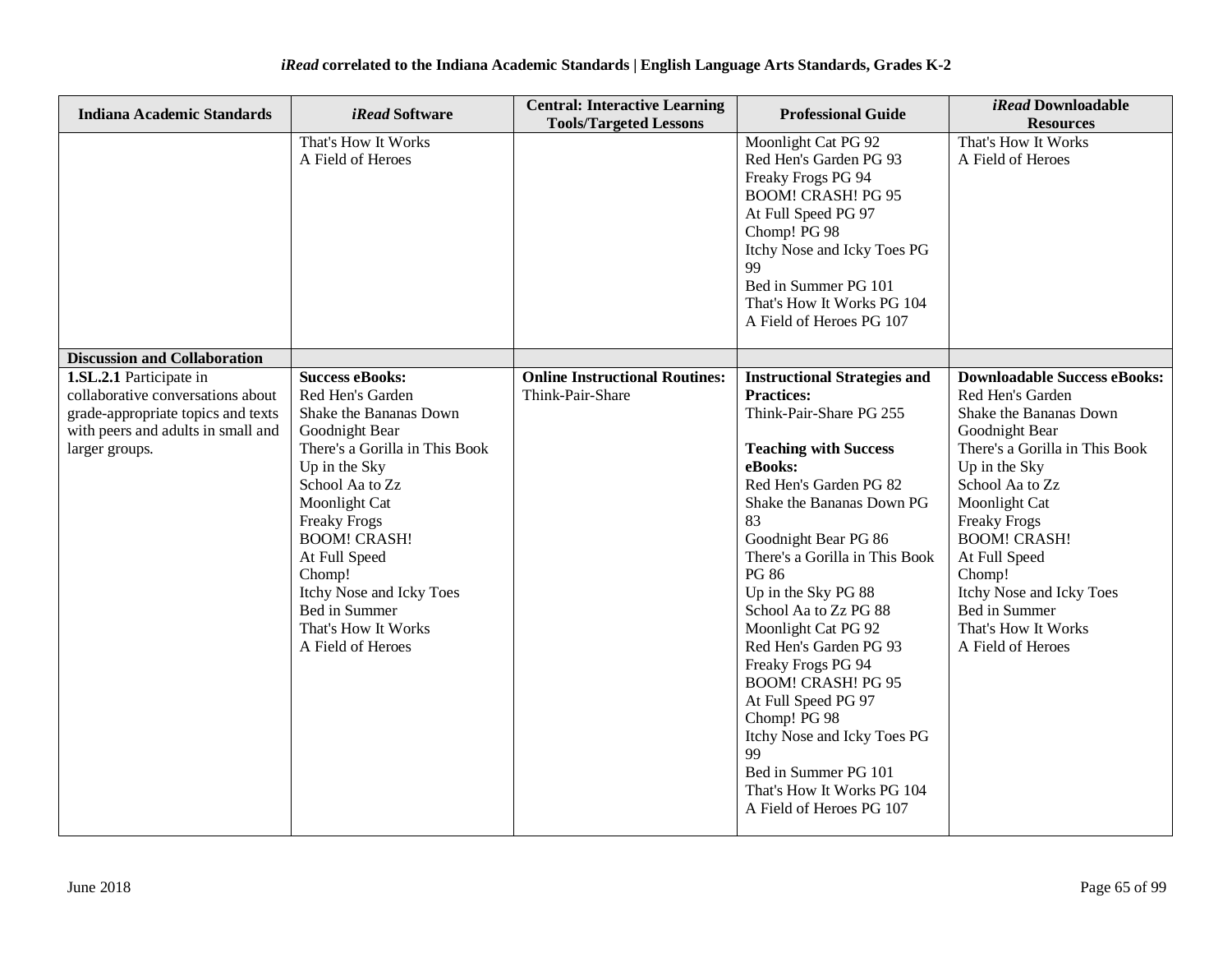| <b>Indiana Academic Standards</b>                                                                                                                          | <i>iRead</i> Software                                                                                                                                                                                                                                                                                                                           | <b>Central: Interactive Learning</b><br><b>Tools/Targeted Lessons</b> | <b>Professional Guide</b>                                                                                                                                                                                                                                                                                                                                                                                                                                                                                                                                                               | iRead Downloadable<br><b>Resources</b>                                                                                                                                                                                                                                                                                                                       |
|------------------------------------------------------------------------------------------------------------------------------------------------------------|-------------------------------------------------------------------------------------------------------------------------------------------------------------------------------------------------------------------------------------------------------------------------------------------------------------------------------------------------|-----------------------------------------------------------------------|-----------------------------------------------------------------------------------------------------------------------------------------------------------------------------------------------------------------------------------------------------------------------------------------------------------------------------------------------------------------------------------------------------------------------------------------------------------------------------------------------------------------------------------------------------------------------------------------|--------------------------------------------------------------------------------------------------------------------------------------------------------------------------------------------------------------------------------------------------------------------------------------------------------------------------------------------------------------|
|                                                                                                                                                            | That's How It Works<br>A Field of Heroes                                                                                                                                                                                                                                                                                                        |                                                                       | Moonlight Cat PG 92<br>Red Hen's Garden PG 93<br>Freaky Frogs PG 94<br><b>BOOM! CRASH! PG 95</b><br>At Full Speed PG 97<br>Chomp! PG 98<br>Itchy Nose and Icky Toes PG<br>99<br>Bed in Summer PG 101<br>That's How It Works PG 104<br>A Field of Heroes PG 107                                                                                                                                                                                                                                                                                                                          | That's How It Works<br>A Field of Heroes                                                                                                                                                                                                                                                                                                                     |
| <b>Discussion and Collaboration</b>                                                                                                                        |                                                                                                                                                                                                                                                                                                                                                 |                                                                       |                                                                                                                                                                                                                                                                                                                                                                                                                                                                                                                                                                                         |                                                                                                                                                                                                                                                                                                                                                              |
| 1.SL.2.1 Participate in<br>collaborative conversations about<br>grade-appropriate topics and texts<br>with peers and adults in small and<br>larger groups. | <b>Success eBooks:</b><br>Red Hen's Garden<br>Shake the Bananas Down<br>Goodnight Bear<br>There's a Gorilla in This Book<br>Up in the Sky<br>School Aa to Zz<br>Moonlight Cat<br><b>Freaky Frogs</b><br><b>BOOM! CRASH!</b><br>At Full Speed<br>Chomp!<br>Itchy Nose and Icky Toes<br>Bed in Summer<br>That's How It Works<br>A Field of Heroes | <b>Online Instructional Routines:</b><br>Think-Pair-Share             | <b>Instructional Strategies and</b><br><b>Practices:</b><br>Think-Pair-Share PG 255<br><b>Teaching with Success</b><br>eBooks:<br>Red Hen's Garden PG 82<br>Shake the Bananas Down PG<br>83<br>Goodnight Bear PG 86<br>There's a Gorilla in This Book<br><b>PG 86</b><br>Up in the Sky PG 88<br>School Aa to Zz PG 88<br>Moonlight Cat PG 92<br>Red Hen's Garden PG 93<br>Freaky Frogs PG 94<br><b>BOOM! CRASH! PG 95</b><br>At Full Speed PG 97<br>Chomp! PG 98<br>Itchy Nose and Icky Toes PG<br>99<br>Bed in Summer PG 101<br>That's How It Works PG 104<br>A Field of Heroes PG 107 | <b>Downloadable Success eBooks:</b><br>Red Hen's Garden<br>Shake the Bananas Down<br>Goodnight Bear<br>There's a Gorilla in This Book<br>Up in the Sky<br>School Aa to Zz<br>Moonlight Cat<br><b>Freaky Frogs</b><br><b>BOOM! CRASH!</b><br>At Full Speed<br>Chomp!<br>Itchy Nose and Icky Toes<br>Bed in Summer<br>That's How It Works<br>A Field of Heroes |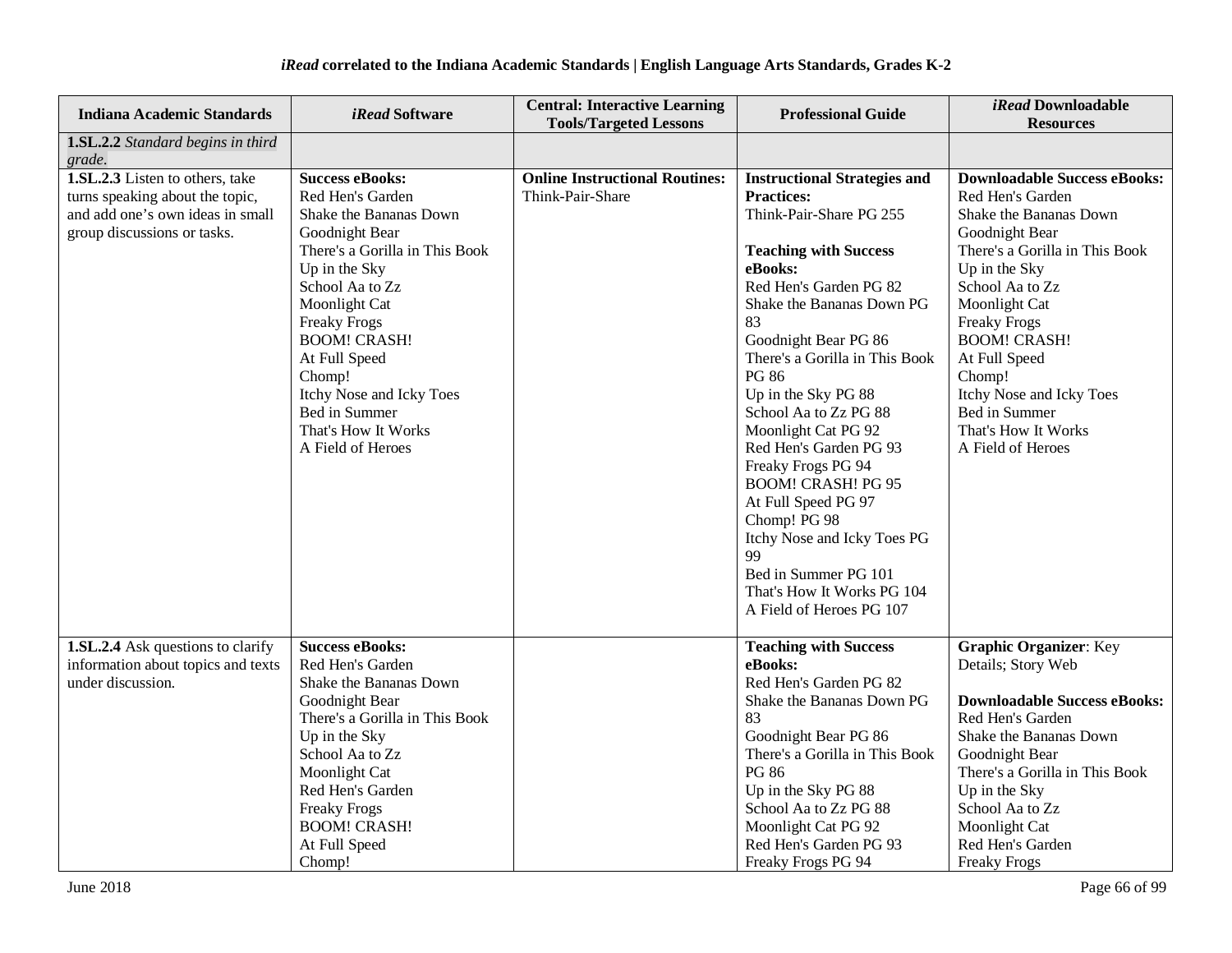| <b>Indiana Academic Standards</b>                                                                                                     | <i>iRead</i> Software                                                                                                                                                                                                                                                                                                                           | <b>Central: Interactive Learning</b><br><b>Tools/Targeted Lessons</b> | <b>Professional Guide</b>                                                                                                                                                                                                                                                                                                                                                                                                                                                                                                                                                               | iRead Downloadable<br><b>Resources</b>                                                                                                                                                                                                                                                                                                                       |
|---------------------------------------------------------------------------------------------------------------------------------------|-------------------------------------------------------------------------------------------------------------------------------------------------------------------------------------------------------------------------------------------------------------------------------------------------------------------------------------------------|-----------------------------------------------------------------------|-----------------------------------------------------------------------------------------------------------------------------------------------------------------------------------------------------------------------------------------------------------------------------------------------------------------------------------------------------------------------------------------------------------------------------------------------------------------------------------------------------------------------------------------------------------------------------------------|--------------------------------------------------------------------------------------------------------------------------------------------------------------------------------------------------------------------------------------------------------------------------------------------------------------------------------------------------------------|
| 1.SL.2.2 Standard begins in third<br>grade.                                                                                           |                                                                                                                                                                                                                                                                                                                                                 |                                                                       |                                                                                                                                                                                                                                                                                                                                                                                                                                                                                                                                                                                         |                                                                                                                                                                                                                                                                                                                                                              |
| 1.SL.2.3 Listen to others, take<br>turns speaking about the topic,<br>and add one's own ideas in small<br>group discussions or tasks. | <b>Success eBooks:</b><br>Red Hen's Garden<br>Shake the Bananas Down<br>Goodnight Bear<br>There's a Gorilla in This Book<br>Up in the Sky<br>School Aa to Zz<br>Moonlight Cat<br><b>Freaky Frogs</b><br><b>BOOM! CRASH!</b><br>At Full Speed<br>Chomp!<br>Itchy Nose and Icky Toes<br>Bed in Summer<br>That's How It Works<br>A Field of Heroes | <b>Online Instructional Routines:</b><br>Think-Pair-Share             | <b>Instructional Strategies and</b><br><b>Practices:</b><br>Think-Pair-Share PG 255<br><b>Teaching with Success</b><br>eBooks:<br>Red Hen's Garden PG 82<br>Shake the Bananas Down PG<br>83<br>Goodnight Bear PG 86<br>There's a Gorilla in This Book<br><b>PG 86</b><br>Up in the Sky PG 88<br>School Aa to Zz PG 88<br>Moonlight Cat PG 92<br>Red Hen's Garden PG 93<br>Freaky Frogs PG 94<br><b>BOOM! CRASH! PG 95</b><br>At Full Speed PG 97<br>Chomp! PG 98<br>Itchy Nose and Icky Toes PG<br>99<br>Bed in Summer PG 101<br>That's How It Works PG 104<br>A Field of Heroes PG 107 | <b>Downloadable Success eBooks:</b><br>Red Hen's Garden<br>Shake the Bananas Down<br>Goodnight Bear<br>There's a Gorilla in This Book<br>Up in the Sky<br>School Aa to Zz<br>Moonlight Cat<br><b>Freaky Frogs</b><br><b>BOOM! CRASH!</b><br>At Full Speed<br>Chomp!<br>Itchy Nose and Icky Toes<br>Bed in Summer<br>That's How It Works<br>A Field of Heroes |
| 1.SL.2.4 Ask questions to clarify<br>information about topics and texts<br>under discussion.                                          | <b>Success eBooks:</b><br>Red Hen's Garden<br>Shake the Bananas Down<br>Goodnight Bear<br>There's a Gorilla in This Book<br>Up in the Sky<br>School Aa to Zz<br>Moonlight Cat<br>Red Hen's Garden<br><b>Freaky Frogs</b><br><b>BOOM! CRASH!</b><br>At Full Speed<br>Chomp!                                                                      |                                                                       | <b>Teaching with Success</b><br>eBooks:<br>Red Hen's Garden PG 82<br>Shake the Bananas Down PG<br>83<br>Goodnight Bear PG 86<br>There's a Gorilla in This Book<br><b>PG 86</b><br>Up in the Sky PG 88<br>School Aa to Zz PG 88<br>Moonlight Cat PG 92<br>Red Hen's Garden PG 93<br>Freaky Frogs PG 94                                                                                                                                                                                                                                                                                   | <b>Graphic Organizer: Key</b><br>Details; Story Web<br><b>Downloadable Success eBooks:</b><br>Red Hen's Garden<br>Shake the Bananas Down<br>Goodnight Bear<br>There's a Gorilla in This Book<br>Up in the Sky<br>School Aa to Zz<br>Moonlight Cat<br>Red Hen's Garden<br><b>Freaky Frogs</b>                                                                 |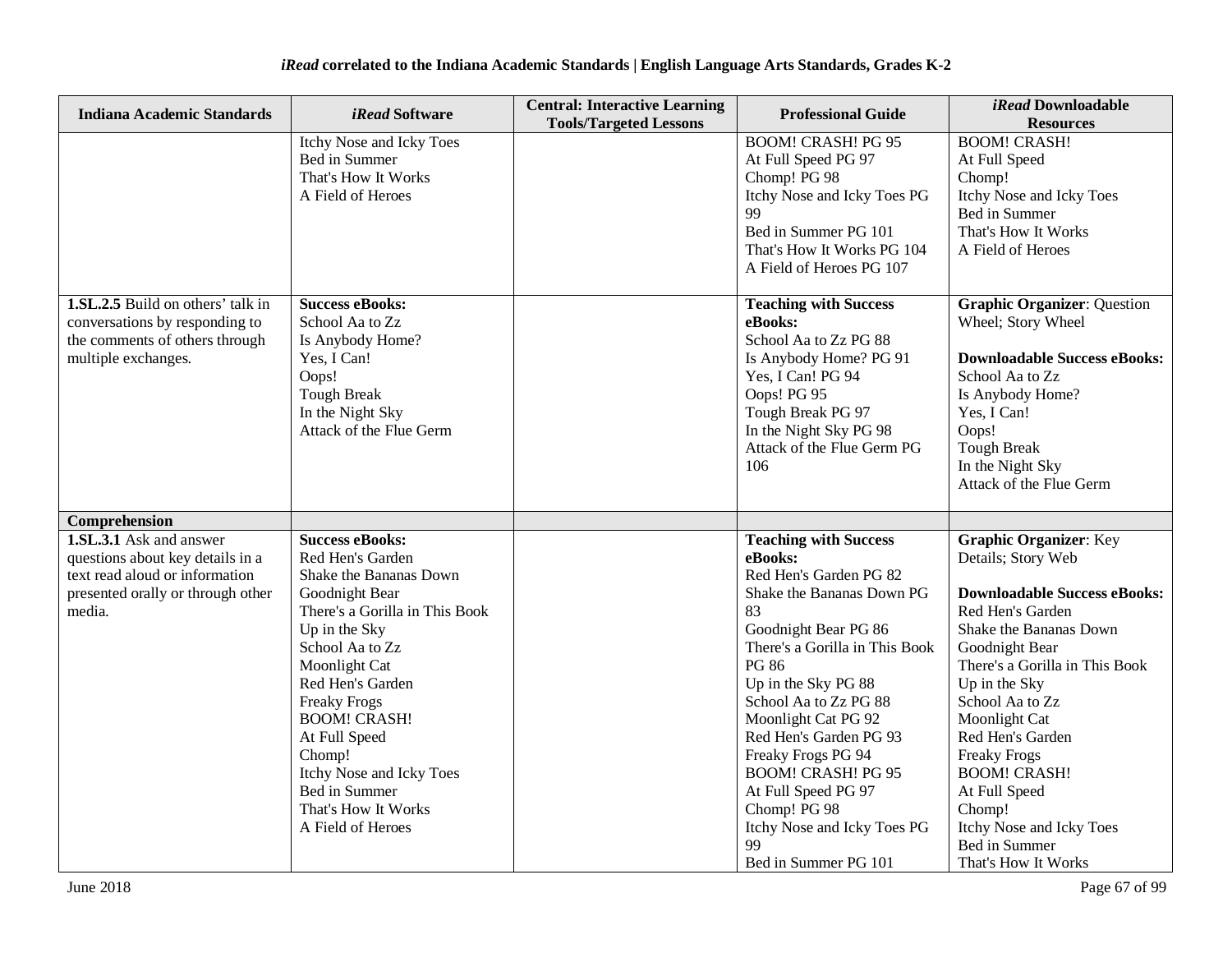| <b>Indiana Academic Standards</b>                                                                                                            | <i>iRead</i> Software                                                                                                                                                                                                                                                                                                                                               | <b>Central: Interactive Learning</b><br><b>Tools/Targeted Lessons</b> | <b>Professional Guide</b>                                                                                                                                                                                                                                                                                                                                                                                                              | <i>iRead</i> Downloadable<br><b>Resources</b>                                                                                                                                                                                                                                                                                                                                                                      |
|----------------------------------------------------------------------------------------------------------------------------------------------|---------------------------------------------------------------------------------------------------------------------------------------------------------------------------------------------------------------------------------------------------------------------------------------------------------------------------------------------------------------------|-----------------------------------------------------------------------|----------------------------------------------------------------------------------------------------------------------------------------------------------------------------------------------------------------------------------------------------------------------------------------------------------------------------------------------------------------------------------------------------------------------------------------|--------------------------------------------------------------------------------------------------------------------------------------------------------------------------------------------------------------------------------------------------------------------------------------------------------------------------------------------------------------------------------------------------------------------|
|                                                                                                                                              | Itchy Nose and Icky Toes<br>Bed in Summer<br>That's How It Works<br>A Field of Heroes                                                                                                                                                                                                                                                                               |                                                                       | <b>BOOM! CRASH! PG 95</b><br>At Full Speed PG 97<br>Chomp! PG 98<br>Itchy Nose and Icky Toes PG<br>99<br>Bed in Summer PG 101<br>That's How It Works PG 104<br>A Field of Heroes PG 107                                                                                                                                                                                                                                                | <b>BOOM! CRASH!</b><br>At Full Speed<br>Chomp!<br>Itchy Nose and Icky Toes<br>Bed in Summer<br>That's How It Works<br>A Field of Heroes                                                                                                                                                                                                                                                                            |
| 1.SL.2.5 Build on others' talk in<br>conversations by responding to<br>the comments of others through<br>multiple exchanges.                 | <b>Success eBooks:</b><br>School Aa to Zz<br>Is Anybody Home?<br>Yes, I Can!<br>Oops!<br><b>Tough Break</b><br>In the Night Sky<br>Attack of the Flue Germ                                                                                                                                                                                                          |                                                                       | <b>Teaching with Success</b><br>eBooks:<br>School Aa to Zz PG 88<br>Is Anybody Home? PG 91<br>Yes, I Can! PG 94<br>Oops! PG 95<br>Tough Break PG 97<br>In the Night Sky PG 98<br>Attack of the Flue Germ PG<br>106                                                                                                                                                                                                                     | <b>Graphic Organizer: Question</b><br>Wheel; Story Wheel<br><b>Downloadable Success eBooks:</b><br>School Aa to Zz<br>Is Anybody Home?<br>Yes, I Can!<br>Oops!<br><b>Tough Break</b><br>In the Night Sky<br>Attack of the Flue Germ                                                                                                                                                                                |
| Comprehension                                                                                                                                |                                                                                                                                                                                                                                                                                                                                                                     |                                                                       |                                                                                                                                                                                                                                                                                                                                                                                                                                        |                                                                                                                                                                                                                                                                                                                                                                                                                    |
| 1.SL.3.1 Ask and answer<br>questions about key details in a<br>text read aloud or information<br>presented orally or through other<br>media. | <b>Success eBooks:</b><br>Red Hen's Garden<br>Shake the Bananas Down<br>Goodnight Bear<br>There's a Gorilla in This Book<br>Up in the Sky<br>School Aa to Zz<br>Moonlight Cat<br>Red Hen's Garden<br><b>Freaky Frogs</b><br><b>BOOM! CRASH!</b><br>At Full Speed<br>Chomp!<br>Itchy Nose and Icky Toes<br>Bed in Summer<br>That's How It Works<br>A Field of Heroes |                                                                       | <b>Teaching with Success</b><br>eBooks:<br>Red Hen's Garden PG 82<br>Shake the Bananas Down PG<br>83<br>Goodnight Bear PG 86<br>There's a Gorilla in This Book<br><b>PG 86</b><br>Up in the Sky PG 88<br>School Aa to Zz PG 88<br>Moonlight Cat PG 92<br>Red Hen's Garden PG 93<br>Freaky Frogs PG 94<br><b>BOOM! CRASH! PG 95</b><br>At Full Speed PG 97<br>Chomp! PG 98<br>Itchy Nose and Icky Toes PG<br>99<br>Bed in Summer PG 101 | <b>Graphic Organizer: Key</b><br>Details; Story Web<br><b>Downloadable Success eBooks:</b><br>Red Hen's Garden<br>Shake the Bananas Down<br>Goodnight Bear<br>There's a Gorilla in This Book<br>Up in the Sky<br>School Aa to Zz<br>Moonlight Cat<br>Red Hen's Garden<br><b>Freaky Frogs</b><br><b>BOOM! CRASH!</b><br>At Full Speed<br>Chomp!<br>Itchy Nose and Icky Toes<br>Bed in Summer<br>That's How It Works |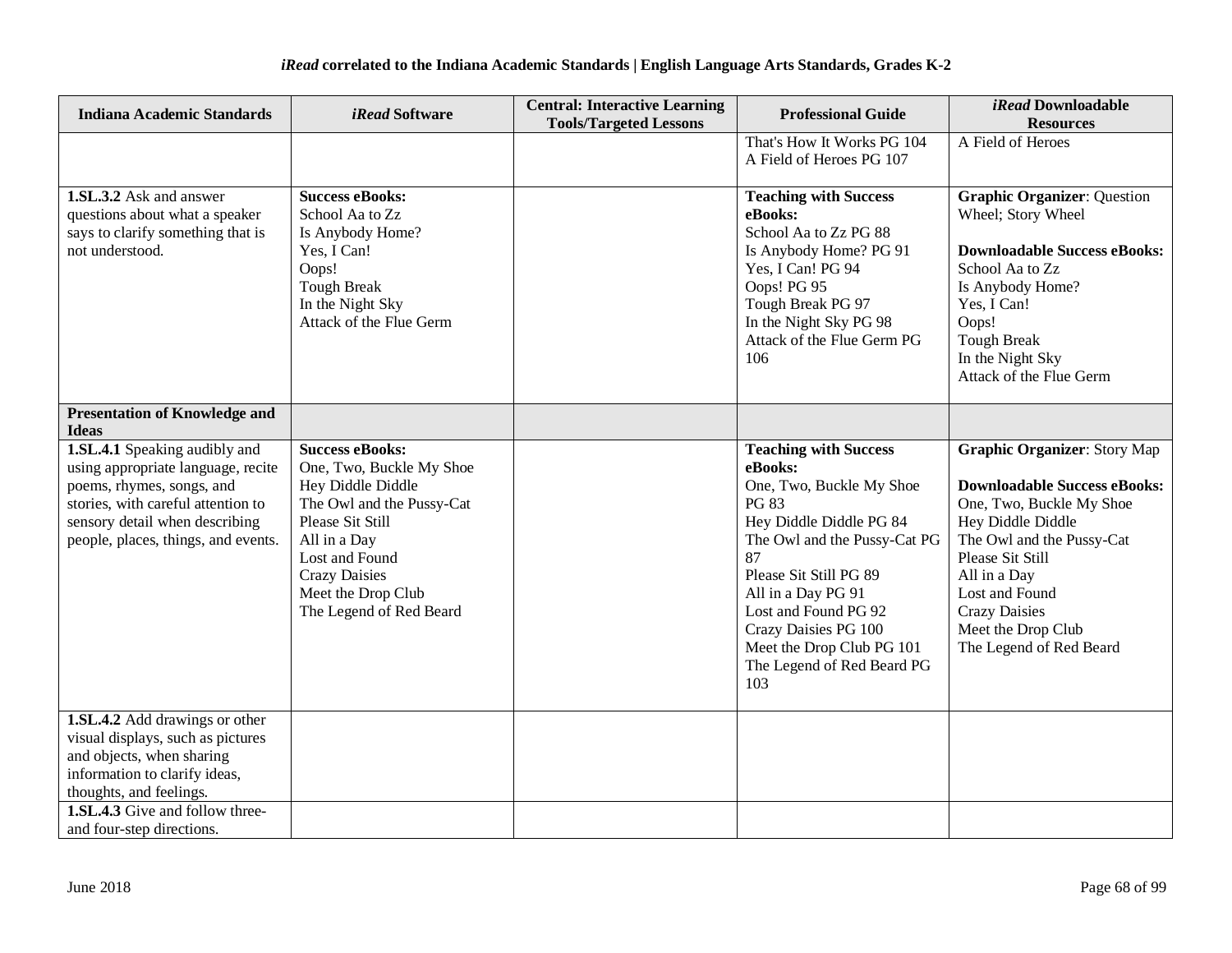| <b>Indiana Academic Standards</b>                                                                                                                                                                               | <i>iRead</i> Software                                                                                                                                                                                                               | <b>Central: Interactive Learning</b><br><b>Tools/Targeted Lessons</b> | <b>Professional Guide</b>                                                                                                                                                                                                                                                                                              | <i>iRead</i> Downloadable<br><b>Resources</b>                                                                                                                                                                                                                                           |
|-----------------------------------------------------------------------------------------------------------------------------------------------------------------------------------------------------------------|-------------------------------------------------------------------------------------------------------------------------------------------------------------------------------------------------------------------------------------|-----------------------------------------------------------------------|------------------------------------------------------------------------------------------------------------------------------------------------------------------------------------------------------------------------------------------------------------------------------------------------------------------------|-----------------------------------------------------------------------------------------------------------------------------------------------------------------------------------------------------------------------------------------------------------------------------------------|
|                                                                                                                                                                                                                 |                                                                                                                                                                                                                                     |                                                                       | That's How It Works PG 104<br>A Field of Heroes PG 107                                                                                                                                                                                                                                                                 | A Field of Heroes                                                                                                                                                                                                                                                                       |
| 1.SL.3.2 Ask and answer<br>questions about what a speaker<br>says to clarify something that is<br>not understood.                                                                                               | <b>Success eBooks:</b><br>School Aa to Zz<br>Is Anybody Home?<br>Yes, I Can!<br>Oops!<br><b>Tough Break</b><br>In the Night Sky<br>Attack of the Flue Germ                                                                          |                                                                       | <b>Teaching with Success</b><br>eBooks:<br>School Aa to Zz PG 88<br>Is Anybody Home? PG 91<br>Yes, I Can! PG 94<br>Oops! PG 95<br>Tough Break PG 97<br>In the Night Sky PG 98<br>Attack of the Flue Germ PG<br>106                                                                                                     | <b>Graphic Organizer: Question</b><br>Wheel; Story Wheel<br><b>Downloadable Success eBooks:</b><br>School Aa to Zz<br>Is Anybody Home?<br>Yes, I Can!<br>Oops!<br><b>Tough Break</b><br>In the Night Sky<br>Attack of the Flue Germ                                                     |
| <b>Presentation of Knowledge and</b><br><b>Ideas</b>                                                                                                                                                            |                                                                                                                                                                                                                                     |                                                                       |                                                                                                                                                                                                                                                                                                                        |                                                                                                                                                                                                                                                                                         |
| 1.SL.4.1 Speaking audibly and<br>using appropriate language, recite<br>poems, rhymes, songs, and<br>stories, with careful attention to<br>sensory detail when describing<br>people, places, things, and events. | <b>Success eBooks:</b><br>One, Two, Buckle My Shoe<br>Hey Diddle Diddle<br>The Owl and the Pussy-Cat<br>Please Sit Still<br>All in a Day<br>Lost and Found<br><b>Crazy Daisies</b><br>Meet the Drop Club<br>The Legend of Red Beard |                                                                       | <b>Teaching with Success</b><br>eBooks:<br>One, Two, Buckle My Shoe<br><b>PG 83</b><br>Hey Diddle Diddle PG 84<br>The Owl and the Pussy-Cat PG<br>87<br>Please Sit Still PG 89<br>All in a Day PG 91<br>Lost and Found PG 92<br>Crazy Daisies PG 100<br>Meet the Drop Club PG 101<br>The Legend of Red Beard PG<br>103 | <b>Graphic Organizer: Story Map</b><br><b>Downloadable Success eBooks:</b><br>One, Two, Buckle My Shoe<br>Hey Diddle Diddle<br>The Owl and the Pussy-Cat<br>Please Sit Still<br>All in a Day<br>Lost and Found<br><b>Crazy Daisies</b><br>Meet the Drop Club<br>The Legend of Red Beard |
| 1.SL.4.2 Add drawings or other<br>visual displays, such as pictures<br>and objects, when sharing<br>information to clarify ideas,<br>thoughts, and feelings.                                                    |                                                                                                                                                                                                                                     |                                                                       |                                                                                                                                                                                                                                                                                                                        |                                                                                                                                                                                                                                                                                         |
| <b>1.SL.4.3</b> Give and follow three-<br>and four-step directions.                                                                                                                                             |                                                                                                                                                                                                                                     |                                                                       |                                                                                                                                                                                                                                                                                                                        |                                                                                                                                                                                                                                                                                         |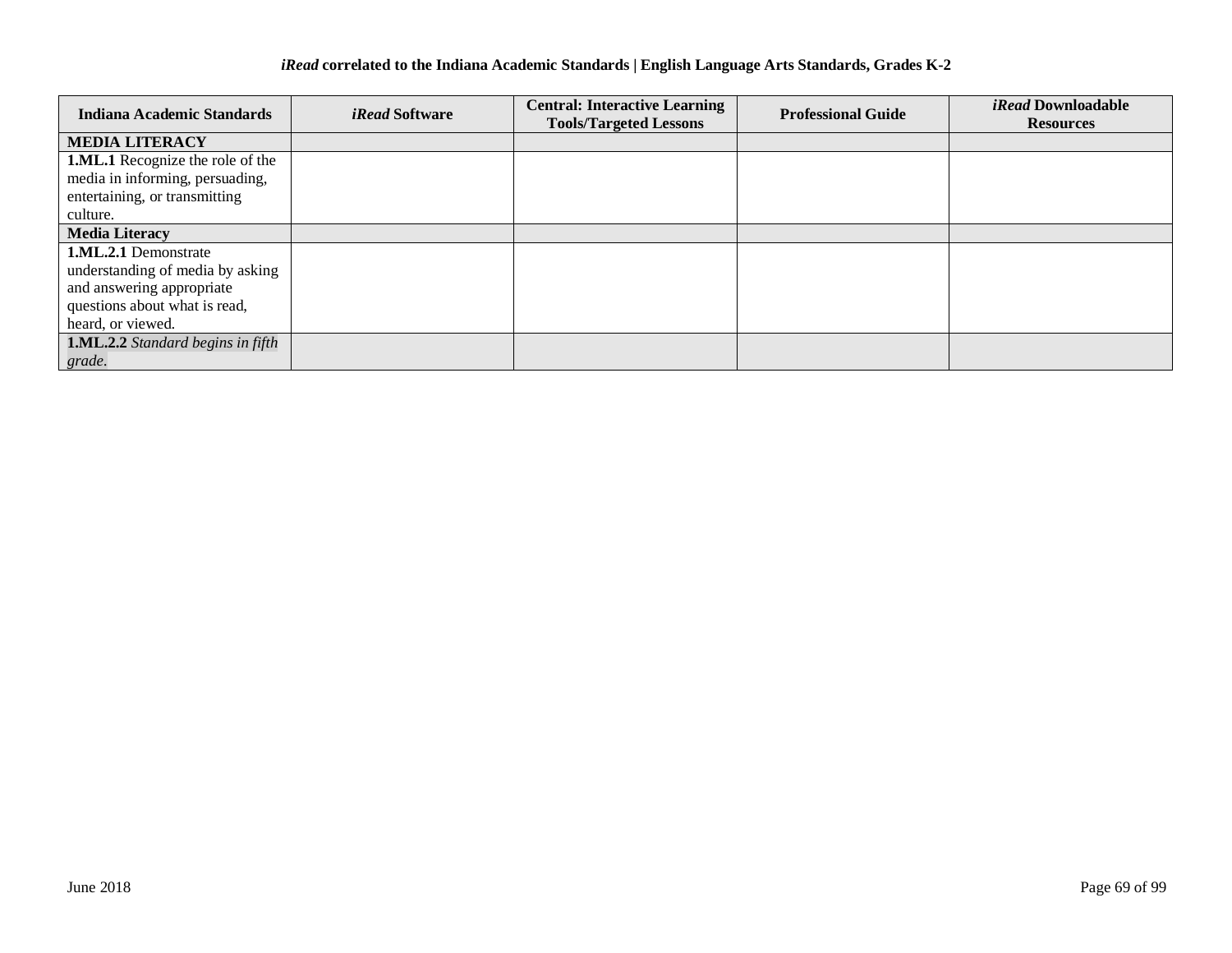| <b>Indiana Academic Standards</b>        | <i>iRead</i> Software | <b>Central: Interactive Learning</b> | <b>Professional Guide</b> | <i>iRead</i> Downloadable |
|------------------------------------------|-----------------------|--------------------------------------|---------------------------|---------------------------|
|                                          |                       | <b>Tools/Targeted Lessons</b>        |                           | <b>Resources</b>          |
| <b>MEDIA LITERACY</b>                    |                       |                                      |                           |                           |
| <b>1.ML.1</b> Recognize the role of the  |                       |                                      |                           |                           |
| media in informing, persuading,          |                       |                                      |                           |                           |
| entertaining, or transmitting            |                       |                                      |                           |                           |
| culture.                                 |                       |                                      |                           |                           |
| <b>Media Literacy</b>                    |                       |                                      |                           |                           |
| <b>1.ML.2.1</b> Demonstrate              |                       |                                      |                           |                           |
| understanding of media by asking         |                       |                                      |                           |                           |
| and answering appropriate                |                       |                                      |                           |                           |
| questions about what is read,            |                       |                                      |                           |                           |
| heard, or viewed.                        |                       |                                      |                           |                           |
| <b>1.ML.2.2</b> Standard begins in fifth |                       |                                      |                           |                           |
| grade.                                   |                       |                                      |                           |                           |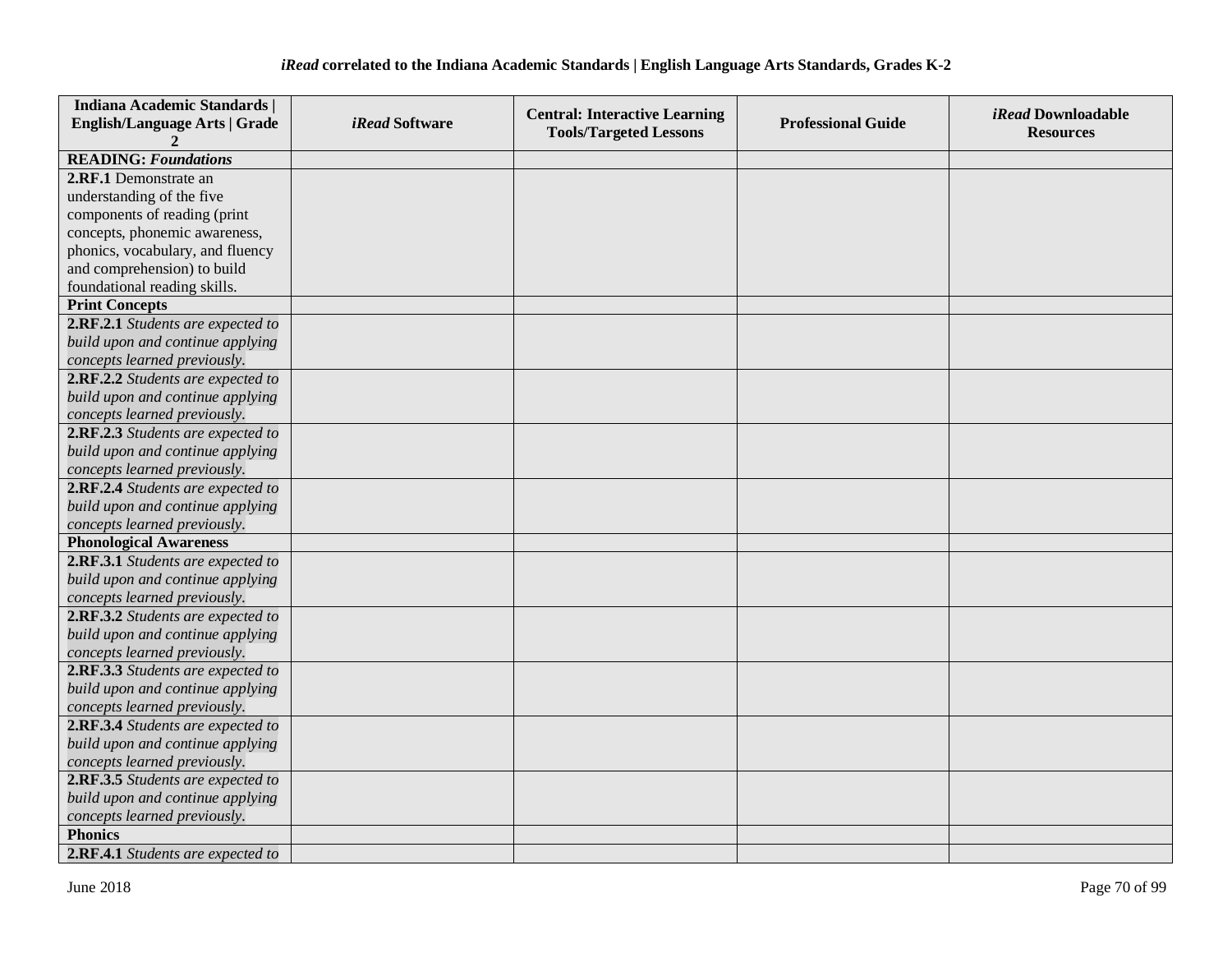| <b>Indiana Academic Standards  </b>  |                | <b>Central: Interactive Learning</b> |                           | <i>iRead</i> Downloadable |
|--------------------------------------|----------------|--------------------------------------|---------------------------|---------------------------|
| <b>English/Language Arts   Grade</b> | iRead Software | <b>Tools/Targeted Lessons</b>        | <b>Professional Guide</b> | <b>Resources</b>          |
|                                      |                |                                      |                           |                           |
| <b>READING: Foundations</b>          |                |                                      |                           |                           |
| 2.RF.1 Demonstrate an                |                |                                      |                           |                           |
| understanding of the five            |                |                                      |                           |                           |
| components of reading (print         |                |                                      |                           |                           |
| concepts, phonemic awareness,        |                |                                      |                           |                           |
| phonics, vocabulary, and fluency     |                |                                      |                           |                           |
| and comprehension) to build          |                |                                      |                           |                           |
| foundational reading skills.         |                |                                      |                           |                           |
| <b>Print Concepts</b>                |                |                                      |                           |                           |
| 2.RF.2.1 Students are expected to    |                |                                      |                           |                           |
| build upon and continue applying     |                |                                      |                           |                           |
| concepts learned previously.         |                |                                      |                           |                           |
| 2.RF.2.2 Students are expected to    |                |                                      |                           |                           |
| build upon and continue applying     |                |                                      |                           |                           |
| concepts learned previously.         |                |                                      |                           |                           |
| 2.RF.2.3 Students are expected to    |                |                                      |                           |                           |
| build upon and continue applying     |                |                                      |                           |                           |
| concepts learned previously.         |                |                                      |                           |                           |
| 2.RF.2.4 Students are expected to    |                |                                      |                           |                           |
| build upon and continue applying     |                |                                      |                           |                           |
| concepts learned previously.         |                |                                      |                           |                           |
| <b>Phonological Awareness</b>        |                |                                      |                           |                           |
| 2.RF.3.1 Students are expected to    |                |                                      |                           |                           |
| build upon and continue applying     |                |                                      |                           |                           |
| concepts learned previously.         |                |                                      |                           |                           |
| 2.RF.3.2 Students are expected to    |                |                                      |                           |                           |
| build upon and continue applying     |                |                                      |                           |                           |
| concepts learned previously.         |                |                                      |                           |                           |
| 2.RF.3.3 Students are expected to    |                |                                      |                           |                           |
| build upon and continue applying     |                |                                      |                           |                           |
| concepts learned previously.         |                |                                      |                           |                           |
| 2.RF.3.4 Students are expected to    |                |                                      |                           |                           |
| build upon and continue applying     |                |                                      |                           |                           |
| concepts learned previously.         |                |                                      |                           |                           |
| 2.RF.3.5 Students are expected to    |                |                                      |                           |                           |
| build upon and continue applying     |                |                                      |                           |                           |
| concepts learned previously.         |                |                                      |                           |                           |
| <b>Phonics</b>                       |                |                                      |                           |                           |
| 2.RF.4.1 Students are expected to    |                |                                      |                           |                           |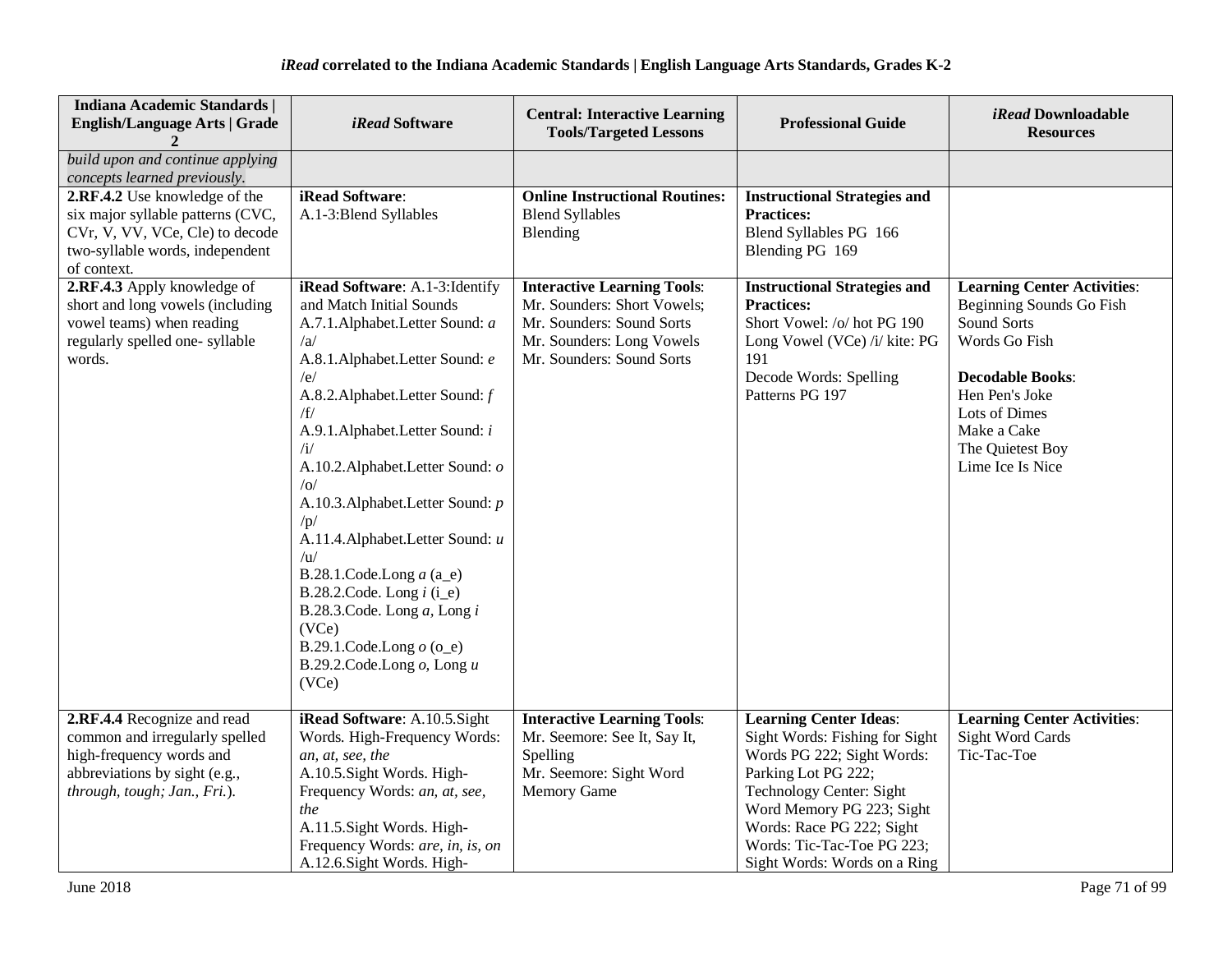| Indiana Academic Standards  <br><b>English/Language Arts   Grade</b>                                                                                       | <i>iRead</i> Software                                                                                                                                                                                                                                                                                                                                                                                                                                                                                                                                          | <b>Central: Interactive Learning</b><br><b>Tools/Targeted Lessons</b>                                                                                    | <b>Professional Guide</b>                                                                                                                                                                                                                                                | iRead Downloadable<br><b>Resources</b>                                                                                                                                                                              |
|------------------------------------------------------------------------------------------------------------------------------------------------------------|----------------------------------------------------------------------------------------------------------------------------------------------------------------------------------------------------------------------------------------------------------------------------------------------------------------------------------------------------------------------------------------------------------------------------------------------------------------------------------------------------------------------------------------------------------------|----------------------------------------------------------------------------------------------------------------------------------------------------------|--------------------------------------------------------------------------------------------------------------------------------------------------------------------------------------------------------------------------------------------------------------------------|---------------------------------------------------------------------------------------------------------------------------------------------------------------------------------------------------------------------|
| build upon and continue applying<br>concepts learned previously.                                                                                           |                                                                                                                                                                                                                                                                                                                                                                                                                                                                                                                                                                |                                                                                                                                                          |                                                                                                                                                                                                                                                                          |                                                                                                                                                                                                                     |
| 2.RF.4.2 Use knowledge of the<br>six major syllable patterns (CVC,<br>CVr, V, VV, VCe, Cle) to decode<br>two-syllable words, independent<br>of context.    | iRead Software:<br>A.1-3:Blend Syllables                                                                                                                                                                                                                                                                                                                                                                                                                                                                                                                       | <b>Online Instructional Routines:</b><br><b>Blend Syllables</b><br>Blending                                                                              | <b>Instructional Strategies and</b><br><b>Practices:</b><br>Blend Syllables PG 166<br>Blending PG 169                                                                                                                                                                    |                                                                                                                                                                                                                     |
| 2.RF.4.3 Apply knowledge of<br>short and long vowels (including<br>vowel teams) when reading<br>regularly spelled one-syllable<br>words.                   | iRead Software: A.1-3: Identify<br>and Match Initial Sounds<br>A.7.1.Alphabet.Letter Sound: a<br>/a<br>A.8.1.Alphabet.Letter Sound: e<br>/e/<br>A.8.2. Alphabet. Letter Sound: f<br>/f/<br>A.9.1.Alphabet.Letter Sound: i<br>$\sqrt{1}$<br>A.10.2. Alphabet. Letter Sound: o<br> o <br>A.10.3. Alphabet. Letter Sound: p<br>/p/<br>A.11.4. Alphabet. Letter Sound: u<br>/u<br>B.28.1.Code.Long $a$ (a_e)<br>B.28.2.Code. Long $i$ (i_e)<br>B.28.3.Code. Long $a$ , Long $i$<br>(VCe)<br>B.29.1.Code.Long $o$ (o_e)<br>B.29.2.Code.Long $o$ , Long $u$<br>(VCe) | <b>Interactive Learning Tools:</b><br>Mr. Sounders: Short Vowels;<br>Mr. Sounders: Sound Sorts<br>Mr. Sounders: Long Vowels<br>Mr. Sounders: Sound Sorts | <b>Instructional Strategies and</b><br><b>Practices:</b><br>Short Vowel: /o/ hot PG 190<br>Long Vowel (VCe) /i/ kite: PG<br>191<br>Decode Words: Spelling<br>Patterns PG 197                                                                                             | <b>Learning Center Activities:</b><br>Beginning Sounds Go Fish<br>Sound Sorts<br>Words Go Fish<br><b>Decodable Books:</b><br>Hen Pen's Joke<br>Lots of Dimes<br>Make a Cake<br>The Quietest Boy<br>Lime Ice Is Nice |
| 2.RF.4.4 Recognize and read<br>common and irregularly spelled<br>high-frequency words and<br>abbreviations by sight (e.g.,<br>through, tough; Jan., Fri.). | iRead Software: A.10.5.Sight<br>Words. High-Frequency Words:<br>an, at, see, the<br>A.10.5. Sight Words. High-<br>Frequency Words: an, at, see,<br>the<br>A.11.5. Sight Words. High-<br>Frequency Words: are, in, is, on<br>A.12.6.Sight Words. High-                                                                                                                                                                                                                                                                                                          | <b>Interactive Learning Tools:</b><br>Mr. Seemore: See It, Say It,<br>Spelling<br>Mr. Seemore: Sight Word<br><b>Memory Game</b>                          | <b>Learning Center Ideas:</b><br>Sight Words: Fishing for Sight<br>Words PG 222; Sight Words:<br>Parking Lot PG 222;<br>Technology Center: Sight<br>Word Memory PG 223; Sight<br>Words: Race PG 222; Sight<br>Words: Tic-Tac-Toe PG 223;<br>Sight Words: Words on a Ring | <b>Learning Center Activities:</b><br><b>Sight Word Cards</b><br>Tic-Tac-Toe                                                                                                                                        |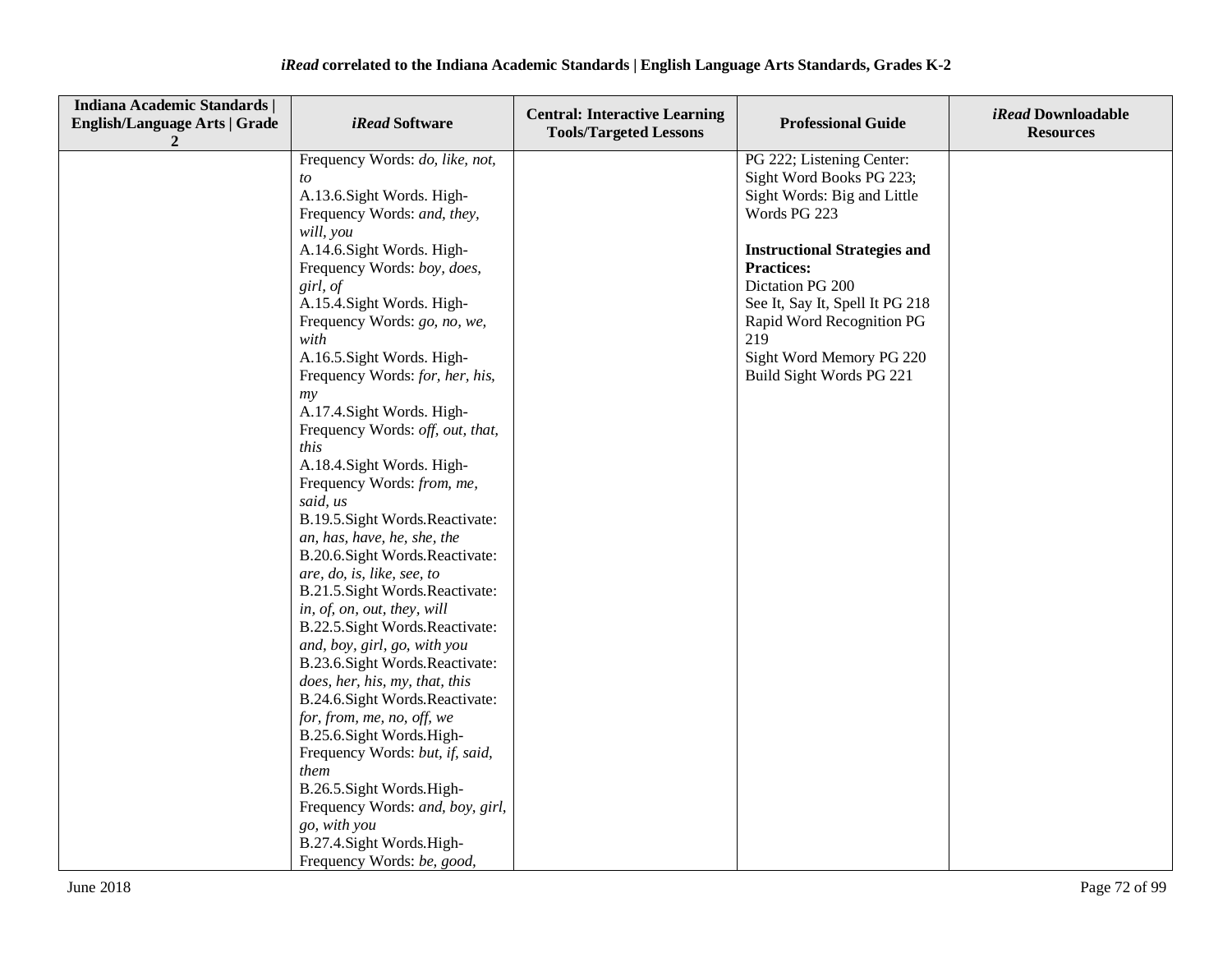| <b>Indiana Academic Standards  </b><br><b>English/Language Arts   Grade</b><br>2 | <i>iRead</i> Software                                                                                                                                                                                                                                                                                                                                                                                                                                                                                                                                                                                                                                                                                                                                                                                                                                                                                                                                                                                            | <b>Central: Interactive Learning</b><br><b>Tools/Targeted Lessons</b> | <b>Professional Guide</b>                                                                                                                                                                                                                                                                                           | iRead Downloadable<br><b>Resources</b> |
|----------------------------------------------------------------------------------|------------------------------------------------------------------------------------------------------------------------------------------------------------------------------------------------------------------------------------------------------------------------------------------------------------------------------------------------------------------------------------------------------------------------------------------------------------------------------------------------------------------------------------------------------------------------------------------------------------------------------------------------------------------------------------------------------------------------------------------------------------------------------------------------------------------------------------------------------------------------------------------------------------------------------------------------------------------------------------------------------------------|-----------------------------------------------------------------------|---------------------------------------------------------------------------------------------------------------------------------------------------------------------------------------------------------------------------------------------------------------------------------------------------------------------|----------------------------------------|
|                                                                                  | Frequency Words: do, like, not,<br>to<br>A.13.6. Sight Words. High-<br>Frequency Words: and, they,<br>will, you<br>A.14.6. Sight Words. High-<br>Frequency Words: boy, does,<br>girl, of<br>A.15.4. Sight Words. High-<br>Frequency Words: go, no, we,<br>with<br>A.16.5. Sight Words. High-<br>Frequency Words: for, her, his,<br>my<br>A.17.4. Sight Words. High-<br>Frequency Words: off, out, that,<br>this<br>A.18.4. Sight Words. High-<br>Frequency Words: from, me,<br>said, us<br>B.19.5. Sight Words. Reactivate:<br>an, has, have, he, she, the<br>B.20.6. Sight Words. Reactivate:<br>are, do, is, like, see, to<br>B.21.5. Sight Words. Reactivate:<br>in, of, on, out, they, will<br>B.22.5. Sight Words. Reactivate:<br>and, boy, girl, go, with you<br>B.23.6. Sight Words. Reactivate:<br>does, her, his, my, that, this<br>B.24.6. Sight Words. Reactivate:<br>for, from, me, no, off, we<br>B.25.6.Sight Words.High-<br>Frequency Words: but, if, said,<br>them<br>B.26.5. Sight Words. High- |                                                                       | PG 222; Listening Center:<br>Sight Word Books PG 223;<br>Sight Words: Big and Little<br>Words PG 223<br><b>Instructional Strategies and</b><br><b>Practices:</b><br>Dictation PG 200<br>See It, Say It, Spell It PG 218<br>Rapid Word Recognition PG<br>219<br>Sight Word Memory PG 220<br>Build Sight Words PG 221 |                                        |
|                                                                                  | Frequency Words: and, boy, girl,<br>go, with you<br>B.27.4. Sight Words. High-<br>Frequency Words: be, good,                                                                                                                                                                                                                                                                                                                                                                                                                                                                                                                                                                                                                                                                                                                                                                                                                                                                                                     |                                                                       |                                                                                                                                                                                                                                                                                                                     |                                        |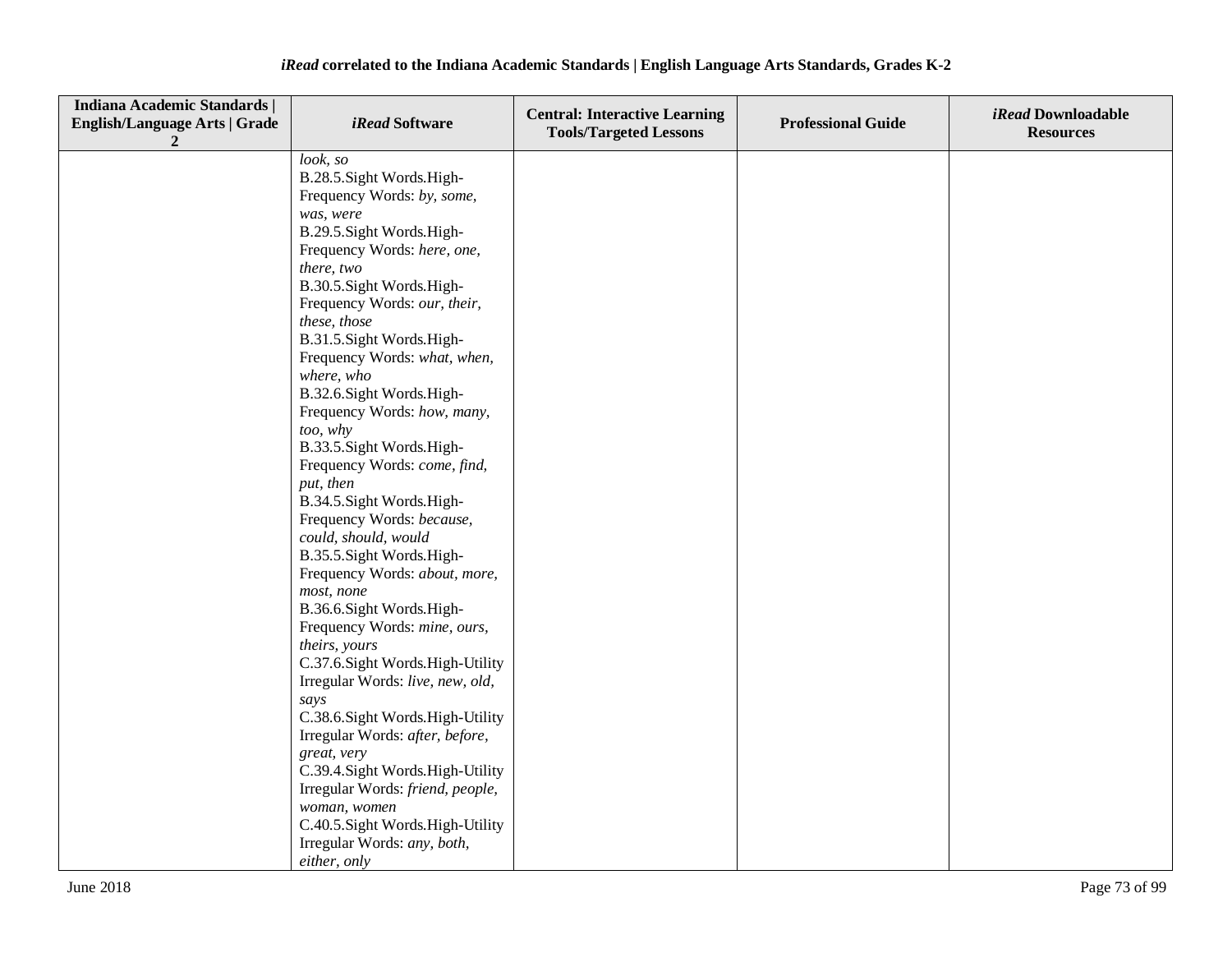| <b>Indiana Academic Standards  </b><br><b>English/Language Arts   Grade</b><br>2 | <i>iRead</i> Software                       | <b>Central: Interactive Learning</b><br><b>Tools/Targeted Lessons</b> | <b>Professional Guide</b> | iRead Downloadable<br><b>Resources</b> |
|----------------------------------------------------------------------------------|---------------------------------------------|-----------------------------------------------------------------------|---------------------------|----------------------------------------|
|                                                                                  | look, so                                    |                                                                       |                           |                                        |
|                                                                                  | B.28.5. Sight Words. High-                  |                                                                       |                           |                                        |
|                                                                                  | Frequency Words: by, some,                  |                                                                       |                           |                                        |
|                                                                                  | was, were                                   |                                                                       |                           |                                        |
|                                                                                  | B.29.5. Sight Words. High-                  |                                                                       |                           |                                        |
|                                                                                  | Frequency Words: here, one,                 |                                                                       |                           |                                        |
|                                                                                  | there, two                                  |                                                                       |                           |                                        |
|                                                                                  | B.30.5. Sight Words. High-                  |                                                                       |                           |                                        |
|                                                                                  | Frequency Words: our, their,                |                                                                       |                           |                                        |
|                                                                                  | these, those                                |                                                                       |                           |                                        |
|                                                                                  | B.31.5. Sight Words. High-                  |                                                                       |                           |                                        |
|                                                                                  | Frequency Words: what, when,                |                                                                       |                           |                                        |
|                                                                                  | where, who                                  |                                                                       |                           |                                        |
|                                                                                  | B.32.6. Sight Words. High-                  |                                                                       |                           |                                        |
|                                                                                  | Frequency Words: how, many,                 |                                                                       |                           |                                        |
|                                                                                  | too, why                                    |                                                                       |                           |                                        |
|                                                                                  | B.33.5. Sight Words. High-                  |                                                                       |                           |                                        |
|                                                                                  | Frequency Words: come, find,                |                                                                       |                           |                                        |
|                                                                                  | put, then                                   |                                                                       |                           |                                        |
|                                                                                  | B.34.5. Sight Words. High-                  |                                                                       |                           |                                        |
|                                                                                  | Frequency Words: because,                   |                                                                       |                           |                                        |
|                                                                                  | could, should, would                        |                                                                       |                           |                                        |
|                                                                                  | B.35.5. Sight Words. High-                  |                                                                       |                           |                                        |
|                                                                                  | Frequency Words: about, more,<br>most, none |                                                                       |                           |                                        |
|                                                                                  | B.36.6.Sight Words.High-                    |                                                                       |                           |                                        |
|                                                                                  | Frequency Words: mine, ours,                |                                                                       |                           |                                        |
|                                                                                  | theirs, yours                               |                                                                       |                           |                                        |
|                                                                                  | C.37.6. Sight Words. High-Utility           |                                                                       |                           |                                        |
|                                                                                  | Irregular Words: live, new, old,            |                                                                       |                           |                                        |
|                                                                                  | says                                        |                                                                       |                           |                                        |
|                                                                                  | C.38.6. Sight Words. High-Utility           |                                                                       |                           |                                        |
|                                                                                  | Irregular Words: after, before,             |                                                                       |                           |                                        |
|                                                                                  | great, very                                 |                                                                       |                           |                                        |
|                                                                                  | C.39.4. Sight Words. High-Utility           |                                                                       |                           |                                        |
|                                                                                  | Irregular Words: friend, people,            |                                                                       |                           |                                        |
|                                                                                  | woman, women                                |                                                                       |                           |                                        |
|                                                                                  | C.40.5. Sight Words. High-Utility           |                                                                       |                           |                                        |
|                                                                                  | Irregular Words: any, both,                 |                                                                       |                           |                                        |
|                                                                                  | either, only                                |                                                                       |                           |                                        |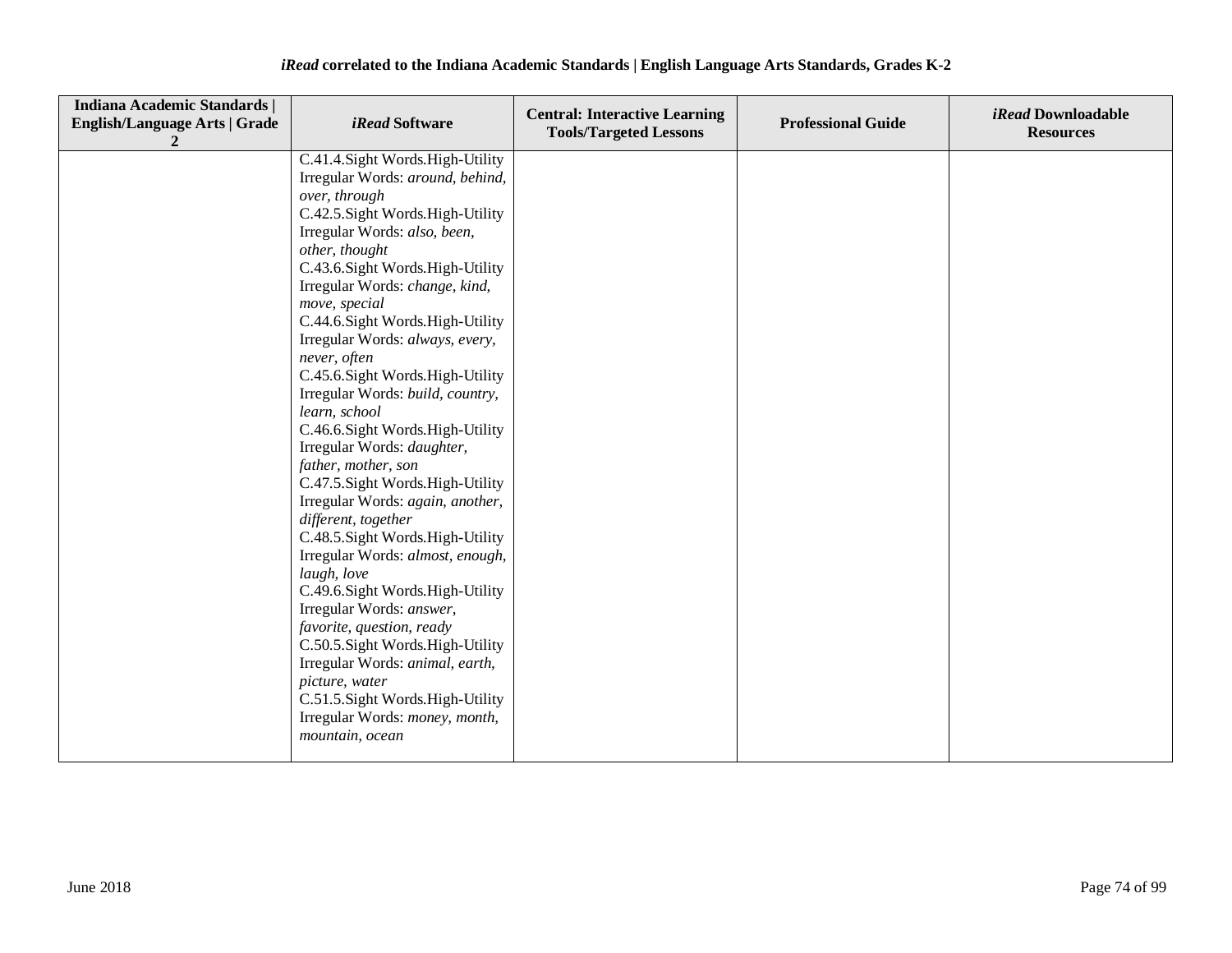| Indiana Academic Standards  <br><b>English/Language Arts   Grade</b> | <i>iRead</i> Software                                                                                                                                                                                                                                                                                                                                                                                                                                                                                                                                                                                                                                                                                                                                                                                                                                                                                                                                        | <b>Central: Interactive Learning</b><br><b>Tools/Targeted Lessons</b> | <b>Professional Guide</b> | <i>iRead</i> Downloadable<br><b>Resources</b> |
|----------------------------------------------------------------------|--------------------------------------------------------------------------------------------------------------------------------------------------------------------------------------------------------------------------------------------------------------------------------------------------------------------------------------------------------------------------------------------------------------------------------------------------------------------------------------------------------------------------------------------------------------------------------------------------------------------------------------------------------------------------------------------------------------------------------------------------------------------------------------------------------------------------------------------------------------------------------------------------------------------------------------------------------------|-----------------------------------------------------------------------|---------------------------|-----------------------------------------------|
|                                                                      | C.41.4. Sight Words. High-Utility<br>Irregular Words: around, behind,<br>over, through<br>C.42.5. Sight Words. High-Utility<br>Irregular Words: also, been,<br>other, thought<br>C.43.6. Sight Words. High-Utility<br>Irregular Words: change, kind,<br>move, special<br>C.44.6.Sight Words.High-Utility<br>Irregular Words: always, every,<br>never, often<br>C.45.6.Sight Words.High-Utility<br>Irregular Words: build, country,<br>learn, school<br>C.46.6.Sight Words.High-Utility<br>Irregular Words: daughter,<br>father, mother, son<br>C.47.5. Sight Words. High-Utility<br>Irregular Words: again, another,<br>different, together<br>C.48.5. Sight Words. High-Utility<br>Irregular Words: almost, enough,<br>laugh, love<br>C.49.6.Sight Words.High-Utility<br>Irregular Words: answer,<br>favorite, question, ready<br>C.50.5.Sight Words.High-Utility<br>Irregular Words: animal, earth,<br>picture, water<br>C.51.5. Sight Words. High-Utility |                                                                       |                           |                                               |
|                                                                      | Irregular Words: money, month,<br>mountain, ocean                                                                                                                                                                                                                                                                                                                                                                                                                                                                                                                                                                                                                                                                                                                                                                                                                                                                                                            |                                                                       |                           |                                               |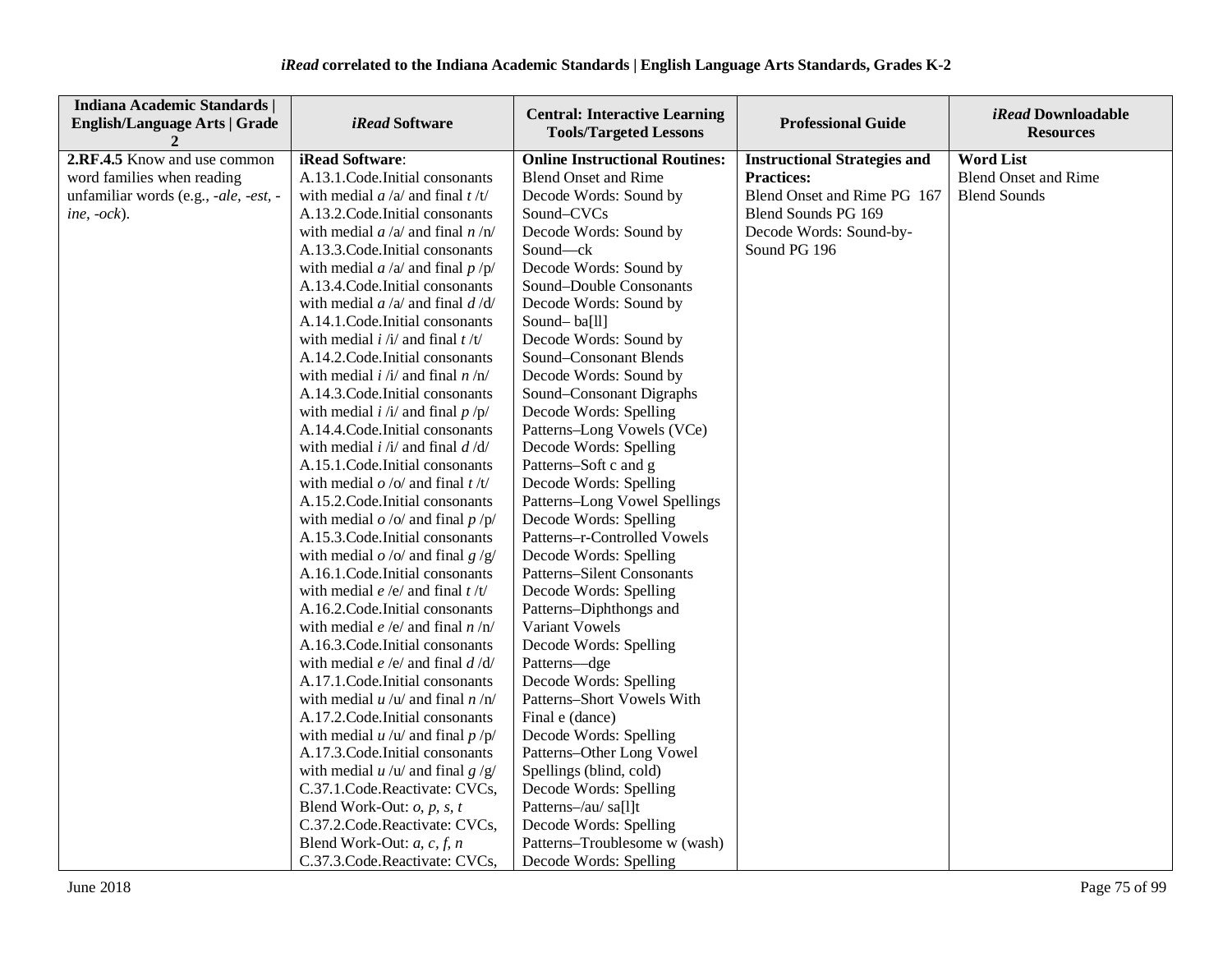| <b>Indiana Academic Standards  </b><br><b>English/Language Arts   Grade</b> | <i>iRead</i> Software                     | <b>Central: Interactive Learning</b><br><b>Tools/Targeted Lessons</b> | <b>Professional Guide</b>           | <i>iRead</i> Downloadable<br><b>Resources</b> |
|-----------------------------------------------------------------------------|-------------------------------------------|-----------------------------------------------------------------------|-------------------------------------|-----------------------------------------------|
| 2.RF.4.5 Know and use common                                                | iRead Software:                           | <b>Online Instructional Routines:</b>                                 | <b>Instructional Strategies and</b> | <b>Word List</b>                              |
| word families when reading                                                  | A.13.1.Code.Initial consonants            | <b>Blend Onset and Rime</b>                                           | <b>Practices:</b>                   | <b>Blend Onset and Rime</b>                   |
| unfamiliar words (e.g., -ale, -est, -                                       | with medial $a/a$ and final $t/t$         | Decode Words: Sound by                                                | Blend Onset and Rime PG 167         | <b>Blend Sounds</b>                           |
| ine, $-ock$ ).                                                              | A.13.2. Code. Initial consonants          | Sound-CVCs                                                            | Blend Sounds PG 169                 |                                               |
|                                                                             | with medial $a/a$ and final $n/n$         | Decode Words: Sound by                                                | Decode Words: Sound-by-             |                                               |
|                                                                             | A.13.3. Code. Initial consonants          | Sound-ck                                                              | Sound PG 196                        |                                               |
|                                                                             | with medial $a/a$ and final $p/p$         | Decode Words: Sound by                                                |                                     |                                               |
|                                                                             | A.13.4. Code. Initial consonants          | Sound-Double Consonants                                               |                                     |                                               |
|                                                                             | with medial $a/a$ and final $d/d$         | Decode Words: Sound by                                                |                                     |                                               |
|                                                                             | A.14.1.Code.Initial consonants            | Sound-ba[ll]                                                          |                                     |                                               |
|                                                                             | with medial $i / i /$ and final $t / t /$ | Decode Words: Sound by                                                |                                     |                                               |
|                                                                             | A.14.2. Code. Initial consonants          | Sound-Consonant Blends                                                |                                     |                                               |
|                                                                             | with medial $i / i /$ and final $n / n /$ | Decode Words: Sound by                                                |                                     |                                               |
|                                                                             | A.14.3. Code. Initial consonants          | Sound-Consonant Digraphs                                              |                                     |                                               |
|                                                                             | with medial $i / i /$ and final $p / p /$ | Decode Words: Spelling                                                |                                     |                                               |
|                                                                             | A.14.4.Code.Initial consonants            | Patterns-Long Vowels (VCe)                                            |                                     |                                               |
|                                                                             | with medial $i / i /$ and final $d / d /$ | Decode Words: Spelling                                                |                                     |                                               |
|                                                                             | A.15.1.Code.Initial consonants            | Patterns-Soft c and g                                                 |                                     |                                               |
|                                                                             | with medial $o / o /$ and final $t / t /$ | Decode Words: Spelling                                                |                                     |                                               |
|                                                                             | A.15.2. Code. Initial consonants          | Patterns-Long Vowel Spellings                                         |                                     |                                               |
|                                                                             | with medial $o$ /o/ and final $p$ /p/     | Decode Words: Spelling                                                |                                     |                                               |
|                                                                             | A.15.3. Code. Initial consonants          | Patterns-r-Controlled Vowels                                          |                                     |                                               |
|                                                                             | with medial $o$ /o/ and final $g$ /g/     | Decode Words: Spelling                                                |                                     |                                               |
|                                                                             | A.16.1. Code. Initial consonants          | <b>Patterns-Silent Consonants</b>                                     |                                     |                                               |
|                                                                             | with medial $e/e$ and final $t/t$         | Decode Words: Spelling                                                |                                     |                                               |
|                                                                             | A.16.2. Code. Initial consonants          | Patterns-Diphthongs and                                               |                                     |                                               |
|                                                                             | with medial $e/e/$ and final $n/n/$       | Variant Vowels                                                        |                                     |                                               |
|                                                                             | A.16.3. Code. Initial consonants          | Decode Words: Spelling                                                |                                     |                                               |
|                                                                             | with medial $e/e/$ and final $d/d/$       | Patterns-dge                                                          |                                     |                                               |
|                                                                             | A.17.1. Code. Initial consonants          | Decode Words: Spelling                                                |                                     |                                               |
|                                                                             | with medial $u / u /$ and final $n / n/$  | Patterns-Short Vowels With                                            |                                     |                                               |
|                                                                             | A.17.2. Code. Initial consonants          | Final e (dance)                                                       |                                     |                                               |
|                                                                             | with medial $u / u /$ and final $p / p /$ | Decode Words: Spelling                                                |                                     |                                               |
|                                                                             | A.17.3. Code. Initial consonants          | Patterns-Other Long Vowel                                             |                                     |                                               |
|                                                                             | with medial $u / u /$ and final $g / g /$ | Spellings (blind, cold)                                               |                                     |                                               |
|                                                                             | C.37.1.Code.Reactivate: CVCs,             | Decode Words: Spelling                                                |                                     |                                               |
|                                                                             | Blend Work-Out: $o$ , $p$ , $s$ , $t$     | Patterns-/au/ sa[l]t                                                  |                                     |                                               |
|                                                                             | C.37.2.Code.Reactivate: CVCs,             | Decode Words: Spelling                                                |                                     |                                               |
|                                                                             | Blend Work-Out: $a, c, f, n$              | Patterns-Troublesome w (wash)                                         |                                     |                                               |
|                                                                             | C.37.3.Code.Reactivate: CVCs,             | Decode Words: Spelling                                                |                                     |                                               |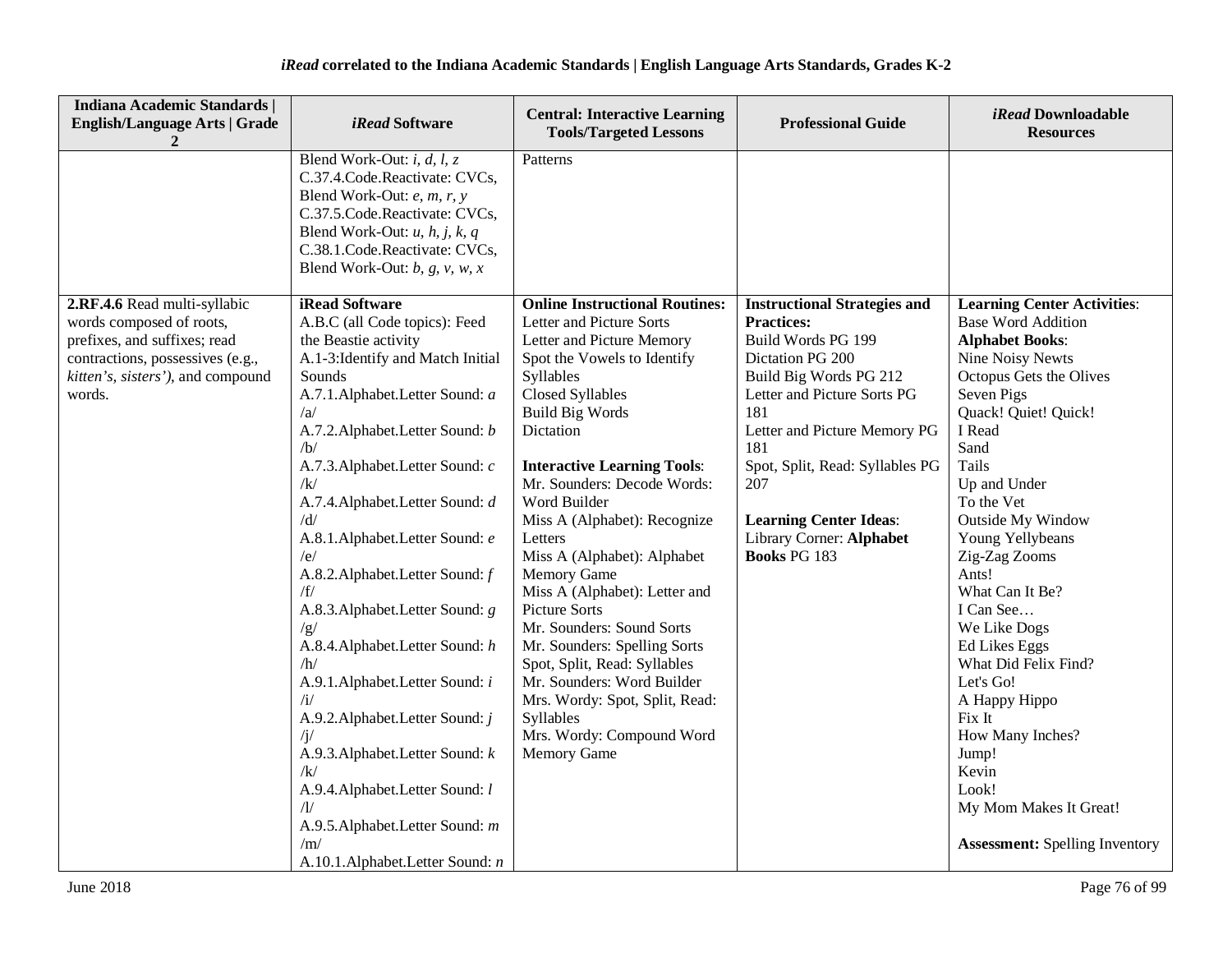| Indiana Academic Standards  <br><b>English/Language Arts   Grade</b>                                                                                                        | <i>iRead</i> Software                                                                                                                                                                                                                                                                                                                                                                                                                                                                                                                                                                                                                                                                                                                                       | <b>Central: Interactive Learning</b><br><b>Tools/Targeted Lessons</b>                                                                                                                                                                                                                                                                                                                                                                                                                                                                                                                                                                                                                   | <b>Professional Guide</b>                                                                                                                                                                                                                                                                                                               | iRead Downloadable<br><b>Resources</b>                                                                                                                                                                                                                                                                                                                                                                                                                                                                                                                                      |
|-----------------------------------------------------------------------------------------------------------------------------------------------------------------------------|-------------------------------------------------------------------------------------------------------------------------------------------------------------------------------------------------------------------------------------------------------------------------------------------------------------------------------------------------------------------------------------------------------------------------------------------------------------------------------------------------------------------------------------------------------------------------------------------------------------------------------------------------------------------------------------------------------------------------------------------------------------|-----------------------------------------------------------------------------------------------------------------------------------------------------------------------------------------------------------------------------------------------------------------------------------------------------------------------------------------------------------------------------------------------------------------------------------------------------------------------------------------------------------------------------------------------------------------------------------------------------------------------------------------------------------------------------------------|-----------------------------------------------------------------------------------------------------------------------------------------------------------------------------------------------------------------------------------------------------------------------------------------------------------------------------------------|-----------------------------------------------------------------------------------------------------------------------------------------------------------------------------------------------------------------------------------------------------------------------------------------------------------------------------------------------------------------------------------------------------------------------------------------------------------------------------------------------------------------------------------------------------------------------------|
|                                                                                                                                                                             | Blend Work-Out: <i>i</i> , <i>d</i> , <i>l</i> , <i>z</i><br>C.37.4.Code.Reactivate: CVCs,<br>Blend Work-Out: e, m, r, y<br>C.37.5.Code.Reactivate: CVCs,<br>Blend Work-Out: $u$ , $h$ , $j$ , $k$ , $q$<br>C.38.1.Code.Reactivate: CVCs,<br>Blend Work-Out: $b$ , $g$ , $v$ , $w$ , $x$                                                                                                                                                                                                                                                                                                                                                                                                                                                                    | Patterns                                                                                                                                                                                                                                                                                                                                                                                                                                                                                                                                                                                                                                                                                |                                                                                                                                                                                                                                                                                                                                         |                                                                                                                                                                                                                                                                                                                                                                                                                                                                                                                                                                             |
| 2.RF.4.6 Read multi-syllabic<br>words composed of roots,<br>prefixes, and suffixes; read<br>contractions, possessives (e.g.,<br>kitten's, sisters'), and compound<br>words. | <b>iRead Software</b><br>A.B.C (all Code topics): Feed<br>the Beastie activity<br>A.1-3: Identify and Match Initial<br>Sounds<br>A.7.1.Alphabet.Letter Sound: a<br>/a/<br>A.7.2. Alphabet. Letter Sound: b<br>/b/<br>A.7.3. Alphabet. Letter Sound: c<br>$\sqrt{k}$<br>A.7.4. Alphabet. Letter Sound: d<br>/d/<br>A.8.1.Alphabet.Letter Sound: e<br>/e/<br>A.8.2. Alphabet. Letter Sound: f<br>/f/<br>A.8.3. Alphabet. Letter Sound: g<br>/g/<br>A.8.4. Alphabet. Letter Sound: h<br>/h/<br>A.9.1. Alphabet. Letter Sound: i<br>/i/<br>A.9.2. Alphabet. Letter Sound: j<br>/j/<br>A.9.3. Alphabet. Letter Sound: k<br>/k/<br>A.9.4. Alphabet. Letter Sound: l<br>$\sqrt{1/2}$<br>A.9.5. Alphabet. Letter Sound: m<br>/m/<br>A.10.1.Alphabet.Letter Sound: n | <b>Online Instructional Routines:</b><br>Letter and Picture Sorts<br>Letter and Picture Memory<br>Spot the Vowels to Identify<br>Syllables<br><b>Closed Syllables</b><br><b>Build Big Words</b><br>Dictation<br><b>Interactive Learning Tools:</b><br>Mr. Sounders: Decode Words:<br>Word Builder<br>Miss A (Alphabet): Recognize<br>Letters<br>Miss A (Alphabet): Alphabet<br><b>Memory Game</b><br>Miss A (Alphabet): Letter and<br><b>Picture Sorts</b><br>Mr. Sounders: Sound Sorts<br>Mr. Sounders: Spelling Sorts<br>Spot, Split, Read: Syllables<br>Mr. Sounders: Word Builder<br>Mrs. Wordy: Spot, Split, Read:<br>Syllables<br>Mrs. Wordy: Compound Word<br><b>Memory Game</b> | <b>Instructional Strategies and</b><br><b>Practices:</b><br>Build Words PG 199<br>Dictation PG 200<br>Build Big Words PG 212<br>Letter and Picture Sorts PG<br>181<br>Letter and Picture Memory PG<br>181<br>Spot, Split, Read: Syllables PG<br>207<br><b>Learning Center Ideas:</b><br>Library Corner: Alphabet<br><b>Books PG 183</b> | <b>Learning Center Activities:</b><br><b>Base Word Addition</b><br><b>Alphabet Books:</b><br>Nine Noisy Newts<br>Octopus Gets the Olives<br>Seven Pigs<br>Quack! Quiet! Quick!<br>I Read<br>Sand<br>Tails<br>Up and Under<br>To the Vet<br><b>Outside My Window</b><br>Young Yellybeans<br>Zig-Zag Zooms<br>Ants!<br>What Can It Be?<br>I Can See<br>We Like Dogs<br><b>Ed Likes Eggs</b><br>What Did Felix Find?<br>Let's Go!<br>A Happy Hippo<br>Fix It<br>How Many Inches?<br>Jump!<br>Kevin<br>Look!<br>My Mom Makes It Great!<br><b>Assessment: Spelling Inventory</b> |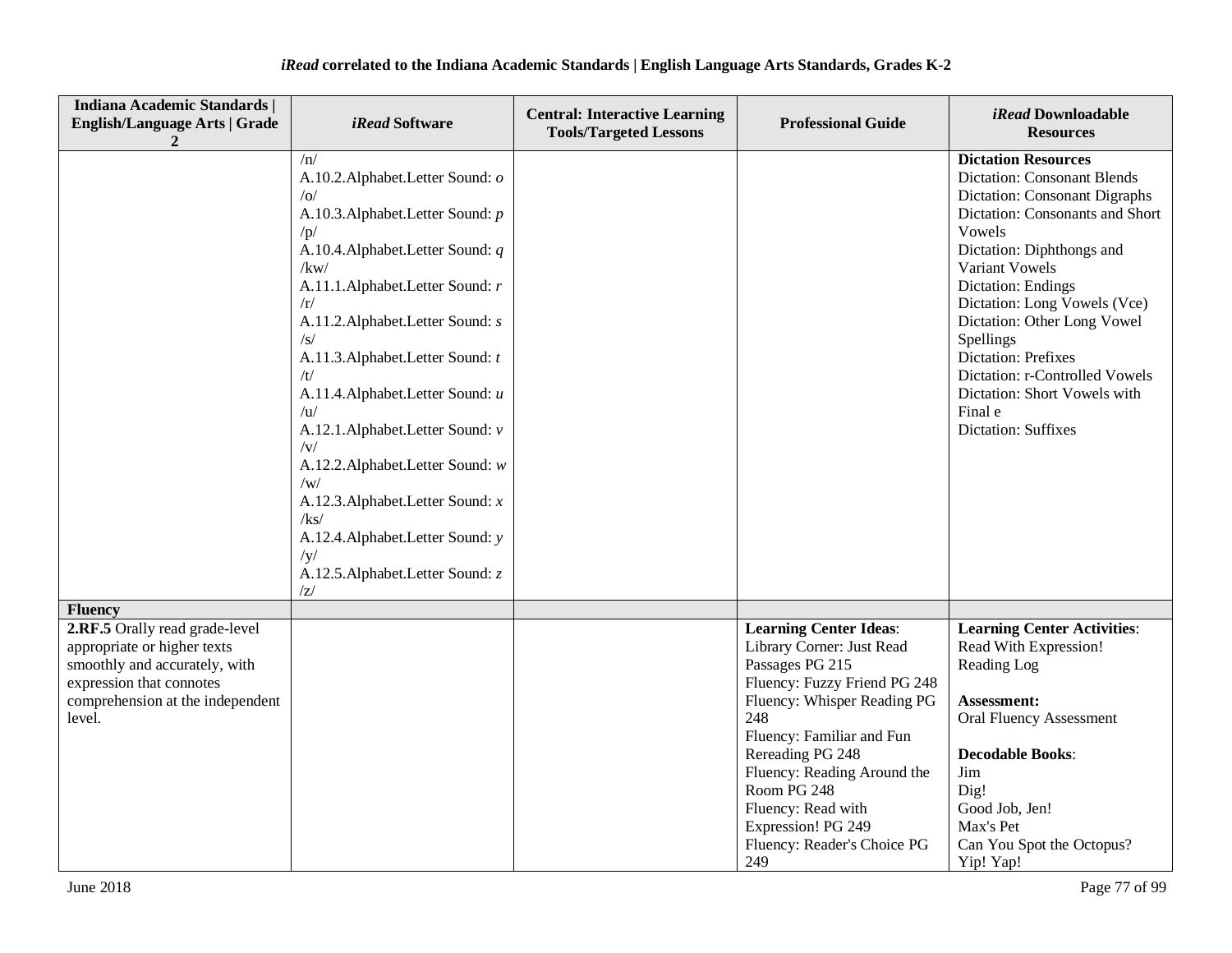| <b>Indiana Academic Standards  </b><br><b>English/Language Arts   Grade</b>                                                                                              | <i>iRead</i> Software                                                                                                                                                                                                                                                                                                                                                                                                                                                                                                                                                      | <b>Central: Interactive Learning</b><br><b>Tools/Targeted Lessons</b> | <b>Professional Guide</b>                                                                                                                                                                                                                                                                                                            | iRead Downloadable<br><b>Resources</b>                                                                                                                                                                                                                                                                                                                                                                                                                 |
|--------------------------------------------------------------------------------------------------------------------------------------------------------------------------|----------------------------------------------------------------------------------------------------------------------------------------------------------------------------------------------------------------------------------------------------------------------------------------------------------------------------------------------------------------------------------------------------------------------------------------------------------------------------------------------------------------------------------------------------------------------------|-----------------------------------------------------------------------|--------------------------------------------------------------------------------------------------------------------------------------------------------------------------------------------------------------------------------------------------------------------------------------------------------------------------------------|--------------------------------------------------------------------------------------------------------------------------------------------------------------------------------------------------------------------------------------------------------------------------------------------------------------------------------------------------------------------------------------------------------------------------------------------------------|
|                                                                                                                                                                          | /n/<br>A.10.2. Alphabet. Letter Sound: o<br> o <br>A.10.3. Alphabet. Letter Sound: p<br>/p/<br>A.10.4. Alphabet. Letter Sound: $q$<br>/kw/<br>A.11.1.Alphabet.Letter Sound: r<br>/r/<br>A.11.2. Alphabet. Letter Sound: s<br>$\sqrt{s}$<br>A.11.3. Alphabet. Letter Sound: t<br>/t/<br>A.11.4. Alphabet. Letter Sound: u<br>/u/<br>A.12.1.Alphabet.Letter Sound: v<br>$/\mathrm{V}/$<br>A.12.2. Alphabet. Letter Sound: w<br>/w/<br>A.12.3. Alphabet. Letter Sound: x<br>/kg/<br>A.12.4. Alphabet. Letter Sound: y<br>/y/<br>A.12.5. Alphabet. Letter Sound: z<br>$\rm Z/$ |                                                                       |                                                                                                                                                                                                                                                                                                                                      | <b>Dictation Resources</b><br><b>Dictation: Consonant Blends</b><br><b>Dictation: Consonant Digraphs</b><br>Dictation: Consonants and Short<br>Vowels<br>Dictation: Diphthongs and<br>Variant Vowels<br><b>Dictation: Endings</b><br>Dictation: Long Vowels (Vce)<br>Dictation: Other Long Vowel<br>Spellings<br><b>Dictation: Prefixes</b><br>Dictation: r-Controlled Vowels<br>Dictation: Short Vowels with<br>Final e<br><b>Dictation: Suffixes</b> |
| <b>Fluency</b>                                                                                                                                                           |                                                                                                                                                                                                                                                                                                                                                                                                                                                                                                                                                                            |                                                                       |                                                                                                                                                                                                                                                                                                                                      |                                                                                                                                                                                                                                                                                                                                                                                                                                                        |
| 2.RF.5 Orally read grade-level<br>appropriate or higher texts<br>smoothly and accurately, with<br>expression that connotes<br>comprehension at the independent<br>level. |                                                                                                                                                                                                                                                                                                                                                                                                                                                                                                                                                                            |                                                                       | <b>Learning Center Ideas:</b><br>Library Corner: Just Read<br>Passages PG 215<br>Fluency: Fuzzy Friend PG 248<br>Fluency: Whisper Reading PG<br>248<br>Fluency: Familiar and Fun<br>Rereading PG 248<br>Fluency: Reading Around the<br>Room PG 248<br>Fluency: Read with<br>Expression! PG 249<br>Fluency: Reader's Choice PG<br>249 | <b>Learning Center Activities:</b><br>Read With Expression!<br>Reading Log<br><b>Assessment:</b><br><b>Oral Fluency Assessment</b><br><b>Decodable Books:</b><br>Jim<br>Dig!<br>Good Job, Jen!<br>Max's Pet<br>Can You Spot the Octopus?<br>Yip! Yap!                                                                                                                                                                                                  |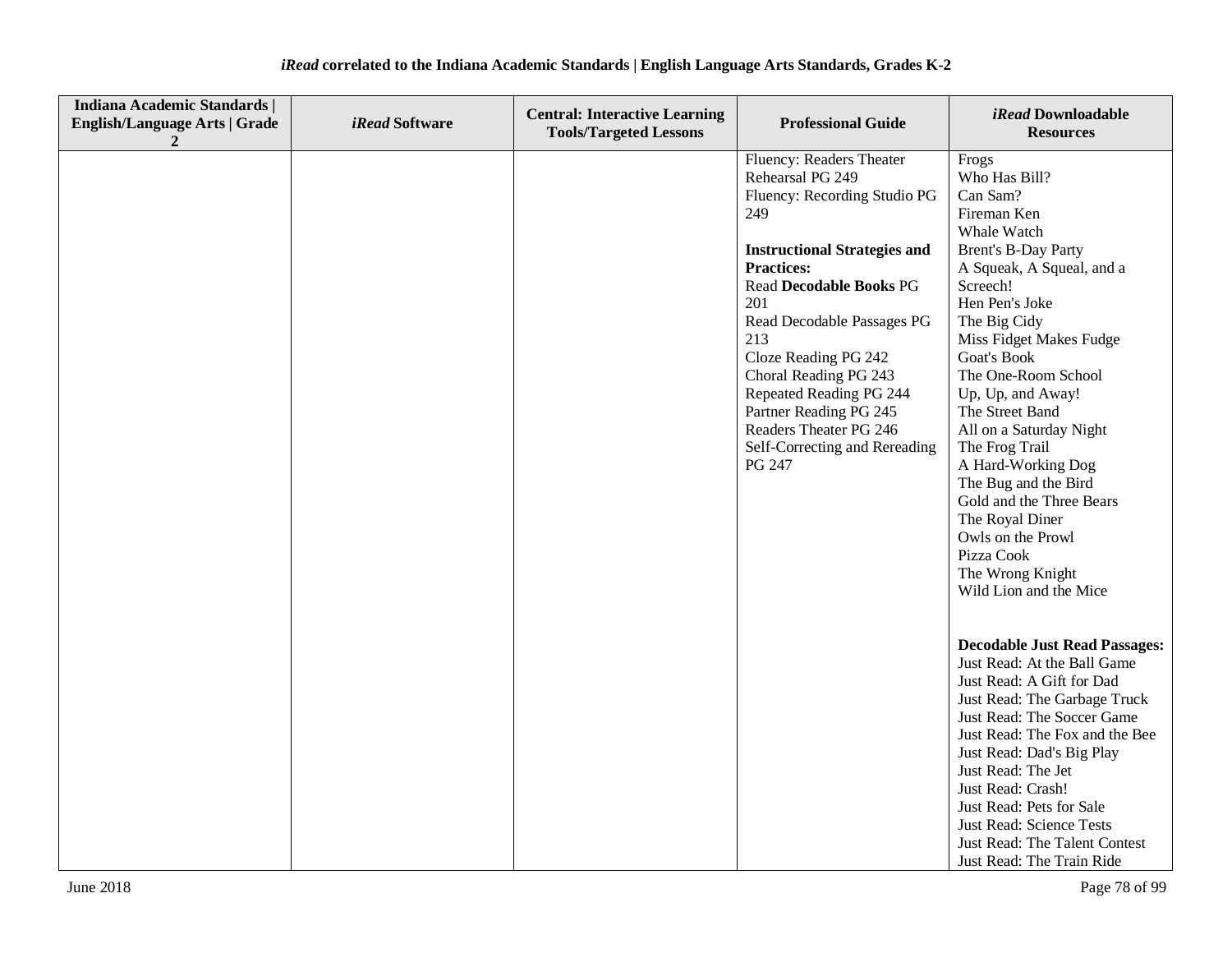| Indiana Academic Standards  <br><b>English/Language Arts   Grade</b><br>2 | iRead Software | <b>Central: Interactive Learning</b><br><b>Tools/Targeted Lessons</b> | <b>Professional Guide</b>                                                                                                                                                                                                                                                                                                                                                                                | iRead Downloadable<br><b>Resources</b>                                                                                                                                                                                                                                                                                                                                                                                                                                                                        |
|---------------------------------------------------------------------------|----------------|-----------------------------------------------------------------------|----------------------------------------------------------------------------------------------------------------------------------------------------------------------------------------------------------------------------------------------------------------------------------------------------------------------------------------------------------------------------------------------------------|---------------------------------------------------------------------------------------------------------------------------------------------------------------------------------------------------------------------------------------------------------------------------------------------------------------------------------------------------------------------------------------------------------------------------------------------------------------------------------------------------------------|
|                                                                           |                |                                                                       | Fluency: Readers Theater<br>Rehearsal PG 249<br>Fluency: Recording Studio PG<br>249<br><b>Instructional Strategies and</b><br><b>Practices:</b><br><b>Read Decodable Books PG</b><br>201<br>Read Decodable Passages PG<br>213<br>Cloze Reading PG 242<br>Choral Reading PG 243<br>Repeated Reading PG 244<br>Partner Reading PG 245<br>Readers Theater PG 246<br>Self-Correcting and Rereading<br>PG 247 | Frogs<br>Who Has Bill?<br>Can Sam?<br>Fireman Ken<br>Whale Watch<br><b>Brent's B-Day Party</b><br>A Squeak, A Squeal, and a<br>Screech!<br>Hen Pen's Joke<br>The Big Cidy<br>Miss Fidget Makes Fudge<br>Goat's Book<br>The One-Room School<br>Up, Up, and Away!<br>The Street Band<br>All on a Saturday Night<br>The Frog Trail<br>A Hard-Working Dog<br>The Bug and the Bird<br>Gold and the Three Bears<br>The Royal Diner<br>Owls on the Prowl<br>Pizza Cook<br>The Wrong Knight<br>Wild Lion and the Mice |
|                                                                           |                |                                                                       |                                                                                                                                                                                                                                                                                                                                                                                                          | <b>Decodable Just Read Passages:</b><br>Just Read: At the Ball Game<br>Just Read: A Gift for Dad<br>Just Read: The Garbage Truck<br>Just Read: The Soccer Game<br>Just Read: The Fox and the Bee<br>Just Read: Dad's Big Play<br>Just Read: The Jet<br>Just Read: Crash!<br>Just Read: Pets for Sale<br><b>Just Read: Science Tests</b><br>Just Read: The Talent Contest<br>Just Read: The Train Ride                                                                                                         |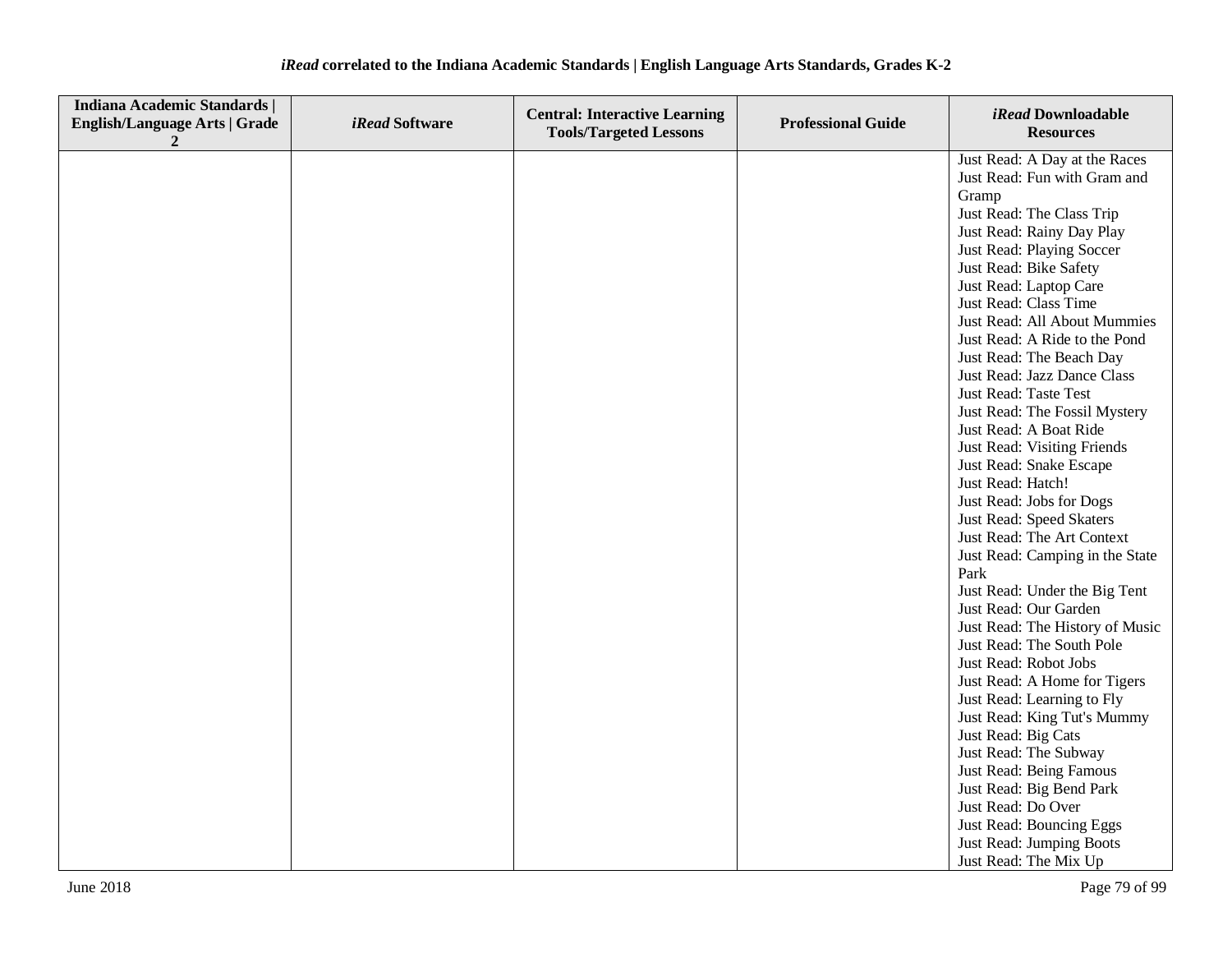| <b>Indiana Academic Standards  </b><br><b>English/Language Arts   Grade</b><br>2 | iRead Software | <b>Central: Interactive Learning</b><br><b>Tools/Targeted Lessons</b> | <b>Professional Guide</b> | iRead Downloadable<br><b>Resources</b>                                                                                                                                                                                                                                                                                                                                                                                                                                                                                                                                                                                                                                                                                                                                                                                                                                                                                                                                                                                                                  |
|----------------------------------------------------------------------------------|----------------|-----------------------------------------------------------------------|---------------------------|---------------------------------------------------------------------------------------------------------------------------------------------------------------------------------------------------------------------------------------------------------------------------------------------------------------------------------------------------------------------------------------------------------------------------------------------------------------------------------------------------------------------------------------------------------------------------------------------------------------------------------------------------------------------------------------------------------------------------------------------------------------------------------------------------------------------------------------------------------------------------------------------------------------------------------------------------------------------------------------------------------------------------------------------------------|
|                                                                                  |                |                                                                       |                           | Just Read: A Day at the Races<br>Just Read: Fun with Gram and<br>Gramp<br>Just Read: The Class Trip<br>Just Read: Rainy Day Play<br>Just Read: Playing Soccer<br>Just Read: Bike Safety<br>Just Read: Laptop Care<br>Just Read: Class Time<br>Just Read: All About Mummies<br>Just Read: A Ride to the Pond<br>Just Read: The Beach Day<br>Just Read: Jazz Dance Class<br>Just Read: Taste Test<br>Just Read: The Fossil Mystery<br>Just Read: A Boat Ride<br>Just Read: Visiting Friends<br>Just Read: Snake Escape<br>Just Read: Hatch!<br>Just Read: Jobs for Dogs<br>Just Read: Speed Skaters<br>Just Read: The Art Context<br>Just Read: Camping in the State<br>Park<br>Just Read: Under the Big Tent<br>Just Read: Our Garden<br>Just Read: The History of Music<br>Just Read: The South Pole<br>Just Read: Robot Jobs<br>Just Read: A Home for Tigers<br>Just Read: Learning to Fly<br>Just Read: King Tut's Mummy<br>Just Read: Big Cats<br>Just Read: The Subway<br>Just Read: Being Famous<br>Just Read: Big Bend Park<br>Just Read: Do Over |
|                                                                                  |                |                                                                       |                           | Just Read: Bouncing Eggs<br>Just Read: Jumping Boots<br>Just Read: The Mix Up                                                                                                                                                                                                                                                                                                                                                                                                                                                                                                                                                                                                                                                                                                                                                                                                                                                                                                                                                                           |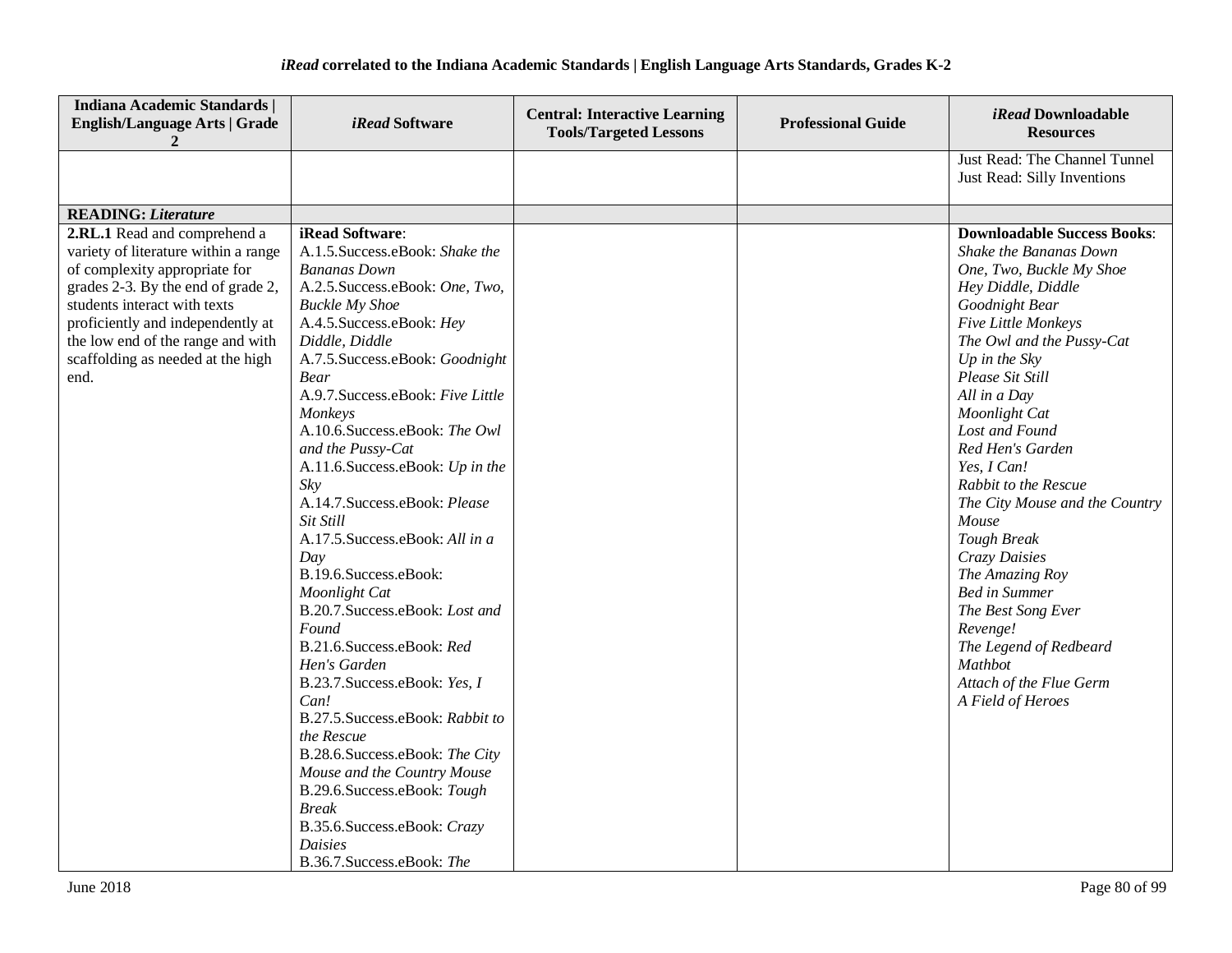| <b>Indiana Academic Standards  </b><br><b>English/Language Arts   Grade</b><br>2                                                                                                                                                                                                                   | <i>iRead</i> Software                                                                                                                                                                                                                                                                                                                                                                                                                                                                                                                                                                                                                                                                                                                                                                                                                                                                                          | <b>Central: Interactive Learning</b><br><b>Tools/Targeted Lessons</b> | <b>Professional Guide</b> | iRead Downloadable<br><b>Resources</b>                                                                                                                                                                                                                                                                                                                                                                                                                                                                                                                                                        |
|----------------------------------------------------------------------------------------------------------------------------------------------------------------------------------------------------------------------------------------------------------------------------------------------------|----------------------------------------------------------------------------------------------------------------------------------------------------------------------------------------------------------------------------------------------------------------------------------------------------------------------------------------------------------------------------------------------------------------------------------------------------------------------------------------------------------------------------------------------------------------------------------------------------------------------------------------------------------------------------------------------------------------------------------------------------------------------------------------------------------------------------------------------------------------------------------------------------------------|-----------------------------------------------------------------------|---------------------------|-----------------------------------------------------------------------------------------------------------------------------------------------------------------------------------------------------------------------------------------------------------------------------------------------------------------------------------------------------------------------------------------------------------------------------------------------------------------------------------------------------------------------------------------------------------------------------------------------|
|                                                                                                                                                                                                                                                                                                    |                                                                                                                                                                                                                                                                                                                                                                                                                                                                                                                                                                                                                                                                                                                                                                                                                                                                                                                |                                                                       |                           | Just Read: The Channel Tunnel<br>Just Read: Silly Inventions                                                                                                                                                                                                                                                                                                                                                                                                                                                                                                                                  |
| <b>READING: Literature</b>                                                                                                                                                                                                                                                                         |                                                                                                                                                                                                                                                                                                                                                                                                                                                                                                                                                                                                                                                                                                                                                                                                                                                                                                                |                                                                       |                           |                                                                                                                                                                                                                                                                                                                                                                                                                                                                                                                                                                                               |
| 2.RL.1 Read and comprehend a<br>variety of literature within a range<br>of complexity appropriate for<br>grades 2-3. By the end of grade 2,<br>students interact with texts<br>proficiently and independently at<br>the low end of the range and with<br>scaffolding as needed at the high<br>end. | iRead Software:<br>A.1.5. Success.eBook: Shake the<br><b>Bananas Down</b><br>A.2.5. Success.eBook: One, Two,<br><b>Buckle My Shoe</b><br>A.4.5. Success.eBook: Hey<br>Diddle, Diddle<br>A.7.5. Success.eBook: Goodnight<br><b>Bear</b><br>A.9.7. Success.eBook: Five Little<br>Monkeys<br>A.10.6.Success.eBook: The Owl<br>and the Pussy-Cat<br>A.11.6. Success.eBook: Up in the<br>Sky<br>A.14.7. Success.eBook: Please<br>Sit Still<br>A.17.5. Success.eBook: All in a<br>Day<br>B.19.6.Success.eBook:<br>Moonlight Cat<br>B.20.7. Success.eBook: Lost and<br>Found<br>B.21.6.Success.eBook: Red<br>Hen's Garden<br>B.23.7. Success.eBook: Yes, I<br>Can!<br>B.27.5. Success.eBook: Rabbit to<br>the Rescue<br>B.28.6.Success.eBook: The City<br>Mouse and the Country Mouse<br>B.29.6. Success.eBook: Tough<br><b>Break</b><br>B.35.6. Success.eBook: Crazy<br><b>Daisies</b><br>B.36.7. Success.eBook: The |                                                                       |                           | <b>Downloadable Success Books:</b><br>Shake the Bananas Down<br>One, Two, Buckle My Shoe<br>Hey Diddle, Diddle<br>Goodnight Bear<br>Five Little Monkeys<br>The Owl and the Pussy-Cat<br>Up in the $Sky$<br>Please Sit Still<br>All in a Day<br>Moonlight Cat<br>Lost and Found<br>Red Hen's Garden<br>Yes, I Can!<br>Rabbit to the Rescue<br>The City Mouse and the Country<br>Mouse<br><b>Tough Break</b><br>Crazy Daisies<br>The Amazing Roy<br><b>Bed in Summer</b><br>The Best Song Ever<br>Revenge!<br>The Legend of Redbeard<br>Mathbot<br>Attach of the Flue Germ<br>A Field of Heroes |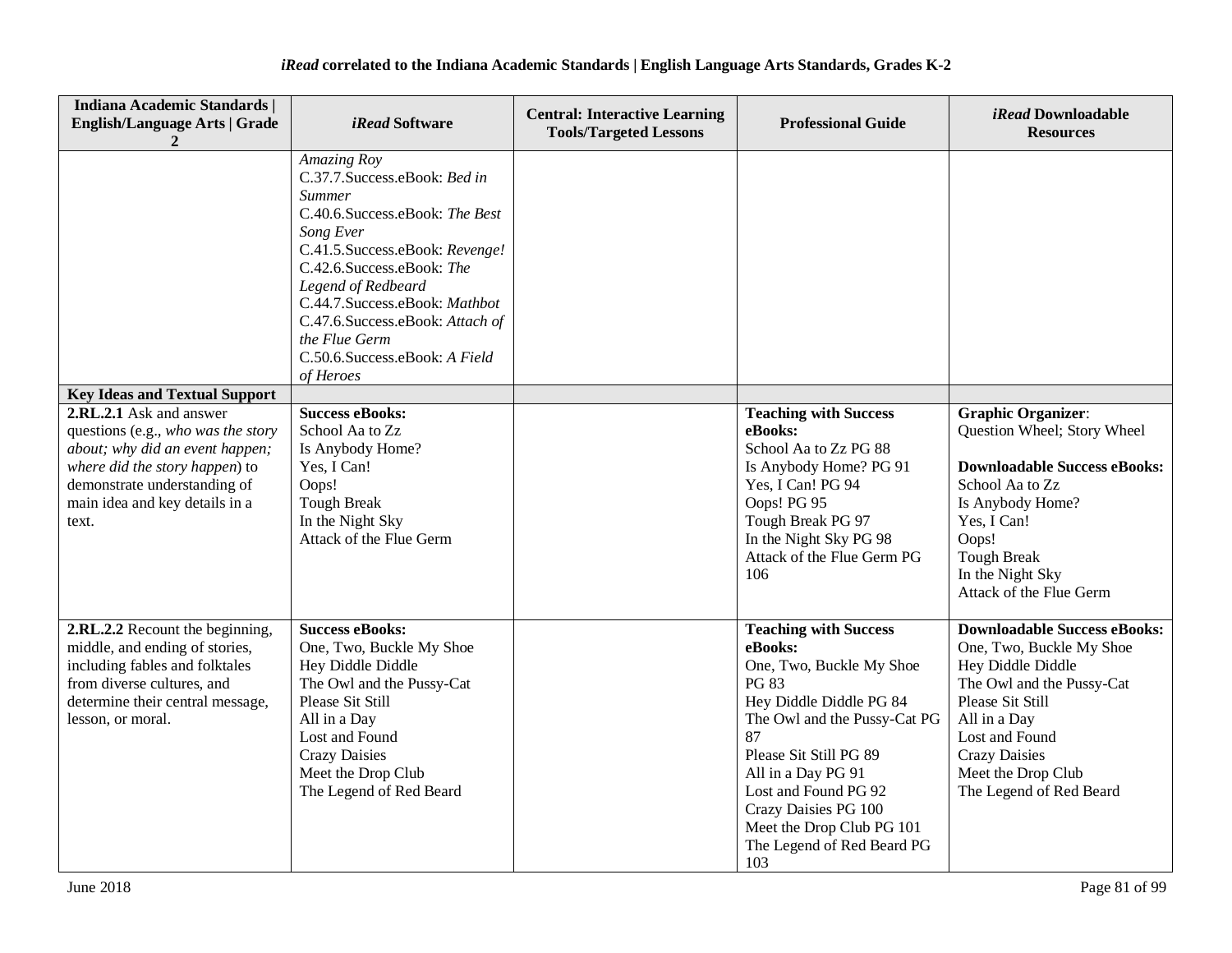| <b>Indiana Academic Standards  </b><br><b>English/Language Arts   Grade</b>                                                                                                                                   | <i>iRead</i> Software                                                                                                                                                                                                                                                                                                               | <b>Central: Interactive Learning</b><br><b>Tools/Targeted Lessons</b> | <b>Professional Guide</b>                                                                                                                                                                                                                                                                                              | iRead Downloadable<br><b>Resources</b>                                                                                                                                                                                                           |
|---------------------------------------------------------------------------------------------------------------------------------------------------------------------------------------------------------------|-------------------------------------------------------------------------------------------------------------------------------------------------------------------------------------------------------------------------------------------------------------------------------------------------------------------------------------|-----------------------------------------------------------------------|------------------------------------------------------------------------------------------------------------------------------------------------------------------------------------------------------------------------------------------------------------------------------------------------------------------------|--------------------------------------------------------------------------------------------------------------------------------------------------------------------------------------------------------------------------------------------------|
|                                                                                                                                                                                                               | Amazing Roy<br>C.37.7.Success.eBook: Bed in<br><i>Summer</i><br>C.40.6.Success.eBook: The Best<br>Song Ever<br>C.41.5.Success.eBook: Revenge!<br>C.42.6.Success.eBook: The<br>Legend of Redbeard<br>C.44.7.Success.eBook: Mathbot<br>C.47.6.Success.eBook: Attach of<br>the Flue Germ<br>C.50.6.Success.eBook: A Field<br>of Heroes |                                                                       |                                                                                                                                                                                                                                                                                                                        |                                                                                                                                                                                                                                                  |
| <b>Key Ideas and Textual Support</b>                                                                                                                                                                          |                                                                                                                                                                                                                                                                                                                                     |                                                                       |                                                                                                                                                                                                                                                                                                                        |                                                                                                                                                                                                                                                  |
| 2.RL.2.1 Ask and answer<br>questions (e.g., who was the story<br>about; why did an event happen;<br>where did the story happen) to<br>demonstrate understanding of<br>main idea and key details in a<br>text. | <b>Success eBooks:</b><br>School Aa to Zz<br>Is Anybody Home?<br>Yes, I Can!<br>Oops!<br><b>Tough Break</b><br>In the Night Sky<br>Attack of the Flue Germ                                                                                                                                                                          |                                                                       | <b>Teaching with Success</b><br>eBooks:<br>School Aa to Zz PG 88<br>Is Anybody Home? PG 91<br>Yes, I Can! PG 94<br>Oops! PG 95<br>Tough Break PG 97<br>In the Night Sky PG 98<br>Attack of the Flue Germ PG<br>106                                                                                                     | <b>Graphic Organizer:</b><br>Question Wheel; Story Wheel<br><b>Downloadable Success eBooks:</b><br>School Aa to Zz<br>Is Anybody Home?<br>Yes, I Can!<br>Oops!<br><b>Tough Break</b><br>In the Night Sky<br>Attack of the Flue Germ              |
| 2.RL.2.2 Recount the beginning,<br>middle, and ending of stories,<br>including fables and folktales<br>from diverse cultures, and<br>determine their central message,<br>lesson, or moral.                    | <b>Success eBooks:</b><br>One, Two, Buckle My Shoe<br>Hey Diddle Diddle<br>The Owl and the Pussy-Cat<br>Please Sit Still<br>All in a Day<br>Lost and Found<br><b>Crazy Daisies</b><br>Meet the Drop Club<br>The Legend of Red Beard                                                                                                 |                                                                       | <b>Teaching with Success</b><br>eBooks:<br>One, Two, Buckle My Shoe<br><b>PG 83</b><br>Hey Diddle Diddle PG 84<br>The Owl and the Pussy-Cat PG<br>87<br>Please Sit Still PG 89<br>All in a Day PG 91<br>Lost and Found PG 92<br>Crazy Daisies PG 100<br>Meet the Drop Club PG 101<br>The Legend of Red Beard PG<br>103 | <b>Downloadable Success eBooks:</b><br>One, Two, Buckle My Shoe<br>Hey Diddle Diddle<br>The Owl and the Pussy-Cat<br>Please Sit Still<br>All in a Day<br>Lost and Found<br><b>Crazy Daisies</b><br>Meet the Drop Club<br>The Legend of Red Beard |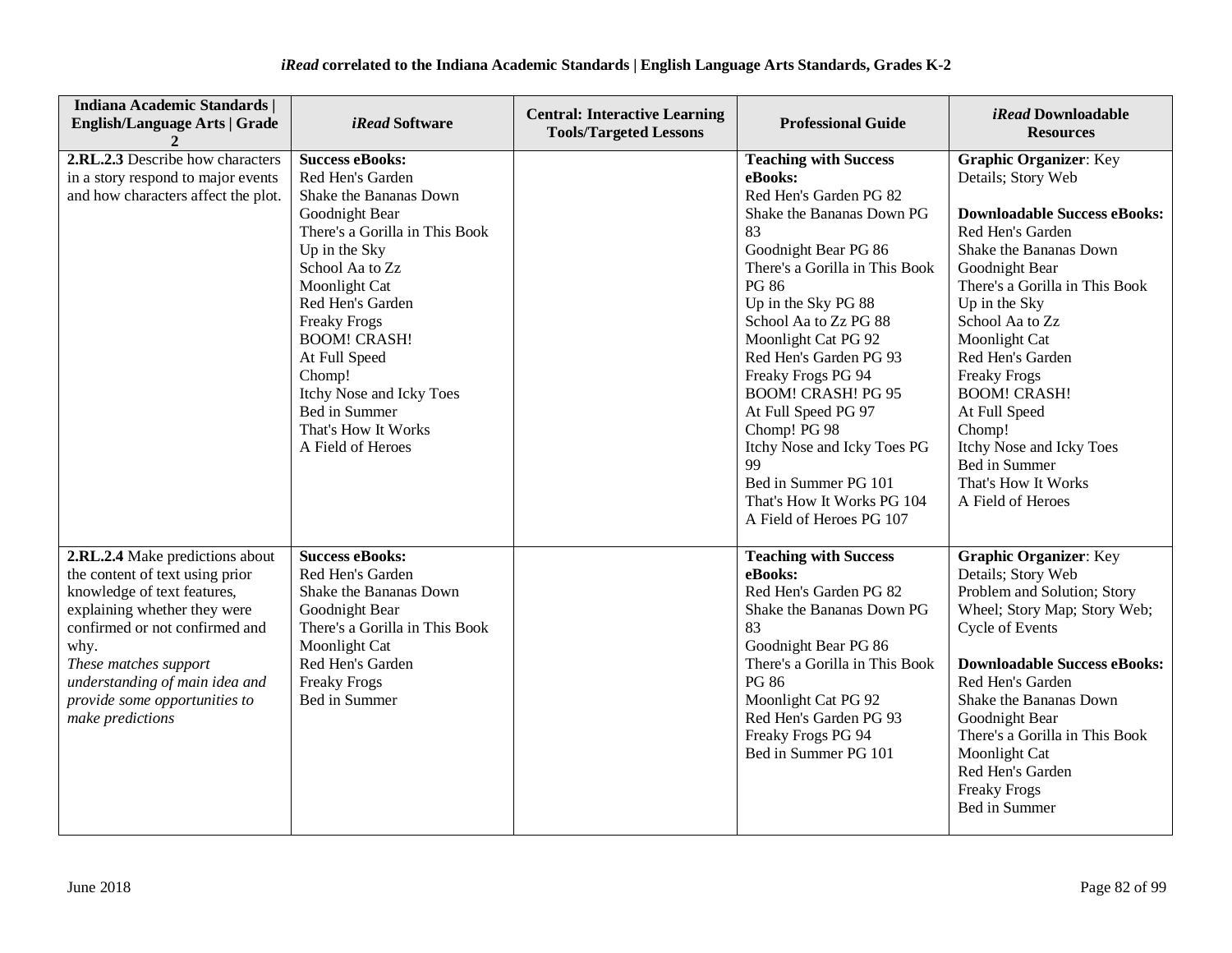| <b>Indiana Academic Standards  </b><br><b>English/Language Arts   Grade</b>                                                                                                                                                                                                                 | <i>iRead</i> Software                                                                                                                                                                                                                                                                                                                                               | <b>Central: Interactive Learning</b><br><b>Tools/Targeted Lessons</b> | <b>Professional Guide</b>                                                                                                                                                                                                                                                                                                                                                                                                                                                                        | <i>iRead</i> Downloadable<br><b>Resources</b>                                                                                                                                                                                                                                                                                                                                                                                           |
|---------------------------------------------------------------------------------------------------------------------------------------------------------------------------------------------------------------------------------------------------------------------------------------------|---------------------------------------------------------------------------------------------------------------------------------------------------------------------------------------------------------------------------------------------------------------------------------------------------------------------------------------------------------------------|-----------------------------------------------------------------------|--------------------------------------------------------------------------------------------------------------------------------------------------------------------------------------------------------------------------------------------------------------------------------------------------------------------------------------------------------------------------------------------------------------------------------------------------------------------------------------------------|-----------------------------------------------------------------------------------------------------------------------------------------------------------------------------------------------------------------------------------------------------------------------------------------------------------------------------------------------------------------------------------------------------------------------------------------|
| 2.RL.2.3 Describe how characters<br>in a story respond to major events<br>and how characters affect the plot.                                                                                                                                                                               | <b>Success eBooks:</b><br>Red Hen's Garden<br>Shake the Bananas Down<br>Goodnight Bear<br>There's a Gorilla in This Book<br>Up in the Sky<br>School Aa to Zz<br>Moonlight Cat<br>Red Hen's Garden<br><b>Freaky Frogs</b><br><b>BOOM! CRASH!</b><br>At Full Speed<br>Chomp!<br>Itchy Nose and Icky Toes<br>Bed in Summer<br>That's How It Works<br>A Field of Heroes |                                                                       | <b>Teaching with Success</b><br>eBooks:<br>Red Hen's Garden PG 82<br>Shake the Bananas Down PG<br>83<br>Goodnight Bear PG 86<br>There's a Gorilla in This Book<br><b>PG 86</b><br>Up in the Sky PG 88<br>School Aa to Zz PG 88<br>Moonlight Cat PG 92<br>Red Hen's Garden PG 93<br>Freaky Frogs PG 94<br><b>BOOM! CRASH! PG 95</b><br>At Full Speed PG 97<br>Chomp! PG 98<br>Itchy Nose and Icky Toes PG<br>99<br>Bed in Summer PG 101<br>That's How It Works PG 104<br>A Field of Heroes PG 107 | <b>Graphic Organizer: Key</b><br>Details; Story Web<br><b>Downloadable Success eBooks:</b><br>Red Hen's Garden<br>Shake the Bananas Down<br>Goodnight Bear<br>There's a Gorilla in This Book<br>Up in the Sky<br>School Aa to Zz<br>Moonlight Cat<br>Red Hen's Garden<br><b>Freaky Frogs</b><br><b>BOOM! CRASH!</b><br>At Full Speed<br>Chomp!<br>Itchy Nose and Icky Toes<br>Bed in Summer<br>That's How It Works<br>A Field of Heroes |
| 2.RL.2.4 Make predictions about<br>the content of text using prior<br>knowledge of text features,<br>explaining whether they were<br>confirmed or not confirmed and<br>why.<br>These matches support<br>understanding of main idea and<br>provide some opportunities to<br>make predictions | <b>Success eBooks:</b><br>Red Hen's Garden<br>Shake the Bananas Down<br>Goodnight Bear<br>There's a Gorilla in This Book<br>Moonlight Cat<br>Red Hen's Garden<br><b>Freaky Frogs</b><br>Bed in Summer                                                                                                                                                               |                                                                       | <b>Teaching with Success</b><br>eBooks:<br>Red Hen's Garden PG 82<br>Shake the Bananas Down PG<br>83<br>Goodnight Bear PG 86<br>There's a Gorilla in This Book<br><b>PG 86</b><br>Moonlight Cat PG 92<br>Red Hen's Garden PG 93<br>Freaky Frogs PG 94<br>Bed in Summer PG 101                                                                                                                                                                                                                    | <b>Graphic Organizer: Key</b><br>Details; Story Web<br>Problem and Solution; Story<br>Wheel; Story Map; Story Web;<br>Cycle of Events<br><b>Downloadable Success eBooks:</b><br>Red Hen's Garden<br>Shake the Bananas Down<br>Goodnight Bear<br>There's a Gorilla in This Book<br>Moonlight Cat<br>Red Hen's Garden<br><b>Freaky Frogs</b><br>Bed in Summer                                                                             |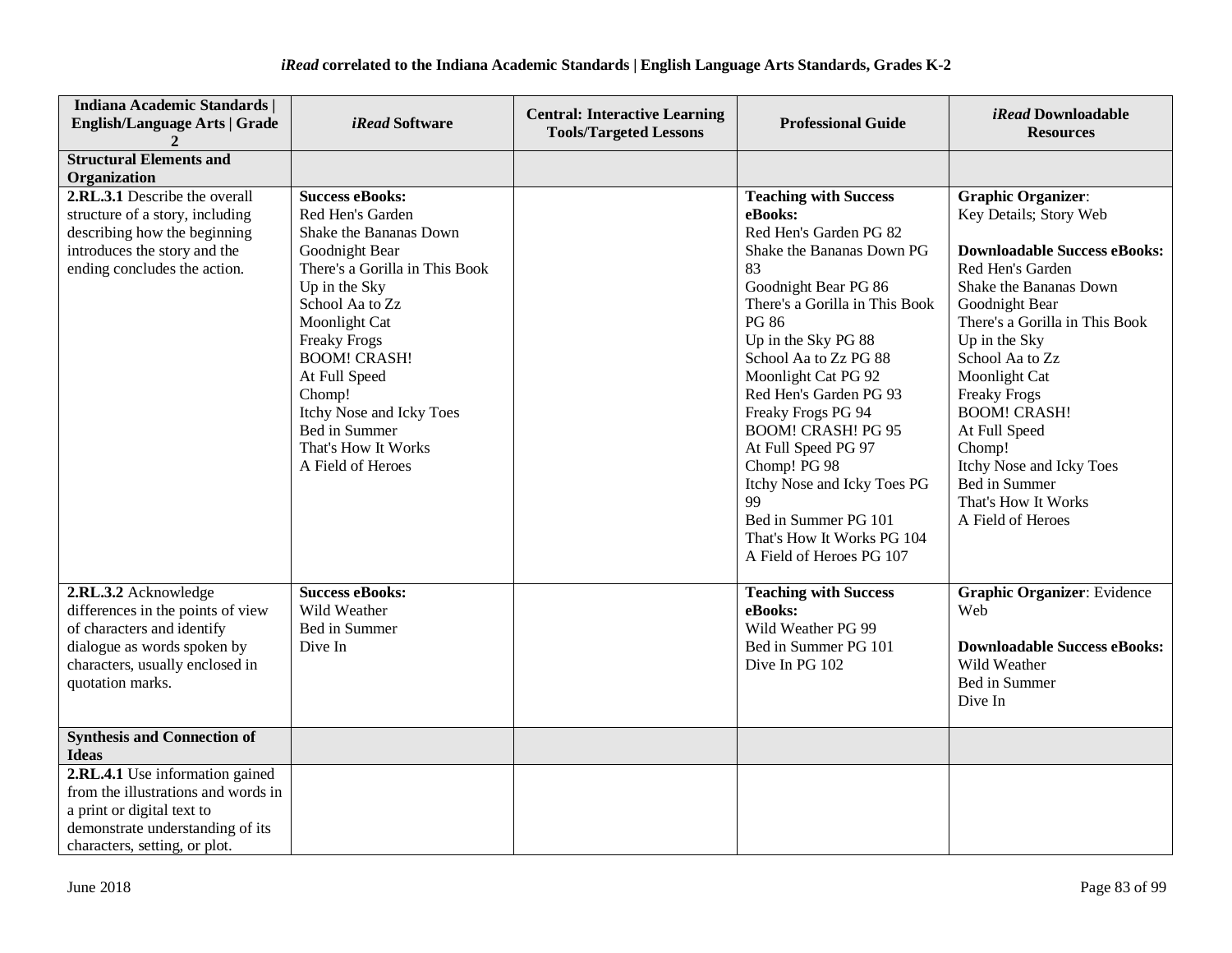| <b>Indiana Academic Standards  </b><br><b>English/Language Arts   Grade</b>                                                                                                   | <i>iRead</i> Software                                                                                                                                                                                                                                                                                                                           | <b>Central: Interactive Learning</b><br><b>Tools/Targeted Lessons</b> | <b>Professional Guide</b>                                                                                                                                                                                                                                                                                                                                                                                                                                                                        | <i>iRead</i> Downloadable<br><b>Resources</b>                                                                                                                                                                                                                                                                                                                                                                       |
|-------------------------------------------------------------------------------------------------------------------------------------------------------------------------------|-------------------------------------------------------------------------------------------------------------------------------------------------------------------------------------------------------------------------------------------------------------------------------------------------------------------------------------------------|-----------------------------------------------------------------------|--------------------------------------------------------------------------------------------------------------------------------------------------------------------------------------------------------------------------------------------------------------------------------------------------------------------------------------------------------------------------------------------------------------------------------------------------------------------------------------------------|---------------------------------------------------------------------------------------------------------------------------------------------------------------------------------------------------------------------------------------------------------------------------------------------------------------------------------------------------------------------------------------------------------------------|
| <b>Structural Elements and</b><br>Organization                                                                                                                                |                                                                                                                                                                                                                                                                                                                                                 |                                                                       |                                                                                                                                                                                                                                                                                                                                                                                                                                                                                                  |                                                                                                                                                                                                                                                                                                                                                                                                                     |
| 2.RL.3.1 Describe the overall<br>structure of a story, including<br>describing how the beginning<br>introduces the story and the<br>ending concludes the action.              | <b>Success eBooks:</b><br>Red Hen's Garden<br>Shake the Bananas Down<br>Goodnight Bear<br>There's a Gorilla in This Book<br>Up in the Sky<br>School Aa to Zz<br>Moonlight Cat<br><b>Freaky Frogs</b><br><b>BOOM! CRASH!</b><br>At Full Speed<br>Chomp!<br>Itchy Nose and Icky Toes<br>Bed in Summer<br>That's How It Works<br>A Field of Heroes |                                                                       | <b>Teaching with Success</b><br>eBooks:<br>Red Hen's Garden PG 82<br>Shake the Bananas Down PG<br>83<br>Goodnight Bear PG 86<br>There's a Gorilla in This Book<br><b>PG 86</b><br>Up in the Sky PG 88<br>School Aa to Zz PG 88<br>Moonlight Cat PG 92<br>Red Hen's Garden PG 93<br>Freaky Frogs PG 94<br><b>BOOM! CRASH! PG 95</b><br>At Full Speed PG 97<br>Chomp! PG 98<br>Itchy Nose and Icky Toes PG<br>99<br>Bed in Summer PG 101<br>That's How It Works PG 104<br>A Field of Heroes PG 107 | <b>Graphic Organizer:</b><br>Key Details; Story Web<br><b>Downloadable Success eBooks:</b><br>Red Hen's Garden<br>Shake the Bananas Down<br>Goodnight Bear<br>There's a Gorilla in This Book<br>Up in the Sky<br>School Aa to Zz<br>Moonlight Cat<br><b>Freaky Frogs</b><br><b>BOOM! CRASH!</b><br>At Full Speed<br>Chomp!<br>Itchy Nose and Icky Toes<br>Bed in Summer<br>That's How It Works<br>A Field of Heroes |
| 2.RL.3.2 Acknowledge<br>differences in the points of view<br>of characters and identify<br>dialogue as words spoken by<br>characters, usually enclosed in<br>quotation marks. | <b>Success eBooks:</b><br>Wild Weather<br>Bed in Summer<br>Dive In                                                                                                                                                                                                                                                                              |                                                                       | <b>Teaching with Success</b><br>eBooks:<br>Wild Weather PG 99<br>Bed in Summer PG 101<br>Dive In PG 102                                                                                                                                                                                                                                                                                                                                                                                          | <b>Graphic Organizer:</b> Evidence<br>Web<br><b>Downloadable Success eBooks:</b><br>Wild Weather<br>Bed in Summer<br>Dive In                                                                                                                                                                                                                                                                                        |
| <b>Synthesis and Connection of</b><br><b>Ideas</b>                                                                                                                            |                                                                                                                                                                                                                                                                                                                                                 |                                                                       |                                                                                                                                                                                                                                                                                                                                                                                                                                                                                                  |                                                                                                                                                                                                                                                                                                                                                                                                                     |
| 2.RL.4.1 Use information gained<br>from the illustrations and words in<br>a print or digital text to<br>demonstrate understanding of its<br>characters, setting, or plot.     |                                                                                                                                                                                                                                                                                                                                                 |                                                                       |                                                                                                                                                                                                                                                                                                                                                                                                                                                                                                  |                                                                                                                                                                                                                                                                                                                                                                                                                     |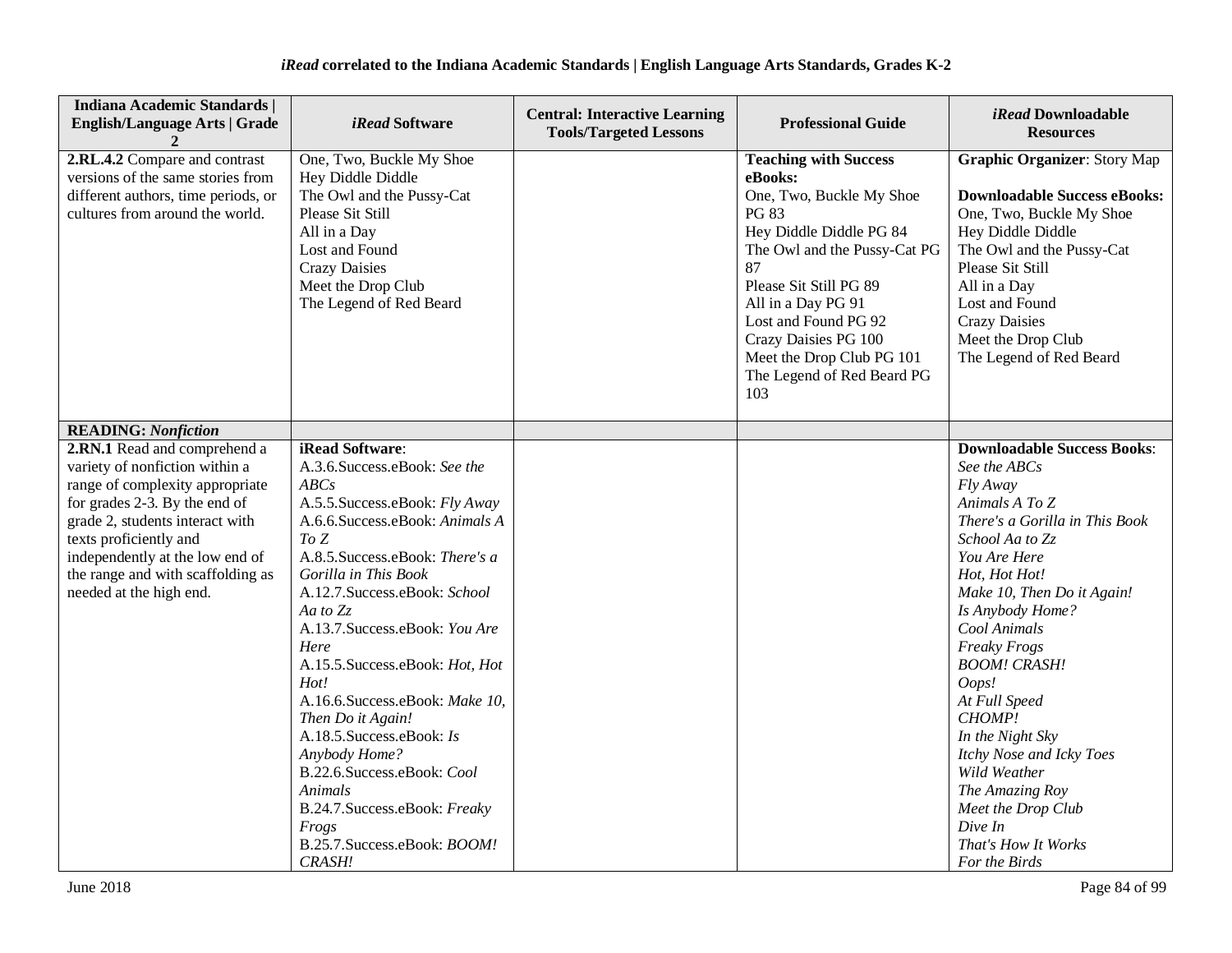| <b>Indiana Academic Standards  </b><br><b>English/Language Arts   Grade</b>                                                                                                                                                                                                                        | <i>iRead</i> Software                                                                                                                                                                                                                                                                                                                                                                                                                                                                                                                                              | <b>Central: Interactive Learning</b><br><b>Tools/Targeted Lessons</b> | <b>Professional Guide</b>                                                                                                                                                                                                                                                                                              | iRead Downloadable<br><b>Resources</b>                                                                                                                                                                                                                                                                                                                                                                                                                                                 |
|----------------------------------------------------------------------------------------------------------------------------------------------------------------------------------------------------------------------------------------------------------------------------------------------------|--------------------------------------------------------------------------------------------------------------------------------------------------------------------------------------------------------------------------------------------------------------------------------------------------------------------------------------------------------------------------------------------------------------------------------------------------------------------------------------------------------------------------------------------------------------------|-----------------------------------------------------------------------|------------------------------------------------------------------------------------------------------------------------------------------------------------------------------------------------------------------------------------------------------------------------------------------------------------------------|----------------------------------------------------------------------------------------------------------------------------------------------------------------------------------------------------------------------------------------------------------------------------------------------------------------------------------------------------------------------------------------------------------------------------------------------------------------------------------------|
| 2.RL.4.2 Compare and contrast<br>versions of the same stories from<br>different authors, time periods, or<br>cultures from around the world.                                                                                                                                                       | One, Two, Buckle My Shoe<br>Hey Diddle Diddle<br>The Owl and the Pussy-Cat<br>Please Sit Still<br>All in a Day<br>Lost and Found<br><b>Crazy Daisies</b><br>Meet the Drop Club<br>The Legend of Red Beard                                                                                                                                                                                                                                                                                                                                                          |                                                                       | <b>Teaching with Success</b><br>eBooks:<br>One, Two, Buckle My Shoe<br><b>PG 83</b><br>Hey Diddle Diddle PG 84<br>The Owl and the Pussy-Cat PG<br>87<br>Please Sit Still PG 89<br>All in a Day PG 91<br>Lost and Found PG 92<br>Crazy Daisies PG 100<br>Meet the Drop Club PG 101<br>The Legend of Red Beard PG<br>103 | <b>Graphic Organizer: Story Map</b><br><b>Downloadable Success eBooks:</b><br>One, Two, Buckle My Shoe<br>Hey Diddle Diddle<br>The Owl and the Pussy-Cat<br>Please Sit Still<br>All in a Day<br>Lost and Found<br><b>Crazy Daisies</b><br>Meet the Drop Club<br>The Legend of Red Beard                                                                                                                                                                                                |
| <b>READING: Nonfiction</b>                                                                                                                                                                                                                                                                         |                                                                                                                                                                                                                                                                                                                                                                                                                                                                                                                                                                    |                                                                       |                                                                                                                                                                                                                                                                                                                        |                                                                                                                                                                                                                                                                                                                                                                                                                                                                                        |
| 2.RN.1 Read and comprehend a<br>variety of nonfiction within a<br>range of complexity appropriate<br>for grades 2-3. By the end of<br>grade 2, students interact with<br>texts proficiently and<br>independently at the low end of<br>the range and with scaffolding as<br>needed at the high end. | iRead Software:<br>A.3.6.Success.eBook: See the<br>ABCs<br>A.5.5. Success.eBook: Fly Away<br>A.6.6.Success.eBook: Animals A<br>To Z<br>A.8.5. Success.eBook: There's a<br>Gorilla in This Book<br>A.12.7. Success.eBook: School<br>Aa to Zz<br>A.13.7. Success.eBook: You Are<br>Here<br>A.15.5. Success.eBook: Hot, Hot<br>Hot!<br>A.16.6.Success.eBook: Make 10,<br>Then Do it Again!<br>A.18.5. Success.eBook: Is<br>Anybody Home?<br>B.22.6.Success.eBook: Cool<br>Animals<br>B.24.7. Success.eBook: Freaky<br>Frogs<br>B.25.7. Success.eBook: BOOM!<br>CRASH! |                                                                       |                                                                                                                                                                                                                                                                                                                        | <b>Downloadable Success Books:</b><br>See the ABCs<br>Fly Away<br>Animals A To Z<br>There's a Gorilla in This Book<br>School Aa to Zz<br>You Are Here<br>Hot, Hot Hot!<br>Make 10, Then Do it Again!<br>Is Anybody Home?<br>Cool Animals<br><b>Freaky Frogs</b><br><b>BOOM! CRASH!</b><br>Oops!<br>At Full Speed<br>CHOMP!<br>In the Night Sky<br>Itchy Nose and Icky Toes<br>Wild Weather<br>The Amazing Roy<br>Meet the Drop Club<br>Dive In<br>That's How It Works<br>For the Birds |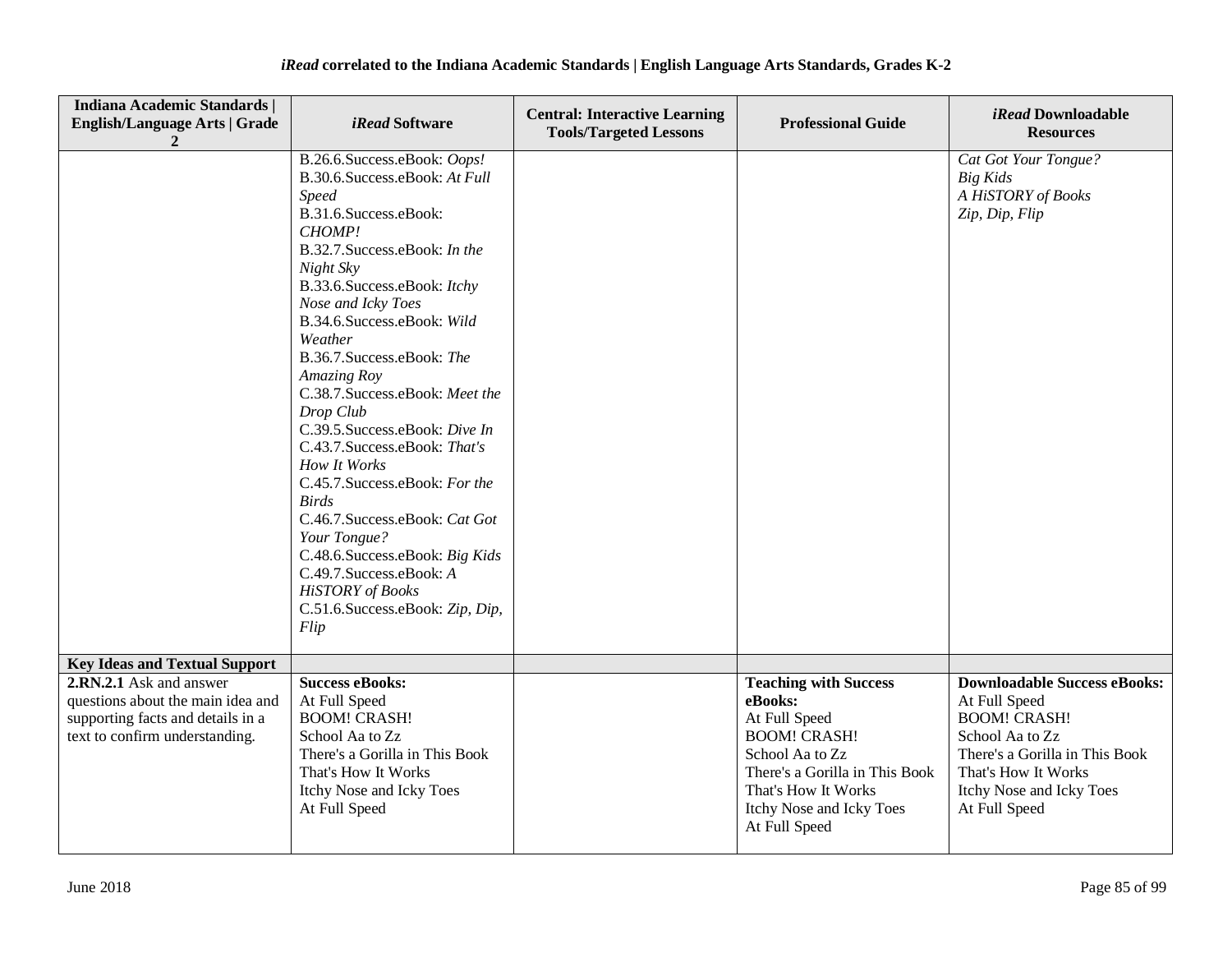| Indiana Academic Standards  <br><b>English/Language Arts   Grade</b>                                                                | <i>iRead</i> Software                                                                                                                                                                                                                                                                                                                                                                                                                                                                                                                                                                                                                                                                 | <b>Central: Interactive Learning</b><br><b>Tools/Targeted Lessons</b> | <b>Professional Guide</b>                                                                                                                                                                                | iRead Downloadable<br><b>Resources</b>                                                                                                                                                               |
|-------------------------------------------------------------------------------------------------------------------------------------|---------------------------------------------------------------------------------------------------------------------------------------------------------------------------------------------------------------------------------------------------------------------------------------------------------------------------------------------------------------------------------------------------------------------------------------------------------------------------------------------------------------------------------------------------------------------------------------------------------------------------------------------------------------------------------------|-----------------------------------------------------------------------|----------------------------------------------------------------------------------------------------------------------------------------------------------------------------------------------------------|------------------------------------------------------------------------------------------------------------------------------------------------------------------------------------------------------|
|                                                                                                                                     | B.26.6.Success.eBook: Oops!<br>B.30.6. Success.eBook: At Full<br><b>Speed</b><br>B.31.6.Success.eBook:<br>CHOMP!<br>B.32.7. Success.eBook: In the<br>Night Sky<br>B.33.6. Success.eBook: Itchy<br>Nose and Icky Toes<br>B.34.6.Success.eBook: Wild<br>Weather<br>B.36.7.Success.eBook: The<br>Amazing Roy<br>C.38.7. Success.eBook: Meet the<br>Drop Club<br>C.39.5. Success.eBook: Dive In<br>C.43.7. Success.eBook: That's<br>How It Works<br>C.45.7. Success.eBook: For the<br><b>Birds</b><br>C.46.7. Success.eBook: Cat Got<br>Your Tongue?<br>C.48.6. Success.eBook: Big Kids<br>C.49.7. Success.eBook: A<br><b>HiSTORY</b> of Books<br>C.51.6.Success.eBook: Zip, Dip,<br>Flip |                                                                       |                                                                                                                                                                                                          | Cat Got Your Tongue?<br>Big Kids<br>A HiSTORY of Books<br>Zip, Dip, Flip                                                                                                                             |
| <b>Key Ideas and Textual Support</b>                                                                                                |                                                                                                                                                                                                                                                                                                                                                                                                                                                                                                                                                                                                                                                                                       |                                                                       |                                                                                                                                                                                                          |                                                                                                                                                                                                      |
| 2.RN.2.1 Ask and answer<br>questions about the main idea and<br>supporting facts and details in a<br>text to confirm understanding. | <b>Success eBooks:</b><br>At Full Speed<br><b>BOOM! CRASH!</b><br>School Aa to Zz<br>There's a Gorilla in This Book<br>That's How It Works<br>Itchy Nose and Icky Toes<br>At Full Speed                                                                                                                                                                                                                                                                                                                                                                                                                                                                                               |                                                                       | <b>Teaching with Success</b><br>eBooks:<br>At Full Speed<br><b>BOOM! CRASH!</b><br>School Aa to Zz<br>There's a Gorilla in This Book<br>That's How It Works<br>Itchy Nose and Icky Toes<br>At Full Speed | <b>Downloadable Success eBooks:</b><br>At Full Speed<br><b>BOOM! CRASH!</b><br>School Aa to Zz<br>There's a Gorilla in This Book<br>That's How It Works<br>Itchy Nose and Icky Toes<br>At Full Speed |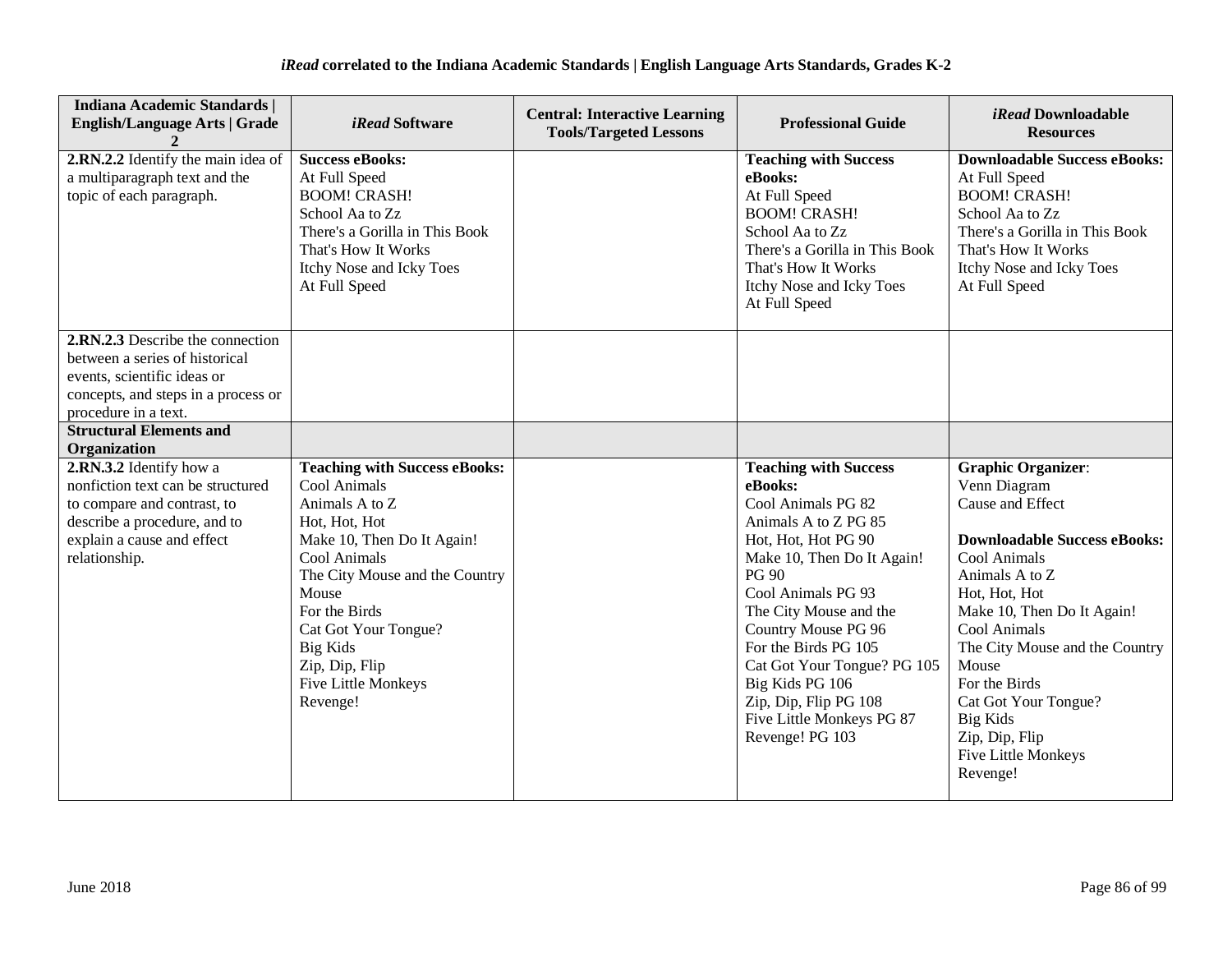| <b>Indiana Academic Standards  </b><br><b>English/Language Arts   Grade</b>                                                                                      | <i>iRead</i> Software                                                                                                                                                                   | <b>Central: Interactive Learning</b><br><b>Tools/Targeted Lessons</b> | <b>Professional Guide</b>                                                                                                                                                                                | <i>iRead</i> Downloadable<br><b>Resources</b>                                                                                                                                                        |
|------------------------------------------------------------------------------------------------------------------------------------------------------------------|-----------------------------------------------------------------------------------------------------------------------------------------------------------------------------------------|-----------------------------------------------------------------------|----------------------------------------------------------------------------------------------------------------------------------------------------------------------------------------------------------|------------------------------------------------------------------------------------------------------------------------------------------------------------------------------------------------------|
| 2.RN.2.2 Identify the main idea of<br>a multiparagraph text and the<br>topic of each paragraph.                                                                  | <b>Success eBooks:</b><br>At Full Speed<br><b>BOOM! CRASH!</b><br>School Aa to Zz<br>There's a Gorilla in This Book<br>That's How It Works<br>Itchy Nose and Icky Toes<br>At Full Speed |                                                                       | <b>Teaching with Success</b><br>eBooks:<br>At Full Speed<br><b>BOOM! CRASH!</b><br>School Aa to Zz<br>There's a Gorilla in This Book<br>That's How It Works<br>Itchy Nose and Icky Toes<br>At Full Speed | <b>Downloadable Success eBooks:</b><br>At Full Speed<br><b>BOOM! CRASH!</b><br>School Aa to Zz<br>There's a Gorilla in This Book<br>That's How It Works<br>Itchy Nose and Icky Toes<br>At Full Speed |
| 2.RN.2.3 Describe the connection<br>between a series of historical<br>events, scientific ideas or<br>concepts, and steps in a process or<br>procedure in a text. |                                                                                                                                                                                         |                                                                       |                                                                                                                                                                                                          |                                                                                                                                                                                                      |
| <b>Structural Elements and</b><br>Organization                                                                                                                   |                                                                                                                                                                                         |                                                                       |                                                                                                                                                                                                          |                                                                                                                                                                                                      |
| 2.RN.3.2 Identify how a                                                                                                                                          | <b>Teaching with Success eBooks:</b>                                                                                                                                                    |                                                                       | <b>Teaching with Success</b>                                                                                                                                                                             | <b>Graphic Organizer:</b>                                                                                                                                                                            |
| nonfiction text can be structured                                                                                                                                | Cool Animals                                                                                                                                                                            |                                                                       | eBooks:                                                                                                                                                                                                  | Venn Diagram                                                                                                                                                                                         |
| to compare and contrast, to                                                                                                                                      | Animals A to Z                                                                                                                                                                          |                                                                       | Cool Animals PG 82                                                                                                                                                                                       | Cause and Effect                                                                                                                                                                                     |
| describe a procedure, and to                                                                                                                                     | Hot, Hot, Hot                                                                                                                                                                           |                                                                       | Animals A to Z PG 85                                                                                                                                                                                     |                                                                                                                                                                                                      |
| explain a cause and effect                                                                                                                                       | Make 10, Then Do It Again!                                                                                                                                                              |                                                                       | Hot, Hot, Hot PG 90                                                                                                                                                                                      | <b>Downloadable Success eBooks:</b>                                                                                                                                                                  |
| relationship.                                                                                                                                                    | Cool Animals                                                                                                                                                                            |                                                                       | Make 10, Then Do It Again!                                                                                                                                                                               | Cool Animals                                                                                                                                                                                         |
|                                                                                                                                                                  | The City Mouse and the Country                                                                                                                                                          |                                                                       | <b>PG 90</b>                                                                                                                                                                                             | Animals A to Z                                                                                                                                                                                       |
|                                                                                                                                                                  | Mouse                                                                                                                                                                                   |                                                                       | Cool Animals PG 93                                                                                                                                                                                       | Hot, Hot, Hot                                                                                                                                                                                        |
|                                                                                                                                                                  | For the Birds<br>Cat Got Your Tongue?                                                                                                                                                   |                                                                       | The City Mouse and the<br>Country Mouse PG 96                                                                                                                                                            | Make 10, Then Do It Again!<br>Cool Animals                                                                                                                                                           |
|                                                                                                                                                                  | Big Kids                                                                                                                                                                                |                                                                       | For the Birds PG 105                                                                                                                                                                                     | The City Mouse and the Country                                                                                                                                                                       |
|                                                                                                                                                                  | Zip, Dip, Flip                                                                                                                                                                          |                                                                       | Cat Got Your Tongue? PG 105                                                                                                                                                                              | Mouse                                                                                                                                                                                                |
|                                                                                                                                                                  | Five Little Monkeys                                                                                                                                                                     |                                                                       | Big Kids PG 106                                                                                                                                                                                          | For the Birds                                                                                                                                                                                        |
|                                                                                                                                                                  | Revenge!                                                                                                                                                                                |                                                                       | Zip, Dip, Flip PG 108                                                                                                                                                                                    | Cat Got Your Tongue?                                                                                                                                                                                 |
|                                                                                                                                                                  |                                                                                                                                                                                         |                                                                       | Five Little Monkeys PG 87                                                                                                                                                                                | <b>Big Kids</b>                                                                                                                                                                                      |
|                                                                                                                                                                  |                                                                                                                                                                                         |                                                                       | Revenge! PG 103                                                                                                                                                                                          | Zip, Dip, Flip                                                                                                                                                                                       |
|                                                                                                                                                                  |                                                                                                                                                                                         |                                                                       |                                                                                                                                                                                                          | <b>Five Little Monkeys</b>                                                                                                                                                                           |
|                                                                                                                                                                  |                                                                                                                                                                                         |                                                                       |                                                                                                                                                                                                          | Revenge!                                                                                                                                                                                             |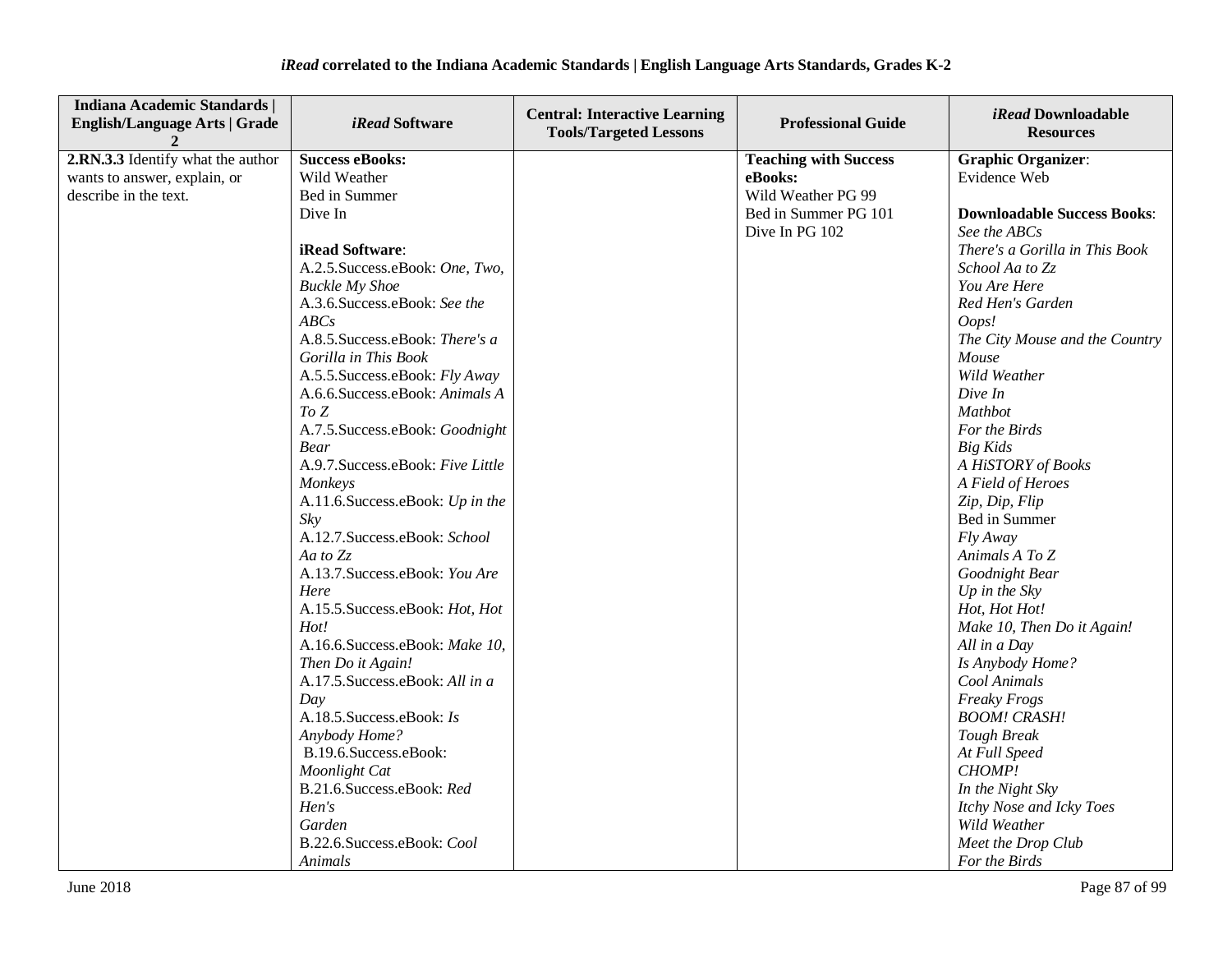| <b>Indiana Academic Standards  </b><br><b>English/Language Arts   Grade</b> | <i>iRead</i> Software             | <b>Central: Interactive Learning</b><br><b>Tools/Targeted Lessons</b> | <b>Professional Guide</b>    | <i>iRead</i> Downloadable<br><b>Resources</b> |
|-----------------------------------------------------------------------------|-----------------------------------|-----------------------------------------------------------------------|------------------------------|-----------------------------------------------|
| 2.RN.3.3 Identify what the author                                           | <b>Success eBooks:</b>            |                                                                       | <b>Teaching with Success</b> | <b>Graphic Organizer:</b>                     |
| wants to answer, explain, or                                                | Wild Weather                      |                                                                       | eBooks:                      | Evidence Web                                  |
| describe in the text.                                                       | Bed in Summer                     |                                                                       | Wild Weather PG 99           |                                               |
|                                                                             | Dive In                           |                                                                       | Bed in Summer PG 101         | <b>Downloadable Success Books:</b>            |
|                                                                             |                                   |                                                                       | Dive In PG 102               | See the ABCs                                  |
|                                                                             | iRead Software:                   |                                                                       |                              | There's a Gorilla in This Book                |
|                                                                             | A.2.5. Success.eBook: One, Two,   |                                                                       |                              | School Aa to Zz                               |
|                                                                             | <b>Buckle My Shoe</b>             |                                                                       |                              | You Are Here                                  |
|                                                                             | A.3.6. Success. eBook: See the    |                                                                       |                              | Red Hen's Garden                              |
|                                                                             | ABCs                              |                                                                       |                              | Oops!                                         |
|                                                                             | A.8.5. Success.eBook: There's a   |                                                                       |                              | The City Mouse and the Country                |
|                                                                             | Gorilla in This Book              |                                                                       |                              | Mouse                                         |
|                                                                             | A.5.5. Success.eBook: Fly Away    |                                                                       |                              | Wild Weather                                  |
|                                                                             | A.6.6. Success.eBook: Animals A   |                                                                       |                              | Dive In                                       |
|                                                                             | To Z                              |                                                                       |                              | <b>Mathbot</b>                                |
|                                                                             | A.7.5. Success.eBook: Goodnight   |                                                                       |                              | For the Birds                                 |
|                                                                             | <b>Bear</b>                       |                                                                       |                              | <b>Big Kids</b>                               |
|                                                                             | A.9.7. Success.eBook: Five Little |                                                                       |                              | A HiSTORY of Books                            |
|                                                                             | Monkeys                           |                                                                       |                              | A Field of Heroes                             |
|                                                                             | A.11.6. Success.eBook: Up in the  |                                                                       |                              | Zip, Dip, Flip                                |
|                                                                             | Sky                               |                                                                       |                              | Bed in Summer                                 |
|                                                                             | A.12.7.Success.eBook: School      |                                                                       |                              | Fly Away                                      |
|                                                                             | Aa to $Z_z$                       |                                                                       |                              | Animals A To Z                                |
|                                                                             | A.13.7. Success.eBook: You Are    |                                                                       |                              | Goodnight Bear                                |
|                                                                             | Here                              |                                                                       |                              | Up in the $Sky$                               |
|                                                                             | A.15.5. Success.eBook: Hot, Hot   |                                                                       |                              | Hot, Hot Hot!                                 |
|                                                                             | Hot!                              |                                                                       |                              | Make 10, Then Do it Again!                    |
|                                                                             | A.16.6.Success.eBook: Make 10,    |                                                                       |                              | All in a Day                                  |
|                                                                             | Then Do it Again!                 |                                                                       |                              | Is Anybody Home?                              |
|                                                                             | A.17.5. Success.eBook: All in a   |                                                                       |                              | Cool Animals                                  |
|                                                                             | Day                               |                                                                       |                              | <b>Freaky Frogs</b>                           |
|                                                                             | A.18.5. Success.eBook: Is         |                                                                       |                              | <b>BOOM! CRASH!</b>                           |
|                                                                             | Anybody Home?                     |                                                                       |                              | <b>Tough Break</b>                            |
|                                                                             | B.19.6. Success. eBook:           |                                                                       |                              | At Full Speed                                 |
|                                                                             | Moonlight Cat                     |                                                                       |                              | CHOMP!                                        |
|                                                                             | B.21.6.Success.eBook: Red         |                                                                       |                              | In the Night Sky                              |
|                                                                             | Hen's                             |                                                                       |                              | Itchy Nose and Icky Toes                      |
|                                                                             | Garden                            |                                                                       |                              | Wild Weather                                  |
|                                                                             | B.22.6.Success.eBook: Cool        |                                                                       |                              | Meet the Drop Club                            |
|                                                                             | Animals                           |                                                                       |                              | For the Birds                                 |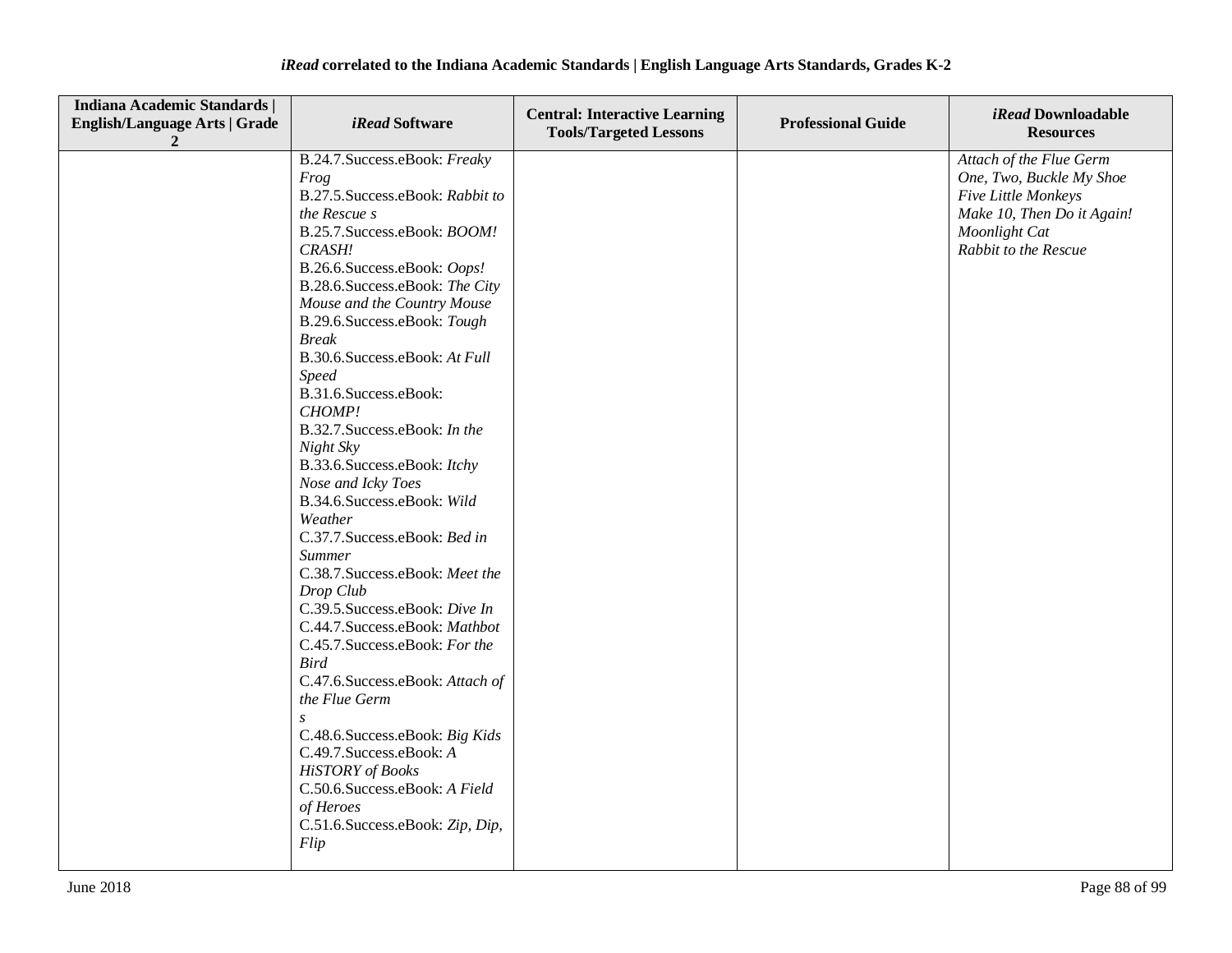| <b>Indiana Academic Standards  </b><br><b>English/Language Arts   Grade</b> | <i>iRead</i> Software                                                                                                                                                                                                                                                                                                                                                                                                                                                                                                                                                                                                                                                                                                                                                                                                                                                                                                                                                       | <b>Central: Interactive Learning</b><br><b>Tools/Targeted Lessons</b> | <b>Professional Guide</b> | iRead Downloadable<br><b>Resources</b>                                                                                                            |
|-----------------------------------------------------------------------------|-----------------------------------------------------------------------------------------------------------------------------------------------------------------------------------------------------------------------------------------------------------------------------------------------------------------------------------------------------------------------------------------------------------------------------------------------------------------------------------------------------------------------------------------------------------------------------------------------------------------------------------------------------------------------------------------------------------------------------------------------------------------------------------------------------------------------------------------------------------------------------------------------------------------------------------------------------------------------------|-----------------------------------------------------------------------|---------------------------|---------------------------------------------------------------------------------------------------------------------------------------------------|
|                                                                             | B.24.7. Success.eBook: Freaky<br>Frog<br>B.27.5. Success.eBook: Rabbit to<br>the Rescue s<br>B.25.7. Success.eBook: BOOM!<br>CRASH!<br>B.26.6.Success.eBook: Oops!<br>B.28.6. Success.eBook: The City<br>Mouse and the Country Mouse<br>B.29.6.Success.eBook: Tough<br><b>Break</b><br>B.30.6. Success.eBook: At Full<br><b>Speed</b><br>B.31.6.Success.eBook:<br>CHOMP!<br>B.32.7. Success.eBook: In the<br>Night Sky<br>B.33.6. Success.eBook: Itchy<br>Nose and Icky Toes<br>B.34.6. Success.eBook: Wild<br>Weather<br>C.37.7.Success.eBook: Bed in<br><b>Summer</b><br>C.38.7. Success.eBook: Meet the<br>Drop Club<br>C.39.5. Success.eBook: Dive In<br>C.44.7.Success.eBook: Mathbot<br>C.45.7. Success.eBook: For the<br><b>Bird</b><br>C.47.6.Success.eBook: Attach of<br>the Flue Germ<br>C.48.6. Success.eBook: Big Kids<br>C.49.7. Success.eBook: A<br><b>HiSTORY</b> of Books<br>C.50.6.Success.eBook: A Field<br>of Heroes<br>C.51.6. Success.eBook: Zip, Dip, |                                                                       |                           | Attach of the Flue Germ<br>One, Two, Buckle My Shoe<br>Five Little Monkeys<br>Make 10, Then Do it Again!<br>Moonlight Cat<br>Rabbit to the Rescue |
|                                                                             | Flip                                                                                                                                                                                                                                                                                                                                                                                                                                                                                                                                                                                                                                                                                                                                                                                                                                                                                                                                                                        |                                                                       |                           |                                                                                                                                                   |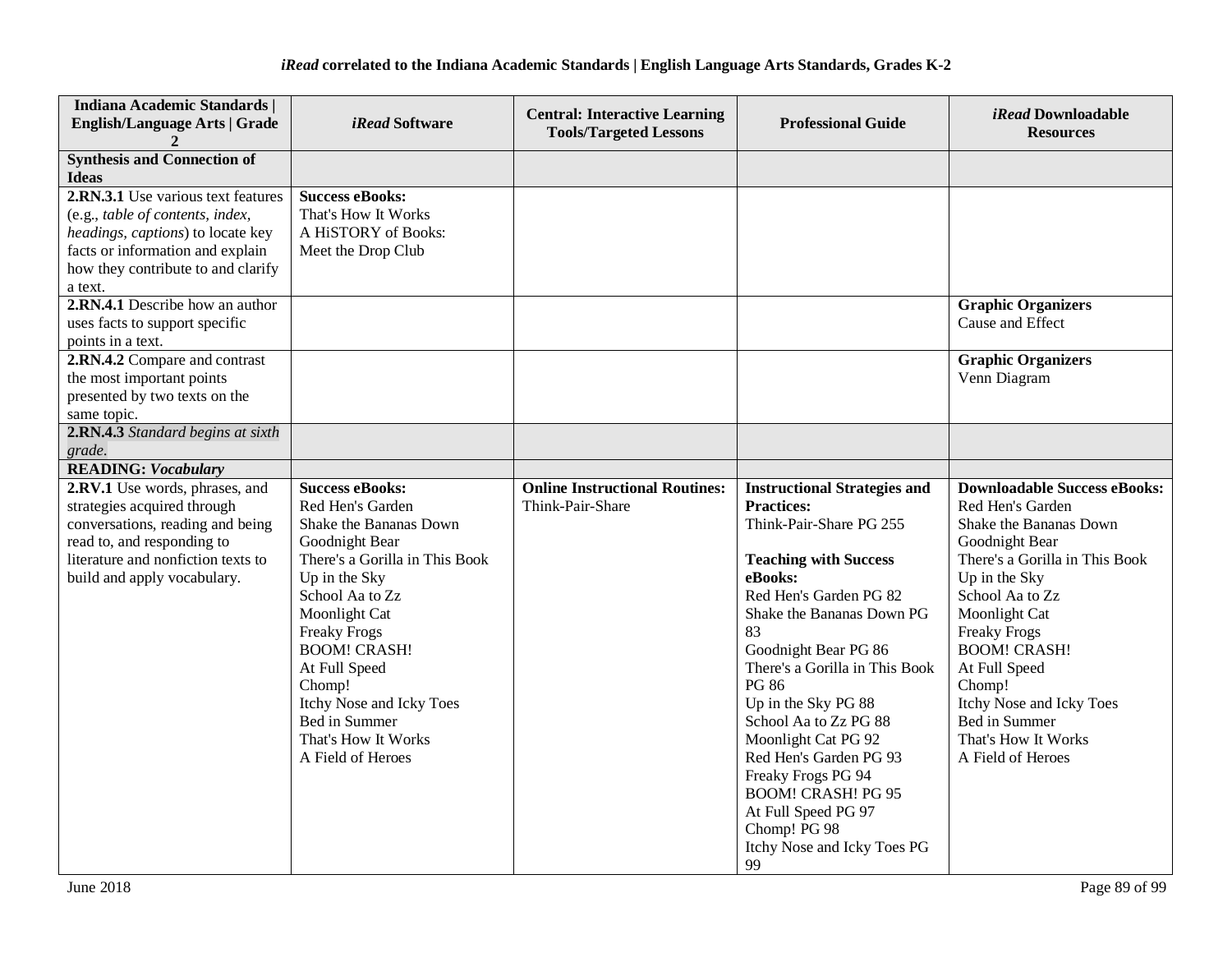| <b>Indiana Academic Standards  </b><br><b>English/Language Arts   Grade</b>                                                                                                                                                         | <i>iRead</i> Software                                                                                                                                                                                                                                                                                                                           | <b>Central: Interactive Learning</b><br><b>Tools/Targeted Lessons</b> | <b>Professional Guide</b>                                                                                                                                                                                                                                                                                                                                                                                                                                                                             | <i>iRead</i> Downloadable<br><b>Resources</b>                                                                                                                                                                                                                                                                                                                |
|-------------------------------------------------------------------------------------------------------------------------------------------------------------------------------------------------------------------------------------|-------------------------------------------------------------------------------------------------------------------------------------------------------------------------------------------------------------------------------------------------------------------------------------------------------------------------------------------------|-----------------------------------------------------------------------|-------------------------------------------------------------------------------------------------------------------------------------------------------------------------------------------------------------------------------------------------------------------------------------------------------------------------------------------------------------------------------------------------------------------------------------------------------------------------------------------------------|--------------------------------------------------------------------------------------------------------------------------------------------------------------------------------------------------------------------------------------------------------------------------------------------------------------------------------------------------------------|
| <b>Synthesis and Connection of</b><br><b>Ideas</b>                                                                                                                                                                                  |                                                                                                                                                                                                                                                                                                                                                 |                                                                       |                                                                                                                                                                                                                                                                                                                                                                                                                                                                                                       |                                                                                                                                                                                                                                                                                                                                                              |
| 2.RN.3.1 Use various text features<br>(e.g., table of contents, index,<br>headings, captions) to locate key<br>facts or information and explain<br>how they contribute to and clarify<br>a text.<br>2.RN.4.1 Describe how an author | <b>Success eBooks:</b><br>That's How It Works<br>A HiSTORY of Books:<br>Meet the Drop Club                                                                                                                                                                                                                                                      |                                                                       |                                                                                                                                                                                                                                                                                                                                                                                                                                                                                                       | <b>Graphic Organizers</b>                                                                                                                                                                                                                                                                                                                                    |
| uses facts to support specific<br>points in a text.                                                                                                                                                                                 |                                                                                                                                                                                                                                                                                                                                                 |                                                                       |                                                                                                                                                                                                                                                                                                                                                                                                                                                                                                       | Cause and Effect                                                                                                                                                                                                                                                                                                                                             |
| 2.RN.4.2 Compare and contrast<br>the most important points<br>presented by two texts on the<br>same topic.                                                                                                                          |                                                                                                                                                                                                                                                                                                                                                 |                                                                       |                                                                                                                                                                                                                                                                                                                                                                                                                                                                                                       | <b>Graphic Organizers</b><br>Venn Diagram                                                                                                                                                                                                                                                                                                                    |
| 2.RN.4.3 Standard begins at sixth<br>grade.                                                                                                                                                                                         |                                                                                                                                                                                                                                                                                                                                                 |                                                                       |                                                                                                                                                                                                                                                                                                                                                                                                                                                                                                       |                                                                                                                                                                                                                                                                                                                                                              |
| <b>READING: Vocabulary</b>                                                                                                                                                                                                          |                                                                                                                                                                                                                                                                                                                                                 |                                                                       |                                                                                                                                                                                                                                                                                                                                                                                                                                                                                                       |                                                                                                                                                                                                                                                                                                                                                              |
| 2.RV.1 Use words, phrases, and<br>strategies acquired through<br>conversations, reading and being<br>read to, and responding to<br>literature and nonfiction texts to<br>build and apply vocabulary.                                | <b>Success eBooks:</b><br>Red Hen's Garden<br>Shake the Bananas Down<br>Goodnight Bear<br>There's a Gorilla in This Book<br>Up in the Sky<br>School Aa to Zz<br>Moonlight Cat<br><b>Freaky Frogs</b><br><b>BOOM! CRASH!</b><br>At Full Speed<br>Chomp!<br>Itchy Nose and Icky Toes<br>Bed in Summer<br>That's How It Works<br>A Field of Heroes | <b>Online Instructional Routines:</b><br>Think-Pair-Share             | <b>Instructional Strategies and</b><br><b>Practices:</b><br>Think-Pair-Share PG 255<br><b>Teaching with Success</b><br>eBooks:<br>Red Hen's Garden PG 82<br>Shake the Bananas Down PG<br>83<br>Goodnight Bear PG 86<br>There's a Gorilla in This Book<br><b>PG 86</b><br>Up in the Sky PG 88<br>School Aa to Zz PG 88<br>Moonlight Cat PG 92<br>Red Hen's Garden PG 93<br>Freaky Frogs PG 94<br><b>BOOM! CRASH! PG 95</b><br>At Full Speed PG 97<br>Chomp! PG 98<br>Itchy Nose and Icky Toes PG<br>99 | <b>Downloadable Success eBooks:</b><br>Red Hen's Garden<br>Shake the Bananas Down<br>Goodnight Bear<br>There's a Gorilla in This Book<br>Up in the Sky<br>School Aa to Zz<br>Moonlight Cat<br><b>Freaky Frogs</b><br><b>BOOM! CRASH!</b><br>At Full Speed<br>Chomp!<br>Itchy Nose and Icky Toes<br>Bed in Summer<br>That's How It Works<br>A Field of Heroes |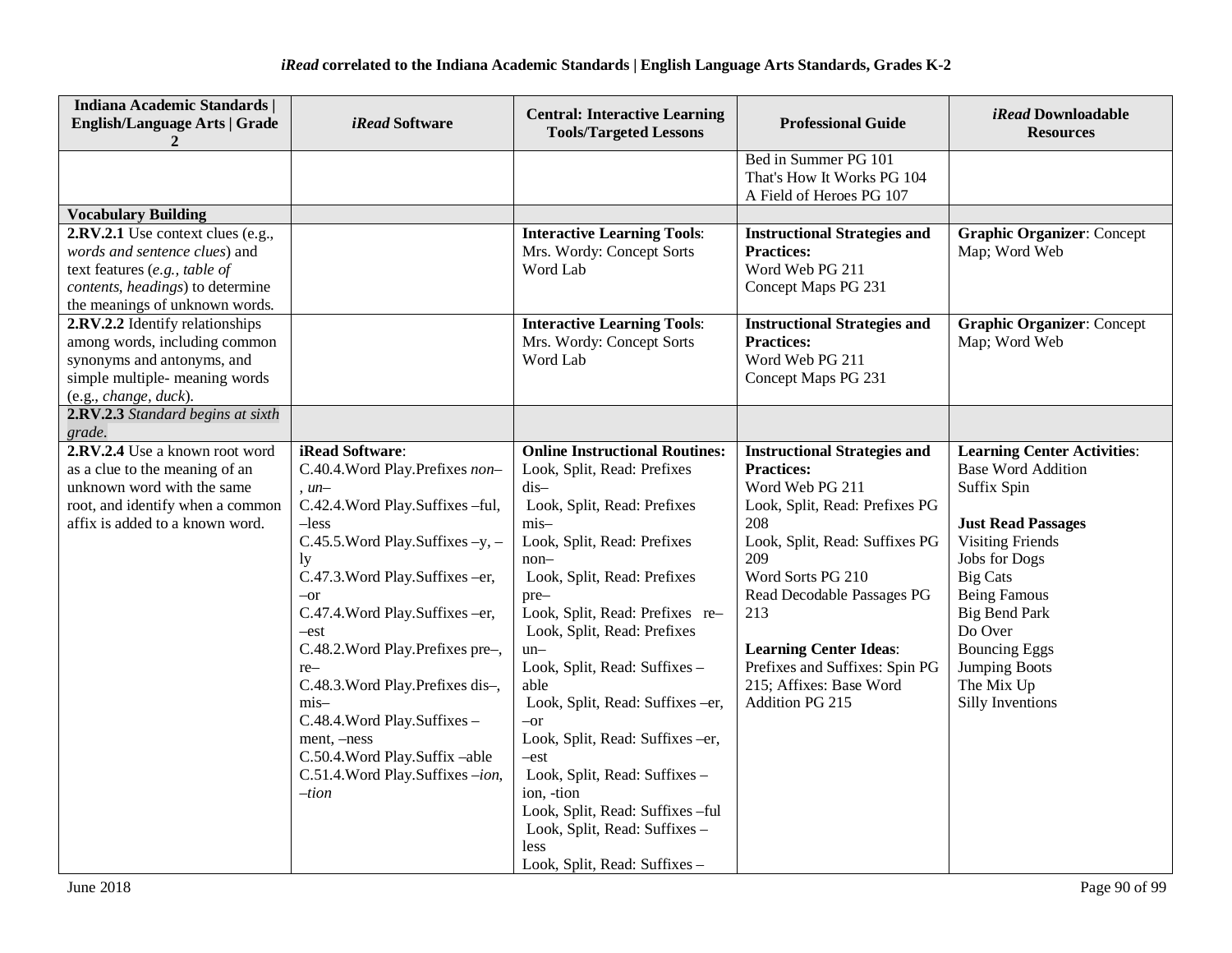| <b>Indiana Academic Standards  </b><br><b>English/Language Arts   Grade</b>                                                                                                                    | <i>iRead</i> Software                                                                                                                                                                                                                                                                                                                                                                                                                                                                | <b>Central: Interactive Learning</b><br><b>Tools/Targeted Lessons</b>                                                                                                                                                                                                                                                                                                                                                                                                                                                                                                             | <b>Professional Guide</b>                                                                                                                                                                                                                                                                                                                | iRead Downloadable<br><b>Resources</b>                                                                                                                                                                                                                                                                                        |
|------------------------------------------------------------------------------------------------------------------------------------------------------------------------------------------------|--------------------------------------------------------------------------------------------------------------------------------------------------------------------------------------------------------------------------------------------------------------------------------------------------------------------------------------------------------------------------------------------------------------------------------------------------------------------------------------|-----------------------------------------------------------------------------------------------------------------------------------------------------------------------------------------------------------------------------------------------------------------------------------------------------------------------------------------------------------------------------------------------------------------------------------------------------------------------------------------------------------------------------------------------------------------------------------|------------------------------------------------------------------------------------------------------------------------------------------------------------------------------------------------------------------------------------------------------------------------------------------------------------------------------------------|-------------------------------------------------------------------------------------------------------------------------------------------------------------------------------------------------------------------------------------------------------------------------------------------------------------------------------|
|                                                                                                                                                                                                |                                                                                                                                                                                                                                                                                                                                                                                                                                                                                      |                                                                                                                                                                                                                                                                                                                                                                                                                                                                                                                                                                                   | Bed in Summer PG 101<br>That's How It Works PG 104<br>A Field of Heroes PG 107                                                                                                                                                                                                                                                           |                                                                                                                                                                                                                                                                                                                               |
| <b>Vocabulary Building</b>                                                                                                                                                                     |                                                                                                                                                                                                                                                                                                                                                                                                                                                                                      |                                                                                                                                                                                                                                                                                                                                                                                                                                                                                                                                                                                   |                                                                                                                                                                                                                                                                                                                                          |                                                                                                                                                                                                                                                                                                                               |
| 2.RV.2.1 Use context clues (e.g.,<br>words and sentence clues) and<br>text features $(e.g., table of$<br>contents, headings) to determine<br>the meanings of unknown words.                    |                                                                                                                                                                                                                                                                                                                                                                                                                                                                                      | <b>Interactive Learning Tools:</b><br>Mrs. Wordy: Concept Sorts<br>Word Lab                                                                                                                                                                                                                                                                                                                                                                                                                                                                                                       | <b>Instructional Strategies and</b><br><b>Practices:</b><br>Word Web PG 211<br>Concept Maps PG 231                                                                                                                                                                                                                                       | <b>Graphic Organizer: Concept</b><br>Map; Word Web                                                                                                                                                                                                                                                                            |
| 2.RV.2.2 Identify relationships<br>among words, including common<br>synonyms and antonyms, and<br>simple multiple- meaning words<br>(e.g., change, duck).<br>2.RV.2.3 Standard begins at sixth |                                                                                                                                                                                                                                                                                                                                                                                                                                                                                      | <b>Interactive Learning Tools:</b><br>Mrs. Wordy: Concept Sorts<br>Word Lab                                                                                                                                                                                                                                                                                                                                                                                                                                                                                                       | <b>Instructional Strategies and</b><br><b>Practices:</b><br>Word Web PG 211<br>Concept Maps PG 231                                                                                                                                                                                                                                       | <b>Graphic Organizer: Concept</b><br>Map; Word Web                                                                                                                                                                                                                                                                            |
| grade.                                                                                                                                                                                         |                                                                                                                                                                                                                                                                                                                                                                                                                                                                                      |                                                                                                                                                                                                                                                                                                                                                                                                                                                                                                                                                                                   |                                                                                                                                                                                                                                                                                                                                          |                                                                                                                                                                                                                                                                                                                               |
| 2.RV.2.4 Use a known root word<br>as a clue to the meaning of an<br>unknown word with the same<br>root, and identify when a common<br>affix is added to a known word.                          | iRead Software:<br>C.40.4. Word Play. Prefixes non-<br>$, un-$<br>C.42.4. Word Play. Suffixes -ful,<br>$-less$<br>C.45.5. Word Play. Suffixes -y, -<br>ly<br>C.47.3. Word Play. Suffixes -er,<br>$-or$<br>C.47.4. Word Play. Suffixes -er,<br>$-est$<br>C.48.2. Word Play. Prefixes pre-,<br>$re-$<br>C.48.3. Word Play. Prefixes dis-,<br>mis-<br>C.48.4. Word Play. Suffixes -<br>ment, $-ness$<br>C.50.4. Word Play. Suffix -able<br>C.51.4. Word Play. Suffixes -ion,<br>$-iion$ | <b>Online Instructional Routines:</b><br>Look, Split, Read: Prefixes<br>dis-<br>Look, Split, Read: Prefixes<br>$mis-$<br>Look, Split, Read: Prefixes<br>$non-$<br>Look, Split, Read: Prefixes<br>pre-<br>Look, Split, Read: Prefixes re-<br>Look, Split, Read: Prefixes<br>$un-$<br>Look, Split, Read: Suffixes -<br>able<br>Look, Split, Read: Suffixes -er,<br>$-or$<br>Look, Split, Read: Suffixes -er,<br>$-est$<br>Look, Split, Read: Suffixes -<br>ion, -tion<br>Look, Split, Read: Suffixes -ful<br>Look, Split, Read: Suffixes -<br>less<br>Look, Split, Read: Suffixes - | <b>Instructional Strategies and</b><br><b>Practices:</b><br>Word Web PG 211<br>Look, Split, Read: Prefixes PG<br>208<br>Look, Split, Read: Suffixes PG<br>209<br>Word Sorts PG 210<br>Read Decodable Passages PG<br>213<br><b>Learning Center Ideas:</b><br>Prefixes and Suffixes: Spin PG<br>215; Affixes: Base Word<br>Addition PG 215 | <b>Learning Center Activities:</b><br><b>Base Word Addition</b><br>Suffix Spin<br><b>Just Read Passages</b><br><b>Visiting Friends</b><br><b>Jobs for Dogs</b><br><b>Big Cats</b><br><b>Being Famous</b><br><b>Big Bend Park</b><br>Do Over<br><b>Bouncing Eggs</b><br><b>Jumping Boots</b><br>The Mix Up<br>Silly Inventions |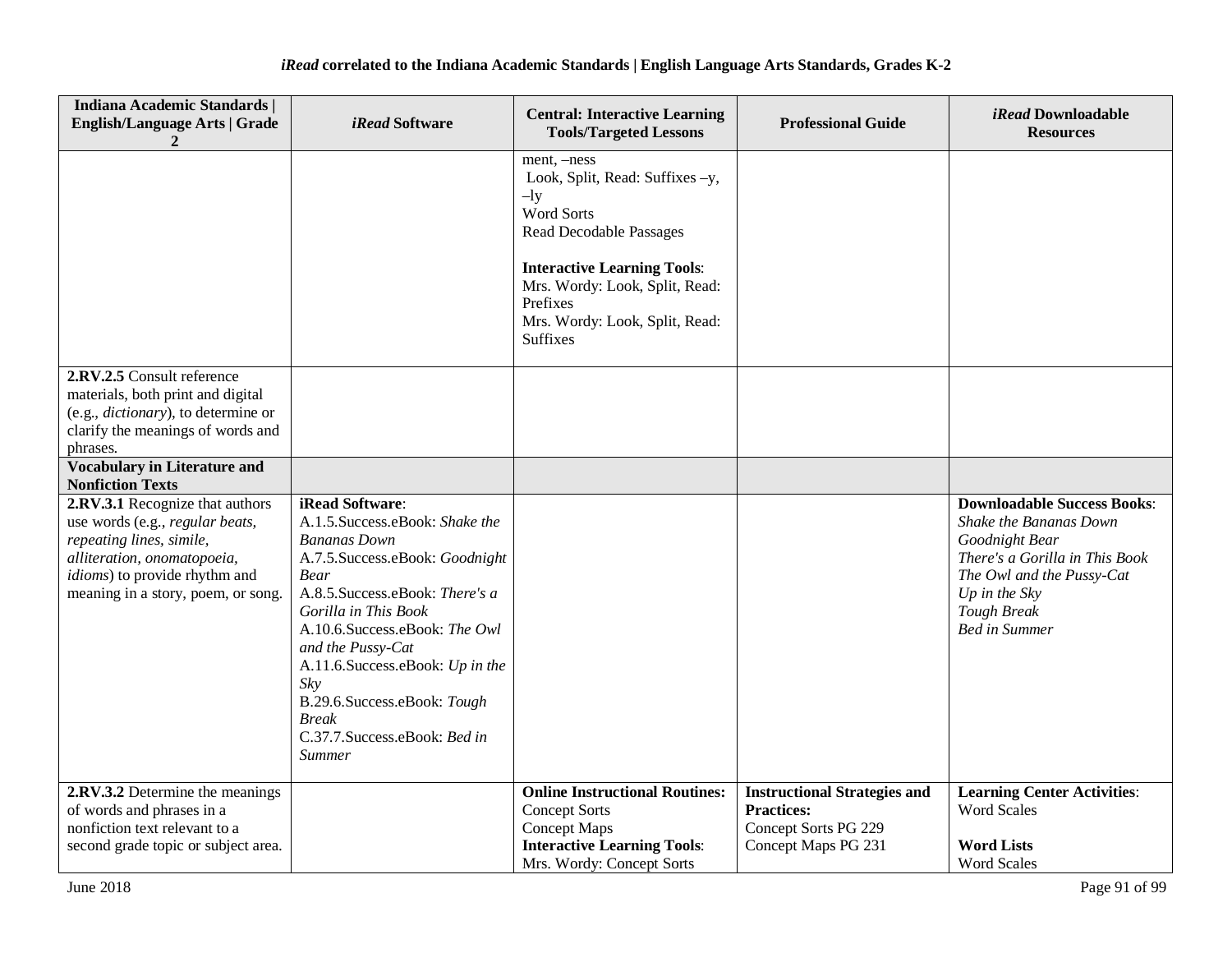| <b>Indiana Academic Standards  </b><br><b>English/Language Arts   Grade</b>                                                                                                                          | iRead Software                                                                                                                                                                                                                                                                                                                                                                   | <b>Central: Interactive Learning</b><br><b>Tools/Targeted Lessons</b>                                                                                                                                                                                    | <b>Professional Guide</b>                                                                               | <i>iRead</i> Downloadable<br><b>Resources</b>                                                                                                                                                                |
|------------------------------------------------------------------------------------------------------------------------------------------------------------------------------------------------------|----------------------------------------------------------------------------------------------------------------------------------------------------------------------------------------------------------------------------------------------------------------------------------------------------------------------------------------------------------------------------------|----------------------------------------------------------------------------------------------------------------------------------------------------------------------------------------------------------------------------------------------------------|---------------------------------------------------------------------------------------------------------|--------------------------------------------------------------------------------------------------------------------------------------------------------------------------------------------------------------|
|                                                                                                                                                                                                      |                                                                                                                                                                                                                                                                                                                                                                                  | ment, -ness<br>Look, Split, Read: Suffixes -y,<br>$-$ ly<br><b>Word Sorts</b><br><b>Read Decodable Passages</b><br><b>Interactive Learning Tools:</b><br>Mrs. Wordy: Look, Split, Read:<br>Prefixes<br>Mrs. Wordy: Look, Split, Read:<br><b>Suffixes</b> |                                                                                                         |                                                                                                                                                                                                              |
| 2.RV.2.5 Consult reference<br>materials, both print and digital<br>(e.g., <i>dictionary</i> ), to determine or<br>clarify the meanings of words and<br>phrases.                                      |                                                                                                                                                                                                                                                                                                                                                                                  |                                                                                                                                                                                                                                                          |                                                                                                         |                                                                                                                                                                                                              |
| <b>Vocabulary in Literature and</b><br><b>Nonfiction Texts</b>                                                                                                                                       |                                                                                                                                                                                                                                                                                                                                                                                  |                                                                                                                                                                                                                                                          |                                                                                                         |                                                                                                                                                                                                              |
| 2.RV.3.1 Recognize that authors<br>use words (e.g., regular beats,<br>repeating lines, simile,<br>alliteration, onomatopoeia,<br>idioms) to provide rhythm and<br>meaning in a story, poem, or song. | iRead Software:<br>A.1.5. Success.eBook: Shake the<br><b>Bananas Down</b><br>A.7.5. Success.eBook: Goodnight<br><b>Bear</b><br>A.8.5. Success.eBook: There's a<br>Gorilla in This Book<br>A.10.6.Success.eBook: The Owl<br>and the Pussy-Cat<br>A.11.6. Success.eBook: Up in the<br>Sky<br>B.29.6.Success.eBook: Tough<br><b>Break</b><br>C.37.7.Success.eBook: Bed in<br>Summer |                                                                                                                                                                                                                                                          |                                                                                                         | <b>Downloadable Success Books:</b><br>Shake the Bananas Down<br>Goodnight Bear<br>There's a Gorilla in This Book<br>The Owl and the Pussy-Cat<br>Up in the Sky<br><b>Tough Break</b><br><b>Bed in Summer</b> |
| 2.RV.3.2 Determine the meanings<br>of words and phrases in a<br>nonfiction text relevant to a<br>second grade topic or subject area.                                                                 |                                                                                                                                                                                                                                                                                                                                                                                  | <b>Online Instructional Routines:</b><br><b>Concept Sorts</b><br><b>Concept Maps</b><br><b>Interactive Learning Tools:</b><br>Mrs. Wordy: Concept Sorts                                                                                                  | <b>Instructional Strategies and</b><br><b>Practices:</b><br>Concept Sorts PG 229<br>Concept Maps PG 231 | <b>Learning Center Activities:</b><br><b>Word Scales</b><br><b>Word Lists</b><br><b>Word Scales</b>                                                                                                          |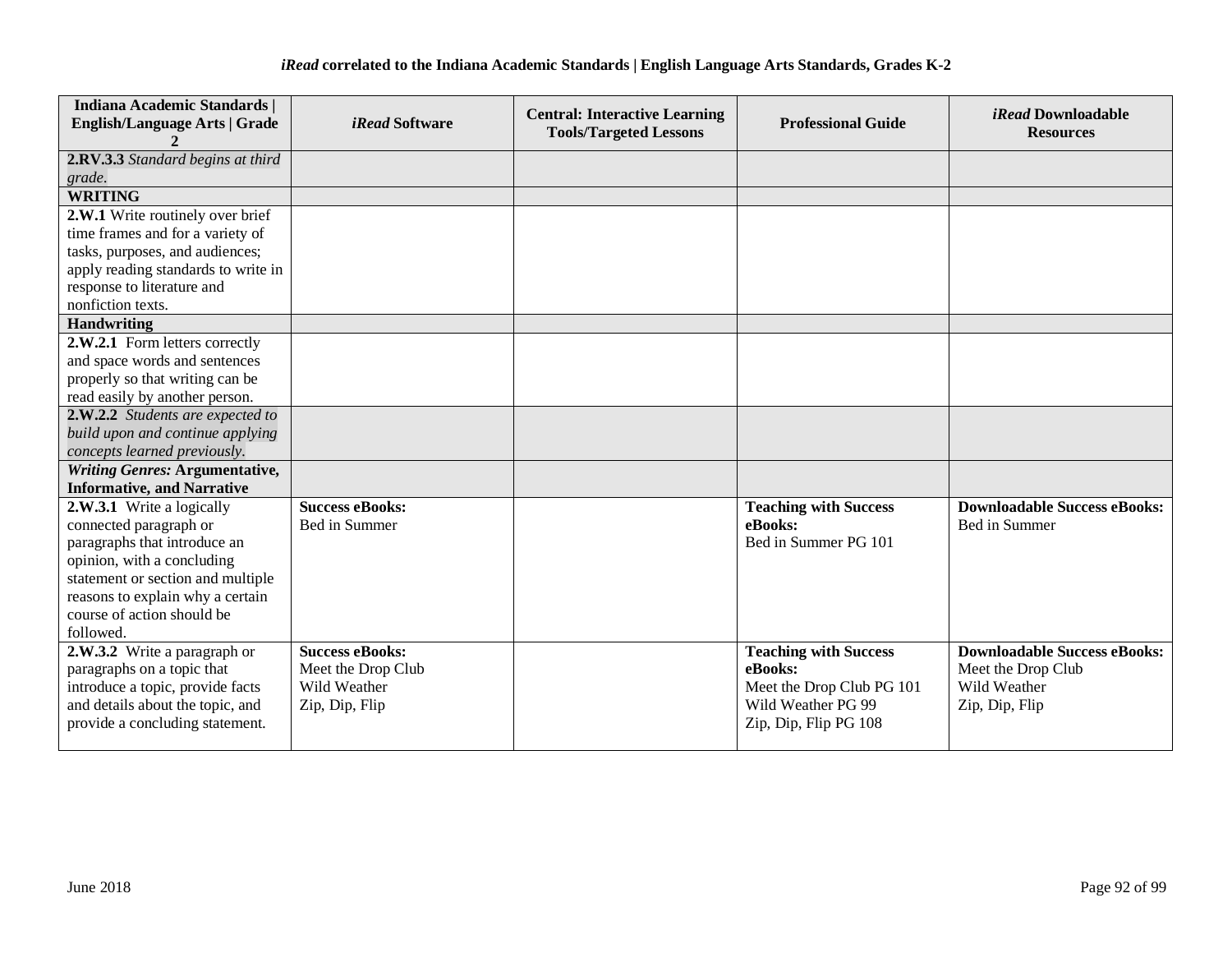| <b>Indiana Academic Standards  </b><br><b>English/Language Arts   Grade</b> | <i>iRead</i> Software  | <b>Central: Interactive Learning</b><br><b>Tools/Targeted Lessons</b> | <b>Professional Guide</b>    | <i>iRead</i> Downloadable<br><b>Resources</b> |
|-----------------------------------------------------------------------------|------------------------|-----------------------------------------------------------------------|------------------------------|-----------------------------------------------|
|                                                                             |                        |                                                                       |                              |                                               |
| 2.RV.3.3 Standard begins at third                                           |                        |                                                                       |                              |                                               |
| grade.                                                                      |                        |                                                                       |                              |                                               |
| <b>WRITING</b>                                                              |                        |                                                                       |                              |                                               |
| 2.W.1 Write routinely over brief                                            |                        |                                                                       |                              |                                               |
| time frames and for a variety of                                            |                        |                                                                       |                              |                                               |
| tasks, purposes, and audiences;                                             |                        |                                                                       |                              |                                               |
| apply reading standards to write in                                         |                        |                                                                       |                              |                                               |
| response to literature and                                                  |                        |                                                                       |                              |                                               |
| nonfiction texts.                                                           |                        |                                                                       |                              |                                               |
| <b>Handwriting</b>                                                          |                        |                                                                       |                              |                                               |
| 2.W.2.1 Form letters correctly                                              |                        |                                                                       |                              |                                               |
| and space words and sentences                                               |                        |                                                                       |                              |                                               |
| properly so that writing can be                                             |                        |                                                                       |                              |                                               |
| read easily by another person.                                              |                        |                                                                       |                              |                                               |
| 2.W.2.2 Students are expected to                                            |                        |                                                                       |                              |                                               |
| build upon and continue applying                                            |                        |                                                                       |                              |                                               |
| concepts learned previously.                                                |                        |                                                                       |                              |                                               |
| <b>Writing Genres: Argumentative,</b>                                       |                        |                                                                       |                              |                                               |
| <b>Informative, and Narrative</b>                                           |                        |                                                                       |                              |                                               |
| 2.W.3.1 Write a logically                                                   | <b>Success eBooks:</b> |                                                                       | <b>Teaching with Success</b> | <b>Downloadable Success eBooks:</b>           |
| connected paragraph or                                                      | Bed in Summer          |                                                                       | eBooks:                      | Bed in Summer                                 |
| paragraphs that introduce an                                                |                        |                                                                       | Bed in Summer PG 101         |                                               |
| opinion, with a concluding                                                  |                        |                                                                       |                              |                                               |
| statement or section and multiple                                           |                        |                                                                       |                              |                                               |
| reasons to explain why a certain                                            |                        |                                                                       |                              |                                               |
| course of action should be                                                  |                        |                                                                       |                              |                                               |
| followed.                                                                   |                        |                                                                       |                              |                                               |
| 2.W.3.2 Write a paragraph or                                                | <b>Success eBooks:</b> |                                                                       | <b>Teaching with Success</b> | <b>Downloadable Success eBooks:</b>           |
| paragraphs on a topic that                                                  | Meet the Drop Club     |                                                                       | eBooks:                      | Meet the Drop Club                            |
| introduce a topic, provide facts                                            | Wild Weather           |                                                                       | Meet the Drop Club PG 101    | Wild Weather                                  |
| and details about the topic, and                                            | Zip, Dip, Flip         |                                                                       | Wild Weather PG 99           | Zip, Dip, Flip                                |
| provide a concluding statement.                                             |                        |                                                                       | Zip, Dip, Flip PG 108        |                                               |
|                                                                             |                        |                                                                       |                              |                                               |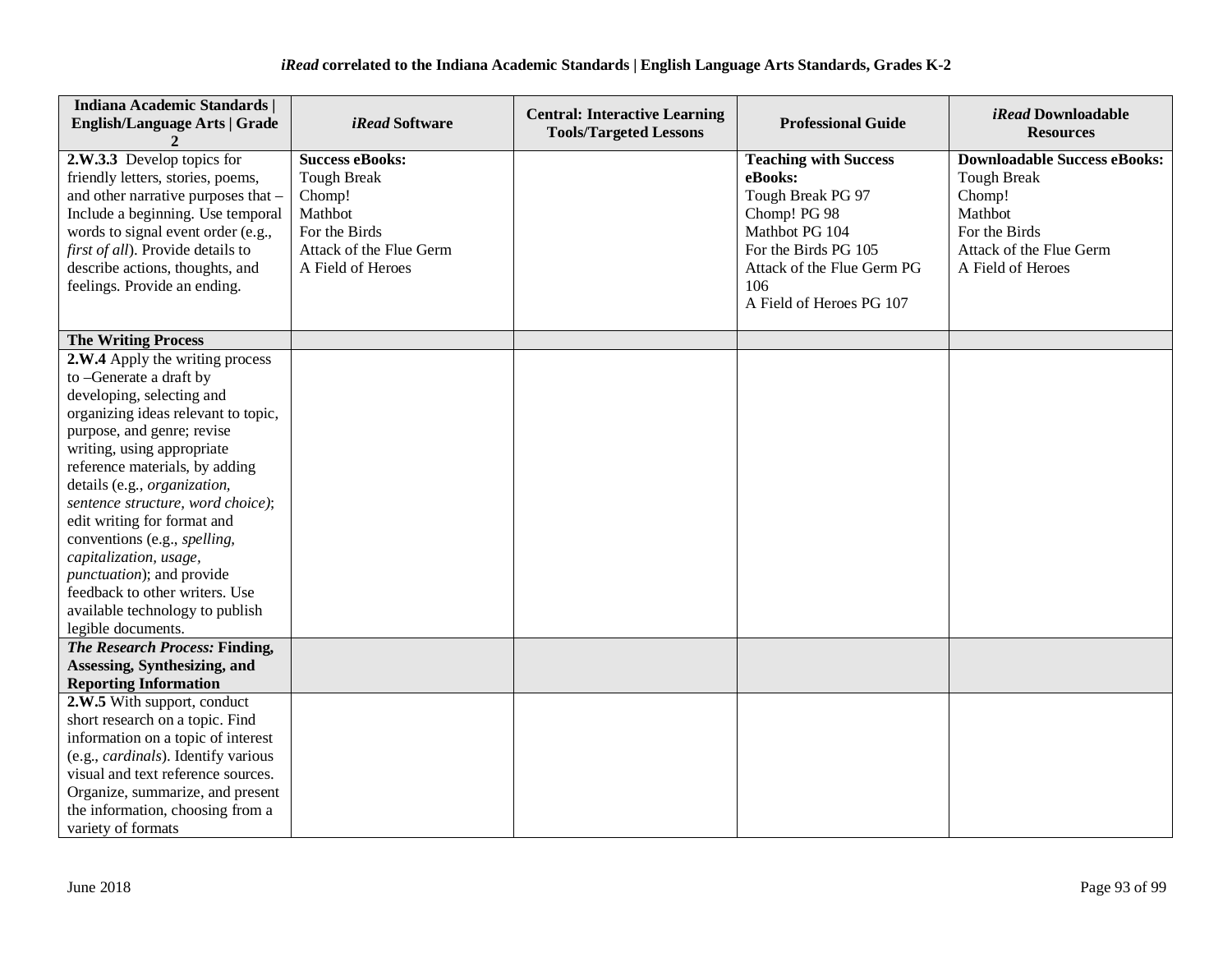| <b>Indiana Academic Standards  </b><br><b>English/Language Arts   Grade</b>                                                                                                                                                                                                                                                                                                                                                                                                                                                | <i>iRead</i> Software                                                                                                              | <b>Central: Interactive Learning</b><br><b>Tools/Targeted Lessons</b> | <b>Professional Guide</b>                                                                                                                                                               | <i>iRead</i> Downloadable<br><b>Resources</b>                                                                                                   |
|----------------------------------------------------------------------------------------------------------------------------------------------------------------------------------------------------------------------------------------------------------------------------------------------------------------------------------------------------------------------------------------------------------------------------------------------------------------------------------------------------------------------------|------------------------------------------------------------------------------------------------------------------------------------|-----------------------------------------------------------------------|-----------------------------------------------------------------------------------------------------------------------------------------------------------------------------------------|-------------------------------------------------------------------------------------------------------------------------------------------------|
| 2.W.3.3 Develop topics for<br>friendly letters, stories, poems,<br>and other narrative purposes that -<br>Include a beginning. Use temporal<br>words to signal event order (e.g.,<br>first of all). Provide details to<br>describe actions, thoughts, and<br>feelings. Provide an ending.                                                                                                                                                                                                                                  | <b>Success eBooks:</b><br><b>Tough Break</b><br>Chomp!<br>Mathbot<br>For the Birds<br>Attack of the Flue Germ<br>A Field of Heroes |                                                                       | <b>Teaching with Success</b><br>eBooks:<br>Tough Break PG 97<br>Chomp! PG 98<br>Mathbot PG 104<br>For the Birds PG 105<br>Attack of the Flue Germ PG<br>106<br>A Field of Heroes PG 107 | <b>Downloadable Success eBooks:</b><br><b>Tough Break</b><br>Chomp!<br>Mathbot<br>For the Birds<br>Attack of the Flue Germ<br>A Field of Heroes |
| <b>The Writing Process</b>                                                                                                                                                                                                                                                                                                                                                                                                                                                                                                 |                                                                                                                                    |                                                                       |                                                                                                                                                                                         |                                                                                                                                                 |
| 2.W.4 Apply the writing process<br>to -Generate a draft by<br>developing, selecting and<br>organizing ideas relevant to topic,<br>purpose, and genre; revise<br>writing, using appropriate<br>reference materials, by adding<br>details (e.g., organization,<br>sentence structure, word choice);<br>edit writing for format and<br>conventions (e.g., spelling,<br>capitalization, usage,<br><i>punctuation</i> ); and provide<br>feedback to other writers. Use<br>available technology to publish<br>legible documents. |                                                                                                                                    |                                                                       |                                                                                                                                                                                         |                                                                                                                                                 |
| The Research Process: Finding,<br>Assessing, Synthesizing, and<br><b>Reporting Information</b>                                                                                                                                                                                                                                                                                                                                                                                                                             |                                                                                                                                    |                                                                       |                                                                                                                                                                                         |                                                                                                                                                 |
| 2.W.5 With support, conduct<br>short research on a topic. Find<br>information on a topic of interest<br>(e.g., <i>cardinals</i> ). Identify various<br>visual and text reference sources.<br>Organize, summarize, and present<br>the information, choosing from a<br>variety of formats                                                                                                                                                                                                                                    |                                                                                                                                    |                                                                       |                                                                                                                                                                                         |                                                                                                                                                 |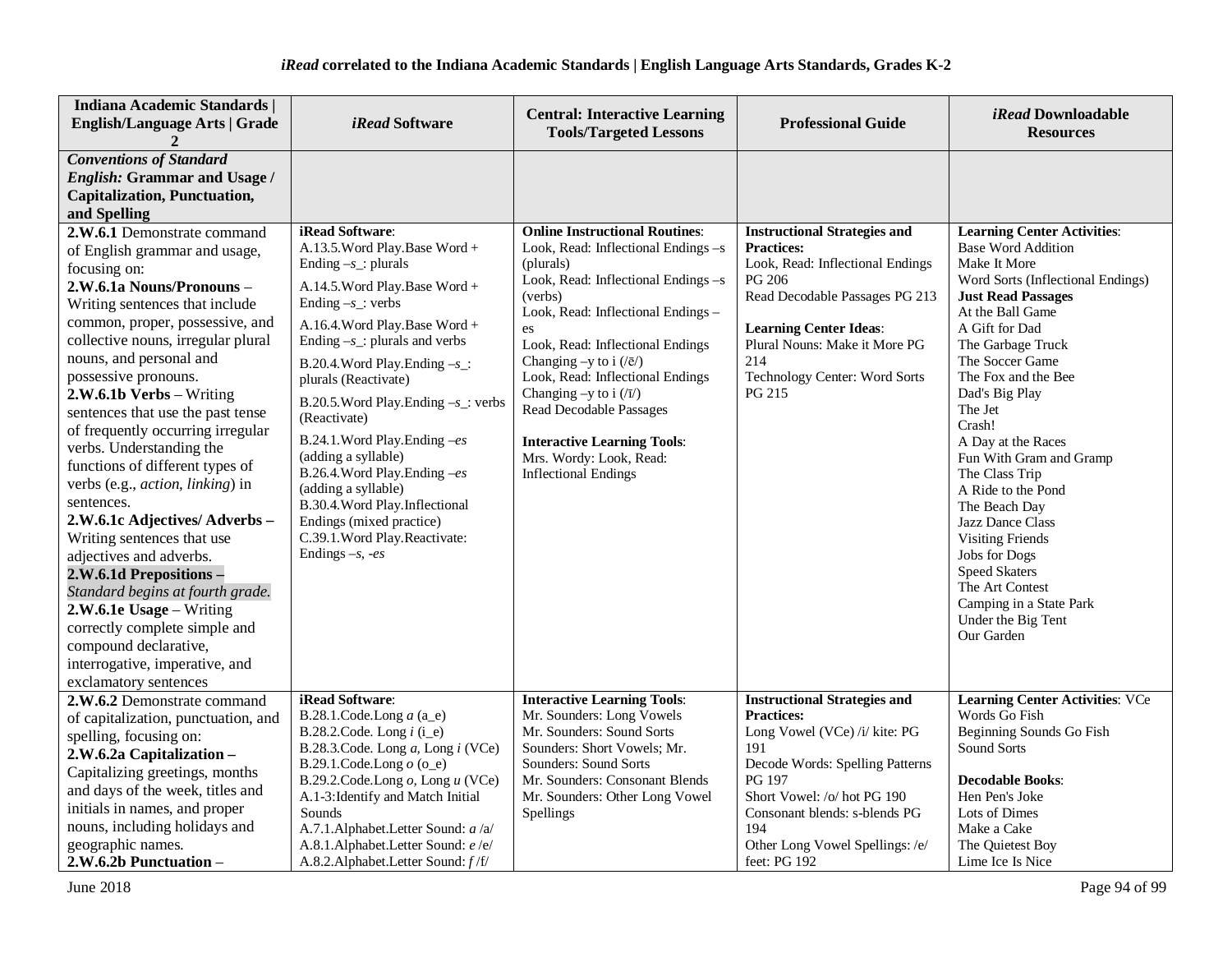| <b>Indiana Academic Standards  </b><br><b>English/Language Arts   Grade</b>                                                                                                                                                                                                                                                                                                                                                                                                                                                                                                                                                                                                                                                                                                                            | iRead Software                                                                                                                                                                                                                                                                                                                                                                                                                                                                                                                                                              | <b>Central: Interactive Learning</b><br><b>Tools/Targeted Lessons</b>                                                                                                                                                                                                                                                                                                                                                                                                | <b>Professional Guide</b>                                                                                                                                                                                                                                               | iRead Downloadable<br><b>Resources</b>                                                                                                                                                                                                                                                                                                                                                                                                                                                                                                                                                   |
|--------------------------------------------------------------------------------------------------------------------------------------------------------------------------------------------------------------------------------------------------------------------------------------------------------------------------------------------------------------------------------------------------------------------------------------------------------------------------------------------------------------------------------------------------------------------------------------------------------------------------------------------------------------------------------------------------------------------------------------------------------------------------------------------------------|-----------------------------------------------------------------------------------------------------------------------------------------------------------------------------------------------------------------------------------------------------------------------------------------------------------------------------------------------------------------------------------------------------------------------------------------------------------------------------------------------------------------------------------------------------------------------------|----------------------------------------------------------------------------------------------------------------------------------------------------------------------------------------------------------------------------------------------------------------------------------------------------------------------------------------------------------------------------------------------------------------------------------------------------------------------|-------------------------------------------------------------------------------------------------------------------------------------------------------------------------------------------------------------------------------------------------------------------------|------------------------------------------------------------------------------------------------------------------------------------------------------------------------------------------------------------------------------------------------------------------------------------------------------------------------------------------------------------------------------------------------------------------------------------------------------------------------------------------------------------------------------------------------------------------------------------------|
| <b>Conventions of Standard</b><br><b>English: Grammar and Usage /</b><br><b>Capitalization, Punctuation,</b><br>and Spelling                                                                                                                                                                                                                                                                                                                                                                                                                                                                                                                                                                                                                                                                           |                                                                                                                                                                                                                                                                                                                                                                                                                                                                                                                                                                             |                                                                                                                                                                                                                                                                                                                                                                                                                                                                      |                                                                                                                                                                                                                                                                         |                                                                                                                                                                                                                                                                                                                                                                                                                                                                                                                                                                                          |
| 2.W.6.1 Demonstrate command<br>of English grammar and usage,<br>focusing on:<br>2.W.6.1a Nouns/Pronouns-<br>Writing sentences that include<br>common, proper, possessive, and<br>collective nouns, irregular plural<br>nouns, and personal and<br>possessive pronouns.<br>2.W.6.1b Verbs - Writing<br>sentences that use the past tense<br>of frequently occurring irregular<br>verbs. Understanding the<br>functions of different types of<br>verbs (e.g., action, linking) in<br>sentences.<br>2.W.6.1c Adjectives/Adverbs-<br>Writing sentences that use<br>adjectives and adverbs.<br>2.W.6.1d Prepositions -<br>Standard begins at fourth grade.<br>2.W.6.1e Usage - Writing<br>correctly complete simple and<br>compound declarative,<br>interrogative, imperative, and<br>exclamatory sentences | iRead Software:<br>A.13.5. Word Play. Base Word +<br>Ending $-s$ _: plurals<br>A.14.5. Word Play. Base Word +<br>Ending $-s$ : verbs<br>A.16.4. Word Play. Base Word +<br>Ending $-s$ _: plurals and verbs<br>B.20.4. Word Play. Ending $-s$ _:<br>plurals (Reactivate)<br>B.20.5. Word Play. Ending $-s$ _: verbs<br>(Reactivate)<br>B.24.1. Word Play. Ending -es<br>(adding a syllable)<br>B.26.4. Word Play. Ending -es<br>(adding a syllable)<br>B.30.4. Word Play. Inflectional<br>Endings (mixed practice)<br>C.39.1. Word Play. Reactivate:<br>Endings $-s$ , $-es$ | <b>Online Instructional Routines:</b><br>Look, Read: Inflectional Endings $-s$<br>(plurals)<br>Look, Read: Inflectional Endings -s<br>(verbs)<br>Look, Read: Inflectional Endings -<br>es<br>Look, Read: Inflectional Endings<br>Changing $-y$ to i $(\sqrt{e})$<br>Look, Read: Inflectional Endings<br>Changing -y to i $(\overline{v})$<br>Read Decodable Passages<br><b>Interactive Learning Tools:</b><br>Mrs. Wordy: Look, Read:<br><b>Inflectional Endings</b> | <b>Instructional Strategies and</b><br><b>Practices:</b><br>Look, Read: Inflectional Endings<br>PG 206<br>Read Decodable Passages PG 213<br><b>Learning Center Ideas:</b><br>Plural Nouns: Make it More PG<br>214<br>Technology Center: Word Sorts<br>PG 215            | <b>Learning Center Activities:</b><br><b>Base Word Addition</b><br>Make It More<br>Word Sorts (Inflectional Endings)<br><b>Just Read Passages</b><br>At the Ball Game<br>A Gift for Dad<br>The Garbage Truck<br>The Soccer Game<br>The Fox and the Bee<br>Dad's Big Play<br>The Jet<br>Crash!<br>A Day at the Races<br>Fun With Gram and Gramp<br>The Class Trip<br>A Ride to the Pond<br>The Beach Day<br>Jazz Dance Class<br><b>Visiting Friends</b><br><b>Jobs</b> for Dogs<br><b>Speed Skaters</b><br>The Art Contest<br>Camping in a State Park<br>Under the Big Tent<br>Our Garden |
| 2.W.6.2 Demonstrate command<br>of capitalization, punctuation, and<br>spelling, focusing on:<br>2.W.6.2a Capitalization-<br>Capitalizing greetings, months<br>and days of the week, titles and<br>initials in names, and proper<br>nouns, including holidays and<br>geographic names.<br>2.W.6.2b Punctuation -                                                                                                                                                                                                                                                                                                                                                                                                                                                                                        | iRead Software:<br>B.28.1.Code.Long $a$ (a_e)<br>B.28.2.Code. Long $i$ (i_e)<br>B.28.3.Code. Long a, Long i (VCe)<br>B.29.1.Code.Long $o$ (o_e)<br>B.29.2.Code.Long $o$ , Long $u$ (VCe)<br>A.1-3: Identify and Match Initial<br>Sounds<br>A.7.1.Alphabet.Letter Sound: a /a/<br>A.8.1.Alphabet.Letter Sound: e/e/<br>A.8.2.Alphabet.Letter Sound: f/f/                                                                                                                                                                                                                     | <b>Interactive Learning Tools:</b><br>Mr. Sounders: Long Vowels<br>Mr. Sounders: Sound Sorts<br>Sounders: Short Vowels; Mr.<br>Sounders: Sound Sorts<br>Mr. Sounders: Consonant Blends<br>Mr. Sounders: Other Long Vowel<br>Spellings                                                                                                                                                                                                                                | <b>Instructional Strategies and</b><br><b>Practices:</b><br>Long Vowel (VCe) /i/ kite: PG<br>191<br>Decode Words: Spelling Patterns<br>PG 197<br>Short Vowel: /o/ hot PG 190<br>Consonant blends: s-blends PG<br>194<br>Other Long Vowel Spellings: /e/<br>feet: PG 192 | <b>Learning Center Activities: VCe</b><br>Words Go Fish<br>Beginning Sounds Go Fish<br><b>Sound Sorts</b><br><b>Decodable Books:</b><br>Hen Pen's Joke<br>Lots of Dimes<br>Make a Cake<br>The Quietest Boy<br>Lime Ice Is Nice                                                                                                                                                                                                                                                                                                                                                           |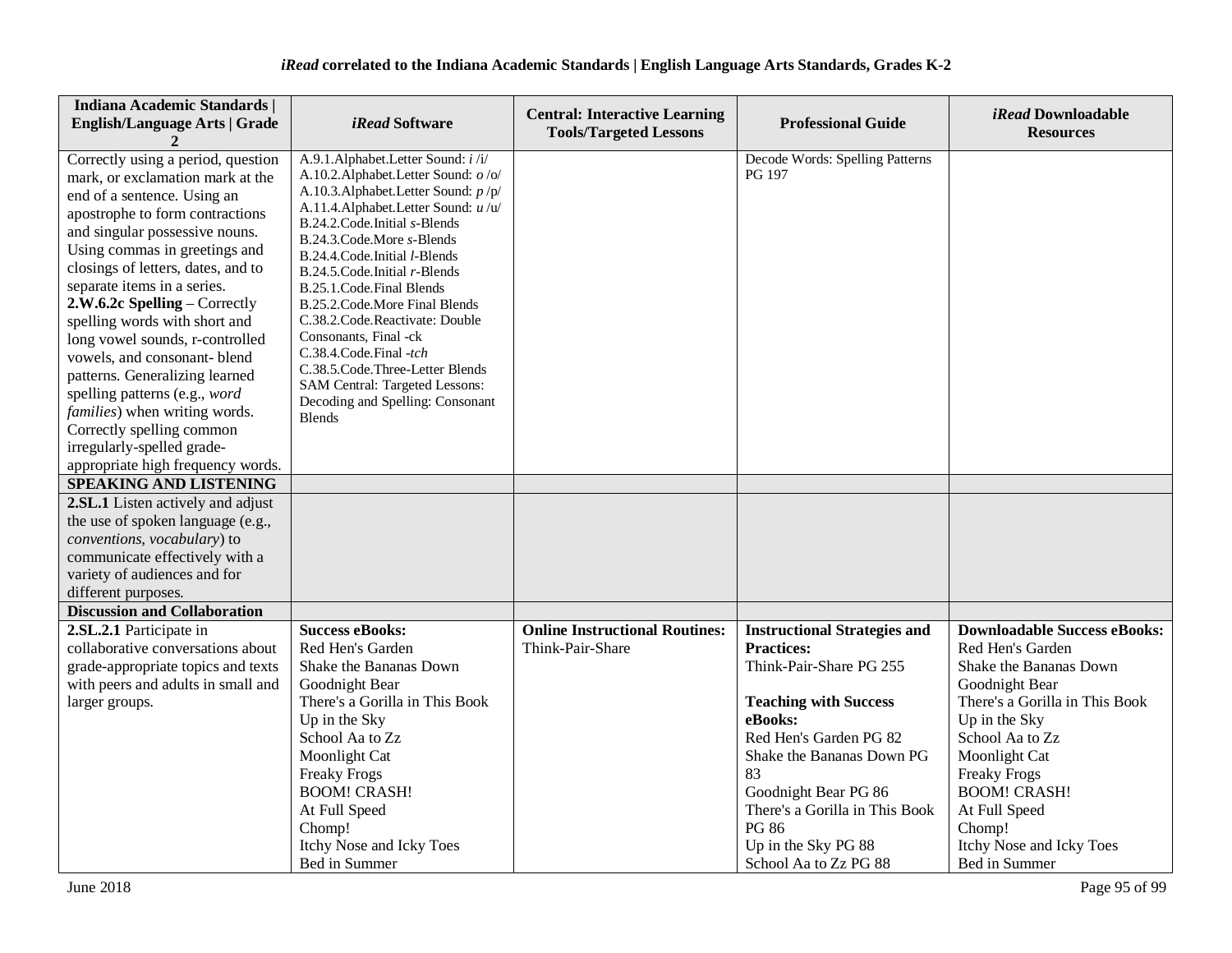| <b>Indiana Academic Standards  </b><br><b>English/Language Arts   Grade</b>                                                                                                                                                                                                                                                                                                                                                                                                                                                                                                                                              | <i>iRead</i> Software                                                                                                                                                                                                                                                                                                                                                                                                                                                                                                                                                              | <b>Central: Interactive Learning</b><br><b>Tools/Targeted Lessons</b> | <b>Professional Guide</b>                                                                                                                                                                                                                                                                                             | <i>iRead</i> Downloadable<br><b>Resources</b>                                                                                                                                                                                                                                                                    |
|--------------------------------------------------------------------------------------------------------------------------------------------------------------------------------------------------------------------------------------------------------------------------------------------------------------------------------------------------------------------------------------------------------------------------------------------------------------------------------------------------------------------------------------------------------------------------------------------------------------------------|------------------------------------------------------------------------------------------------------------------------------------------------------------------------------------------------------------------------------------------------------------------------------------------------------------------------------------------------------------------------------------------------------------------------------------------------------------------------------------------------------------------------------------------------------------------------------------|-----------------------------------------------------------------------|-----------------------------------------------------------------------------------------------------------------------------------------------------------------------------------------------------------------------------------------------------------------------------------------------------------------------|------------------------------------------------------------------------------------------------------------------------------------------------------------------------------------------------------------------------------------------------------------------------------------------------------------------|
| Correctly using a period, question<br>mark, or exclamation mark at the<br>end of a sentence. Using an<br>apostrophe to form contractions<br>and singular possessive nouns.<br>Using commas in greetings and<br>closings of letters, dates, and to<br>separate items in a series.<br>2.W.6.2c Spelling – Correctly<br>spelling words with short and<br>long vowel sounds, r-controlled<br>vowels, and consonant-blend<br>patterns. Generalizing learned<br>spelling patterns (e.g., word<br>families) when writing words.<br>Correctly spelling common<br>irregularly-spelled grade-<br>appropriate high frequency words. | A.9.1.Alphabet.Letter Sound: i/i/<br>A.10.2. Alphabet. Letter Sound: o /o/<br>A.10.3. Alphabet. Letter Sound: p /p/<br>A.11.4. Alphabet. Letter Sound: u/u/<br>B.24.2.Code.Initial s-Blends<br>B.24.3.Code.More s-Blends<br>B.24.4. Code. Initial <i>l</i> -Blends<br>B.24.5.Code.Initial r-Blends<br>B.25.1.Code.Final Blends<br>B.25.2. Code. More Final Blends<br>C.38.2. Code. Reactivate: Double<br>Consonants, Final -ck<br>C.38.4.Code.Final -tch<br>C.38.5.Code.Three-Letter Blends<br>SAM Central: Targeted Lessons:<br>Decoding and Spelling: Consonant<br><b>Blends</b> |                                                                       | Decode Words: Spelling Patterns<br>PG 197                                                                                                                                                                                                                                                                             |                                                                                                                                                                                                                                                                                                                  |
| SPEAKING AND LISTENING                                                                                                                                                                                                                                                                                                                                                                                                                                                                                                                                                                                                   |                                                                                                                                                                                                                                                                                                                                                                                                                                                                                                                                                                                    |                                                                       |                                                                                                                                                                                                                                                                                                                       |                                                                                                                                                                                                                                                                                                                  |
| <b>2.SL.1</b> Listen actively and adjust<br>the use of spoken language (e.g.,<br>conventions, vocabulary) to<br>communicate effectively with a<br>variety of audiences and for<br>different purposes.                                                                                                                                                                                                                                                                                                                                                                                                                    |                                                                                                                                                                                                                                                                                                                                                                                                                                                                                                                                                                                    |                                                                       |                                                                                                                                                                                                                                                                                                                       |                                                                                                                                                                                                                                                                                                                  |
| <b>Discussion and Collaboration</b>                                                                                                                                                                                                                                                                                                                                                                                                                                                                                                                                                                                      |                                                                                                                                                                                                                                                                                                                                                                                                                                                                                                                                                                                    |                                                                       |                                                                                                                                                                                                                                                                                                                       |                                                                                                                                                                                                                                                                                                                  |
| 2.SL.2.1 Participate in<br>collaborative conversations about<br>grade-appropriate topics and texts<br>with peers and adults in small and<br>larger groups.                                                                                                                                                                                                                                                                                                                                                                                                                                                               | <b>Success eBooks:</b><br>Red Hen's Garden<br>Shake the Bananas Down<br>Goodnight Bear<br>There's a Gorilla in This Book<br>Up in the Sky<br>School Aa to Zz<br>Moonlight Cat<br><b>Freaky Frogs</b><br><b>BOOM! CRASH!</b><br>At Full Speed<br>Chomp!<br>Itchy Nose and Icky Toes<br>Bed in Summer                                                                                                                                                                                                                                                                                | <b>Online Instructional Routines:</b><br>Think-Pair-Share             | <b>Instructional Strategies and</b><br><b>Practices:</b><br>Think-Pair-Share PG 255<br><b>Teaching with Success</b><br>eBooks:<br>Red Hen's Garden PG 82<br>Shake the Bananas Down PG<br>83<br>Goodnight Bear PG 86<br>There's a Gorilla in This Book<br><b>PG 86</b><br>Up in the Sky PG 88<br>School Aa to Zz PG 88 | <b>Downloadable Success eBooks:</b><br>Red Hen's Garden<br>Shake the Bananas Down<br>Goodnight Bear<br>There's a Gorilla in This Book<br>Up in the Sky<br>School Aa to Zz<br>Moonlight Cat<br><b>Freaky Frogs</b><br><b>BOOM! CRASH!</b><br>At Full Speed<br>Chomp!<br>Itchy Nose and Icky Toes<br>Bed in Summer |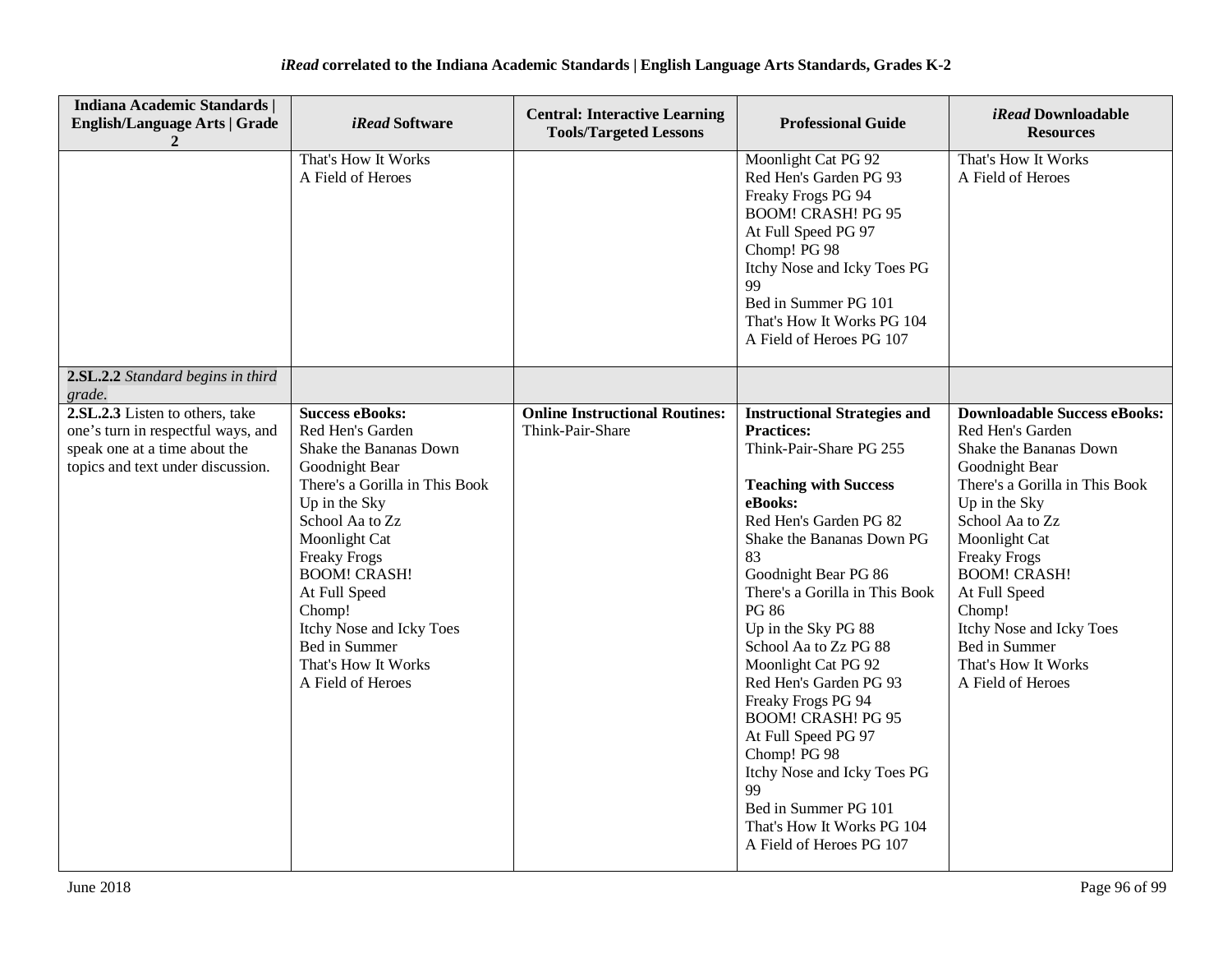| <b>Indiana Academic Standards  </b><br><b>English/Language Arts   Grade</b>                                                                 | <i>iRead</i> Software                                                                                                                                                                                                                                                                                                                           | <b>Central: Interactive Learning</b><br><b>Tools/Targeted Lessons</b> | <b>Professional Guide</b>                                                                                                                                                                                                                                                                                                                                                                                                                                                                                                                                                               | iRead Downloadable<br><b>Resources</b>                                                                                                                                                                                                                                                                                                                       |
|---------------------------------------------------------------------------------------------------------------------------------------------|-------------------------------------------------------------------------------------------------------------------------------------------------------------------------------------------------------------------------------------------------------------------------------------------------------------------------------------------------|-----------------------------------------------------------------------|-----------------------------------------------------------------------------------------------------------------------------------------------------------------------------------------------------------------------------------------------------------------------------------------------------------------------------------------------------------------------------------------------------------------------------------------------------------------------------------------------------------------------------------------------------------------------------------------|--------------------------------------------------------------------------------------------------------------------------------------------------------------------------------------------------------------------------------------------------------------------------------------------------------------------------------------------------------------|
|                                                                                                                                             | That's How It Works<br>A Field of Heroes                                                                                                                                                                                                                                                                                                        |                                                                       | Moonlight Cat PG 92<br>Red Hen's Garden PG 93<br>Freaky Frogs PG 94<br><b>BOOM! CRASH! PG 95</b><br>At Full Speed PG 97<br>Chomp! PG 98<br>Itchy Nose and Icky Toes PG<br>99<br>Bed in Summer PG 101<br>That's How It Works PG 104<br>A Field of Heroes PG 107                                                                                                                                                                                                                                                                                                                          | That's How It Works<br>A Field of Heroes                                                                                                                                                                                                                                                                                                                     |
| 2.SL.2.2 Standard begins in third<br>grade.                                                                                                 |                                                                                                                                                                                                                                                                                                                                                 |                                                                       |                                                                                                                                                                                                                                                                                                                                                                                                                                                                                                                                                                                         |                                                                                                                                                                                                                                                                                                                                                              |
| 2.SL.2.3 Listen to others, take<br>one's turn in respectful ways, and<br>speak one at a time about the<br>topics and text under discussion. | <b>Success eBooks:</b><br>Red Hen's Garden<br>Shake the Bananas Down<br>Goodnight Bear<br>There's a Gorilla in This Book<br>Up in the Sky<br>School Aa to Zz<br>Moonlight Cat<br><b>Freaky Frogs</b><br><b>BOOM! CRASH!</b><br>At Full Speed<br>Chomp!<br>Itchy Nose and Icky Toes<br>Bed in Summer<br>That's How It Works<br>A Field of Heroes | <b>Online Instructional Routines:</b><br>Think-Pair-Share             | <b>Instructional Strategies and</b><br><b>Practices:</b><br>Think-Pair-Share PG 255<br><b>Teaching with Success</b><br>eBooks:<br>Red Hen's Garden PG 82<br>Shake the Bananas Down PG<br>83<br>Goodnight Bear PG 86<br>There's a Gorilla in This Book<br><b>PG 86</b><br>Up in the Sky PG 88<br>School Aa to Zz PG 88<br>Moonlight Cat PG 92<br>Red Hen's Garden PG 93<br>Freaky Frogs PG 94<br><b>BOOM! CRASH! PG 95</b><br>At Full Speed PG 97<br>Chomp! PG 98<br>Itchy Nose and Icky Toes PG<br>99<br>Bed in Summer PG 101<br>That's How It Works PG 104<br>A Field of Heroes PG 107 | <b>Downloadable Success eBooks:</b><br>Red Hen's Garden<br>Shake the Bananas Down<br>Goodnight Bear<br>There's a Gorilla in This Book<br>Up in the Sky<br>School Aa to Zz<br>Moonlight Cat<br><b>Freaky Frogs</b><br><b>BOOM! CRASH!</b><br>At Full Speed<br>Chomp!<br>Itchy Nose and Icky Toes<br>Bed in Summer<br>That's How It Works<br>A Field of Heroes |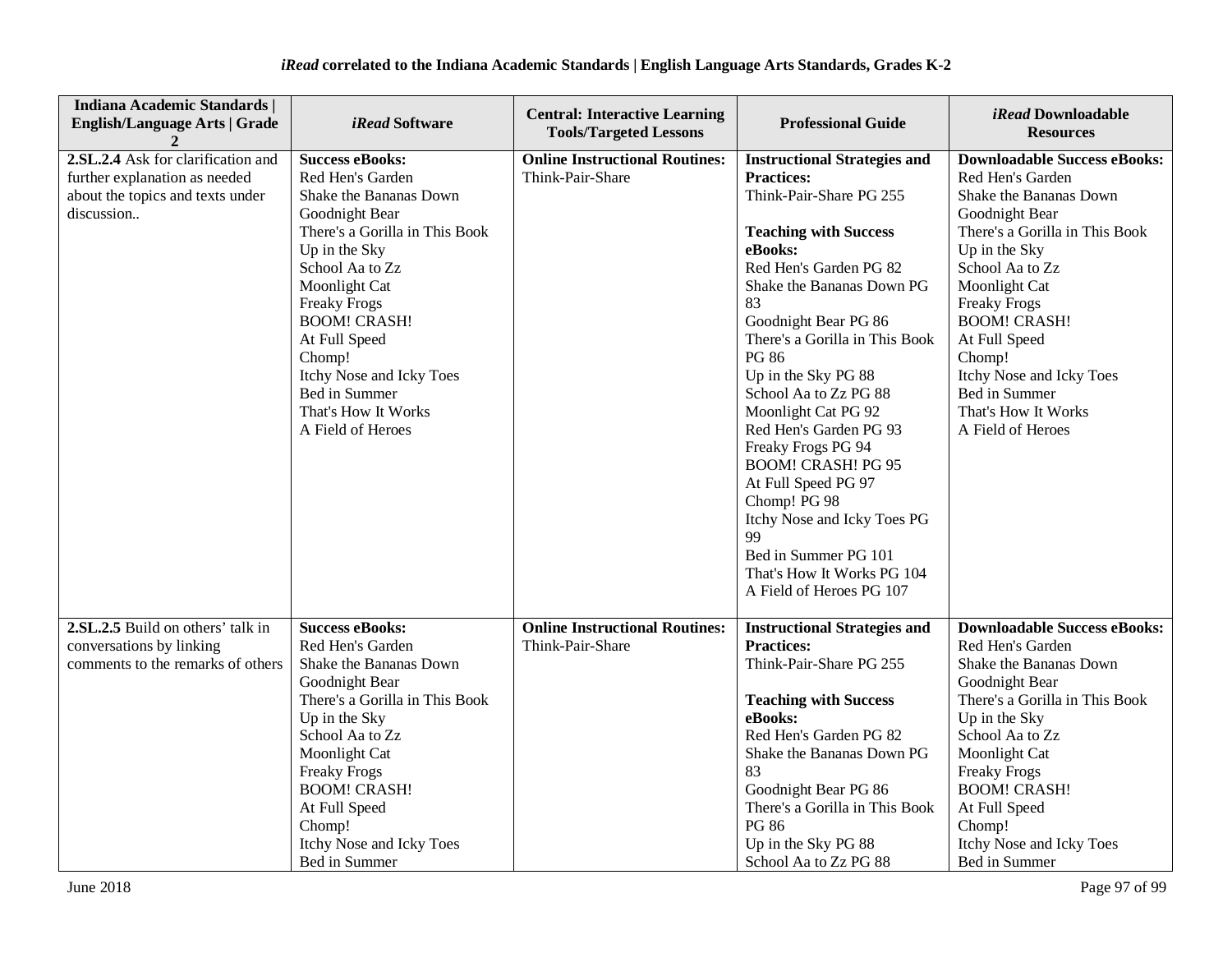| <b>Indiana Academic Standards  </b><br><b>English/Language Arts   Grade</b>                                           | <i>iRead</i> Software                                                                                                                                                                                                                                                                                                                           | <b>Central: Interactive Learning</b><br><b>Tools/Targeted Lessons</b> | <b>Professional Guide</b>                                                                                                                                                                                                                                                                                                                                                                                                                                                                                                                                                               | <i>iRead</i> Downloadable<br><b>Resources</b>                                                                                                                                                                                                                                                                                                                |
|-----------------------------------------------------------------------------------------------------------------------|-------------------------------------------------------------------------------------------------------------------------------------------------------------------------------------------------------------------------------------------------------------------------------------------------------------------------------------------------|-----------------------------------------------------------------------|-----------------------------------------------------------------------------------------------------------------------------------------------------------------------------------------------------------------------------------------------------------------------------------------------------------------------------------------------------------------------------------------------------------------------------------------------------------------------------------------------------------------------------------------------------------------------------------------|--------------------------------------------------------------------------------------------------------------------------------------------------------------------------------------------------------------------------------------------------------------------------------------------------------------------------------------------------------------|
| 2.SL.2.4 Ask for clarification and<br>further explanation as needed<br>about the topics and texts under<br>discussion | <b>Success eBooks:</b><br>Red Hen's Garden<br>Shake the Bananas Down<br>Goodnight Bear<br>There's a Gorilla in This Book<br>Up in the Sky<br>School Aa to Zz<br>Moonlight Cat<br><b>Freaky Frogs</b><br><b>BOOM! CRASH!</b><br>At Full Speed<br>Chomp!<br>Itchy Nose and Icky Toes<br>Bed in Summer<br>That's How It Works<br>A Field of Heroes | <b>Online Instructional Routines:</b><br>Think-Pair-Share             | <b>Instructional Strategies and</b><br><b>Practices:</b><br>Think-Pair-Share PG 255<br><b>Teaching with Success</b><br>eBooks:<br>Red Hen's Garden PG 82<br>Shake the Bananas Down PG<br>83<br>Goodnight Bear PG 86<br>There's a Gorilla in This Book<br><b>PG 86</b><br>Up in the Sky PG 88<br>School Aa to Zz PG 88<br>Moonlight Cat PG 92<br>Red Hen's Garden PG 93<br>Freaky Frogs PG 94<br><b>BOOM! CRASH! PG 95</b><br>At Full Speed PG 97<br>Chomp! PG 98<br>Itchy Nose and Icky Toes PG<br>99<br>Bed in Summer PG 101<br>That's How It Works PG 104<br>A Field of Heroes PG 107 | <b>Downloadable Success eBooks:</b><br>Red Hen's Garden<br>Shake the Bananas Down<br>Goodnight Bear<br>There's a Gorilla in This Book<br>Up in the Sky<br>School Aa to Zz<br>Moonlight Cat<br><b>Freaky Frogs</b><br><b>BOOM! CRASH!</b><br>At Full Speed<br>Chomp!<br>Itchy Nose and Icky Toes<br>Bed in Summer<br>That's How It Works<br>A Field of Heroes |
| 2.SL.2.5 Build on others' talk in<br>conversations by linking<br>comments to the remarks of others                    | <b>Success eBooks:</b><br>Red Hen's Garden<br>Shake the Bananas Down<br>Goodnight Bear<br>There's a Gorilla in This Book<br>Up in the Sky<br>School Aa to Zz<br>Moonlight Cat<br><b>Freaky Frogs</b><br><b>BOOM! CRASH!</b><br>At Full Speed<br>Chomp!<br>Itchy Nose and Icky Toes<br>Bed in Summer                                             | <b>Online Instructional Routines:</b><br>Think-Pair-Share             | <b>Instructional Strategies and</b><br><b>Practices:</b><br>Think-Pair-Share PG 255<br><b>Teaching with Success</b><br>eBooks:<br>Red Hen's Garden PG 82<br>Shake the Bananas Down PG<br>83<br>Goodnight Bear PG 86<br>There's a Gorilla in This Book<br><b>PG 86</b><br>Up in the Sky PG 88<br>School Aa to Zz PG 88                                                                                                                                                                                                                                                                   | <b>Downloadable Success eBooks:</b><br>Red Hen's Garden<br>Shake the Bananas Down<br>Goodnight Bear<br>There's a Gorilla in This Book<br>Up in the Sky<br>School Aa to Zz<br>Moonlight Cat<br><b>Freaky Frogs</b><br><b>BOOM! CRASH!</b><br>At Full Speed<br>Chomp!<br>Itchy Nose and Icky Toes<br>Bed in Summer                                             |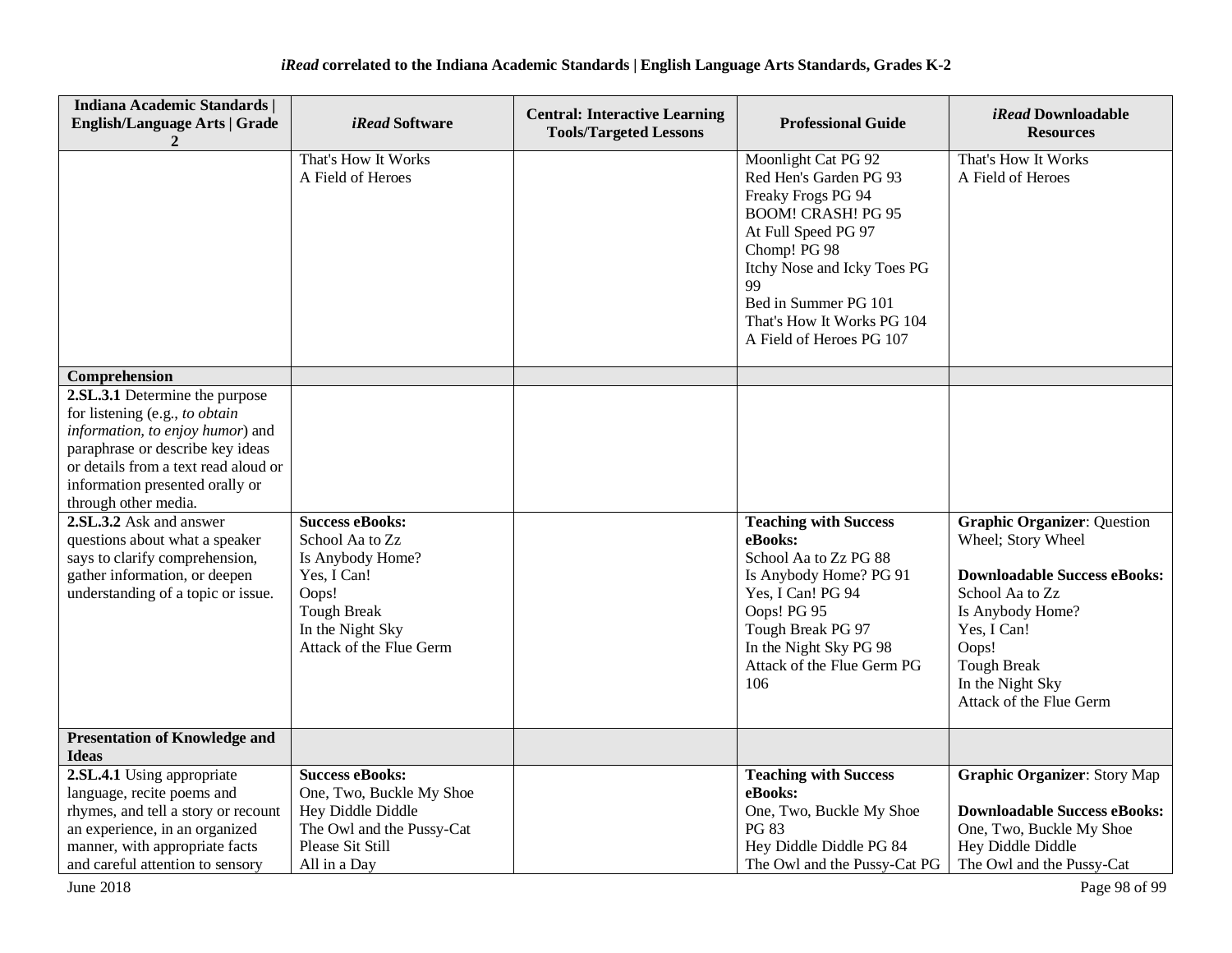| <b>Indiana Academic Standards  </b><br><b>English/Language Arts   Grade</b><br>2                                                                                                                                                                                                                         | <i>iRead</i> Software                                                                                         | <b>Central: Interactive Learning</b><br><b>Tools/Targeted Lessons</b> | <b>Professional Guide</b>                                                                                                                                                                                                                                      | iRead Downloadable<br><b>Resources</b>                                                                                                                                  |
|----------------------------------------------------------------------------------------------------------------------------------------------------------------------------------------------------------------------------------------------------------------------------------------------------------|---------------------------------------------------------------------------------------------------------------|-----------------------------------------------------------------------|----------------------------------------------------------------------------------------------------------------------------------------------------------------------------------------------------------------------------------------------------------------|-------------------------------------------------------------------------------------------------------------------------------------------------------------------------|
|                                                                                                                                                                                                                                                                                                          | That's How It Works<br>A Field of Heroes                                                                      |                                                                       | Moonlight Cat PG 92<br>Red Hen's Garden PG 93<br>Freaky Frogs PG 94<br><b>BOOM! CRASH! PG 95</b><br>At Full Speed PG 97<br>Chomp! PG 98<br>Itchy Nose and Icky Toes PG<br>99<br>Bed in Summer PG 101<br>That's How It Works PG 104<br>A Field of Heroes PG 107 | That's How It Works<br>A Field of Heroes                                                                                                                                |
| Comprehension                                                                                                                                                                                                                                                                                            |                                                                                                               |                                                                       |                                                                                                                                                                                                                                                                |                                                                                                                                                                         |
| 2.SL.3.1 Determine the purpose<br>for listening (e.g., to obtain<br>information, to enjoy humor) and<br>paraphrase or describe key ideas<br>or details from a text read aloud or<br>information presented orally or<br>through other media.<br>2.SL.3.2 Ask and answer<br>questions about what a speaker | <b>Success eBooks:</b><br>School Aa to Zz                                                                     |                                                                       | <b>Teaching with Success</b><br>eBooks:                                                                                                                                                                                                                        | <b>Graphic Organizer: Question</b><br>Wheel; Story Wheel                                                                                                                |
| says to clarify comprehension,<br>gather information, or deepen<br>understanding of a topic or issue.                                                                                                                                                                                                    | Is Anybody Home?<br>Yes, I Can!<br>Oops!<br><b>Tough Break</b><br>In the Night Sky<br>Attack of the Flue Germ |                                                                       | School Aa to Zz PG 88<br>Is Anybody Home? PG 91<br>Yes, I Can! PG 94<br>Oops! PG 95<br>Tough Break PG 97<br>In the Night Sky PG 98<br>Attack of the Flue Germ PG<br>106                                                                                        | <b>Downloadable Success eBooks:</b><br>School Aa to Zz<br>Is Anybody Home?<br>Yes, I Can!<br>Oops!<br><b>Tough Break</b><br>In the Night Sky<br>Attack of the Flue Germ |
| <b>Presentation of Knowledge and</b><br><b>Ideas</b>                                                                                                                                                                                                                                                     |                                                                                                               |                                                                       |                                                                                                                                                                                                                                                                |                                                                                                                                                                         |
| 2.SL.4.1 Using appropriate                                                                                                                                                                                                                                                                               | <b>Success eBooks:</b>                                                                                        |                                                                       | <b>Teaching with Success</b>                                                                                                                                                                                                                                   | <b>Graphic Organizer: Story Map</b>                                                                                                                                     |
| language, recite poems and                                                                                                                                                                                                                                                                               | One, Two, Buckle My Shoe                                                                                      |                                                                       | eBooks:                                                                                                                                                                                                                                                        |                                                                                                                                                                         |
| rhymes, and tell a story or recount                                                                                                                                                                                                                                                                      | Hey Diddle Diddle<br>The Owl and the Pussy-Cat                                                                |                                                                       | One, Two, Buckle My Shoe<br><b>PG 83</b>                                                                                                                                                                                                                       | <b>Downloadable Success eBooks:</b><br>One, Two, Buckle My Shoe                                                                                                         |
| an experience, in an organized<br>manner, with appropriate facts                                                                                                                                                                                                                                         | Please Sit Still                                                                                              |                                                                       | Hey Diddle Diddle PG 84                                                                                                                                                                                                                                        | Hey Diddle Diddle                                                                                                                                                       |
| and careful attention to sensory                                                                                                                                                                                                                                                                         | All in a Day                                                                                                  |                                                                       | The Owl and the Pussy-Cat PG                                                                                                                                                                                                                                   | The Owl and the Pussy-Cat                                                                                                                                               |